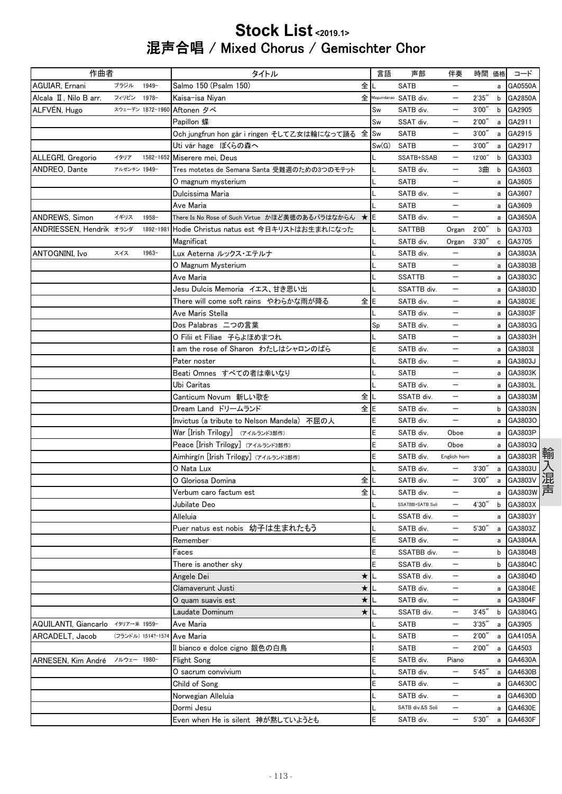## Stock List <2019.1> 混声合唱 / Mixed Chorus / Gemischter Chor

| 作曲者                               |              |                    | タイトル                                              |         | 言語    | 声部                      | 伴奏                       | 時間 価格  |   | コード       |
|-----------------------------------|--------------|--------------------|---------------------------------------------------|---------|-------|-------------------------|--------------------------|--------|---|-----------|
| AGUIAR, Ernani                    | ブラジル         | $1949 -$           | Salmo 150 (Psalm 150)                             | 全       |       | <b>SATB</b>             |                          |        | a | GA0550A   |
| Alcala II , Nilo B arr.           | フィリピン        | 1978-              | Kaisa-isa Niyan                                   |         |       | 全 Maguindanao SATB div. |                          | 2'35'' |   | b GA2850A |
| ALFVÉN, Hugo                      |              | スウェーデン 1872-1960   | Aftonen タベ                                        |         | Sw    | SATB div.               |                          | 3'00'' | b | GA2905    |
|                                   |              |                    | Papillon 蝶                                        |         | Sw    | SSAT div.               |                          | 2'00'' | a | GA2911    |
|                                   |              |                    | Och jungfrun hon går i ringen そして乙女は輪になって踊る 全     |         | Sw    | SATB                    |                          | 3'00'  | a | GA2915    |
|                                   |              |                    | Uti vår hage ばくらの森へ                               |         | Sw(G) | <b>SATB</b>             |                          | 3'00'' | a | GA2917    |
| ALLEGRI, Gregorio                 | イタリア         | 1582-1652          | Miserere mei, Deus                                |         |       | SSATB+SSAB              |                          | 12'00" | b | GA3303    |
| ANDREO, Dante                     | アルゼンチン 1949- |                    | Tres motetes de Semana Santa 受難週のための3つのモテット       |         |       | SATB div.               | $\overline{\phantom{0}}$ | 3曲     | b | GA3603    |
|                                   |              |                    | 0 magnum mysterium                                |         |       | <b>SATB</b>             |                          |        | a | GA3605    |
|                                   |              |                    | Dulcissima Maria                                  |         |       | SATB div.               |                          |        | a | GA3607    |
|                                   |              |                    | Ave Maria                                         |         |       | SATB                    |                          |        | a | GA3609    |
| ANDREWS, Simon                    | イギリス         | 1958-              | There Is No Rose of Such Virtue かほど美徳のあるバラはなからん ★ |         | E     | SATB div.               |                          |        | a | GA3650A   |
| ANDRIESSEN, Hendrik オランダ          |              | 1892-1981          | Hodie Christus natus est 今日キリストはお生まれになった          |         |       | <b>SATTBB</b>           | Organ                    | 2'00'' | b | GA3703    |
|                                   |              |                    | Magnificat                                        |         |       | SATB div.               | Organ                    | 3'30'' |   | c GA3705  |
| <b>ANTOGNINI, Ivo</b>             | スイス          | $1963 -$           | Lux Aeterna ルックス・エテルナ                             |         |       | SATB div.               | $\overline{\phantom{0}}$ |        |   | a GA3803A |
|                                   |              |                    | O Magnum Mysterium                                |         |       | <b>SATB</b>             |                          |        | a | GA3803B   |
|                                   |              |                    | Ave Maria                                         |         |       | <b>SSATTB</b>           | —                        |        | a | GA3803C   |
|                                   |              |                    | Jesu Dulcis Memoria イエス、甘き思い出                     |         |       | SSATTB div.             |                          |        | a | GA3803D   |
|                                   |              |                    | There will come soft rains やわらかな雨が降る              | 全IE     |       | SATB div.               |                          |        | a | GA3803E   |
|                                   |              |                    | Ave Maris Stella                                  |         |       | SATB div.               | $\overline{\phantom{0}}$ |        | a | GA3803F   |
|                                   |              |                    | Dos Palabras 二つの言葉                                |         | Sp    | SATB div.               | —                        |        |   | a GA3803G |
|                                   |              |                    | O Filii et Filiae 子らよほめまつれ                        |         |       | <b>SATB</b>             |                          |        | a | GA3803H   |
|                                   |              |                    | I am the rose of Sharon わたしはシャロンのばら               |         | E     | SATB div.               | —                        |        | a | GA3803I   |
|                                   |              |                    | Pater noster                                      |         |       | SATB div.               |                          |        | a | GA3803J   |
|                                   |              |                    | Beati Omnes すべての者は幸いなり                            |         |       | <b>SATB</b>             |                          |        | a | GA3803K   |
|                                   |              |                    | Ubi Caritas                                       |         |       | SATB div.               | —                        |        | a | GA3803L   |
|                                   |              |                    | Canticum Novum 新しい歌を                              | 全       |       | SSATB div.              | $\overline{\phantom{m}}$ |        |   | a GA3803M |
|                                   |              |                    | Dream Land ドリームランド                                | 全E      |       | SATB div.               |                          |        | b | GA3803N   |
|                                   |              |                    | Invictus (a tribute to Nelson Mandela) 不屈の人       |         | E     | SATB div.               | —                        |        | a | GA3803O   |
|                                   |              |                    | War [Irish Trilogy] (アイルランド3部作)                   |         | E     | SATB div.               | Oboe                     |        | a | GA3803P   |
|                                   |              |                    | Peace [Irish Trilogy] (アイルランド3部作)                 |         | E     | SATB div.               | Oboe                     |        | a | GA3803Q   |
|                                   |              |                    | Aimhirgín [Irish Trilogy] (アイルランド3部作)             |         | E     | SATB div.               | Englich horn             |        | a | GA3803R   |
|                                   |              |                    | 0 Nata Lux                                        |         |       | SATB div.               | $\qquad \qquad -$        | 3'30'' | a | GA3803U   |
|                                   |              |                    | O Gloriosa Domina                                 | 全       |       | SATB div.               |                          | 3'00'' | a | GA3803V   |
|                                   |              |                    | Verbum caro factum est                            | 全       |       | SATB div.               |                          |        | a | GA3803W   |
|                                   |              |                    | Jubilate Deo                                      |         |       | SSATBB+SATB Soli        |                          | 4'30"  | b | GA3803X   |
|                                   |              |                    | Alleluia                                          |         |       | SSATB div.              |                          |        | a | GA3803Y   |
|                                   |              |                    | Puer natus est nobis 幼子は生まれたもう                    |         |       | SATB div.               | —                        | 5'30'' |   | a GA3803Z |
|                                   |              |                    | Remember                                          |         | E     | SATB div.               | $\qquad \qquad -$        |        |   | a GA3804A |
|                                   |              |                    | Faces                                             |         | E     | SSATBB div.             | $\overline{\phantom{0}}$ |        | b | GA3804B   |
|                                   |              |                    | There is another sky                              |         | E     | SSATB div.              |                          |        | b | GA3804C   |
|                                   |              |                    | Angele Dei                                        | ★       |       | SSATB div.              |                          |        | a | GA3804D   |
|                                   |              |                    | Clamaverunt Justi                                 | $\star$ |       | SATB div.               | $\overline{\phantom{0}}$ |        |   | a GA3804E |
|                                   |              |                    | O quam suavis est                                 | $\star$ |       | SATB div.               | —                        |        |   | a GA3804F |
|                                   |              |                    | Laudate Dominum                                   | $\star$ |       | SSATB div.              | $\qquad \qquad -$        | 3'45'' | b | GA3804G   |
| AQUILANTI, Giancarlo イタリア→米 1959- |              |                    | Ave Maria                                         |         |       | SATB                    | —                        | 3'35'' | a | GA3905    |
| ARCADELT, Jacob                   |              | (フランドル) 1514?-1574 | Ave Maria                                         |         |       | SATB                    |                          | 2'00'' | а | GA4105A   |
|                                   |              |                    | Il bianco e dolce cigno 銀色の白鳥                     |         |       | <b>SATB</b>             | $\qquad \qquad -$        | 2'00'' | a | GA4503    |
| ARNESEN, Kim André                | ノルウェー 1980-  |                    | Flight Song                                       |         | E     | SATB div.               | Piano                    |        | a | GA4630A   |
|                                   |              |                    | O sacrum convivium                                |         |       | SATB div.               | $\qquad \qquad -$        | 5'45'  | a | GA4630B   |
|                                   |              |                    | Child of Song                                     |         | E     | SATB div.               | $\qquad \qquad -$        |        | а | GA4630C   |
|                                   |              |                    | Norwegian Alleluia                                |         | L     | SATB div.               | —                        |        | а | GA4630D   |
|                                   |              |                    | Dormi Jesu                                        |         |       | SATB div.&S Soli        |                          |        | а | GA4630E   |
|                                   |              |                    | Even when He is silent 神が黙していようとも                 |         | E     | SATB div.               | $\overline{\phantom{m}}$ | 5'30'' | a | GA4630F   |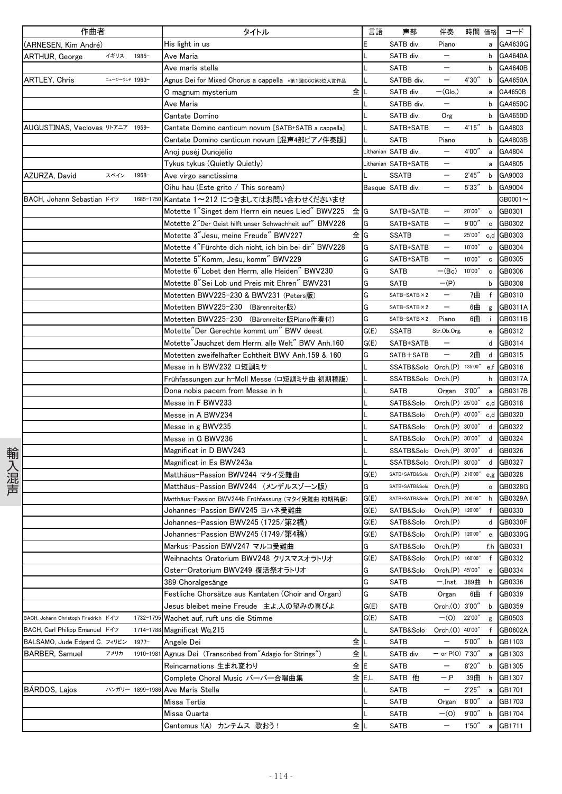|      | 作曲者                                  |                |                 | タイトル                                                    | 言語    | 声部                                     | 伴奏                       | 時間 価格  |              | コード        |
|------|--------------------------------------|----------------|-----------------|---------------------------------------------------------|-------|----------------------------------------|--------------------------|--------|--------------|------------|
|      | (ARNESEN, Kim André)                 |                |                 | His light in us                                         | E     | SATB div.                              | Piano                    |        | a            | GA4630G    |
|      | <b>ARTHUR, George</b>                | イギリス           | $1985 -$        | Ave Maria                                               |       | SATB div.                              | $\qquad \qquad -$        |        |              | b GA4640A  |
|      |                                      |                |                 | Ave maris stella                                        |       | <b>SATB</b>                            | $\qquad \qquad -$        |        | b            | GA4640B    |
|      | ARTLEY, Chris                        | ニュージーランド 1963- |                 | Agnus Dei for Mixed Chorus a cappella *第1回ICCC第3位入賞作品   |       | SATBB div.                             | $\qquad \qquad -$        | 4'30'' | b            | GA4650A    |
|      |                                      |                |                 | 0 magnum mysterium                                      | 全儿    | SATB div.                              | $-(Glo.)$                |        | a            | GA4650B    |
|      |                                      |                |                 | Ave Maria                                               |       | SATBB div.                             |                          |        | b            | GA4650C    |
|      |                                      |                |                 | Cantate Domino                                          |       | SATB div.                              | Org                      |        | b            | GA4650D    |
|      | AUGUSTINAS, Vaclovas リトアニア 1959-     |                |                 | Cantate Domino canticum novum [SATB+SATB a cappella]    |       | SATB+SATB                              | $\qquad \qquad -$        | 4'15'' | b            | GA4803     |
|      |                                      |                |                 | Cantate Domino canticum novum [混声4部ピアノ伴奏版]              |       | <b>SATB</b>                            | Piano                    |        | b            | GA4803B    |
|      |                                      |                |                 | Anoj pusėj Dunojėlio                                    |       | Lithanian SATB div.                    | $\overline{\phantom{m}}$ | 4'00"  | a            | GA4804     |
|      |                                      |                |                 | Tykus tykus (Quietly Quietly)                           |       | Lithanian SATB+SATB                    |                          |        | a            | GA4805     |
|      | AZURZA, David                        | スペイン           | $1968 -$        | Ave virgo sanctissima                                   |       | <b>SSATB</b>                           | $\qquad \qquad -$        | 2'45'' | b            | GA9003     |
|      |                                      |                |                 | Oihu hau (Este grito / This scream)                     |       | Basque SATB div.                       | $\overline{\phantom{0}}$ | 5'33'' | b            | GA9004     |
|      | BACH, Johann Sebastian ドイツ           |                | 1685-1750       | Kantate 1~212 につきましてはお問い合わせくださいませ                       |       |                                        |                          |        |              | GB0001-    |
|      |                                      |                |                 | Motette 1"Singet dem Herrn ein neues Lied" BWV225       | 全IG   | SATB+SATB                              | $\overline{\phantom{m}}$ | 20'00" | $\mathbf c$  | GB0301     |
|      |                                      |                |                 | Motette 2"Der Geist hilft unser Schwachheit auf" BMV226 | G     | SATB+SATB                              | $\qquad \qquad -$        | 9'00'' | c            | GB0302     |
|      |                                      |                |                 | Motette 3"Jesu, meine Freude" BWV227                    | 全IG   | <b>SSATB</b>                           |                          | 25'00″ | c,d          | GB0303     |
|      |                                      |                |                 | Motette 4"Fürchte dich nicht, ich bin bei dir" BWV228   | G     | SATB+SATB                              | $\overline{\phantom{m}}$ | 10'00" | $\mathbf c$  | GB0304     |
|      |                                      |                |                 | Motette 5"Komm, Jesu, komm" BWV229                      | G     | SATB+SATB                              | $\overline{\phantom{0}}$ | 10'00" | c            | GB0305     |
|      |                                      |                |                 | Motette 6"Lobet den Herrn, alle Heiden" BWV230          | G     | <b>SATB</b>                            | $-(Bc)$                  | 10'00" | c            | GB0306     |
|      |                                      |                |                 | Motette 8"Sei Lob und Preis mit Ehren" BWV231           | G     | <b>SATB</b>                            | $-(P)$                   |        | b            | GB0308     |
|      |                                      |                |                 | Motetten BWV225-230 & BWV231 (Peters版)                  | G     | SATB-SATB × 2                          | $\overline{\phantom{m}}$ | 7曲     | f            | GB0310     |
|      |                                      |                |                 | Motetten BWV225-230 (Bärenreiter版)                      | G     | $SATB-SATB \times 2$                   |                          | 6曲     | g            | GB0311A    |
|      |                                      |                |                 | Motetten BWV225-230 (Bärenreiter版Piano伴奏付)              | G     | $SATB-SATB \times 2$                   | Piano                    | 6曲     | - i -        | GB0311B    |
|      |                                      |                |                 | Motette"Der Gerechte kommt um" BWV deest                | G(E)  | <b>SSATB</b>                           | Str.Ob.Org.              |        | e            | GB0312     |
|      |                                      |                |                 | Motette" Jauchzet dem Herrn, alle Welt" BWV Anh.160     | G(E)  | SATB+SATB                              |                          |        | d            | GB0314     |
|      |                                      |                |                 | Motetten zweifelhafter Echtheit BWV Anh.159 & 160       | G     | SATB+SATB                              | $\overline{\phantom{m}}$ | 2曲     | d            | GB0315     |
|      |                                      |                |                 | Messe in h BWV232 口短調ミサ                                 |       | SSATB&Solo Orch.(P) 135'00" e.f GB0316 |                          |        |              |            |
|      |                                      |                |                 | Frühfassungen zur h-Moll Messe (ロ短調ミサ曲 初期稿版)            |       | SSATB&Solo Orch.(P)                    |                          |        | h            | GB0317A    |
|      |                                      |                |                 | Dona nobis pacem from Messe in h                        |       | <b>SATB</b>                            | Organ                    | 3'00'' | $\mathsf{a}$ | GB0317B    |
|      |                                      |                |                 | Messe in F BWV233                                       |       | SATB&Solo                              | Orch.(P) 25'00"          |        |              | c,d GB0318 |
|      |                                      |                |                 | Messe in A BWV234                                       |       | SATB&Solo                              | Orch.(P) 40'00"          |        | c,d          | GB0320     |
|      |                                      |                |                 | Messe in g BWV235                                       |       | SATB&Solo                              | Orch.(P) 30'00"          |        | d            | GB0322     |
|      |                                      |                |                 | Messe in G BWV236                                       |       | SATB&Solo                              | Orch.(P) 30'00"          |        | d            | GB0324     |
|      |                                      |                |                 | Magnificat in D BWV243                                  |       | SSATB&Solo Orch.(P) 30'00"             |                          |        | d            | GB0326     |
| 輸入混声 |                                      |                |                 | Magnificat in Es BWV243a                                |       | SSATB&Solo Orch.(P) 30'00"             |                          |        | d            | GB0327     |
|      |                                      |                |                 | Matthäus-Passion BWV244 マタイ受難曲                          | G(E)  | SATB+SATB&Solo Orch.(P) 210'00"        |                          |        |              | e,g GB0328 |
|      |                                      |                |                 | Matthäus-Passion BWV244 (メンデルスゾーン版)                     | G     | SATB+SATB&Solo Orch.(P)                |                          |        | $\circ$      | GB0328G    |
|      |                                      |                |                 | Matthäus-Passion BWV244b Frühfassung (マタイ受難曲 初期稿版)      | G(E)  | SATB+SATB&Solo Orch.(P) 200'00"        |                          |        | h            | GB0329A    |
|      |                                      |                |                 | Johannes-Passion BWV245 ヨハネ受難曲                          | G(E)  | SATB&Solo Orch.(P) 120'00"             |                          |        |              | f GB0330   |
|      |                                      |                |                 | Johannes-Passion BWV245 (1725/第2稿)                      | G(E)  | SATB&Solo                              | Orch.(P)                 |        |              | d GB0330F  |
|      |                                      |                |                 | Johannes-Passion BWV245 (1749/第4稿)                      | G(E)  | SATB&Solo                              | Orch.(P) 120'00"         |        | e            | GB0330G    |
|      |                                      |                |                 | Markus-Passion BWV247 マルコ受難曲                            | G     | SATB&Solo                              | Orch.(P)                 |        |              | f,h GB0331 |
|      |                                      |                |                 | Weihnachts Oratorium BWV248 クリスマスオラトリオ                  | G(E)  | SATB&Solo                              | Orch.(P) 160'00"         |        | f            | GB0332     |
|      |                                      |                |                 | Oster-Oratorium BWV249 復活祭オラトリオ                         | G     | SATB&Solo                              | Orch.(P) 45'00"          |        | e            | GB0334     |
|      |                                      |                |                 | 389 Choralgesänge                                       | G     | SATB                                   | 一,Inst. 389曲             |        | h            | GB0336     |
|      |                                      |                |                 | Festliche Chorsätze aus Kantaten (Choir and Organ)      | G     | <b>SATB</b>                            | Organ                    | 6曲     | f            | GB0339     |
|      |                                      |                |                 | Jesus bleibet meine Freude 主よ,人の望みの喜びよ                  | G(E)  | SATB                                   | Orch.(0) 3'00"           |        | b            | GB0359     |
|      | BACH, Johann Christoph Friedrich ドイツ |                | 1732-1795       | Wachet auf, ruft uns die Stimme                         | G(E)  | SATB                                   | $-(0)$                   | 22'00" | g            | GB0503     |
|      | BACH, Carl Philipp Emanuel ドイツ       |                | 1714-1788       | Magnificat Wg.215                                       |       | SATB&Solo                              | Orch.(0) 40'00"          |        | f            | GB0602A    |
|      | BALSAMO, Jude Edgard C. フィリピン        |                | $1977 -$        | Angele Dei                                              | 全工    | <b>SATB</b>                            |                          | 5'00'' | b            | GB1103     |
|      | <b>BARBER, Samuel</b>                | アメリカ           | 1910-1981       | Agnus Dei (Transcribed from"Adagio for Strings")        | 全工    | SATB div.                              | $-$ or P(0) 7'30"        |        | a            | GB1303     |
|      |                                      |                |                 | Reincarnations 生まれ変わり                                   | 全lE   | <b>SATB</b>                            |                          | 8'20'' | b            | GB1305     |
|      |                                      |                |                 | Complete Choral Music バーバー合唱曲集                          | 全 E,L | SATB 他                                 | — P                      | 39曲    | h            | GB1307     |
|      | BÁRDOS, Lajos                        |                | ハンガリー 1899-1986 | Ave Maris Stella                                        |       | <b>SATB</b>                            | $\qquad \qquad -$        | 2'25'' | a            | GB1701     |
|      |                                      |                |                 | Missa Tertia                                            |       | <b>SATB</b>                            | Organ                    | 8'00'' | a            | GB1703     |
|      |                                      |                |                 | Missa Quarta                                            |       | SATB                                   | $-(0)$                   | 9'00'' | b            | GB1704     |
|      |                                      |                |                 | Cantemus !(A) カンテムス 歌おう!                                | 全∥∟   | SATB                                   |                          | 1'50'' | a            | GB1711     |
|      |                                      |                |                 |                                                         |       |                                        |                          |        |              |            |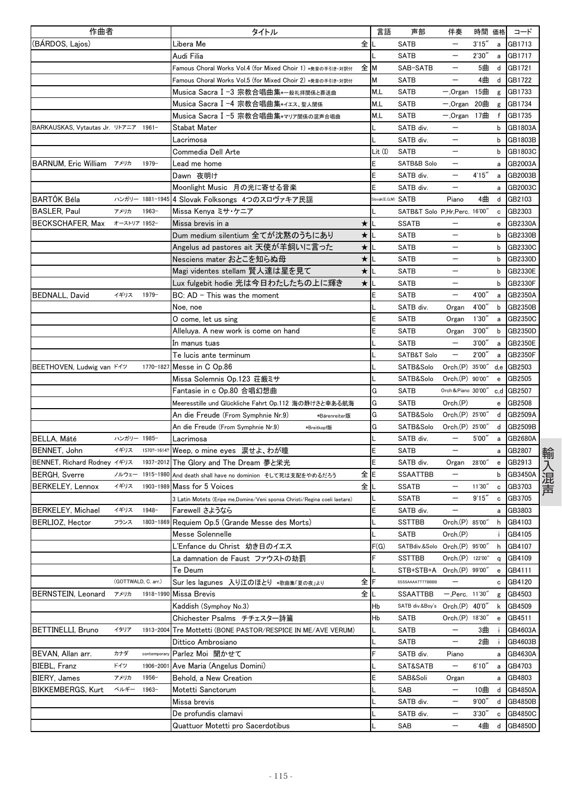| 作曲者                                  |                     |                 | タイトル                                                                      |         | 言語                 | 声部                            | 伴奏                         | 時間 価格  |                                                  | コード            |
|--------------------------------------|---------------------|-----------------|---------------------------------------------------------------------------|---------|--------------------|-------------------------------|----------------------------|--------|--------------------------------------------------|----------------|
| (BÁRDOS, Lajos)                      |                     |                 | Libera Me                                                                 | 全儿      |                    | <b>SATB</b>                   |                            | 3'15'' | a                                                | GB1713         |
|                                      |                     |                 | Audi Filia                                                                |         |                    | <b>SATB</b>                   | $\qquad \qquad -$          | 2'30'  | a                                                | GB1717         |
|                                      |                     |                 | Famous Choral Works Vol.4 (for Mixed Choir 1) *発音の手引き・対訳付                 | 全M      |                    | SAB-SATB                      | $\overline{\phantom{m}}$   | 5曲     | d                                                | GB1721         |
|                                      |                     |                 | Famous Choral Works Vol.5 (for Mixed Choir 2) *発音の手引き·対訳付                 |         | м                  | SATB                          | $\overline{\phantom{0}}$   | 4曲     | d                                                | GB1722         |
|                                      |                     |                 | Musica Sacra Ⅰ-3 宗教合唱曲集*一般礼拝関係と葬送曲                                        |         | M,L                | <b>SATB</b>                   | $-$ , Organ                | 15曲    | g                                                | GB1733         |
|                                      |                     |                 | Musica Sacra I -4 宗教合唱曲集*イエス、聖人関係                                         |         | M.L                | <b>SATB</b>                   | $-$ , Organ 20曲            |        | g                                                | GB1734         |
|                                      |                     |                 | Musica Sacra Ⅰ-5 宗教合唱曲集*マリア関係の混声合唱曲                                       |         | M.L                | SATB                          | $-.$ Organ 17曲             |        | f                                                | GB1735         |
| BARKAUSKAS, Vytautas Jr. リトアニア 1961- |                     |                 | Stabat Mater                                                              |         | L                  | SATB div.                     | $\qquad \qquad -$          |        | b                                                | GB1803A        |
|                                      |                     |                 | Lacrimosa                                                                 |         |                    | SATB div.                     |                            |        | b                                                | GB1803B        |
|                                      |                     |                 | Commedia Dell Arte                                                        |         | Lit (I)            | SATB                          |                            |        | b                                                | GB1803C        |
| <b>BARNUM, Eric William</b><br>アメリカ  |                     | $1979-$         | Lead me home                                                              |         | Ε                  | SATB&B Solo                   |                            |        | a                                                | GB2003A        |
|                                      |                     |                 | Dawn 夜明け                                                                  |         | Ε                  | SATB div.                     |                            | 4'15'' | a                                                | GB2003B        |
|                                      |                     |                 | Moonlight Music 月の光に寄せる音楽                                                 |         | E                  | SATB div.                     | $\overline{\phantom{m}}$   |        | a                                                | GB2003C        |
| <b>BARTÓK Béla</b>                   |                     | ハンガリー 1881-1945 | 4 Slovak Folksongs 4つのスロヴァキア民謡                                            |         | Slovak(E,G,M) SATB |                               | Piano                      | 4曲     | d                                                | GB2103         |
| <b>BASLER, Paul</b><br>アメリカ          |                     | $1963-$         | Missa Kenya ミサ・ケニア                                                        |         |                    | SATB&T Solo P,Hr,Perc. 16'00" |                            |        | c                                                | GB2303         |
| BECKSCHAFER, Max                     | オーストリア 1952-        |                 | Missa brevis in a                                                         | $\star$ |                    | <b>SSATB</b>                  |                            |        | e                                                | GB2330A        |
|                                      |                     |                 | Dum medium silentium 全てが沈黙のうちにあり                                          | $\star$ |                    | SATB                          |                            |        | b                                                | GB2330B        |
|                                      |                     |                 | Angelus ad pastores ait 天使が羊飼いに言った                                        | $\star$ |                    | <b>SATB</b>                   |                            |        | b                                                | GB2330C        |
|                                      |                     |                 | Nesciens mater おとこを知らぬ母                                                   | $\star$ |                    | <b>SATB</b>                   | $\overline{\phantom{0}}$   |        | b                                                | GB2330D        |
|                                      |                     |                 | Magi videntes stellam 賢人達は星を見て                                            | $\star$ |                    | <b>SATB</b>                   | —                          |        | b                                                | GB2330E        |
|                                      |                     |                 | Lux fulgebit hodie 光は今日わたしたちの上に輝き                                         | ★ L     |                    | <b>SATB</b>                   |                            |        | b                                                | GB2330F        |
| <b>BEDNALL, David</b>                | イギリス                | $1979-$         | $BC: AD - This was the moment$                                            |         | Ε                  | <b>SATB</b>                   |                            | 4'00"  | a                                                | GB2350A        |
|                                      |                     |                 | Noe, noe                                                                  |         |                    | SATB div.                     | Organ                      | 4'00'' | b                                                | <b>GB2350B</b> |
|                                      |                     |                 |                                                                           |         | E                  | SATB                          | Organ                      | 1'30'' | a                                                | GB2350C        |
|                                      |                     |                 | O come, let us sing<br>Alleluya. A new work is come on hand               |         | E                  | <b>SATB</b>                   |                            | 3'00'' |                                                  | GB2350D        |
|                                      |                     |                 |                                                                           |         |                    | <b>SATB</b>                   | Organ<br>$\qquad \qquad -$ | 3'00'' | b                                                | <b>GB2350E</b> |
|                                      |                     |                 | In manus tuas                                                             |         |                    |                               |                            |        | a                                                |                |
|                                      |                     |                 | Te lucis ante terminum                                                    |         |                    | SATB&T Solo                   | —                          | 2'00'  | a                                                | <b>GB2350F</b> |
| BEETHOVEN, Ludwig van ドイツ            |                     |                 | 1770-1827 Messe in C Op.86                                                |         |                    | SATB&Solo                     | Orch.(P) 35'00"            |        |                                                  | $d,e$ GB2503   |
|                                      |                     |                 | Missa Solemnis Op.123 荘厳ミサ                                                |         |                    | SATB&Solo                     | Orch.(P) 90'00"            |        | $\mathbf{e}% _{t}\left  \mathbf{1}\right\rangle$ | GB2505         |
|                                      |                     |                 | Fantasie in c Op.80 合唱幻想曲                                                 |         | G                  | SATB                          | Orch & Piano 30'00"        |        |                                                  | c,d GB2507     |
|                                      |                     |                 | Meeresstille und Glückliche Fahrt Op.112 海の静けさと幸ある航海                      |         | G                  | <b>SATB</b>                   | Orch.(P)                   |        | e                                                | GB2508         |
|                                      |                     |                 | An die Freude (From Symphnie Nr.9)<br>*Bärenreiter版                       |         | G                  | SATB&Solo                     | Orch.(P) 25'00"            |        | d                                                | GB2509A        |
|                                      |                     |                 | An die Freude (From Symphnie Nr.9)<br>*Breitkopf版                         |         | G                  | SATB&Solo                     | Orch.(P) 25'00"            |        | d                                                | GB2509B        |
| BELLA, Máté                          | ハンガリー 1985-         |                 | Lacrimosa                                                                 |         |                    | SATB div.                     | $\overline{\phantom{m}}$   | 5'00'' | a                                                | GB2680A        |
| BENNET, John                         | イギリス                | 1570?-1614      | Weep, o mine eyes 涙せよ、わが瞳                                                 |         | Ε                  | <b>SATB</b>                   |                            |        | a                                                | GB2807         |
| BENNET, Richard Rodney イギリス          |                     | 1937-2012       | The Glory and The Dream 夢と栄光                                              |         | E                  | SATB div.                     | Organ                      | 28'00" |                                                  | e GB2913       |
| <b>BERGH, Sverre</b>                 | ノルウェー               | 1915-1980       | And death shall have no dominion そして死は支配をやめるだろう                           | 全IE     |                    | <b>SSAATTBB</b>               | $\overline{\phantom{0}}$   |        | b                                                | GB3450A        |
| <b>BERKELEY. Lennox</b>              | イギリス                | 1903-1989       | Mass for 5 Voices                                                         | 全儿      |                    | <b>SSATB</b>                  | $\overline{\phantom{m}}$   | 11'30" | c                                                | GB3703         |
|                                      |                     |                 | 3 Latin Motets (Eripe me,Domine/Veni sponsa Christi/Regina coeli laetare) |         |                    | <b>SSATB</b>                  | —                          | 9'15'' | c                                                | GB3705         |
| <b>BERKELEY, Michael</b>             | イギリス                | 1948-           | Farewell さようなら                                                            |         | E                  | SATB div.                     |                            |        | a                                                | GB3803         |
| BERLIOZ, Hector                      | フランス                |                 | 1803-1869 Requiem Op.5 (Grande Messe des Morts)                           |         |                    | <b>SSTTBB</b>                 | Orch.(P) 85'00"            |        |                                                  | h GB4103       |
|                                      |                     |                 | Messe Solennelle                                                          |         |                    | <b>SATB</b>                   | Orch(P)                    |        |                                                  | GB4105         |
|                                      |                     |                 | L'Enfance du Christ 幼き日のイエス                                               |         | F(G)               | SATBdiv.&Solo                 | Orch.(P) 95'00"            |        | h                                                | GB4107         |
|                                      |                     |                 | La damnation de Faust ファウストの劫罰                                            |         | F                  | <b>SSTTBB</b>                 | Orch.(P) 122'00"           |        | q                                                | GB4109         |
|                                      |                     |                 | Te Deum                                                                   |         |                    | STB+STB+A                     | Orch.(P) 99'00"            |        | e                                                | GB4111         |
|                                      | (GOTTWALD, C. arr.) |                 | Sur les lagunes 入り江のほとり *歌曲集「夏の夜」より                                       | 全 F     |                    | SSSSAAAATTTTBBBB              |                            |        | с                                                | GB4120         |
| BERNSTEIN, Leonard<br>アメリカ           |                     | 1918-1990       | Missa Brevis                                                              | 全儿      |                    | SSAATTBB                      | 一,Perc. 11'30"             |        | g                                                | GB4503         |
|                                      |                     |                 | Kaddish (Symphoy No.3)                                                    |         | Hb                 | SATB div.&Boy's               | Orch.(P) 40'0"             |        | k.                                               | GB4509         |
|                                      |                     |                 | Chichester Psalms チチェスター詩篇                                                |         | Hb                 | SATB                          | Orch.(P) 18'30"            |        | e                                                | GB4511         |
| <b>BETTINELLI, Bruno</b>             | イタリア                | 1913-2004       | Tre Mottetti (BONE PASTOR/RESPICE IN ME/AVE VERUM)                        |         |                    | SATB                          | —                          | 3曲     |                                                  | GB4603A        |
|                                      |                     |                 | Dittico Ambrosiano                                                        |         |                    | SATB                          | —                          | 2曲     |                                                  | GB4603B        |
| BEVAN, Allan arr.<br>カナダ             |                     | contempora      | Parlez Moi 聞かせて                                                           |         | F                  | SATB div.                     | Piano                      |        | а                                                | GB4630A        |
| BIEBL, Franz<br>ドイツ                  |                     | 1906-200        | Ave Maria (Angelus Domini)                                                |         |                    | SAT&SATB                      | $\qquad \qquad -$          | 6'10'' | a                                                | GB4703         |
| <b>BIERY, James</b><br>アメリカ          |                     | $1956 -$        | Behold, a New Creation                                                    |         | E                  | SAB&Soli                      | Organ                      |        | a                                                | GB4803         |
| BIKKEMBERGS, Kurt                    | ベルギー                | $1963 -$        | Motetti Sanctorum                                                         |         |                    | SAB                           | $\qquad \qquad -$          | 10曲    | d                                                | GB4850A        |
|                                      |                     |                 | Missa brevis                                                              |         |                    | SATB div.                     | -                          | 9'00'' | d                                                | GB4850B        |
|                                      |                     |                 | De profundis clamavi                                                      |         |                    | SATB div.                     |                            | 3'30'' | с                                                | GB4850C        |
|                                      |                     |                 | Quattuor Motetti pro Sacerdotibus                                         |         |                    | SAB                           | $\overline{\phantom{0}}$   | 4曲     | d                                                | GB4850D        |
|                                      |                     |                 |                                                                           |         |                    |                               |                            |        |                                                  |                |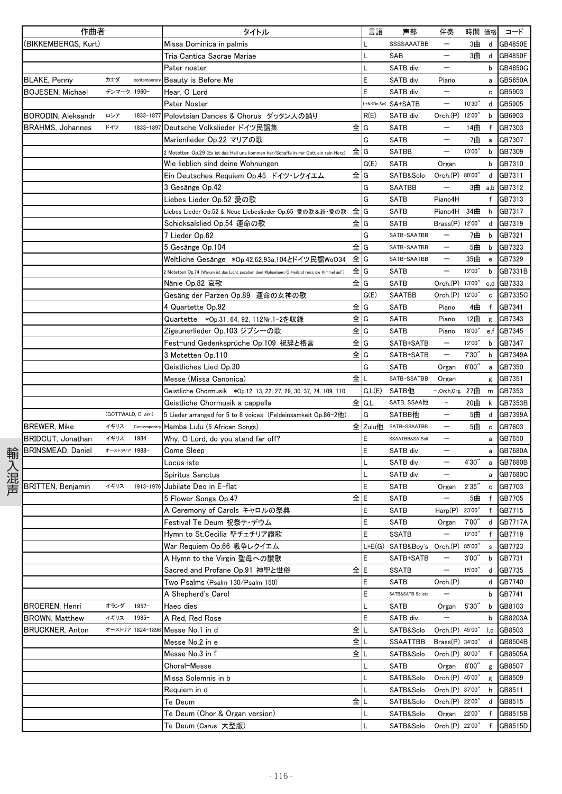|     | 作曲者                      |                     |                  | タイトル                                                                                        | 言語            | 声部                                | 伴奏                       | 時間 価格  |              | コード            |
|-----|--------------------------|---------------------|------------------|---------------------------------------------------------------------------------------------|---------------|-----------------------------------|--------------------------|--------|--------------|----------------|
|     | (BIKKEMBERGS, Kurt)      |                     |                  | Missa Dominica in palmis                                                                    |               | SSSSAAATBB                        | $\overline{\phantom{m}}$ | 3曲     | d            | <b>GB4850E</b> |
|     |                          |                     |                  | Tria Cantica Sacrae Mariae                                                                  |               | SAB                               | $\qquad \qquad -$        | 3曲     | d            | <b>GB4850F</b> |
|     |                          |                     |                  | Pater noster                                                                                |               | SATB div.                         | $\qquad \qquad -$        |        | b            | GB4850G        |
|     | <b>BLAKE, Penny</b>      | カナダ                 | contemporar      | Beauty is Before Me                                                                         | E             | SATB div.                         | Piano                    |        | a            | GB5650A        |
|     | <b>BOJESEN, Michael</b>  | デンマーク 1960-         |                  | Hear, O Lord                                                                                | E             | SATB div.                         |                          |        | с            | GB5903         |
|     |                          |                     |                  | Pater Noster                                                                                |               | +Nr(Dn,Sw) SA+SATB                | $\qquad \qquad -$        | 10'30" | d            | GB5905         |
|     | BORODIN, Aleksandr       | ロシア                 | 1833-1877        | Polovtsian Dances & Chorus ダッタン人の踊り                                                         | R(E)          | SATB div.                         | Orch(P)                  | 12'00" | b            | GB6903         |
|     | <b>BRAHMS, Johannes</b>  | ドイツ                 | 1833-1897        | Deutsche Volkslieder ドイツ民謡集                                                                 | 全lG           | <b>SATB</b>                       | $\qquad \qquad -$        | 14曲    | f            | GB7303         |
|     |                          |                     |                  | Marienlieder Op.22 マリアの歌                                                                    | G             | SATB                              | $\qquad \qquad -$        | 7曲     | a            | GB7307         |
|     |                          |                     |                  | Motetten Op.29 (Es ist das Heil uns kommen her/Schaffe in mir Gott ein rein Herz)           | 全lG           | SATBB                             |                          | 13'00" | b            | GB7309         |
|     |                          |                     |                  | Wie lieblich sind deine Wohnungen                                                           | G(E)          | <b>SATB</b>                       | Organ                    |        | b            | GB7310         |
|     |                          |                     |                  | Ein Deutsches Requiem Op.45 ドイツ・レクイエム                                                       | 全IG           | SATB&Solo                         | Orch.(P) 80'00"          |        | d            | GB7311         |
|     |                          |                     |                  | 3 Gesänge Op.42                                                                             | G             | SAATBB                            | $\overline{\phantom{m}}$ |        |              | 3曲 a,b GB7312  |
|     |                          |                     |                  | Liebes Lieder Op.52 愛の歌                                                                     | G             | <b>SATB</b>                       | Piano4H                  |        | f            | GB7313         |
|     |                          |                     |                  | 全<br>Liebes Lieder Op.52 & Neue Liebeslieder Op.65 愛の歌&新・愛の歌                                | G             | SATB                              | Piano4H                  | 34曲    | h            | GB7317         |
|     |                          |                     |                  | Schicksalslied Op.54 運命の歌                                                                   | 全IG           | SATB                              | Brass(P) 12'00"          |        | d            | GB7319         |
|     |                          |                     |                  | 7 Lieder Op.62                                                                              | G             | SATB-SAATBB                       |                          | 7曲     | b            | GB7321         |
|     |                          |                     |                  | 5 Gesänge Op.104                                                                            | 全lG           | SATB-SAATBB                       | $\overline{\phantom{0}}$ | 5曲     | b            | GB7323         |
|     |                          |                     |                  | Weltliche Gesänge *Op.42,62,93a,104とドイツ民謡WoO34                                              | 全IG           | SATB-SAATBB                       | $\qquad \qquad -$        | 35曲    | e            | GB7329         |
|     |                          |                     |                  | Motetten Op.74 (Warum ist das Licht gegeben dem Muhseligen/O Heiland reiss die Himmel auf ) | 全lG           | SATB                              | $\qquad \qquad -$        | 12'00" | b            | GB7331B        |
|     |                          |                     |                  | Nänie Op.82 哀歌                                                                              | 全IG           | <b>SATB</b>                       | Orch(P)                  | 13'00" | c,d          | GB7333         |
|     |                          |                     |                  | Gesäng der Parzen Op.89 運命の女神の歌                                                             | G(E)          | <b>SAATBB</b>                     | Orch.(P) 12'00"          |        | $\mathbf c$  | GB7335C        |
|     |                          |                     |                  | 4 Quartette Op.92                                                                           | 全lG           | SATB                              | Piano                    | 4曲     | $\mathsf{f}$ | GB7341         |
|     |                          |                     |                  | Quartette *Op.31, 64, 92, 112Nr.1-2を収録                                                      | 全IG           | <b>SATB</b>                       | Piano                    | 12曲    | g            | GB7343         |
|     |                          |                     |                  | Zigeunerlieder Op.103 ジプシーの歌                                                                | $\hat{\Xi}$ G | SATB                              | Piano                    | 18'00" |              | e.f GB7345     |
|     |                          |                     |                  | Fest-und Gedenksprüche Op.109 祝辞と格言                                                         | 全lG           | SATB+SATB                         | $\overline{\phantom{m}}$ | 12'00" | b            | GB7347         |
|     |                          |                     |                  | 3 Motetten Op.110                                                                           | 全lG           | SATB+SATB                         | $\qquad \qquad -$        | 7'30'' | b            | GB7349A        |
|     |                          |                     |                  | Geistliches Lied Op.30                                                                      | G             | SATB                              | Organ                    | 6'00"  | $\mathsf{a}$ | GB7350         |
|     |                          |                     |                  | 全<br>Messe (Missa Canonica)                                                                 |               | SATB-SSATBB                       | Organ                    |        | g            | GB7351         |
|     |                          |                     |                  | Geistliche Chormusik *Op.12, 13, 22, 27, 29, 30, 37, 74, 109, 110                           |               | G.L(E) SATB他                      | $-$ ,Orch,Org. 27曲       |        | m            | GB7353         |
|     |                          |                     |                  | Geistliche Chormusik a cappella                                                             | 全 G.L         | SATB, SSAA他                       | -                        | 20曲    | k.           | GB7353B        |
|     |                          | (GOTTWALD, C. arr.) |                  | 5 Lieder arranged for 5 to 8 voices (Feldeinsamkeit Op.86-2他)                               | G             | SATBB他                            | $\qquad \qquad -$        | 5曲     | d            | GB7399A        |
|     | <b>BREWER, Mike</b>      | イギリス                | Contemporal      | Hamba Lulu (5 African Songs)                                                                |               | 全 Zulu他 SATB-SSAATBB              | $\overline{\phantom{m}}$ | 5曲     | c            | GB7603         |
|     | BRIDCUT, Jonathan        | イギリス                | 1984-            | Why, O Lord, do you stand far off?                                                          | E             | SSAATBB&SA Soli                   |                          |        | a            | GB7650         |
|     | <b>BRINSMEAD, Daniel</b> | オーストラリア 1988-       |                  | Come Sleep                                                                                  | E             | SATB div.                         |                          |        | a            | GB7680A        |
| 輸   |                          |                     |                  | Locus iste                                                                                  |               | SATB div.                         |                          | 4'30'' | a            | GB7680B        |
|     |                          |                     |                  | Spiritus Sanctus                                                                            |               | SATB div.                         | $\qquad \qquad -$        |        | a            | GB7680C        |
| 入混声 | <b>BRITTEN, Benjamin</b> | イギリス                | 1913-1976        | Jubilate Deo in E-flat                                                                      | E             | SATB                              | Organ                    | 2'35'' |              | c GB7703       |
|     |                          |                     |                  | 全<br>5 Flower Songs Op.47                                                                   | E             | SATB                              |                          | 5曲     | f            | GB7705         |
|     |                          |                     |                  | A Ceremony of Carols キャロルの祭典                                                                | E             | SATB                              | Harp(P) 23'00"           |        |              | f GB7715       |
|     |                          |                     |                  | Festival Te Deum 祝祭テ・デウム                                                                    | E             | SATB                              | Organ                    | 7'00"  |              | d GB7717A      |
|     |                          |                     |                  | Hymn to St.Cecilia 聖チェチリア讃歌                                                                 | E             | <b>SSATB</b>                      |                          | 12'00" |              | f GB7719       |
|     |                          |                     |                  | War Requiem Op.66 戦争レクイエム                                                                   |               | L+E(G) SATB&Boy's Orch.(P) 85'00" |                          |        |              | s GB7723       |
|     |                          |                     |                  | A Hymn to the Virgin 聖母への讃歌                                                                 | E             | SATB+SATB                         | $\qquad \qquad -$        | 3'00'' | b            | GB7731         |
|     |                          |                     |                  | Sacred and Profane Op.91 神聖と世俗                                                              | 全lE           | <b>SSATB</b>                      | $\qquad \qquad -$        | 15'00" | d            | GB7735         |
|     |                          |                     |                  | Two Psalms (Psalm 130/Psalm 150)                                                            | E             | SATB                              | Orch.(P)                 |        | d            | GB7740         |
|     |                          |                     |                  | A Shepherd's Carol                                                                          | E             | SATB&SATB Solists                 |                          |        | b            | GB7741         |
|     | BROEREN, Henri           | オランダ                | $1957 -$         | Haec dies                                                                                   |               | SATB                              | Organ                    | 5'30'' |              | b GB8103       |
|     | <b>BROWN, Matthew</b>    | イギリス                | 1985-            | A Red, Red Rose                                                                             | E             | SATB div.                         | $\qquad \qquad -$        |        | b            | GB8203A        |
|     | <b>BRUCKNER, Anton</b>   |                     | オーストリア 1824-1896 | Messe No.1 in d                                                                             | 全儿            | SATB&Solo                         | Orch.(P) 45'00"          |        | l,q          | GB8503         |
|     |                          |                     |                  | Messe No.2 in e                                                                             | 全∥∟           | <b>SSAATTBB</b>                   | Brass(P) 34'00"          |        | d            | GB8504B        |
|     |                          |                     |                  | Messe No.3 in f                                                                             | 全Ⅱ            | SATB&Solo                         | Orch.(P) 80'00"          |        | f            | GB8505A        |
|     |                          |                     |                  | Choral-Messe                                                                                |               | <b>SATB</b>                       | Organ 8'00"              |        | g            | GB8507         |
|     |                          |                     |                  | Missa Solemnis in b                                                                         |               | SATB&Solo                         | Orch.(P) 45'00"          |        |              | g GB8509       |
|     |                          |                     |                  | Requiem in d                                                                                |               | SATB&Solo                         | Orch.(P) 37'00"          |        |              | h GB8511       |
|     |                          |                     |                  | Te Deum                                                                                     | 全儿            | SATB&Solo                         | Orch.(P) 22'00"          |        | d            | GB8515         |
|     |                          |                     |                  | Te Deum (Chor & Organ version)                                                              |               | SATB&Solo                         | Organ                    | 22'00″ |              | GB8515B        |
|     |                          |                     |                  | Te Deum (Carus 大型版)                                                                         |               | SATB&Solo                         | Orch.(P) 22'00"          |        | f            | GB8515D        |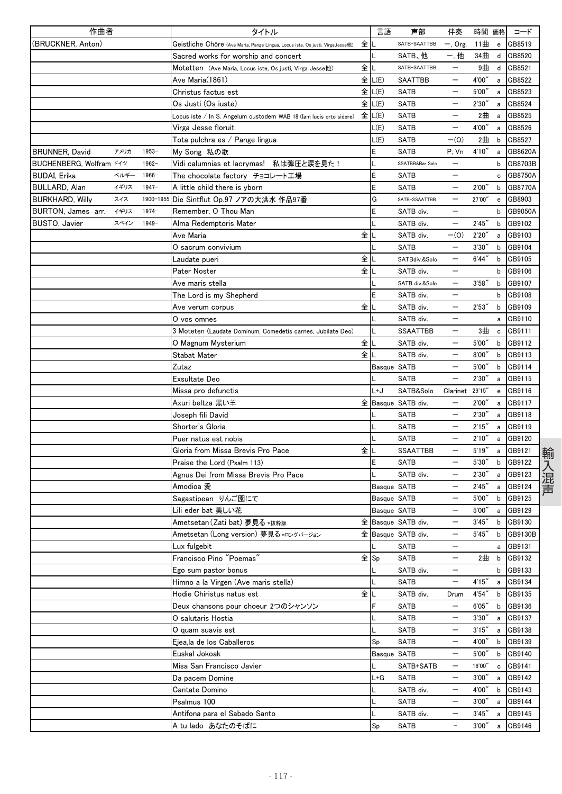| 作曲者                     |      |           | タイトル                                                                          |      | 言語          | 声部                 | 伴奏                       | 時間 価格  |   | コード      |
|-------------------------|------|-----------|-------------------------------------------------------------------------------|------|-------------|--------------------|--------------------------|--------|---|----------|
| (BRUCKNER, Anton)       |      |           | Geistliche Chöre (Ave Maria, Pange Lingua, Locus iste, Os justi, VirgaJesse他) | 全    |             | SATB-SAATTBB       | $-$ , Org.               | 11曲    | e | GB8519   |
|                         |      |           | Sacred works for worship and concert                                          |      |             | SATB、他             | 一,他                      | 34曲    | d | GB8520   |
|                         |      |           | <b>Motetten (Ave Maria, Locus iste, Os justi, Virga Jesse他)</b>               | 全    |             | SATB-SAATTBB       | —                        | 9曲     | d | GB8521   |
|                         |      |           | Ave Maria(1861)                                                               |      | 全 L(E)      | <b>SAATTBB</b>     |                          | 4'00'' | a | GB8522   |
|                         |      |           | Christus factus est                                                           | 全    | L(E)        | <b>SATB</b>        |                          | 5'00'' | a | GB8523   |
|                         |      |           | Os Justi (Os iuste)                                                           |      | 全 L(E)      | <b>SATB</b>        |                          | 2'30'  | а | GB8524   |
|                         |      |           | Locus iste / In S. Angelum custodem WAB 18 (Iam lucis orto sidere)            | 全    | L(E)        | <b>SATB</b>        |                          | 2曲     | a | GB8525   |
|                         |      |           | Virga Jesse floruit                                                           |      | L(E)        | <b>SATB</b>        | —                        | 4'00"  | a | GB8526   |
|                         |      |           | Tota pulchra es / Pange lingua                                                |      | L(E)        | <b>SATB</b>        | $-(0)$                   | 2曲     | b | GB8527   |
| <b>BRUNNER, David</b>   | アメリカ | $1953-$   | My Song 私の歌                                                                   |      | Ε           | <b>SATB</b>        | P, Vn                    | 4'10'' | a | GB8620A  |
| BUCHENBERG, Wolfram ドイツ |      | 1962-     | Vidi calumnias et lacrymas! 私は弾圧と涙を見た!                                        |      |             | SSATBB&Bar Solo    | —                        |        | b | GB8703B  |
| <b>BUDAI, Erika</b>     | ベルギー | $1966-$   | The chocolate factory チョコレート工場                                                |      | E           | <b>SATB</b>        | $\overline{\phantom{0}}$ |        | c | GB8750A  |
| <b>BULLARD, Alan</b>    | イギリス | $1947 -$  | A little child there is yborn                                                 |      | E           | <b>SATB</b>        |                          | 2'00'  | b | GB8770A  |
| <b>BURKHARD, Willy</b>  | スイス  | 1900-1955 | Die Sintflut Op.97 ノアの大洪水 作品97番                                               |      | G           | SATB-SSAATTBB      | —                        | 27'00" | e | GB8903   |
| BURTON, James arr.      | イギリス | $1974-$   | Remember, O Thou Man                                                          |      | E           | SATB div.          | —                        |        | b | GB9050A  |
| BUSTO, Javier           | スペイン | 1949-     | Alma Redemptoris Mater                                                        |      |             | SATB div.          | —                        | 2'45'' | b | GB9102   |
|                         |      |           | Ave Maria                                                                     | 全    |             | SATB div.          | $-(0)$                   | 2'20'' | a | GB9103   |
|                         |      |           | O sacrum convivium                                                            |      |             | <b>SATB</b>        | —                        | 3'30'  | b | GB9104   |
|                         |      |           | Laudate pueri                                                                 | 全    |             | SATBdiv.&Solo      | —                        | 6'44'' | b | GB9105   |
|                         |      |           | Pater Noster                                                                  | 全    |             | SATB div.          |                          |        | b | GB9106   |
|                         |      |           | Ave maris stella                                                              |      |             | SATB div.&Solo     | —                        | 3'58'' | b | GB9107   |
|                         |      |           | The Lord is my Shepherd                                                       |      | E           | SATB div.          |                          |        | b | GB9108   |
|                         |      |           | Ave verum corpus                                                              | 全    |             | SATB div.          |                          | 2'53'' | b | GB9109   |
|                         |      |           | O vos omnes                                                                   |      |             | SATB div.          | —                        |        | a | GB9110   |
|                         |      |           | 3 Moteten (Laudate Dominum, Comedetis carnes, Jubilate Deo)                   |      |             | <b>SSAATTBB</b>    | $\qquad \qquad -$        | 3曲     | c | GB9111   |
|                         |      |           | O Magnum Mysterium                                                            | 全    |             | SATB div.          | $\overline{\phantom{0}}$ | 5'00'' | b | GB9112   |
|                         |      |           | Stabat Mater                                                                  | 全    |             | SATB div.          |                          | 8'00'' | b | GB9113   |
|                         |      |           | Zutaz                                                                         |      | Basque SATB |                    |                          | 5'00'' | b | GB9114   |
|                         |      |           | Exsultate Deo                                                                 |      |             | <b>SATB</b>        |                          | 2'30'  | а | GB9115   |
|                         |      |           | Missa pro defunctis                                                           |      | L+J         | SATB&Solo          | Clarinet                 | 29'15" | e | GB9116   |
|                         |      |           | Axuri beltza 黒い羊                                                              |      |             | 全 Basque SATB div. |                          | 2'00'' | а | GB9117   |
|                         |      |           | Joseph fili David                                                             |      |             | <b>SATB</b>        |                          | 2'30'  | а | GB9118   |
|                         |      |           | Shorter's Gloria                                                              |      | L           | <b>SATB</b>        |                          | 2'15'' | a | GB9119   |
|                         |      |           | Puer natus est nobis                                                          |      |             | <b>SATB</b>        |                          | 2'10'' | a | GB9120   |
|                         |      |           | Gloria from Missa Brevis Pro Pace                                             | 全    |             | <b>SSAATTBB</b>    |                          | 5'19'' | а | GB9121   |
|                         |      |           | Praise the Lord (Psalm 113)                                                   |      | E           | <b>SATB</b>        | —                        | 5'30'' | b | GB9122   |
|                         |      |           | Agnus Dei from Missa Brevis Pro Pace                                          |      |             | SATB div.          | —                        | 2'30'' | a | GB9123   |
|                         |      |           | Amodioa 愛                                                                     |      | Basque SATB |                    |                          | 2'45'' | а | GB9124   |
|                         |      |           | Sagastipean りんご園にて                                                            |      | Basque SATB |                    |                          | 5'00'  | b | GB9125   |
|                         |      |           | Lili eder bat 美しい花                                                            |      | Basque SATB |                    | $\qquad \qquad -$        | 5'00'' | a | GB9129   |
|                         |      |           | Ametsetan (Zati bat) 夢見る *抜粋版                                                 |      |             | 全 Basque SATB div. | $\qquad \qquad -$        | 3'45'' |   | b GB9130 |
|                         |      |           | Ametsetan (Long version) 夢見る*ロングバージョン                                         |      |             | 全 Basque SATB div. |                          | 5'45'' | b | GB9130B  |
|                         |      |           | Lux fulgebit                                                                  |      |             | <b>SATB</b>        | —                        |        | a | GB9131   |
|                         |      |           | Francisco Pino "Poemas"                                                       | 全 Sp |             | <b>SATB</b>        | —                        | 2曲     | b | GB9132   |
|                         |      |           | Ego sum pastor bonus                                                          |      |             | SATB div.          |                          |        | b | GB9133   |
|                         |      |           | Himno a la Virgen (Ave maris stella)                                          |      |             | <b>SATB</b>        | —                        | 4'15'' | а | GB9134   |
|                         |      |           | Hodie Chiristus natus est                                                     | 全儿   |             | SATB div.          | Drum                     | 4'54"  | b | GB9135   |
|                         |      |           | Deux chansons pour choeur 2つのシャンソン                                            |      | F           | <b>SATB</b>        | —                        | 6'05'' | b | GB9136   |
|                         |      |           | O salutaris Hostia                                                            |      |             | SATB               | —                        | 3'30'' | a | GB9137   |
|                         |      |           |                                                                               |      | L           | SATB               |                          | 3'15'' |   | GB9138   |
|                         |      |           | O quam suavis est                                                             |      |             |                    |                          | 4'00"  | а |          |
|                         |      |           | Ejea,la de los Caballeros<br>Euskal Jokoak                                    |      | Sp          | <b>SATB</b>        |                          |        | b | GB9139   |
|                         |      |           |                                                                               |      | Basque SATB |                    | —                        | 5'00'' | b | GB9140   |
|                         |      |           | Misa San Francisco Javier                                                     |      |             | SATB+SATB          |                          | 16'00" | c | GB9141   |
|                         |      |           | Da pacem Domine                                                               |      | L+G         | <b>SATB</b>        | —                        | 3'00'  | а | GB9142   |
|                         |      |           | Cantate Domino                                                                |      |             | SATB div.          | —                        | 4'00"  | b | GB9143   |
|                         |      |           | Psalmus 100                                                                   |      | L           | SATB               | —                        | 3'00'' | a | GB9144   |
|                         |      |           | Antifona para el Sabado Santo                                                 |      | L           | SATB div.          |                          | 3'45'' | a | GB9145   |
|                         |      |           | A tu lado あなたのそばに                                                             |      | Sp          | SATB               | $\qquad \qquad -$        | 3'00'' | а | GB9146   |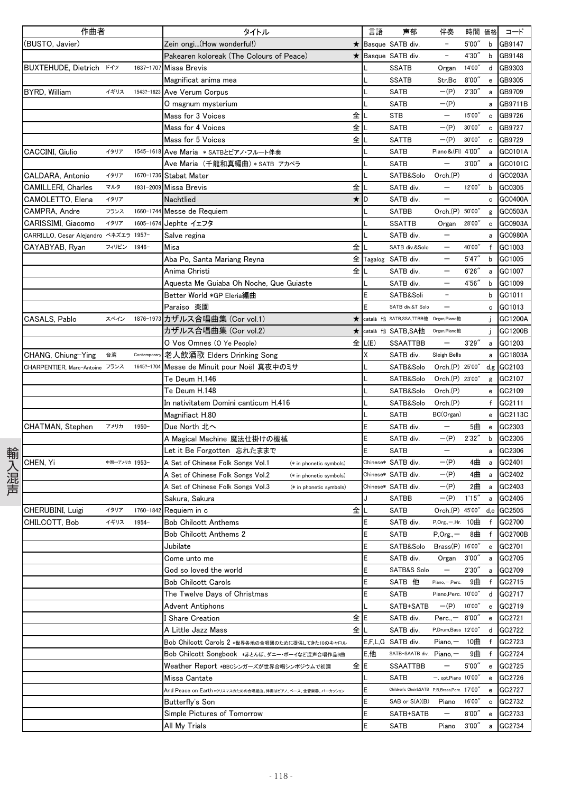|      | 作曲者                                   |               |              | タイトル                                                         | 言語     | 声部                                           | 伴奏                         | 時間 価格  |                                                  | コード           |
|------|---------------------------------------|---------------|--------------|--------------------------------------------------------------|--------|----------------------------------------------|----------------------------|--------|--------------------------------------------------|---------------|
|      | (BUSTO, Javier)                       |               |              | Zein ongi(How wonderful!)<br>$\star$                         |        | Basque SATB div.                             | $\overline{\phantom{a}}$   | 5'00'' | b                                                | GB9147        |
|      |                                       |               |              | Pakearen koloreak (The Colours of Peace)<br>*                |        | Basque SATB div.                             | $\overline{\phantom{a}}$   | 4'30"  | b                                                | GB9148        |
|      | BUXTEHUDE, Dietrich K49               |               | 1637-1707    | <b>Missa Brevis</b>                                          |        | <b>SSATB</b>                                 | Organ                      | 14'00" | d                                                | GB9303        |
|      |                                       |               |              | Magnificat anima mea                                         |        | <b>SSATB</b>                                 | Str.Bc                     | 8'00'' | $\mathbf{e}% _{t}\left  \mathbf{1}\right\rangle$ | GB9305        |
|      | BYRD, William                         | イギリス          | 1543?-1623   | Ave Verum Corpus                                             |        | <b>SATB</b>                                  | $-(P)$                     | 2'30'' | a                                                | GB9709        |
|      |                                       |               |              | O magnum mysterium                                           |        | <b>SATB</b>                                  | $-(P)$                     |        | a                                                | GB9711B       |
|      |                                       |               |              | 全<br>Mass for 3 Voices                                       |        | <b>STB</b>                                   | $\qquad \qquad -$          | 15'00" | $\mathtt{c}$                                     | GB9726        |
|      |                                       |               |              | 全<br>Mass for 4 Voices                                       |        | <b>SATB</b>                                  | $-(P)$                     | 30'00" | c                                                | GB9727        |
|      |                                       |               |              | 全<br>Mass for 5 Voices                                       |        | <b>SATTB</b>                                 | $-(P)$                     | 30'00" | c                                                | GB9729        |
|      | CACCINI, Giulio                       | イタリア          | 1545-1618    | Ave Maria * SATBとピアノ・フルート伴奏                                  |        | SATB                                         | Piano & (FI) 4'00"         |        |                                                  | GC0101A       |
|      |                                       |               |              | Ave Maria (千龍和真編曲) * SATB アカペラ                               |        | <b>SATB</b>                                  |                            | 3'00'' | a                                                | GC0101C       |
|      | CALDARA, Antonio                      | イタリア          | 1670-1736    | <b>Stabat Mater</b>                                          |        | SATB&Solo                                    | Orch.(P)                   |        | a                                                | GC0203A       |
|      |                                       | マルタ           | 1931-2009    | 全                                                            |        |                                              | $\qquad \qquad -$          | 12'00" | d                                                |               |
|      | CAMILLERI, Charles                    |               |              | <b>Missa Brevis</b>                                          |        | SATB div.                                    |                            |        | b                                                | GC0305        |
|      | CAMOLETTO, Elena                      | イタリア          |              | Nachtlied                                                    | ★  D   | SATB div.                                    | $\qquad \qquad -$          |        | c                                                | GC0400A       |
|      | CAMPRA, Andre                         | フランス          | 1660-1744    | Messe de Requiem                                             |        | <b>SATBB</b>                                 | Orch.(P) 50'00"            |        | g                                                | GC0503A       |
|      | CARISSIMI, Giacomo                    | イタリア          |              | 1605-1674 Jephte イェフタ                                        |        | <b>SSATTB</b>                                | Organ                      | 28'00" | c                                                | GC0903A       |
|      | CARRILLO, Cesar Alejandro ベネズエラ 1957- |               |              | Salve regina                                                 |        | SATB div.                                    |                            |        | a                                                | GC0980A       |
|      | CAYABYAB, Ryan                        | フィリピン         | 1946-        | 全<br>Misa                                                    |        | SATB div.&Solo                               | $\overline{\phantom{0}}$   | 40'00" | f                                                | GC1003        |
|      |                                       |               |              | Aba Po, Santa Mariang Reyna                                  |        | 全 Tagalog SATB div.                          | $\overline{\phantom{m}}$   | 5'47'' | b                                                | GC1005        |
|      |                                       |               |              | 全<br>Anima Christi                                           |        | SATB div.                                    | $\overline{\phantom{m}}$   | 6'26'' | a                                                | GC1007        |
|      |                                       |               |              | Aquesta Me Guiaba Oh Noche, Que Guiaste                      |        | SATB div.                                    |                            | 4'56'' | b                                                | GC1009        |
|      |                                       |               |              | Better World *GP Eleria編曲                                    |        | SATB&Soli                                    | $\overline{\phantom{m}}$   |        | b                                                | GC1011        |
|      |                                       |               |              | Paraiso 楽園                                                   |        | SATB div.&T Solo                             |                            |        | c                                                | GC1013        |
|      | CASALS, Pablo                         | スペイン          |              | 1876-1973 カザルス合唱曲集 (Cor vol.1)<br>$\star$                    |        | català 他 SATB,SSA,TTBB他 Organ,Piano他         |                            |        | Ĵ                                                | GC1200A       |
|      |                                       |               |              | カザルス合唱曲集 (Cor vol.2)<br>$\star$                              |        | català 他 SATB, SA他                           | Organ, Piano他              |        | j                                                | GC1200B       |
|      |                                       |               |              | O Vos Omnes (O Ye People)                                    | E L(E) | <b>SSAATTBB</b>                              |                            | 3'29'' |                                                  | a GC1203      |
|      | CHANG, Chiung-Ying                    | 台湾            | Contemporary | 老人飲酒歌 Elders Drinking Song                                   | X      | SATB div.                                    | Sleigh Bells               |        | a                                                | GC1803A       |
|      | CHARPENTIER, Marc-Antoine フランス        |               | 1645?-1704   | Messe de Minuit pour Noël 真夜中のミサ                             |        | SATB&Solo                                    | Orch.(P) 25'00"            |        |                                                  | $d, g$ GC2103 |
|      |                                       |               |              | Te Deum H.146                                                |        | SATB&Solo                                    | Orch.(P) 23'00"            |        |                                                  | g GC2107      |
|      |                                       |               |              | Te Deum H.148                                                |        | SATB&Solo                                    | Orch(P)                    |        |                                                  | e GC2109      |
|      |                                       |               |              | In nativitatem Domini canticum H.416                         |        | SATB&Solo                                    | Orch.(P)                   |        | f                                                | GC2111        |
|      |                                       |               |              | Magnifiact H.80                                              |        | <b>SATB</b>                                  | BC(Organ)                  |        | e                                                | GC2113C       |
|      | CHATMAN, Stephen                      | アメリカ          | 1950-        | Due North 北へ                                                 |        | SATB div.                                    |                            | 5曲     | $\mathbf{e}% _{t}\left  \mathbf{v}_{t}\right $   | GC2303        |
|      |                                       |               |              | A Magical Machine 魔法仕掛けの機械                                   | E      | SATB div.                                    | $-(P)$                     | 2'32'' | b                                                | GC2305        |
|      |                                       |               |              | Let it Be Forgotten 忘れたままで                                   |        | <b>SATB</b>                                  | $\overline{\phantom{m}}$   |        | a                                                | GC2306        |
| 輸入混声 | CHEN, Yi                              | 中国→アメリカ 1953- |              | A Set of Chinese Folk Songs Vol.1<br>(* in phonetic symbols) |        | Chinese* SATB div.                           | $-(P)$                     | 4曲     | $\overline{a}$                                   | GC2401        |
|      |                                       |               |              | A Set of Chinese Folk Songs Vol.2<br>(* in phonetic symbols) |        | Chinese* SATB div.                           | $-(P)$                     | 4曲     | a                                                | GC2402        |
|      |                                       |               |              | A Set of Chinese Folk Songs Vol.3<br>(* in phonetic symbols) |        | Chinese* SATB div.                           | $-(P)$                     | 2曲     | a                                                | GC2403        |
|      |                                       |               |              | Sakura, Sakura                                               | J      | SATBB                                        | $-(P)$                     | 1'15'' | a                                                | GC2405        |
|      | CHERUBINI. Luigi                      | イタリア          |              | 全<br>1760-1842 Requiem in c                                  |        | <b>SATB</b>                                  | Orch.(P) 45'00" d.e GC2505 |        |                                                  |               |
|      | CHILCOTT, Bob                         | イギリス          | 1954-        | <b>Bob Chilcott Anthems</b>                                  | Ε      | SATB div.                                    | P, Org., - Hr. 10曲         |        |                                                  | f GC2700      |
|      |                                       |               |              |                                                              | F      | SATB                                         | $P, Org., -$               | 8曲     | f                                                | GC2700B       |
|      |                                       |               |              | <b>Bob Chilcott Anthems 2</b>                                |        |                                              |                            |        |                                                  |               |
|      |                                       |               |              | Jubilate                                                     |        | SATB&Solo                                    | Brass(P) 16'00"            |        | e                                                | GC2701        |
|      |                                       |               |              | Come unto me                                                 |        | SATB div.                                    | Organ                      | 3'00'' | a                                                | GC2705        |
|      |                                       |               |              | God so loved the world                                       | E      | SATB&S Solo                                  | $\qquad \qquad -$          | 2'30'' | a                                                | GC2709        |
|      |                                       |               |              | <b>Bob Chilcott Carols</b>                                   |        | SATB 他                                       | Piano,-,Perc.              | 9曲     | f                                                | GC2715        |
|      |                                       |               |              | The Twelve Days of Christmas                                 |        | SATB                                         | Piano, Perc. 10'00"        |        | d                                                | GC2717        |
|      |                                       |               |              | Advent Antiphons                                             |        | SATB+SATB                                    | $-(P)$ 10'00"              |        | e                                                | GC2719        |
|      |                                       |               |              | 全<br>I Share Creation                                        |        | SATB div.                                    | Perc., $-$ 8'00"           |        | e                                                | GC2721        |
|      |                                       |               |              | 全<br>A Little Jazz Mass                                      |        | SATB div.                                    | P,Drum,Bass 12'00"         |        | d                                                | GC2722        |
|      |                                       |               |              | Bob Chilcott Carols 2 *世界各地の合唱団のために提供してきた10のキャロル             |        | E,F,L,G SATB div.                            | Piano, $-10 \pm 1$         |        | $\mathsf{f}$                                     | GC2723        |
|      |                                       |               |              | Bob Chilcott Songbook *赤とんぼ、ダニー・ボーイなど混声合唱作品9曲                | E.他    | SATB-SAATB div. Piano,-                      |                            | 9曲     | f                                                | GC2724        |
|      |                                       |               |              | Weather Report *BBCシンガーズが世界合唱シンポジウムで初演                       | 全E     | SSAATTBB                                     |                            | 5'00'' | e                                                | GC2725        |
|      |                                       |               |              | Missa Cantate                                                |        | SATB                                         | $-$ , opt.Piano $10'00''$  |        | e                                                | GC2726        |
|      |                                       |               |              | And Peace on Earth *クリスマスのための合唱組曲。伴奏はピアノ、ベース、金管楽器、パーカッション    |        | Children's Choir&SATB P,B,Brass,Perc. 17'00" |                            |        | e                                                | GC2727        |
|      |                                       |               |              | Butterfly's Son                                              |        | SAB or S(A)(B)                               | Piano                      | 16'00" | с                                                | GC2732        |
|      |                                       |               |              | Simple Pictures of Tomorrow                                  |        | SATB+SATB                                    | -                          | 8'00'' | e                                                | GC2733        |
|      |                                       |               |              | All My Trials                                                |        | SATB                                         | Piano                      | 3'00'' | a                                                | GC2734        |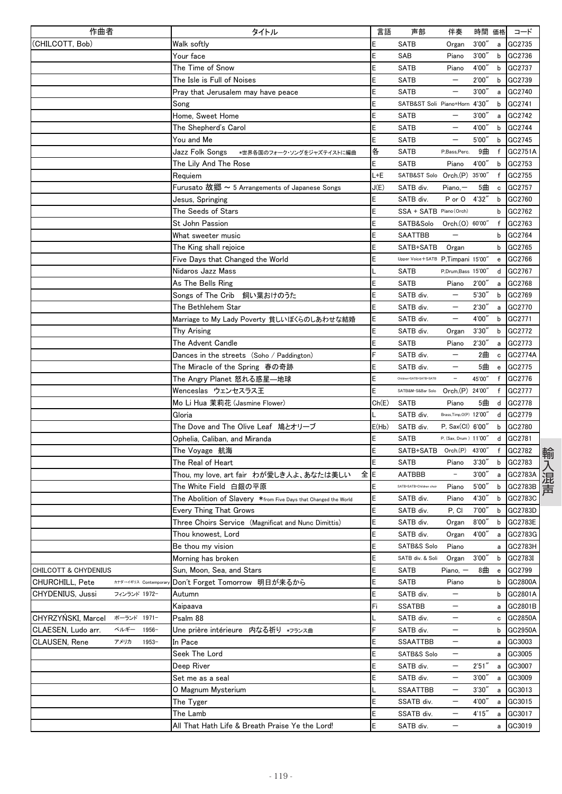| 作曲者                                    | タイトル                                                            | 言語     | 声部                                   | 伴奏                       |                 | 時間 価格                             | コード       |
|----------------------------------------|-----------------------------------------------------------------|--------|--------------------------------------|--------------------------|-----------------|-----------------------------------|-----------|
| (CHILCOTT, Bob)                        | Walk softly                                                     | E      | <b>SATB</b>                          | Organ                    | 3'00''          |                                   | a GC2735  |
|                                        | Your face                                                       | E      | SAB                                  | Piano                    | 3'00''          | b                                 | GC2736    |
|                                        | The Time of Snow                                                | E      | <b>SATB</b>                          | Piano                    | 4'00''          | b                                 | GC2737    |
|                                        | The Isle is Full of Noises                                      | E      | <b>SATB</b>                          |                          | 2'00'           | b                                 | GC2739    |
|                                        | Pray that Jerusalem may have peace                              | E      | <b>SATB</b>                          |                          | 3'00''          | a                                 | GC2740    |
|                                        | Song                                                            | E      | SATB&ST Soli Piano+Horn 4'30"        |                          |                 | b                                 | GC2741    |
|                                        | Home, Sweet Home                                                | E      | <b>SATB</b>                          | —                        | 3'00'           | a                                 | GC2742    |
|                                        | The Shepherd's Carol                                            | E      | <b>SATB</b>                          | —                        | 4'00'           | b                                 | GC2744    |
|                                        | You and Me                                                      | E      | <b>SATB</b>                          |                          | 5'00'           | b                                 | GC2745    |
|                                        | Jazz Folk Songs<br>*世界各国のフォーク・ソングをジャズテイストに編曲                    | 各      | SATB                                 | P,Bass,Perc.             | 9曲              | f                                 | GC2751A   |
|                                        | The Lily And The Rose                                           | E      | <b>SATB</b>                          | Piano                    | 4'00''          | b                                 | GC2753    |
|                                        | Requiem                                                         | L+E    | SATB&ST Solo Orch.(P) 35'00"         |                          |                 | f                                 | GC2755    |
|                                        | Furusato 故郷 ~ 5 Arrangements of Japanese Songs                  | J(E)   | SATB div.                            | $Piano, -$               | 5曲              | $\mathtt{c}$                      | GC2757    |
|                                        | Jesus, Springing                                                | E      | SATB div.                            | P or O                   | 4'32''          |                                   | b GC2760  |
|                                        | The Seeds of Stars                                              | E      | SSA + SATB Piano (Orch)              |                          |                 | b                                 | GC2762    |
|                                        | St John Passion                                                 | E      | SATB&Solo                            | Orch.(O) 60'00'          |                 | f                                 | GC2763    |
|                                        | What sweeter music                                              | E      | <b>SAATTBB</b>                       |                          |                 | b                                 | GC2764    |
|                                        | The King shall rejoice                                          | E      | SATB+SATB                            | Organ                    |                 | b                                 | GC2765    |
|                                        | Five Days that Changed the World                                | E      | Upper Voice + SATB P, Timpani 15'00" |                          |                 | e                                 | GC2766    |
|                                        | Nidaros Jazz Mass                                               | L      | <b>SATB</b>                          | P,Drum,Bass 15'00"       |                 | d                                 | GC2767    |
|                                        | As The Bells Ring                                               | E      | <b>SATB</b>                          | Piano                    | 2'00'           | a                                 | GC2768    |
|                                        | Songs of The Crib 飼い葉おけのうた                                      | E      | SATB div.                            |                          | 5'30'           | b                                 | GC2769    |
|                                        | The Bethlehem Star                                              | E      | SATB div.                            |                          | 2'30''          | a                                 | GC2770    |
|                                        | Marriage to My Lady Poverty 貧しいぼくらのしあわせな結婚                      | E      | SATB div.                            | $\overline{\phantom{0}}$ | 4'00'           | b                                 | GC2771    |
|                                        | Thy Arising                                                     | E      | SATB div.                            | Organ                    | 3'30''          | b                                 | GC2772    |
|                                        | The Advent Candle                                               | E      | <b>SATB</b>                          | Piano                    | 2'30''          | a                                 | GC2773    |
|                                        | Dances in the streets (Soho / Paddington)                       | F      | SATB div.                            |                          | 2曲              | $\mathbf c$                       | GC2774A   |
|                                        | The Miracle of the Spring 春の奇跡                                  | E      | SATB div.                            |                          | 5曲              | $\mathbf{e}$                      | GC2775    |
|                                        | The Angry Planet 怒れる惑星—地球                                       | E      | Children+SATB+SATB+SATB              | $\overline{\phantom{a}}$ | 45'00"          | f                                 | GC2776    |
|                                        | Wenceslas ウェンセスラス王                                              | E      | SATB&M-S&Bar Solo                    | Orch.(P) 24'00"          |                 |                                   | f GC2777  |
|                                        | Mo Li Hua 茉莉花 (Jasmine Flower)                                  | Ch(E)  | <b>SATB</b>                          | Piano                    | 5曲              | d                                 | GC2778    |
|                                        | Gloria                                                          |        | SATB div.                            | Brass,Timp,O(P) 12'00"   |                 | d                                 | GC2779    |
|                                        | The Dove and The Olive Leaf 鳩とオリーブ                              | E(Hb)  | SATB div.                            | P, Sax(Cl) 6'00'         |                 | b                                 | GC2780    |
|                                        | Ophelia, Caliban, and Miranda                                   | E      | <b>SATB</b>                          | P. (Sax, Drum ) 11'00"   |                 | d                                 | GC2781    |
|                                        | The Voyage 航海                                                   | E      | SATB+SATB Orch.(P)                   |                          | 43'00"          | f                                 | GC2782    |
|                                        | The Real of Heart                                               | E      | <b>SATB</b>                          | Piano                    | 3'30'           | b                                 | GC2783    |
|                                        | Thou, my love, art fair わが愛しき人よ、あなたは美しい<br>全lE                  |        | <b>AATBBB</b>                        | $\overline{\phantom{a}}$ | 3'00'           | a                                 | GC2783A   |
|                                        | The White Field 白銀の平原                                           | E      | SATB+SATB+Children choir             | Piano                    | 5'00''          | b                                 | GC2783B   |
|                                        | The Abolition of Slavery *from Five Days that Changed the World | Ε      | SATB div.                            | Piano                    | 4'30'           | b                                 | GC2783C   |
|                                        | Every Thing That Grows                                          | E      | SATB div.                            | P. CI                    | 7'00''          | b                                 | GC2783D   |
|                                        | Three Choirs Service (Magnificat and Nunc Dimittis)             | Ε      | SATB div.                            | Organ                    | 8'00''          |                                   | b GC2783E |
|                                        | Thou knowest, Lord                                              | E      | SATB div.                            | Organ                    | 4'00"           |                                   | a GC2783G |
|                                        | Be thou my vision                                               | E      | SATB&S Solo                          | Piano                    |                 |                                   | a GC2783H |
|                                        | Morning has broken                                              | E      | SATB div. & Soli                     | Organ                    | 3'00''          |                                   | b GC2783I |
| <b>CHILCOTT &amp; CHYDENIUS</b>        | Sun, Moon, Sea, and Stars                                       | E      | SATB                                 | Piano, $-$               | 8曲              | $\mathbf{e}% _{t}\left( t\right)$ | GC2799    |
| CHURCHILL, Pete<br>カナダ→イギリス Contempora | Don't Forget Tomorrow 明日が来るから                                   | E      | <b>SATB</b>                          | Piano                    |                 | b                                 | GC2800A   |
| CHYDENIUS, Jussi<br>フィンランド 1972-       | Autumn                                                          | E      | SATB div.                            | $\qquad \qquad -$        |                 | b                                 | GC2801A   |
|                                        | Kaipaava                                                        | Fi     | <b>SSATBB</b>                        | —                        |                 |                                   | a GC2801B |
| CHYRZYŃSKI, Marcel<br>ポーランド 1971-      | Psalm 88                                                        | L      | SATB div.                            | —                        |                 |                                   | c GC2850A |
| ベルギー<br>CLAESEN, Ludo arr.<br>1956-    | Une prière intérieure 内なる祈り *フランス曲                              | F      | SATB div.                            | $\overline{\phantom{0}}$ |                 | b                                 | GC2950A   |
| CLAUSEN, Rene<br>$1953 -$<br>アメリカ      | In Pace                                                         | E      | SSAATTBB                             | —                        |                 | a                                 | GC3003    |
|                                        | Seek The Lord                                                   | E      | SATB&S Solo                          | —                        |                 |                                   | a GC3005  |
|                                        | Deep River                                                      | E      | SATB div.                            | $\qquad \qquad -$        | 2'51''          |                                   | GC3007    |
|                                        | Set me as a seal                                                | E      | SATB div.                            | —                        | 3'00''          | a                                 | a GC3009  |
|                                        |                                                                 | L      |                                      | $\qquad \qquad -$        |                 |                                   | a GC3013  |
|                                        | O Magnum Mysterium                                              | E      | SSAATTBB                             | $\qquad \qquad -$        | 3'30''          |                                   |           |
|                                        | The Tyger                                                       |        | SSATB div.                           |                          | 4'00"<br>4'15'' | a                                 | GC3015    |
|                                        | The Lamb                                                        | E<br>E | SSATB div.                           | —                        |                 | a                                 | GC3017    |
|                                        | All That Hath Life & Breath Praise Ye the Lord!                 |        | SATB div.                            |                          |                 | a                                 | GC3019    |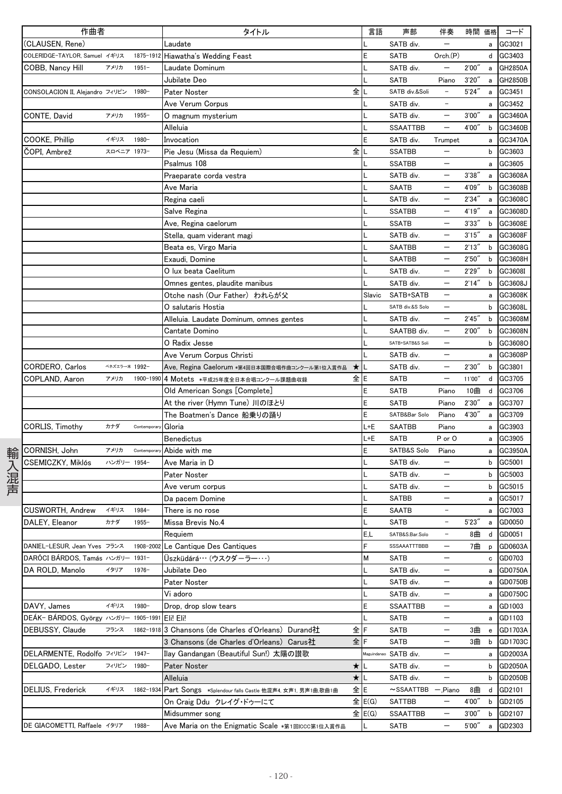|      | 作曲者                              |               |              | タイトル                                                                                               | 言語               | 声部                           | 伴奏                                            | 時間 価格           |                      | コード                  |
|------|----------------------------------|---------------|--------------|----------------------------------------------------------------------------------------------------|------------------|------------------------------|-----------------------------------------------|-----------------|----------------------|----------------------|
|      | (CLAUSEN, Rene)                  |               |              | Laudate                                                                                            |                  | SATB div.                    |                                               |                 | a                    | GC3021               |
|      | COLERIDGE-TAYLOR, Samuel イギリス    |               | 1875-1912    | Hiawatha's Wedding Feast                                                                           |                  | <b>SATB</b>                  | Orch.(P)                                      |                 |                      | d GC3403             |
|      | COBB, Nancy Hill                 | アメリカ          | $1951 -$     | Laudate Dominum                                                                                    |                  | SATB div.                    |                                               | 2'00''          | a                    | GH2850A              |
|      |                                  |               |              | Jubilate Deo                                                                                       |                  | <b>SATB</b>                  | Piano                                         | 3'20''          | $\mathsf{a}$         | GH2850B              |
|      | CONSOLACION II, Alejandro フィリピン  |               | 1980-        | 全<br>Pater Noster                                                                                  |                  | SATB div.&Soli               | $\overline{\phantom{a}}$                      | 5'24''          | $\mathsf{a}$         | GC3451               |
|      |                                  |               |              | Ave Verum Corpus                                                                                   |                  | SATB div.                    | $\overline{\phantom{a}}$                      |                 | a                    | GC3452               |
|      | CONTE, David                     | アメリカ          | $1955 -$     | 0 magnum mysterium                                                                                 |                  | SATB div.                    | $\overline{\phantom{0}}$                      | 3'00''          | a                    | GC3460A              |
|      |                                  |               |              | Alleluia                                                                                           |                  | <b>SSAATTBB</b>              |                                               | 4'00"           | b                    | GC3460B              |
|      | COOKE, Phillip                   | イギリス          | 1980-        | Invocation                                                                                         |                  | SATB div.                    | Trumpet                                       |                 | a                    | GC3470A              |
|      | ČOPI, Ambrež                     | スロベニア 1973-   |              | Pie Jesu (Missa da Requiem)<br>全                                                                   |                  | <b>SSATBB</b>                |                                               |                 | b                    | GC3603               |
|      |                                  |               |              | Psalmus 108                                                                                        |                  | <b>SSATBB</b>                |                                               |                 | a                    | GC3605               |
|      |                                  |               |              | Praeparate corda vestra                                                                            |                  | SATB div.                    |                                               | 3'38''          | $\mathsf{a}$         | GC3608A              |
|      |                                  |               |              | Ave Maria                                                                                          |                  | <b>SAATB</b>                 | $\overline{\phantom{0}}$                      | 4'09"           |                      | b GC3608B            |
|      |                                  |               |              | Regina caeli                                                                                       |                  | SATB div.                    | $\qquad \qquad -$                             | 2'34''          | a                    | GC3608C              |
|      |                                  |               |              | Salve Regina                                                                                       |                  | <b>SSATBB</b>                | $\qquad \qquad -$                             | 4'19''          | $\mathsf{a}$         | GC3608D              |
|      |                                  |               |              | Ave, Regina caelorum                                                                               |                  | <b>SSATB</b>                 | $\overline{\phantom{m}}$                      | 3'33''          | b                    | GC3608E              |
|      |                                  |               |              | Stella, quam viderant magi                                                                         |                  | SATB div.                    |                                               | 3'15''          | a                    | GC3608F              |
|      |                                  |               |              | Beata es, Virgo Maria                                                                              |                  | <b>SAATBB</b>                |                                               | 2'13''          | b                    | GC3608G              |
|      |                                  |               |              | Exaudi, Domine                                                                                     |                  | <b>SAATBB</b>                | $\qquad \qquad -$                             | 2'50''          | b                    | GC3608H              |
|      |                                  |               |              | O lux beata Caelitum                                                                               |                  | SATB div.                    | $\qquad \qquad -$                             | 2'29''          | b                    | GC3608I              |
|      |                                  |               |              | Omnes gentes, plaudite manibus                                                                     |                  | SATB div.                    |                                               | 2'14''          | b                    | GC3608J              |
|      |                                  |               |              | Otche nash (Our Father) われらが父                                                                      | Slavic           | SATB+SATB                    |                                               |                 | a                    | GC3608K              |
|      |                                  |               |              | O salutaris Hostia                                                                                 |                  | SATB div.&S Solo             |                                               |                 | b                    | GC3608L              |
|      |                                  |               |              | Alleluia. Laudate Dominum, omnes gentes                                                            |                  | SATB div.                    |                                               | 2'45''          | b                    | GC3608M              |
|      |                                  |               |              | Cantate Domino                                                                                     |                  | SAATBB div.                  | $\qquad \qquad -$                             | 2'00"           | b                    | GC3608N              |
|      |                                  |               |              | O Radix Jesse                                                                                      |                  | SATB+SATB&S Soli             | $\qquad \qquad -$                             |                 | b                    | GC3608O              |
|      |                                  |               |              | Ave Verum Corpus Christi                                                                           |                  | SATB div.                    |                                               |                 | a                    | GC3608P              |
|      | CORDERO, Carlos                  | ベネズエラー米 1992- |              | Ave, Regina Caelorum *第4回日本国際合唱作曲コンクール第1位入賞作品                                                      |                  | SATB div.                    |                                               | 2'30''          | b                    | GC3801               |
|      | COPLAND, Aaron                   | アメリカ          | 1900-1990    | 4 Motets *平成25年度全日本合唱コンクール課題曲収録<br>全                                                               | E                | <b>SATB</b>                  | $\qquad \qquad -$                             | 11'00"          | d                    | GC3705               |
|      |                                  |               |              | Old American Songs [Complete]                                                                      |                  | <b>SATB</b>                  | Piano                                         | 10曲             | d                    | GC3706               |
|      |                                  |               |              | At the river (Hymn Tune) 川のほとり                                                                     |                  | <b>SATB</b>                  | Piano                                         | 2'30''          | a                    | GC3707               |
|      |                                  |               |              | The Boatmen's Dance 船乗りの踊り                                                                         | E                | SATB&Bar Solo                | Piano                                         | 4'30"           | a                    | GC3709               |
|      | CORLIS, Timothy                  | カナダ           | Contemporar  | Gloria                                                                                             | L+E              | <b>SAATBB</b>                | Piano                                         |                 | a                    | GC3903               |
|      |                                  |               |              | Benedictus                                                                                         | L+E              | <b>SATB</b>                  | P or O                                        |                 | a                    | GC3905               |
|      | CORNISH, John                    | アメリカ          | Contemporary | Abide with me                                                                                      | E                | SATB&S Solo                  | Piano                                         |                 | a                    | GC3950A              |
| 輸入混声 | CSEMICZKY, Miklós                | ハンガリー 1954-   |              | Ave Maria in D                                                                                     |                  | SATB div.                    | $\overline{\phantom{0}}$                      |                 | b                    | GC5001               |
|      |                                  |               |              | Pater Noster                                                                                       |                  | SATB div.                    | $\overline{\phantom{m}}$                      |                 |                      | b GC5003             |
|      |                                  |               |              |                                                                                                    |                  | SATB div.                    | $\qquad \qquad -$                             |                 |                      | b GC5015             |
|      |                                  |               |              | Ave verum corpus<br>Da pacem Domine                                                                |                  | <b>SATBB</b>                 |                                               |                 | a                    | GC5017               |
|      | CUSWORTH, Andrew                 | イギリス          | 1984-        | There is no rose                                                                                   | E                | SAATB                        | $\overline{\phantom{m}}$                      |                 |                      | a GC7003             |
|      | DALEY, Eleanor                   | カナダ           | $1955 -$     | Missa Brevis No.4                                                                                  | L                | <b>SATB</b>                  |                                               | 5'23''          |                      | a GD0050             |
|      |                                  |               |              | Requiem                                                                                            | E.L              | SATB&S.Bar.Solo              | $\overline{\phantom{a}}$                      | 8曲              |                      | d GD0051             |
|      | DANIEL-LESUR, Jean Yves フランス     |               | 1908-2002    | Le Cantique Des Cantiques                                                                          | F                | SSSAAATTTBBB                 | $\qquad \qquad -$                             | 7曲              |                      | p GD0603A            |
|      | DARÓCI BÁRDOS. Tamás ハンガリー 1931- |               |              | Üszküdárá… (ウスクダーラー…)                                                                              | м                | <b>SATB</b>                  | $\qquad \qquad -$                             |                 |                      | c GD0703             |
|      | DA ROLD, Manolo                  | イタリア          | $1976 -$     | Jubilate Deo                                                                                       |                  | SATB div.                    | $\qquad \qquad -$                             |                 |                      | GD0750A              |
|      |                                  |               |              | Pater Noster                                                                                       |                  | SATB div.                    |                                               |                 | a<br>a               | GD0750B              |
|      |                                  |               |              | Vi adoro                                                                                           |                  | SATB div.                    | $\qquad \qquad -$                             |                 |                      | a GD0750C            |
|      | DAVY, James                      | イギリス          | 1980-        |                                                                                                    |                  |                              | $\qquad \qquad -$                             |                 |                      |                      |
|      | DEÁK- BÁRDOS, György ハンガリー       |               | 1905-1991    | Drop, drop slow tears<br>Eli! Eli!                                                                 |                  | SSAATTBB<br><b>SATB</b>      | $\qquad \qquad -$                             |                 |                      | a GD1003             |
|      |                                  |               | 1862-1918    |                                                                                                    |                  |                              |                                               |                 | a                    | GD1103               |
|      | DEBUSSY, Claude                  | フランス          |              | 全 F<br>3 Chansons (de Charles d'Orleans) Durand社<br>3 Chansons (de Charles d'Orleans) Carus社<br>全下 |                  | SATB                         | $\qquad \qquad -$<br>$\overline{\phantom{m}}$ | 3曲              | $\mathbf{e}$<br>3曲 b | GD1703A<br>GD1703C   |
|      | DELARMENTE. Rodolfo フィリピン        |               | $1947 -$     | Ilay Gandangan (Beautiful Sun!) 太陽の讃歌                                                              |                  | SATB                         |                                               |                 |                      |                      |
|      |                                  |               |              |                                                                                                    |                  | Maguindanao SATB div.        | $\overline{\phantom{m}}$                      |                 | a                    | GD2003A<br>b GD2050A |
|      | DELGADO, Lester                  | フィリピン         | 1980-        | $\star$<br>Pater Noster<br>★ L                                                                     |                  | SATB div.                    | $\qquad \qquad -$                             |                 |                      | b GD2050B            |
|      | DELIUS, Frederick                | イギリス          | 1862-1934    | Alleluia<br>全E                                                                                     |                  | SATB div.<br>$\sim$ SSAATTBB |                                               | 8曲              |                      |                      |
|      |                                  |               |              | Part Songs *Splendour falls Castle 他混声4, 女声1, 男声1曲,歌曲1曲                                            |                  |                              | $-$ ,Piano<br>$\qquad \qquad -$               | 4'00″           |                      | d GD2101<br>GD2105   |
|      |                                  |               |              | On Craig Ddu クレイグ・ドゥーにて                                                                            | 全 E(G)<br>全 E(G) | SATTBB                       |                                               |                 | b                    |                      |
|      |                                  |               |              | Midsummer song                                                                                     |                  | SSAATTBB                     | $\qquad \qquad -$                             | 3'00''<br>5'00" | b                    | GD2107               |
|      | DE GIACOMETTI, Raffaele イタリア     |               | 1988-        | Ave Maria on the Enigmatic Scale *第1回ICCC第1位入賞作品                                                   |                  | SATB                         | $\qquad \qquad -$                             |                 | a                    | GD2303               |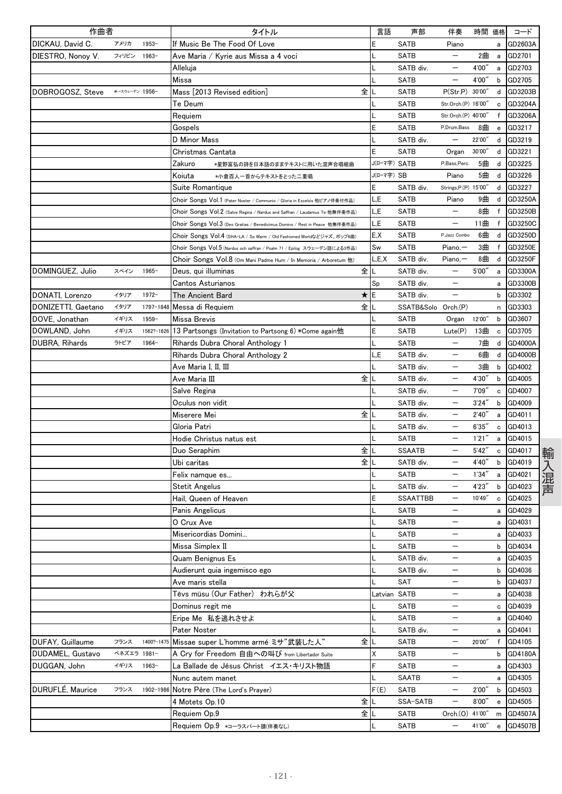| 作曲者                     |                |            | タイトル                                                                        | 言語           | 声部                  | 伴奏                       | 時間 価格  |              | コード           |
|-------------------------|----------------|------------|-----------------------------------------------------------------------------|--------------|---------------------|--------------------------|--------|--------------|---------------|
| DICKAU, David C.        | アメリカ           | $1953 -$   | If Music Be The Food Of Love                                                | E            | <b>SATB</b>         | Piano                    |        | a            | GD2603A       |
| DIESTRO. Nonov V.       | フィリピン          | $1963 -$   | Ave Maria / Kyrie aus Missa a 4 voci                                        |              | <b>SATB</b>         | $\overline{\phantom{0}}$ | 2曲     | a            | GD2701        |
|                         |                |            | Alleluja                                                                    |              | SATB div.           | —                        | 4'00'  | a            | GD2703        |
|                         |                |            | Missa                                                                       |              | SATB                |                          | 4'00'  | b            | GD2705        |
| DOBROGOSZ, Steve        | *→スウェーデン 1956- |            | 全<br>Mass [2013 Revised edition]                                            |              | SATB                | P(Str.P) 30'00"          |        | d            | GD3203B       |
|                         |                |            | Te Deum                                                                     |              | SATB                | Str.Orch.(P) 16'00'      |        | c            | GD3204A       |
|                         |                |            | Requiem                                                                     |              | <b>SATB</b>         | Str.Orch.(P) 40'00'      |        | $\mathsf{f}$ | GD3206A       |
|                         |                |            | Gospels                                                                     | E            | <b>SATB</b>         | P,Drum,Bass              | 8曲     | e            | GD3217        |
|                         |                |            | D Minor Mass                                                                |              | SATB div.           |                          | 22'00" | d            | GD3219        |
|                         |                |            | Christmas Cantata                                                           | E            | SATB                | Organ                    | 30'00" | d            | GD3221        |
|                         |                |            | Zakuro<br>*星野富弘の詩を日本語のままテキストに用いた混声合唱組曲                                      | J(ローマ字) SATB |                     | P,Bass,Perc.             | 5曲     | d            | GD3225        |
|                         |                |            | Koiuta<br>*小倉百人一首からテキストをとった二重唱                                              | J(ローマ字) SB   |                     | Piano                    | 5曲     | d            | GD3226        |
|                         |                |            | Suite Romantique                                                            | E            | SATB div.           | Strings, P.(P) 15'00'    |        | d            | GD3227        |
|                         |                |            | Choir Songs Vol.1 (Pater Noster / Communio / Gloria in Excelsis 他ピアノ伴奏付作品)  | L,E          | <b>SATB</b>         | Piano                    | 9曲     | d            | GD3250A       |
|                         |                |            | Choir Songs Vol.2 (Salve Regina / Nardus and Saffran / Laudamus Te 他無伴奏作品)  | L,E          | <b>SATB</b>         | —                        | 8曲     | f            | GD3250B       |
|                         |                |            | Choir Songs Vol.3 (Deo Gratias / Benedicimus Domino / Rest in Peace 他無伴奏作品) | "E           | SATB                | —                        | 11曲    | f            | GD3250C       |
|                         |                |            | Choir Songs Vol.4 (SHA-LA / So Warm / Old Fashioned Worldなどジャズ、ポップ6曲)       | E.X          | SATB                | P, Jazz Combo            | 6曲     | d            | GD3250D       |
|                         |                |            | Choir Songs Vol.5 (Nardus och saffran / Psalm 71 / Epilog スウェーデン語による3作品)    | Sw           | SATB                | $Piano, -$               | 3曲     | f            | GD3250E       |
|                         |                |            | Choir Songs Vol.8 (Om Mani Padme Hum / In Memoria / Arboretum 他)            | _,E,X        | SATB div.           | $Piano, -$               | 8曲     | d            | GD3250F       |
| DOMINGUEZ, Julio        | スペイン           | $1965 -$   | 全<br>Deus, qui illuminas                                                    |              | SATB div.           |                          | 5'00'' | a            | GD3300A       |
|                         |                |            | Cantos Asturianos                                                           | Sp           | SATB div.           | —                        |        | a            | GD3300B       |
| DONATI, Lorenzo         | イタリア           | $1972 -$   | The Ancient Bard<br>$\star$                                                 | E            | SATB div.           |                          |        | b            | GD3302        |
| DONIZETTI, Gaetano      | イタリア           |            | 全<br>1797-1848 Messa di Requiem                                             |              | SSATB&Solo Orch.(P) |                          |        | n            | GD3303        |
| DOVE. Jonathan          | イギリス           | $1959 -$   | Missa Brevis                                                                |              | <b>SATB</b>         | Organ                    | 12'00" | b            | GD3607        |
| DOWLAND, John           | イギリス           | 1562?-1626 | 13 Partsongs (Invitation to Partsong 6) *Come again他                        | E            | SATB                | Lute(P)                  | 13曲    | c            | GD3705        |
|                         | ラトビア           | $1964 -$   |                                                                             |              | <b>SATB</b>         | —                        | 7曲     | d            | GD4000A       |
| DUBRA, Rihards          |                |            | Rihards Dubra Choral Anthology 1                                            |              |                     |                          |        |              |               |
|                         |                |            | Rihards Dubra Choral Anthology 2                                            | "E           | SATB div.           | —<br>—                   | 6曲     | d            | GD4000B       |
|                         |                |            | Ave Maria I, II, III                                                        |              | SATB div.           |                          | 3曲     | b            | GD4002        |
|                         |                |            | 全<br>Ave Maria III                                                          |              | SATB div.           |                          | 4'30'  | b            | GD4005        |
|                         |                |            | Salve Regina                                                                |              | SATB div.           |                          | 7'09'' | c            | GD4007        |
|                         |                |            | Oculus non vidit                                                            |              | SATB div.           | —                        | 3'24'' | b            | GD4009        |
|                         |                |            | Miserere Mei<br>全                                                           |              | SATB div.           |                          | 2'40'  | a            | GD4011        |
|                         |                |            | Gloria Patri                                                                |              | SATB div.           | —                        | 6'35'' | $\mathbf c$  | GD4013        |
|                         |                |            | Hodie Christus natus est                                                    |              | SATB                |                          | 1'21'' | a            | GD4015        |
|                         |                |            | 全<br>Duo Seraphim                                                           |              | <b>SSAATB</b>       |                          | 5'42'  | c            | GD4017<br>輸   |
|                         |                |            | 全<br>Ubi caritas                                                            |              | SATB div.           |                          | 4'40'  | b            | GD4019        |
|                         |                |            | Felix namque es                                                             |              | <b>SATB</b>         | $\overline{\phantom{0}}$ | 1'34'' | a            | GD4021        |
|                         |                |            | <b>Stetit Angelus</b>                                                       |              | SATB div.           | —                        | 4'23'  | b            | 入混声<br>GD4023 |
|                         |                |            | Hail. Queen of Heaven                                                       | E            | <b>SSAATTBB</b>     | $\overline{\phantom{m}}$ | 10'49" | c            | GD4025        |
|                         |                |            | Panis Angelicus                                                             |              | SATB                | —                        |        | а            | GD4029        |
|                         |                |            | O Crux Ave                                                                  |              | SATB                | —                        |        | a            | GD4031        |
|                         |                |            | Misericordias Domini                                                        |              | <b>SATB</b>         |                          |        | a            | GD4033        |
|                         |                |            | Missa Simplex II                                                            |              | <b>SATB</b>         | —                        |        | b            | GD4034        |
|                         |                |            | Quam Benignus Es                                                            |              | SATB div.           | —                        |        | a            | GD4035        |
|                         |                |            | Audierunt quia ingemisco ego                                                |              | SATB div.           | —                        |        | b            | GD4036        |
|                         |                |            | Ave maris stella                                                            |              | SAT                 | —                        |        | b            | GD4037        |
|                         |                |            | Tēvs mūsu (Our Father) われらが父                                                |              | Latvian SATB        | —                        |        | а            | GD4038        |
|                         |                |            | Dominus regit me                                                            |              | <b>SATB</b>         | $\overline{\phantom{0}}$ |        | c            | GD4039        |
|                         |                |            | Eripe Me 私を逃れさせよ                                                            |              | SATB                | —                        |        | a            | GD4040        |
|                         |                |            | Pater Noster                                                                |              | SATB div.           | —                        |        | a            | GD4041        |
| DUFAY, Guillaume        | フランス           | 1400?-1475 | Missae super L'homme armé ミサ"武装した人"<br>全                                    |              | <b>SATB</b>         | $\overline{\phantom{0}}$ | 20'00" | $\mathsf f$  | GD4105        |
| <b>DUDAMEL, Gustavo</b> | ベネズエラ 1981-    |            | A Cry for Freedom 自由への叫び from Libertador Suite                              | X            | SATB                | —                        |        | b            | GD4180A       |
| DUGGAN, John            | イギリス           | $1963 -$   | La Ballade de Jésus Christ イエス・キリスト物語                                       | F            | SATB                |                          |        | a            | GD4303        |
|                         |                |            | Nunc autem manet                                                            |              | SAATB               | $\overline{\phantom{0}}$ |        | a            | GD4305        |
| DURUFLÉ, Maurice        | フランス           |            | 1902-1986 Notre Père (The Lord's Prayer)                                    | F(E)         | <b>SATB</b>         | —                        | 2'00'' | b            | GD4503        |
|                         |                |            | 全<br>4 Motets Op.10                                                         |              | SSA-SATB            | —                        | 8'00'' | e            | GD4505        |
|                         |                |            | 全<br>Requiem Op.9                                                           |              | SATB                | Orch.(0) 41'00"          |        | m            | GD4507A       |
|                         |                |            | Requiem Op.9 *コーラスパート譜(伴奏なし)                                                |              | SATB                |                          | 41'00" | e            | GD4507B       |
|                         |                |            |                                                                             |              |                     |                          |        |              |               |

 $-121$  -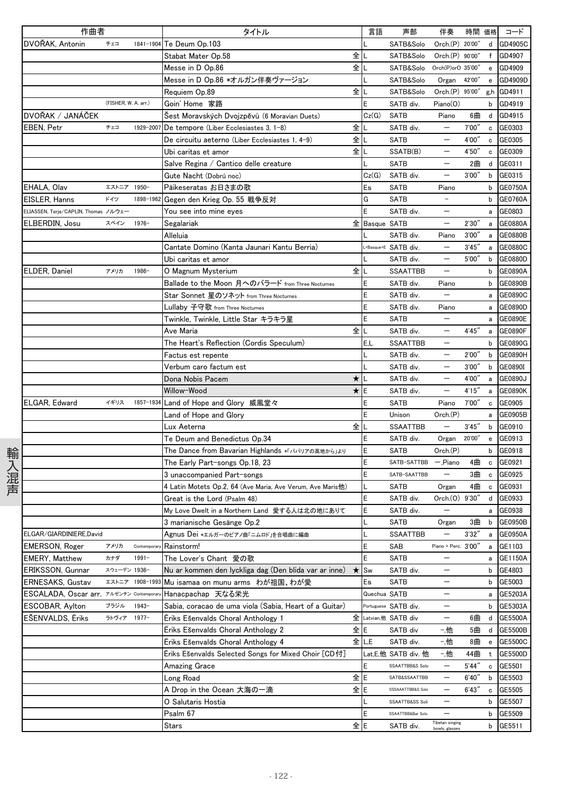| 作曲者                                     |                      |                 | タイトル                                                                                                    | 言語        | 声部                   | 伴奏                                | 時間 価格  |                                   | コード            |
|-----------------------------------------|----------------------|-----------------|---------------------------------------------------------------------------------------------------------|-----------|----------------------|-----------------------------------|--------|-----------------------------------|----------------|
| DVOŘAK, Antonin                         | チェコ                  | 1841-1904       | Te Deum Op.103                                                                                          |           | SATB&Solo            | Orch.(P) 20'00"                   |        | d                                 | GD4905C        |
|                                         |                      |                 | Stabat Mater Op.58                                                                                      | 全         | SATB&Solo            | Orch.(P) 90'00"                   |        |                                   | f GD4907       |
|                                         |                      |                 | Messe in D Op.86                                                                                        | 全儿        | SATB&Solo            | Orch(P)orO 35'00"                 |        | e                                 | GD4909         |
|                                         |                      |                 | Messe in D Op.86 *オルガン伴奏ヴァージョン                                                                          |           | SATB&Solo            | Organ                             | 42'00" | e                                 | GD4909D        |
|                                         |                      |                 | Requiem Op.89                                                                                           | 全儿        | SATB&Solo            | Orch.(P) 95'00"                   |        |                                   | g,h GD4911     |
|                                         | (FISHER, W. A. arr.) |                 | Goin' Home 家路                                                                                           | Ε         | SATB div.            | Piano(O)                          |        | b                                 | GD4919         |
| DVOŘAK / JANÁČEK                        |                      |                 | Šest Moravských Dvojzpěvů (6 Moravian Duets)                                                            | Cz(G)     | SATB                 | Piano                             | 6曲     | d                                 | GD4915         |
| EBEN, Petr                              | チェコ                  | 1929-2007       | De tempore (Liber Ecclesiastes 3, 1-8)                                                                  | 全Ⅱ        | SATB div.            | $\qquad \qquad -$                 | 7'00'' | c                                 | GE0303         |
|                                         |                      |                 | De circuitu aeterno (Liber Ecclesiastes 1, 4-9)                                                         | 全工        | <b>SATB</b>          | $\qquad \qquad -$                 | 4'00"  | c                                 | GE0305         |
|                                         |                      |                 | Ubi caritas et amor                                                                                     | 全儿        | SSATB(B)             |                                   | 4'50'' | с                                 | GE0309         |
|                                         |                      |                 | Salve Regina / Cantico delle creature                                                                   |           | <b>SATB</b>          |                                   | 2曲     | d                                 | GE0311         |
|                                         |                      |                 | Gute Nacht (Dobrú noc)                                                                                  | Cz(G)     | SATB div.            |                                   | 3'00'' | b                                 | GE0315         |
| EHALA, Olav                             | エストニア 1950-          |                 | Päikeseratas お日さまの歌                                                                                     | Es        | SATB                 | Piano                             |        | b                                 | <b>GE0750A</b> |
| EISLER, Hanns                           | ドイツ                  | 1898-1962       | Gegen den Krieg Op. 55 戦争反対                                                                             | G         | <b>SATB</b>          | $\qquad \qquad -$                 |        | b                                 | GE0760A        |
| ELIASSEN, Terje/CAPLIN, Thomas ノルウェー    |                      |                 | You see into mine eyes                                                                                  | E         | SATB div.            | $\qquad \qquad -$                 |        | a                                 | GE0803         |
| ELBERDIN, Josu                          | スペイン                 | $1976 -$        | Segalariak                                                                                              | 全         | Basque SATB          | $\qquad \qquad -$                 | 2'30'' | a                                 | GE0880A        |
|                                         |                      |                 | Alleluia                                                                                                |           | SATB div.            | Piano                             | 3'00'' | a                                 | GE0880B        |
|                                         |                      |                 | Cantate Domino (Kanta Jaunari Kantu Berria)                                                             |           | +Basque+E SATB div.  |                                   | 3'45'' |                                   |                |
|                                         |                      |                 |                                                                                                         |           | SATB div.            | $\qquad \qquad -$                 | 5'00'' | a                                 | GE0880C        |
|                                         | アメリカ                 | 1986-           | Ubi caritas et amor                                                                                     | 全         |                      | $\qquad \qquad -$                 |        | b                                 | GE0880D        |
| ELDER, Daniel                           |                      |                 | O Magnum Mysterium                                                                                      |           | <b>SSAATTBB</b>      |                                   |        | b                                 | GE0890A        |
|                                         |                      |                 | Ballade to the Moon 月へのバラード from Three Nocturnes                                                        | Ε         | SATB div.            | Piano                             |        | b                                 | GE0890B        |
|                                         |                      |                 | Star Sonnet 星のソネット from Three Nocturnes                                                                 | E         | SATB div.            |                                   |        | а                                 | GE0890C        |
|                                         |                      |                 | Lullaby 子守歌 from Three Nocturnes                                                                        | E         | SATB div.            | Piano                             |        | a                                 | GE0890D        |
|                                         |                      |                 | Twinkle, Twinkle, Little Star キラキラ星                                                                     | E         | <b>SATB</b>          |                                   |        | а                                 | GE0890E        |
|                                         |                      |                 | Ave Maria                                                                                               | 全儿        | SATB div.            | $\qquad \qquad -$                 | 4'45'' | $\mathsf{a}$                      | <b>GE0890F</b> |
|                                         |                      |                 | The Heart's Reflection (Cordis Speculum)                                                                | E.L       | <b>SSAATTBB</b>      | $\qquad \qquad -$                 |        | b                                 | GE0890G        |
|                                         |                      |                 | Factus est repente                                                                                      |           | SATB div.            | $\qquad \qquad -$                 | 2'00'' | b                                 | GE0890H        |
|                                         |                      |                 | Verbum caro factum est                                                                                  |           | SATB div.            | $\qquad \qquad -$                 | 3'00'' | b                                 | GE0890I        |
|                                         |                      |                 | Dona Nobis Pacem                                                                                        | ★         | SATB div.            |                                   | 4'00"  | a                                 | GE0890J        |
|                                         |                      |                 | Willow-Wood                                                                                             | ★IE       | SATB div.            | $\qquad \qquad -$                 | 4'15'' | a                                 | <b>GE0890K</b> |
| ELGAR, Edward                           | イギリス                 |                 | 1857-1934 Land of Hope and Glory 威風堂々                                                                   | E         | <b>SATB</b>          | Piano                             | 7'00'' | c                                 | GE0905         |
|                                         |                      |                 | Land of Hope and Glory                                                                                  | F         | Unison               | Orch.(P)                          |        | a                                 | GE0905B        |
|                                         |                      |                 | Lux Aeterna                                                                                             | 全         | <b>SSAATTBB</b>      |                                   | 3'45'' | b                                 | GE0910         |
|                                         |                      |                 | Te Deum and Benedictus Op.34                                                                            | Ε         | SATB div.            | Organ                             | 20'00" | e                                 | GE0913         |
|                                         |                      |                 | The Dance from Bavarian Highlands *「ババリアの高地から」より                                                        | E         | <b>SATB</b>          | Orch.(P)                          |        | b                                 | GE0918         |
| 輸入混声                                    |                      |                 | The Early Part-songs Op.18, 23                                                                          | E         | SATB-SATTBB          | — Piano                           | 4曲     | $\mathbf c$                       | GE0921         |
|                                         |                      |                 | 3 unaccompanied Part-songs                                                                              | E         | SATB-SAATTBB         | $\qquad \qquad -$                 | 3曲     | $\mathbf c$                       | GE0925         |
|                                         |                      |                 | 4 Latin Motets Op.2, 64 (Ave Maria, Ave Verum, Ave Maris他)                                              |           | <b>SATB</b>          | Organ                             | 4曲     |                                   | c GE0931       |
|                                         |                      |                 | Great is the Lord (Psalm 48)                                                                            | E         | SATB div.            | Orch.(0) 9'30"                    |        | d                                 | GE0933         |
|                                         |                      |                 | My Love Dwelt in a Northern Land 愛する人は北の地にありて                                                           | E         | SATB div.            |                                   |        | a                                 | GE0938         |
|                                         |                      |                 | 3 marianische Gesänge Op.2                                                                              | L         | <b>SATB</b>          | Organ                             | 3曲     | b                                 | GE0950B        |
| ELGAR/GIARDINIERE,David                 |                      |                 | Agnus Dei *エルガーのピアノ曲「ニムロド」を合唱曲に編曲                                                                       |           | <b>SSAATTBB</b>      |                                   | 3'32'' | a                                 | GE0950A        |
| EMERSON, Roger                          | アメリカ                 | Contemporal     | Rainstorm!                                                                                              | E         | SAB                  | Piano + Perc. 3'00"               |        |                                   | a GE1103       |
| <b>EMERY, Matthew</b>                   | カナダ                  | $1991 -$        | The Lover's Chant 愛の歌                                                                                   | E         | <b>SATB</b>          |                                   |        | a                                 | GE1150A        |
| ERIKSSON, Gunnar                        | スウェーデン 1936-         |                 | Nu ar kommen den lyckliga dag (Den blida var ar inne) ★                                                 | <b>Sw</b> | SATB div.            | $\overline{\phantom{m}}$          |        | b                                 | GE4803         |
| ERNESAKS, Gustav                        |                      | エストニア 1908-1993 | Mu isamaa on munu arms わが祖国、わが愛                                                                         | Es        | <b>SATB</b>          | $\qquad \qquad -$                 |        | b                                 | GE5003         |
| ESCALADA, Oscar arr. ァルゼンチン Contemporal |                      |                 | Hanacpachap 天なる栄光                                                                                       |           | Quechua SATB         |                                   |        | а                                 | GE5203A        |
| ESCOBAR, Aylton                         | ブラジル                 | 1943-           | Sabia, coracao de uma viola (Sabia, Heart of a Guitar)                                                  |           | Portuguese SATB div. | $\overline{\phantom{0}}$          |        |                                   | b GE5303A      |
| EŠENVALDS, Ēriks                        | ラトヴィア 1977-          |                 | Eriks Ešenvalds Choral Anthology 1                                                                      |           | 全 Latvian,他 SATB div | $\qquad \qquad -$                 | 6曲     | d                                 | GE5500A        |
|                                         |                      |                 |                                                                                                         | 全 E       | SATB div             | -,他                               | 5曲     | d                                 | <b>GE5500B</b> |
|                                         |                      |                 | Eriks Ešenvalds Choral Anthology 2<br>Eriks Ešenvalds Choral Anthology 4                                | 全LE       | SATB div.            | -,他                               | 8曲     | $\mathbf{e}% _{t}\left( t\right)$ |                |
|                                         |                      |                 | $\bar{\mathsf{E}}$ riks Ešenvalds Selected Songs for Mixed Choir $\left[\mathsf{CD}\,\mathsf{H}\right]$ |           |                      | -,他                               | 44曲    |                                   | GE5500C        |
|                                         |                      |                 |                                                                                                         | E         | Lat,E,他 SATB div. 他  | $\qquad \qquad -$                 |        | t                                 | GE5500D        |
|                                         |                      |                 | Amazing Grace                                                                                           |           | SSAATTBB&S Solo      | $\qquad \qquad -$                 | 5'44″  | c                                 | GE5501         |
|                                         |                      |                 | Long Road                                                                                               | 全E        | SATB&SSAATTBB        |                                   | 6'40'' |                                   | b GE5503       |
|                                         |                      |                 | A Drop in the Ocean 大海の一滴                                                                               | 全lE       | SSSAAATTBB&S Solo    |                                   | 6'43'' | c                                 | GE5505         |
|                                         |                      |                 | O Salutaris Hostia                                                                                      |           | SSAATTB&SS Soli      | $\qquad \qquad -$                 |        | b                                 | GE5507         |
|                                         |                      |                 | Psalm 67                                                                                                | E         | SSAATTBB&Bar Solo    |                                   |        | b                                 | GE5509         |
|                                         |                      |                 | Stars                                                                                                   | 全lE       | SATB div.            | Tibetan singing<br>bowls, glasses |        | b                                 | GE5511         |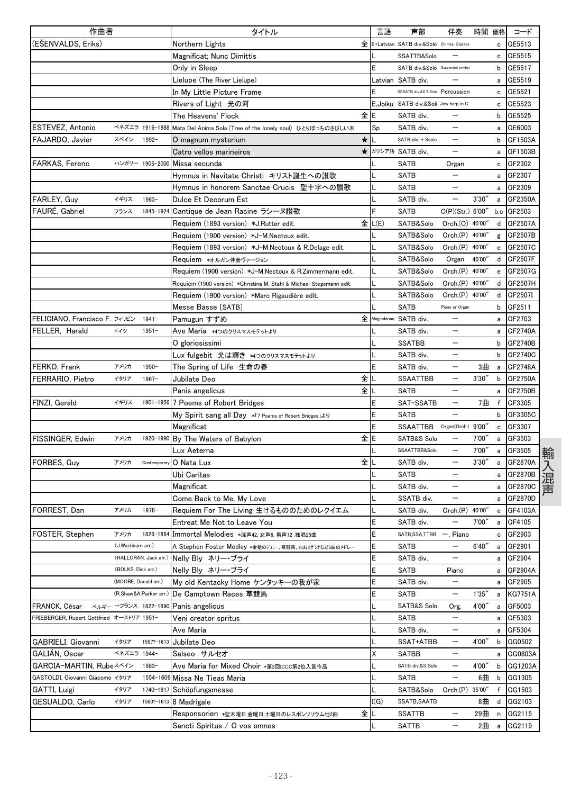| 作曲者                                       |                      |                       | タイトル                                                                 |         | 言語   | 声部                                       | 伴奏                       | 時間 価格  |                                                  | コード            |
|-------------------------------------------|----------------------|-----------------------|----------------------------------------------------------------------|---------|------|------------------------------------------|--------------------------|--------|--------------------------------------------------|----------------|
| (EŠENVALDS, Ēriks)                        |                      |                       | Northern Lights                                                      | 全       |      | E+Latvian SATB div.&Solo Chimes, Glasses |                          |        | c                                                | GE5513         |
|                                           |                      |                       | Magnificat; Nunc Dimittis                                            |         |      | SSATTB&Solo                              |                          |        | c                                                | GE5515         |
|                                           |                      |                       | Only in Sleep                                                        |         |      | SATB div.&Solo Suspended cymbal          |                          |        | b                                                | GE5517         |
|                                           |                      |                       | Lielupe (The River Lielupe)                                          |         |      | Latvian SATB div.                        |                          |        | a                                                | GE5519         |
|                                           |                      |                       | In My Little Picture Frame                                           |         |      | SSSATB div.&S.T.Solo Percussion          |                          |        | c                                                | GE5521         |
|                                           |                      |                       | Rivers of Light 光の河                                                  |         |      | E, Joiku SATB div.&Soli Jew harp in C    |                          |        | с                                                | GE5523         |
|                                           |                      |                       | The Heavens' Flock                                                   | 全       | E    | SATB div.                                |                          |        | b                                                | GE5525         |
| ESTEVEZ, Antonio                          |                      | ベネズエラ 1916-1988       | Mata Del Anima Sola (Tree of the lonely soul) ひとりぼっちのさびしい木           |         | Sp   | SATB div.                                | —                        |        | a                                                | GE6003         |
| FAJARDO, Javier                           | スペイン                 | 1992-                 | 0 magnum mysterium                                                   | *       |      | SATB div. + Ssolo                        |                          |        | b                                                | GF1503A        |
|                                           |                      |                       | Catro vellos marineiros                                              | $\star$ |      | ガリシア語 SATB div.                          |                          |        | a                                                | GF1503B        |
| FARKAS, Ferenc                            |                      |                       | ハンガリー 1905-2000 Missa secunda                                        |         |      | SATB                                     | Organ                    |        | c                                                | GF2302         |
|                                           |                      |                       | Hymnus in Navitate Christi キリスト誕生への讃歌                                |         |      | <b>SATB</b>                              | $\overline{\phantom{0}}$ |        |                                                  | a GF2307       |
|                                           |                      |                       | Hymnus in honorem Sanctae Crucis 聖十字への讃歌                             |         |      | <b>SATB</b>                              | $\overline{\phantom{0}}$ |        | a                                                | GF2309         |
| FARLEY, Guy                               | イギリス                 | 1963-                 | Dulce Et Decorum Est                                                 |         |      | SATB div.                                | —                        | 3'30'  | a                                                | GF2350A        |
| FAURE, Gabriel                            | フランス                 |                       | 1845-1924 Cantique de Jean Racine ラシーヌ讃歌                             |         | F    | SATB                                     | O(P)(Str.) 6'00'         |        |                                                  | $b.c$ GF2503   |
|                                           |                      |                       | Requiem (1893 version) *J.Rutter edit.                               | 全       | L(E) | SATB&Solo                                | Orch.(O) 40'00'          |        | d                                                | GF2507A        |
|                                           |                      |                       | Requiem (1900 version) *J-M.Nectoux edit.                            |         |      | SATB&Solo                                | Orch.(P) 40'00'          |        | g                                                | GF2507B        |
|                                           |                      |                       | Requiem (1893 version) *J-M.Nectoux & R.Delage edit.                 |         |      | SATB&Solo                                | Orch.(P) 40'00"          |        | e                                                | GF2507C        |
|                                           |                      |                       | Requiem *オルガン伴奏ヴァージョン                                                |         |      | SATB&Solo                                | Organ                    | 40'00' | d                                                | GF2507F        |
|                                           |                      |                       | Requiem (1900 version) *J-M.Nectoux & R.Zimmermann edit.             |         |      | SATB&Solo                                | Orch.(P) 40'00"          |        | e                                                | GF2507G        |
|                                           |                      |                       | Requiem (1900 version) *Christina M. Stahl & Michael Stegemann edit. |         |      | SATB&Solo                                | Orch.(P) 40'00'          |        | d                                                | GF2507H        |
|                                           |                      |                       | Requiem (1900 version) *Marc Rigaudière edit.                        |         |      | SATB&Solo                                | Orch.(P) 40'00'          |        | d                                                | GF2507I        |
|                                           |                      |                       | Messe Basse [SATB]                                                   |         |      | <b>SATB</b>                              | Piano or Organ           |        | b                                                | GF2511         |
| FELICIANO, Francisco F. フィリピン             |                      | $1941 -$              | Pamugun すずめ                                                          | 全       |      | Magindanao SATB div.                     | —                        |        | a                                                | GF2703         |
| FELLER, Harald                            | ドイツ                  | $1951 -$              | Ave Maria *4つのクリスマスモテットより                                            |         |      | SATB div.                                | $\qquad \qquad -$        |        | a                                                | GF2740A        |
|                                           |                      |                       | 0 gloriosissimi                                                      |         |      | <b>SSATBB</b>                            | $\overline{\phantom{0}}$ |        | b                                                | GF2740B        |
|                                           |                      |                       | Lux fulgebit 光は輝き *4つのクリスマスモテットより                                    |         |      | SATB div.                                |                          |        | b                                                | GF2740C        |
| FERKO, Frank                              | アメリカ                 | $1950 -$              | The Spring of Life 生命の春                                              |         | E    | SATB div.                                |                          | 3曲     | a                                                | GF2748A        |
| FERRARIO, Pietro                          | イタリア                 | $1967-$               | Jubilate Deo                                                         | 全       |      | <b>SSAATTBB</b>                          | $\overline{\phantom{0}}$ | 3'30'' | b                                                | GF2750A        |
|                                           |                      |                       | Panis angelicus                                                      | 全       |      | <b>SATB</b>                              | —                        |        | a                                                | GF2750B        |
| FINZI, Gerald                             | イギリス                 |                       | 1901-1956 7 Poems of Robert Bridges                                  |         | E    | SAT-SSATB                                | $\overline{\phantom{0}}$ | 7曲     | f                                                | GF3305         |
|                                           |                      |                       | My Spirit sang all Day *7 Poems of Robert Bridges J&Y                |         | E    | SATB                                     |                          |        | b                                                | GF3305C        |
|                                           |                      |                       | Magnificat                                                           |         | Ε    | <b>SSAATTBB</b>                          | Organ(Orch.) 9'00"       |        | c                                                | GF3307         |
| FISSINGER, Edwin                          | アメリカ                 |                       | 1920-1990 By The Waters of Babylon                                   | 全       | E    | SATB&S Solo                              |                          | 7'00"  | a                                                | GF3503         |
|                                           |                      |                       | Lux Aeterna                                                          |         |      | SSAATTBB&Solo                            | $\overline{\phantom{0}}$ | 7'00'  | а                                                | GF3505         |
| FORBES, Guy                               | アメリカ                 | Contemporal           | O Nata Lux                                                           | 全       |      | SATB div.                                |                          | 3'30'' | a                                                | GF2870A        |
|                                           |                      |                       | Ubi Caritas                                                          |         |      | <b>SATB</b>                              | $\qquad \qquad -$        |        | a                                                | GF2870B        |
|                                           |                      |                       | Magnificat                                                           |         |      | SATB div.                                |                          |        |                                                  | GF2870C        |
|                                           |                      |                       | Come Back to Me, My Love                                             |         |      | SSATB div.                               |                          |        | а                                                | GF2870D        |
|                                           |                      |                       |                                                                      |         |      |                                          |                          |        | a                                                | GF4103A        |
| FORREST, Dan                              | アメリカ                 | 1978-                 | Requiem For The Living 生けるもののためのレクイエム<br>Entreat Me Not to Leave You |         | E    | SATB div.                                | Orch.(P) 40'00"          | 7'00"  | $\mathbf{e}% _{t}\left  \mathbf{1}\right\rangle$ | GF4105         |
|                                           | アメリカ                 |                       |                                                                      |         | E    | SATB div.<br>SATB, SSA, TTBB             |                          |        | a                                                |                |
| FOSTER, Stephen                           | (J.Washburn arr.)    |                       | 1826-1864 Immortal Melodies *混声42, 女声6, 男声12, 独唱25曲                  |         |      |                                          | , Piano                  |        | c                                                | GF2903         |
|                                           |                      |                       | A Stephen Foster Medley *金髪のジェニー、草競馬、おおスザンナなど5曲のメドレー                 |         | E    | SATB                                     |                          | 6'40'' | a                                                | GF2901         |
|                                           |                      | (HALLORAN, Jack arr.) | Nelly Bly ネリー・ブライ                                                    |         | E    | SATB div.                                | —                        |        | а                                                | GF2904         |
|                                           | (BOLKS, Dick arr.)   |                       | Nelly Bly ネリー・ブライ                                                    |         | E    | SATB                                     | Piano                    |        | а                                                | GF2904A        |
|                                           | (MOORE, Donald arr.) |                       | My old Kentacky Home ケンタッキーの我が家                                      |         | E    | SATB div.                                |                          |        | а                                                | GF2905         |
|                                           |                      | (R.Shaw&A.Parker arr. | De Camptown Races 草競馬                                                |         | E    | <b>SATB</b>                              | $\qquad \qquad -$        | 1'35'  | а                                                | <b>KG7751A</b> |
| FRANCK, César                             |                      | ベルギー →フランス 1822-1890  | Panis angelicus                                                      |         |      | SATB&S Solo                              | Org.                     | 4'00'' | а                                                | GF5003         |
| FRIEBERGER, Rupert Gottfried オーストリア 1951- |                      |                       | Veni creator spritus                                                 |         |      | SATB                                     | $\qquad \qquad -$        |        | a                                                | GF5303         |
|                                           |                      |                       | Ave Maria                                                            |         |      | SATB div.                                | —                        |        | а                                                | GF5304         |
| GABRIELI, Giovanni                        | イタリア                 | 1557?-1613            | Jubilate Deo                                                         |         |      | SSAT+ATBB                                |                          | 4'00'' | b                                                | GG0502         |
| GALIAN, Oscar                             | ベネズエラ 1944-          |                       | Salseo サルセオ                                                          |         | Χ    | SATBB                                    | —                        |        | a                                                | GG0803A        |
| GARCIA-MARTIN, Rubeスペイン                   |                      | 1983-                 | Ave Maria for Mixed Choir *第2回ICCC第2位入賞作品                            |         |      | SATB div.&S Solo                         | $\qquad \qquad -$        | 4'00"  | b                                                | GG1203A        |
| GASTOLDI, Giovanni Giacomo イタリア           |                      | 1554-160              | 9 Missa Ne Tieas Maria                                               |         |      | <b>SATB</b>                              | $\qquad \qquad -$        | 6曲     | b                                                | GG1305         |
| GATTI, Luigi                              | イタリア                 | 1740-1817             | Schöpfungsmesse                                                      |         |      | SATB&Solo                                | Orch.(P) 35'00"          |        | f                                                | GG1503         |
| GESUALDO, Carlo                           | イタリア                 |                       | 1560?-1613 8 Madrigale                                               |         | I(G) | SSATB, SAATB                             |                          | 8曲     | d                                                | GG2103         |
|                                           |                      |                       | Responsorien *聖木曜日,金曜日,土曜日のレスポンソリウム他2曲                               | 全       |      | SSATTB                                   |                          | 29曲    | n                                                | GG2115         |
|                                           |                      |                       | Sancti Spiritus / O vos omnes                                        |         |      | SATTB                                    |                          | 2曲     | a                                                | GG2119         |
|                                           |                      |                       |                                                                      |         |      |                                          |                          |        |                                                  |                |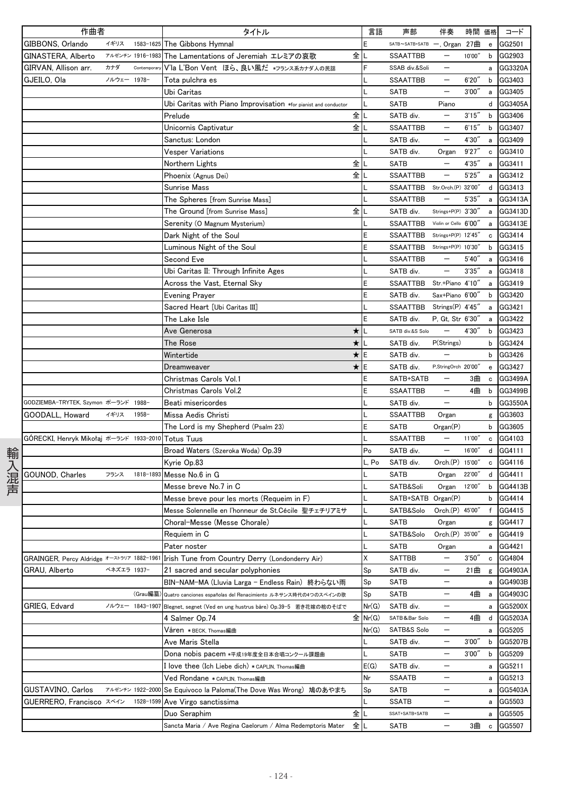|     | 作曲者                                        |             |                  | タイトル                                                            | 言語      | 声部                             | 伴奏                                     |        | 時間 価格                                          | コード       |
|-----|--------------------------------------------|-------------|------------------|-----------------------------------------------------------------|---------|--------------------------------|----------------------------------------|--------|------------------------------------------------|-----------|
|     | GIBBONS, Orlando                           | イギリス        | 1583-1625        | The Gibbons Hymnal                                              | E       | SATB~SATB+SATB -, Organ 27曲    |                                        |        | $\mathbf{e}% _{t}\left  \mathbf{v}_{t}\right $ | GG2501    |
|     | GINASTERA, Alberto                         |             | アルゼンチン 1916-1983 | The Lamentations of Jeremiah エレミアの哀歌                            | 全儿      | <b>SSAATTBB</b>                | $\qquad \qquad -$                      | 10'00" |                                                | b GG2903  |
|     | GIRVAN, Allison arr.                       | カナダ         | Contemporary     | V'la L'Bon Vent ほら、良い風だ *フランス系カナダ人の民謡                           |         | SSAB div.&Soli                 | $\qquad \qquad -$                      |        | a                                              | GG3320A   |
|     | GJEILO, Ola                                | ノルウェー 1978- |                  | Tota pulchra es                                                 |         | SSAATTBB                       | $\qquad \qquad -$                      | 6'20'' | b                                              | GG3403    |
|     |                                            |             |                  | Ubi Caritas                                                     |         | SATB                           |                                        | 3'00'' | a                                              | GG3405    |
|     |                                            |             |                  | Ubi Caritas with Piano Improvisation *for pianist and conductor |         | SATB                           | Piano                                  |        | d                                              | GG3405A   |
|     |                                            |             |                  | 全<br>Prelude                                                    |         | SATB div.                      |                                        | 3'15'' | b                                              | GG3406    |
|     |                                            |             |                  | Unicornis Captivatur                                            | 全儿      | <b>SSAATTBB</b>                | $\qquad \qquad -$                      | 6'15'' | b                                              | GG3407    |
|     |                                            |             |                  | Sanctus: London                                                 |         | SATB div.                      | $\qquad \qquad -$                      | 4'30"  | a                                              | GG3409    |
|     |                                            |             |                  | Vesper Variations                                               |         | SATB div.                      | Organ                                  | 9'27'' | c                                              | GG3410    |
|     |                                            |             |                  | 全<br>Northern Lights                                            |         | SATB                           |                                        | 4'35'' | a                                              | GG3411    |
|     |                                            |             |                  | Phoenix (Agnus Dei)                                             | 全儿      | <b>SSAATTBB</b>                | $\overline{\phantom{m}}$               | 5'25'' | a                                              | GG3412    |
|     |                                            |             |                  | Sunrise Mass                                                    |         | SSAATTBB                       | Str.Orch.(P) 32'00"                    |        |                                                | d GG3413  |
|     |                                            |             |                  | The Spheres [from Sunrise Mass]                                 |         | <b>SSAATTBB</b>                |                                        | 5'35'' | a                                              | GG3413A   |
|     |                                            |             |                  | 全<br>The Ground [from Sunrise Mass]                             |         | SATB div.                      | Strings+P(P) 3'30"                     |        | a                                              | GG3413D   |
|     |                                            |             |                  | Serenity (O Magnum Mysterium)                                   |         | SSAATTBB Violin or Cello 6'00" |                                        |        | a                                              | GG3413E   |
|     |                                            |             |                  | Dark Night of the Soul                                          | Ε       | SSAATTBB                       | Strings+P(P) 12'45"                    |        | c                                              | GG3414    |
|     |                                            |             |                  | Luminous Night of the Soul                                      | E       | SSAATTBB                       | Strings+P(P) 10'30"                    |        | b                                              | GG3415    |
|     |                                            |             |                  | Second Eve                                                      |         | SSAATTBB                       | $\overline{\phantom{m}}$               | 5'40'' | a                                              | GG3416    |
|     |                                            |             |                  | Ubi Caritas II: Through Infinite Ages                           |         | SATB div.                      | $\qquad \qquad -$                      | 3'35'' | a                                              | GG3418    |
|     |                                            |             |                  | Across the Vast, Eternal Sky                                    | E       | SSAATTBB                       | Str.+Piano 4'10"                       |        | a                                              | GG3419    |
|     |                                            |             |                  | Evening Prayer                                                  | E       | SATB div.                      | Sax+Piano 6'00"                        |        | b                                              | GG3420    |
|     |                                            |             |                  | Sacred Heart [Ubi Caritas III]                                  |         | SSAATTBB Strings(P) 4'45"      |                                        |        | a                                              | GG3421    |
|     |                                            |             |                  | The Lake Isle                                                   | E       | SATB div.                      | P, Gt, Str 6'30"                       |        | a                                              | GG3422    |
|     |                                            |             |                  | ★<br>Ave Generosa                                               |         | SATB div.&S Solo               | $\qquad \qquad -$                      | 4'30'' | b                                              | GG3423    |
|     |                                            |             |                  | ★<br>The Rose                                                   |         | SATB div.                      | P(Strings)                             |        | b                                              | GG3424    |
|     |                                            |             |                  | Wintertide                                                      | ★IE     | SATB div.                      |                                        |        | b                                              | GG3426    |
|     |                                            |             |                  | $\star$<br>Dreamweaver                                          | E       | SATB div.                      | P,StringOrch 20'00"                    |        | e                                              | GG3427    |
|     |                                            |             |                  | Christmas Carols Vol.1                                          | Ε       | SATB+SATB                      |                                        | 3曲     | c                                              | GG3499A   |
|     |                                            |             |                  | Christmas Carols Vol.2                                          | E       | <b>SSAATTBB</b>                | $\qquad \qquad -$                      | 4曲     | b                                              | GG3499B   |
|     | GODZIEMBA-TRYTEK, Szymon ポーランド 1988-       |             |                  | Beati misericordes                                              |         | SATB div.                      | $\qquad \qquad -$                      |        | b                                              | GG3550A   |
|     | GOODALL, Howard                            | イギリス        | 1958-            | Missa Aedis Christi                                             |         | <b>SSAATTBB</b>                | Organ                                  |        | g                                              | GG3603    |
|     |                                            |             |                  | The Lord is my Shepherd (Psalm 23)                              | E       | SATB                           | Organ(P)                               |        | b                                              | GG3605    |
|     | GÓRECKI, Henryk Mikołaj ポーランド 1933-2010    |             |                  | <b>Totus Tuus</b>                                               |         | SSAATTBB                       | $\qquad \qquad -$                      | 11'00" | c                                              | GG4103    |
|     |                                            |             |                  | Broad Waters (Szeroka Woda) Op.39                               | Po      | SATB div.                      | $\qquad \qquad -$                      | 16'00" |                                                | d GG4111  |
| 輸   |                                            |             |                  | Kyrie Op.83                                                     | L, Po   | SATB div.                      | Orch.(P) 15'00"                        |        | c                                              | GG4116    |
|     | GOUNOD, Charles                            | フランス        | 1818-1893        | Messe No.6 in G                                                 |         | <b>SATB</b>                    | Organ                                  | 22'00" |                                                | d GG4411  |
| 入混声 |                                            |             |                  | Messe breve No.7 in C                                           |         | SATB&Soli                      | Organ                                  | 12'00" | $\mathsf{b}$                                   | GG4413B   |
|     |                                            |             |                  | Messe breve pour les morts (Requeim in F)                       |         | SATB+SATB Organ(P)             |                                        |        | b                                              | GG4414    |
|     |                                            |             |                  | Messe Solennelle en l'honneur de St.Cécile 聖チェチリアミサ             |         | SATB&Solo Orch.(P) 45'00"      |                                        |        |                                                | f GG4415  |
|     |                                            |             |                  | Choral-Messe (Messe Chorale)                                    | L       | SATB                           | Organ                                  |        |                                                | g GG4417  |
|     |                                            |             |                  | Requiem in C                                                    |         | SATB&Solo                      | Orch.(P) 35'00"                        |        | $\mathbf{e}$                                   | GG4419    |
|     |                                            |             |                  | Pater noster                                                    |         | <b>SATB</b>                    | Organ                                  |        |                                                | a GG4421  |
|     | GRAINGER, Percy Aldridge オーストラリア 1882-1961 |             |                  | Irish Tune from Country Derry (Londonderry Air)                 | χ       | <b>SATTBB</b>                  | $\qquad \qquad -$                      | 3'50'' |                                                | c GG4804  |
|     | GRAU, Alberto                              | ベネズエラ 1937- |                  | 21 sacred and secular polyphonies                               | Sp      | SATB div.                      | $\qquad \qquad -$                      | 21曲    |                                                | GG4903A   |
|     |                                            |             |                  |                                                                 | Sp      | SATB                           |                                        |        | g<br>a                                         | GG4903B   |
|     |                                            |             | (Grau編纂          | BIN-NAM-MA (Lluvia Larga - Endless Rain) 終わらない雨                 | Sp      | SATB                           | $\qquad \qquad -$                      | 4曲     |                                                | GG4903C   |
|     |                                            |             | ノルウェー 1843-1907  | Quatro canciones españolas del Renacimiento ルネサンス時代の4つのスペインの歌   |         |                                | $\qquad \qquad -$                      |        | a                                              |           |
|     | GRIEG, Edvard                              |             |                  | Blegnet, segnet (Ved en ung hustrus båre) Op.39-5 若き花嫁の棺のそばで    | Nr(G)   | SATB div.<br>SATB&Bar Solo     |                                        |        |                                                | a GG5200X |
|     |                                            |             |                  | 4 Salmer Op.74                                                  | 全 Nr(G) |                                | $\qquad \qquad -$<br>$\qquad \qquad -$ | 4曲     |                                                | d GG5203A |
|     |                                            |             |                  | Våren ∗вєск, тһоmas編曲                                           | Nr(G)   | SATB&S Solo                    |                                        |        | a                                              | GG5205    |
|     |                                            |             |                  | Ave Maris Stella                                                |         | SATB div.                      | $\qquad \qquad -$                      | 3'00'' | b                                              | GG5207B   |
|     |                                            |             |                  | Dona nobis pacem *平成19年度全日本合唱コンクール課題曲                           |         | SATB                           |                                        | 3'00'' | b                                              | GG5209    |
|     |                                            |             |                  | [ love thee (Ich Liebe dich) *CAPLIN, Thomas編曲                  | E(G)    | SATB div.                      | —                                      |        |                                                | a GG5211  |
|     |                                            |             |                  | Ved Rondane *CAPLIN, Thomas編曲                                   | Nr      | <b>SSAATB</b>                  | $\qquad \qquad -$                      |        |                                                | a GG5213  |
|     | GUSTAVINO, Carlos                          |             | アルゼンチン 1922-2000 | Se Equivoco la Paloma(The Dove Was Wrong) 鳩のあやまち                | Sp      | SATB                           | $\qquad \qquad -$                      |        | a                                              | GG5403A   |
|     | <b>GUERRERO, Francisco スペイン</b>            |             | 1528-1599        | Ave Virgo sanctissima                                           |         | SSATB                          | $\qquad \qquad -$                      |        | a                                              | GG5503    |
|     |                                            |             |                  | Duo Seraphim                                                    | 全儿      | SSAT+SATB+SATB                 | $\qquad \qquad -$                      |        | a                                              | GG5505    |
|     |                                            |             |                  | Sancta Maria / Ave Regina Caelorum / Alma Redemptoris Mater     | 全儿      | SATB                           |                                        | 3曲     | $\mathbf c$                                    | GG5507    |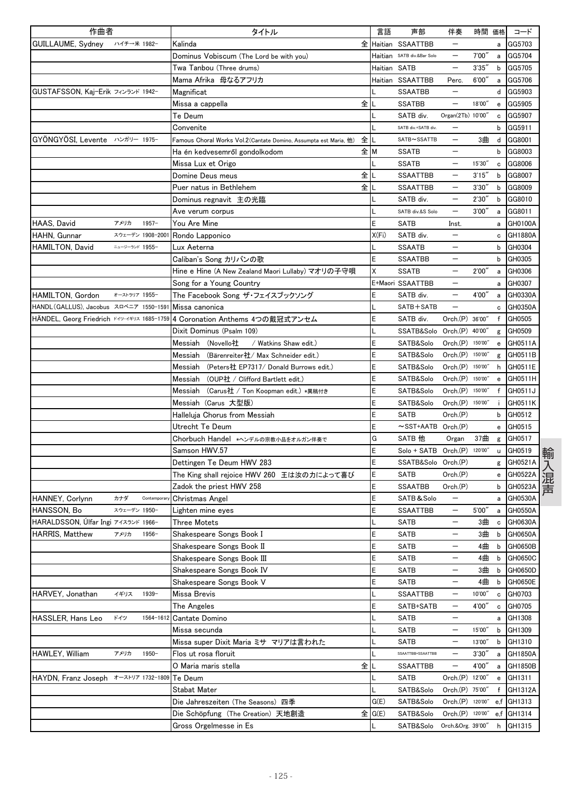| 作曲者                                    |                 |             | タイトル                                                                       | 言語    | 声部                           | 伴奏                       | 時間 価格   |              | コード        |
|----------------------------------------|-----------------|-------------|----------------------------------------------------------------------------|-------|------------------------------|--------------------------|---------|--------------|------------|
| GUILLAUME, Sydney                      | ハイチ→米 1982-     |             | Kalinda                                                                    |       | 全 Haitian SSAATTBB           |                          |         | a            | GG5703     |
|                                        |                 |             | Dominus Vobiscum (The Lord be with you)                                    |       | Haitian SATB div.&Bar Solo   | $\qquad \qquad -$        | 7'00''  | a            | GG5704     |
|                                        |                 |             | Twa Tanbou (Three drums)                                                   |       | Haitian SATB                 | $\overline{\phantom{m}}$ | 3'35''  | b            | GG5705     |
|                                        |                 |             | Mama Afrika 母なるアフリカ                                                        |       | Haitian SSAATTBB             | Perc.                    | 6'00''  | a            | GG5706     |
| GUSTAFSSON, Kaj-Erik フィンランド 1942-      |                 |             | Magnificat                                                                 |       | <b>SSAATBB</b>               | $\overline{\phantom{0}}$ |         | d            | GG5903     |
|                                        |                 |             | 全儿<br>Missa a cappella                                                     |       | <b>SSATBB</b>                | $\overline{\phantom{0}}$ | 18'00"  | e            | GG5905     |
|                                        |                 |             | Te Deum                                                                    |       | SATB div.                    | Organ(2Tb) 10'00"        |         | c            | GG5907     |
|                                        |                 |             | Convenite                                                                  |       | SATB div.+SATB div.          | $\overline{\phantom{0}}$ |         | b            | GG5911     |
| GYÖNGYÖSI, Levente ハンガリー 1975-         |                 |             | Famous Choral Works Vol.2(Cantate Domino, Assumpta est Maria, 他)           | 全儿    | SATB~SSATTB                  | $\overline{\phantom{0}}$ | 3曲      | d            | GG8001     |
|                                        |                 |             | Ha én kedvesemről gondolkodom                                              | 全M    | <b>SSATB</b>                 |                          |         | b            | GG8003     |
|                                        |                 |             | Missa Lux et Origo                                                         |       | <b>SSATB</b>                 |                          | 15'30"  | c            | GG8006     |
|                                        |                 |             | 全<br>Domine Deus meus                                                      |       | <b>SSAATTBB</b>              |                          | 3'15''  | b            | GG8007     |
|                                        |                 |             | Puer natus in Bethlehem                                                    | 全儿    | <b>SSAATTBB</b>              | $\overline{\phantom{m}}$ | 3'30''  | b            | GG8009     |
|                                        |                 |             | Dominus regnavit 主の光臨                                                      |       | SATB div.                    | $\overline{\phantom{0}}$ | 2'30''  | b            | GG8010     |
|                                        |                 |             | Ave verum corpus                                                           |       | SATB div.&S Solo             | $\qquad \qquad -$        | 3'00'   | а            | GG8011     |
| HAAS, David                            | アメリカ            | $1957 -$    | You Are Mine                                                               | Ε     | SATB                         | Inst.                    |         | a            | GH0100A    |
| HAHN, Gunnar                           | スウェーデン 1908-200 |             | Rondo Lapponico                                                            | X(Fi) | SATB div.                    |                          |         | c            | GH1880A    |
| HAMILTON, David                        | ニュージーランド 1955-  |             | Lux Aeterna                                                                |       | <b>SSAATB</b>                |                          |         | b            | GH0304     |
|                                        |                 |             | Caliban's Song カリバンの歌                                                      | E     | <b>SSAATBB</b>               |                          |         | b            | GH0305     |
|                                        |                 |             | Hine e Hine (A New Zealand Maori Lullaby) マオリの子守唄                          | Χ     | <b>SSATB</b>                 | —                        | 2'00''  | a            | GH0306     |
|                                        |                 |             | Song for a Young Country                                                   |       | E+Maori SSAATTBB             |                          |         | а            | GH0307     |
| HAMILTON, Gordon                       | オーストラリア 1955-   |             | The Facebook Song ザ・フェイスブックソング                                             | E     | SATB div.                    |                          | 4'00"   | a            | GH0330A    |
| HANDL (GALLUS), Jacobus スロベニア 1550-159 |                 |             | Missa canonica                                                             |       | SATB+SATB                    | $\overline{\phantom{0}}$ |         | c            | GH0350A    |
|                                        |                 |             | HÄNDEL, Georg Friedrich ドイツ-イギリス 1685-1759 4 Coronation Anthems 4つの戴冠式アンセム | E     | SATB div.                    | Orch.(P) 36'00"          |         | f            | GH0505     |
|                                        |                 |             | Dixit Dominus (Psalm 109)                                                  |       | SSATB&Solo                   | Orch.(P) 40'00"          |         | g            | GH0509     |
|                                        |                 |             | Messiah<br>(Novello社<br>/ Watkins Shaw edit.)                              | Ε     | SATB&Solo                    | Orch.(P) 150'00"         |         | e            | GH0511A    |
|                                        |                 |             | (Bärenreiter社/ Max Schneider edit.)<br>Messiah                             | Ε     | SATB&Solo                    | Orch.(P) 150'00'         |         | g            | GH0511B    |
|                                        |                 |             | Messiah (Peters社 EP7317/ Donald Burrows edit.)                             | E     | SATB&Solo                    | Orch(P)                  | 150'00" | h            | GH0511E    |
|                                        |                 |             | Messiah (OUP社 / Clifford Bartlett edit.)                                   | Ε     | SATB&Solo                    | Orch.(P) 150'00''        |         | e            | GH0511H    |
|                                        |                 |             | Messiah (Carus社 / Ton Koopman edit.) *異稿付き                                 | E     | SATB&Solo                    | Orch.(P) 150'00''        |         | f            | GH0511J    |
|                                        |                 |             | Messiah (Carus 大型版)                                                        | E     | SATB&Solo                    | Orch.(P) 150'00"         |         | ÷            | GH0511K    |
|                                        |                 |             | Halleluja Chorus from Messiah                                              | Ε     | SATB                         | Orch(P)                  |         | b            | GH0512     |
|                                        |                 |             | Utrecht Te Deum                                                            | E     | ~SST+AATB Orch.(P)           |                          |         | e            | GH0515     |
|                                        |                 |             | Chorbuch Handel *ヘンデルの宗教小品をオルガン伴奏で                                         | G     | SATB 他                       | Organ                    | 37曲     | g            | GH0517     |
|                                        |                 |             | Samson HWV.57                                                              | E     | Solo + SATB Orch.(P) 120'00" |                          |         | u            | GH0519     |
|                                        |                 |             | Dettingen Te Deum HWV 283                                                  | E     | SSATB&Solo                   | Orch.(P)                 |         |              | GH0521A    |
|                                        |                 |             | The King shall rejoice HWV 260 王は汝の力によって喜び                                 | E     | <b>SATB</b>                  | Orch.(P)                 |         | g<br>e       | GH0522A    |
|                                        |                 |             | Zadok the priest HWV 258                                                   | Ε     | <b>SSAATBB</b>               | Orch(P)                  |         | b            | GH0523A    |
| HANNEY, Corlynn                        | カナダ             | Contemporar | Christmas Angel                                                            | E     | SATB&Solo                    | —                        |         | a            | GH0530A    |
| HANSSON, Bo                            | スウェーデン 1950-    |             | Lighten mine eyes                                                          | E     | SSAATTBB                     | $\overline{\phantom{m}}$ | 5'00''  |              | GH0550A    |
| HARALDSSON, Ulfar Ingi アイスランド 1966-    |                 |             | <b>Three Motets</b>                                                        |       |                              |                          | 3曲      | a            | GH0630A    |
| <b>HARRIS, Matthew</b>                 | アメリカ            | $1956 -$    |                                                                            | E     | SATB<br><b>SATB</b>          | —                        | 3曲      | c            | GH0650A    |
|                                        |                 |             | Shakespeare Songs Book I<br>Shakespeare Songs Book II                      | E     |                              | —                        |         | b<br>b       | GH0650B    |
|                                        |                 |             |                                                                            |       | <b>SATB</b>                  |                          | 4曲      |              |            |
|                                        |                 |             | Shakespeare Songs Book III                                                 | E     | <b>SATB</b>                  | $\qquad \qquad -$        | 4曲      | b            | GH0650C    |
|                                        |                 |             | Shakespeare Songs Book IV                                                  | Ε     | <b>SATB</b>                  |                          | 3曲      | $\mathbf{b}$ | GH0650D    |
|                                        |                 |             | Shakespeare Songs Book V                                                   | E     | <b>SATB</b>                  | $\overline{\phantom{0}}$ | 4曲      | b            | GH0650E    |
| HARVEY, Jonathan                       | イギリス            | 1939-       | Missa Brevis                                                               |       | <b>SSAATTBB</b>              | $\overline{\phantom{0}}$ | 10'00"  | c            | GH0703     |
|                                        |                 |             | The Angeles                                                                | Ε     | SATB+SATB                    | $\qquad \qquad -$        | 4'00"   | c            | GH0705     |
| <b>HASSLER, Hans Leo</b>               | ドイツ             | 1564-1612   | Cantate Domino                                                             | L     | <b>SATB</b>                  | $\qquad \qquad -$        |         | a            | GH1308     |
|                                        |                 |             | Missa secunda                                                              |       | <b>SATB</b>                  | $\overline{\phantom{0}}$ | 15'00"  | b            | GH1309     |
|                                        |                 |             | Missa super Dixit Maria ミサ マリアは言われた                                        |       | SATB                         | —                        | 13'00"  | b            | GH1310     |
| HAWLEY, William                        | アメリカ            | 1950-       | Flos ut rosa floruit                                                       |       | SSAATTBB+SSAATTBB            | —                        | 3'30''  | a            | GH1850A    |
|                                        |                 |             | 全<br>O Maria maris stella                                                  |       | <b>SSAATTBB</b>              | $\overline{\phantom{0}}$ | 4'00"   | a            | GH1850B    |
| HAYDN, Franz Joseph オーストリア 1732-1809   |                 |             | Te Deum                                                                    |       | <b>SATB</b>                  | Orch.(P) 12'00"          |         | e            | GH1311     |
|                                        |                 |             | Stabat Mater                                                               |       | SATB&Solo                    | Orch.(P) 75'00"          |         | f            | GH1312A    |
|                                        |                 |             | Die Jahreszeiten (The Seasons) 四季                                          | G(E)  | SATB&Solo                    | Orch.(P) 120'00"         |         | e,f          | GH1313     |
|                                        |                 |             | 全<br>Die Schöpfung(The Creation)天地創造                                       | G(E)  | SATB&Solo                    | Orch.(P) 120'00"         |         |              | e,f GH1314 |
|                                        |                 |             | Gross Orgelmesse in Es                                                     |       | SATB&Solo                    | Orch.&Org. 39'00"        |         | h            | GH1315     |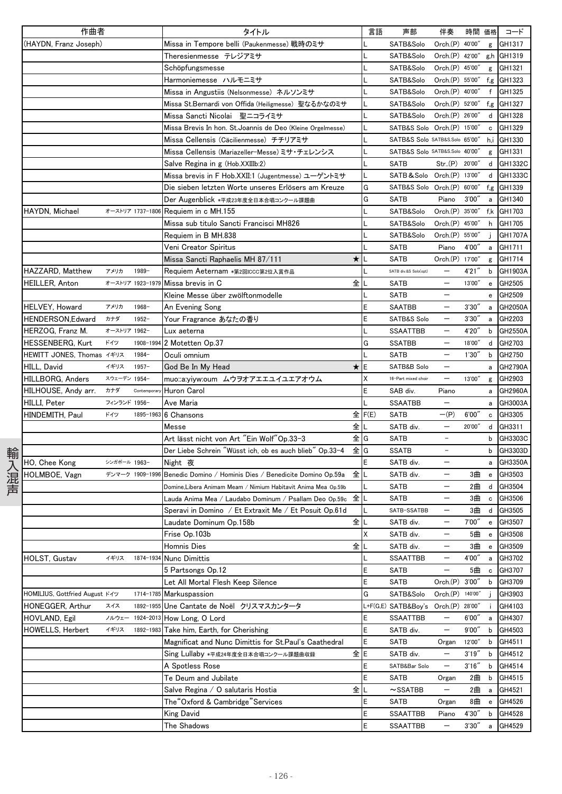|      | 作曲者                            |              |                  | タイトル                                                           | 言語       | 声部                                  | 伴奏                   | 時間 価格   |              | コード        |
|------|--------------------------------|--------------|------------------|----------------------------------------------------------------|----------|-------------------------------------|----------------------|---------|--------------|------------|
|      | (HAYDN, Franz Joseph)          |              |                  | Missa in Tempore belli (Paukenmesse) 戦時のミサ                     |          | SATB&Solo                           | Orch.(P) 40'00"      |         | g            | GH1317     |
|      |                                |              |                  | Theresienmesse テレジアミサ                                          |          | SATB&Solo                           | Orch.(P) 42'00"      |         |              | g,h GH1319 |
|      |                                |              |                  | Schöpfungsmesse                                                |          | SATB&Solo                           | Orch.(P) 45'00"      |         | g            | GH1321     |
|      |                                |              |                  | Harmoniemesse ハルモニミサ                                           |          | SATB&Solo                           | Orch.(P) 55'00"      |         | f,g          | GH1323     |
|      |                                |              |                  | Missa in Angustiis (Nelsonmesse) ネルソンミサ                        |          | SATB&Solo                           | Orch.(P) 40'00"      |         | f            | GH1325     |
|      |                                |              |                  | Missa St.Bernardi von Offida (Heiligmesse) 聖なるかなのミサ            |          | SATB&Solo                           | Orch.(P) 52'00"      |         | f,g          | GH1327     |
|      |                                |              |                  | Missa Sancti Nicolai 聖ニコライミサ                                   |          | SATB&Solo                           | Orch.(P) 26'00"      |         | d            | GH1328     |
|      |                                |              |                  | Missa Brevis In hon. St. Joannis de Deo (Kleine Orgelmesse)    |          | SATB&S Solo Orch.(P) 15'00"         |                      |         | c            | GH1329     |
|      |                                |              |                  | Missa Cellensis (Cäcilienmesse) チチリアミサ                         |          | SATB&S Solo SATB&S.Solo 65'00"      |                      |         | h,i          | GH1330     |
|      |                                |              |                  | Missa Cellensis (Mariazeller-Messe) ミサ・チェレンシス                  |          | SATB&S Solo SATB&S.Solo 40'00"      |                      |         | g            | GH1331     |
|      |                                |              |                  | Salve Regina in g (Hob.XXIIIb:2)                               |          | SATB                                | Str(P) 20'00"        |         | d            | GH1332C    |
|      |                                |              |                  | Missa brevis in F Hob.XXII:1 (Jugentmesse) ユーゲントミサ             |          | SATB & Solo Orch.(P) 13'00"         |                      |         |              | d GH1333C  |
|      |                                |              |                  | Die sieben letzten Worte unseres Erlösers am Kreuze            | G        | SATB&S Solo Orch.(P) 60'00"         |                      |         | f,g          | GH1339     |
|      |                                |              |                  | Der Augenblick *平成23年度全日本合唱コンクール課題曲                            | G        | <b>SATB</b>                         | Piano                | 3'00''  | a            | GH1340     |
|      | HAYDN, Michael                 |              | オーストリア 1737-1806 | Requiem in c MH.155                                            |          | SATB&Solo                           | Orch(P)              | 35'00"  |              | f,k GH1703 |
|      |                                |              |                  | Missa sub titulo Sancti Francisci MH826                        |          | SATB&Solo                           | Orch.(P) 45'00"      |         | h            | GH1705     |
|      |                                |              |                  | Requiem in B MH.838                                            |          | SATB&Solo                           | Orch.(P) 55'00"      |         |              | GH1707A    |
|      |                                |              |                  | Veni Creator Spiritus                                          |          | <b>SATB</b>                         | Piano                | 4'00"   | a            | GH1711     |
|      |                                |              |                  | Missa Sancti Raphaelis MH 87/111                               | ★Ⅱ       | SATB                                | Orch.(P) 17'00"      |         | g            | GH1714     |
|      | HAZZARD, Matthew               | アメリカ         | 1989-            | Requiem Aeternam *第2回ICCC第2位入賞作品                               |          | SATB div.&S Solo(opt)               |                      | 4'21"   | b            | GH1903A    |
|      | <b>HEILLER, Anton</b>          |              | オーストリア 1923-1979 | 全<br>Missa brevis in C                                         |          | SATB                                |                      | 13'00"  | e            | GH2505     |
|      |                                |              |                  | Kleine Messe über zwölftonmodelle                              |          | SATB                                |                      |         | е            | GH2509     |
|      | HELVEY, Howard                 | アメリカ         | 1968-            | An Evening Song                                                | E        | <b>SAATBB</b>                       |                      | 3'30'   | a            | GH2050A    |
|      | HENDERSON,Edward               | カナダ          | $1952 -$         | Your Fragrance あなたの香り                                          |          | SATB&S Solo                         |                      | 3'30''  | a            | GH2203     |
|      | HERZOG, Franz M.               | オーストリア 1962- |                  | Lux aeterna                                                    |          | <b>SSAATTBB</b>                     |                      | 4'20"   | b            | GH2550A    |
|      | HESSENBERG, Kurt               | ドイツ          | 1908-1994        | 2 Motetten Op.37                                               | G        | <b>SSATBB</b>                       | $\qquad \qquad -$    | 18'00"  | d            | GH2703     |
|      | HEWITT JONES, Thomas イギリス      |              | 1984-            | Oculi omnium                                                   |          | <b>SATB</b>                         | $\qquad \qquad -$    | 1'30''  | b            | GH2750     |
|      | HILL, David                    | イギリス         | $1957 -$         | God Be In My Head                                              | ★lE      | SATB&B Solo                         |                      |         | a            | GH2790A    |
|      | HILLBORG, Anders               | スウェーデン 1954- |                  | muo::a:yiyw:oum ムウヲオアエエユイユエアオウム                                | Χ        | 16-Part mixed choir                 |                      | 13'00"  | g            | GH2903     |
|      | HILHOUSE, Andy arr.            | カナダ          | Contemporar      | Huron Carol                                                    | E        | SAB div.                            | Piano                |         | a            | GH2960A    |
|      | HILLI, Peter                   | フィンランド 1956- |                  | Ave Maria                                                      |          | <b>SSAATBB</b>                      | $\qquad \qquad -$    |         | a            | GH3003A    |
|      | HINDEMITH, Paul                | ドイツ          | 1895-1963        | 6 Chansons                                                     | 全 $F(E)$ | <b>SATB</b>                         | $-(P)$               | 6'00''  | c            | GH3305     |
|      |                                |              |                  | Messe                                                          | 全工       | SATB div.                           | $\qquad \qquad -$    | 20'00"  | d            | GH3311     |
|      |                                |              |                  | Art lässt nicht von Art "Ein Wolf"Op.33–3                      | 全IG      | SATB                                | $\qquad \qquad -$    |         | b            | GH3303C    |
|      |                                |              |                  | Der Liebe Schrein "Wüsst ich, ob es auch blieb" Op.33-4        | 全IG      | <b>SSATB</b>                        | $\qquad \qquad -$    |         | b            | GH3303D    |
| 輸入混声 | HO, Chee Kong                  | シンガポール 1963- |                  | Night 夜                                                        | E        | SATB div.                           |                      |         | a            | GH3350A    |
|      | HOLMBOE, Vagn                  |              | デンマーク 1909-1996  | Benedic Domino / Hominis Dies / Benedicite Domino Op.59a       | 全儿       | SATB div.                           | $\qquad \qquad -$    | 3曲      | e            | GH3503     |
|      |                                |              |                  | Domine, Libera Animam Meam / Nimium Habitavit Anima Mea Op.59b |          | SATB                                | $\qquad \qquad -$    | 2曲      | d            | GH3504     |
|      |                                |              |                  | Lauda Anima Mea / Laudabo Dominum / Psallam Deo Op.59c   全 L   |          | SATB                                |                      | 3曲      | $\mathbf c$  | GH3506     |
|      |                                |              |                  | Speravi in Domino / Et Extraxit Me / Et Posuit Op.61d          | L        | SATB-SSATBB                         |                      | 3曲      |              | d GH3505   |
|      |                                |              |                  | Laudate Dominum Op.158b                                        | 全儿       | SATB div.                           | $\qquad \qquad -$    | 7'00"   | $\mathbf{e}$ | GH3507     |
|      |                                |              |                  | Frise Op.103b                                                  | Χ        | SATB div.                           | $\qquad \qquad -$    | 5曲      | $\mathbf{e}$ | GH3508     |
|      |                                |              |                  | Homnis Dies                                                    | 全∥       | SATB div.                           | -                    | 3曲      |              | e GH3509   |
|      | HOLST, Gustav                  | イギリス         | 1874-1934        | <b>Nunc Dimittis</b>                                           |          | <b>SSAATTBB</b>                     | $\qquad \qquad -$    | 4'00"   |              | a GH3702   |
|      |                                |              |                  | 5 Partsongs Op.12                                              | E        | <b>SATB</b>                         | $\qquad \qquad -$    | 5曲      | $\mathtt{c}$ | GH3707     |
|      |                                |              |                  | Let All Mortal Flesh Keep Silence                              | E        | SATB                                | Orch.(P)             | 3'00''  | b            | GH3709     |
|      | HOMILIUS, Gottfried August ドイツ |              | 1714-1785        | Markuspassion                                                  | G        | SATB&Solo                           | Orch. <sub>(P)</sub> | 140'00" |              | GH3903     |
|      | HONEGGER, Arthur               | スイス          | 1892-1955        | Une Cantate de Noël クリスマスカンタータ                                 |          | L+F(G,E) SATB&Boy's Orch.(P) 28'00" |                      |         |              | GH4103     |
|      | HOVLAND, Egil                  | ノルウェー        | 1924-2013        | How Long, O Lord                                               | E        | <b>SSAATTBB</b>                     | $\qquad \qquad -$    | 6'00''  | a            | GH4307     |
|      | HOWELLS, Herbert               | イギリス         | 1892-1983        | Take him, Earth, for Cherishing                                | E        | SATB div.                           | $\qquad \qquad -$    | 9'00''  | b            | GH4503     |
|      |                                |              |                  | Magnificat and Nunc Dimittis for St.Paul's Caathedral          | E        | <b>SATB</b>                         | Organ                | 12'00"  | b            | GH4511     |
|      |                                |              |                  | Sing Lullaby *平成24年度全日本合唱コンクール課題曲収録                            | 全E       | SATB div.                           | $\qquad \qquad -$    | 3'19''  | b            | GH4512     |
|      |                                |              |                  | A Spotless Rose                                                | E        | SATB&Bar Solo                       | $\qquad \qquad -$    | 3'16''  | b            | GH4514     |
|      |                                |              |                  | Te Deum and Jubilate                                           | E        | SATB                                | Organ                | 2曲      | b            | GH4515     |
|      |                                |              |                  | Salve Regina / O salutaris Hostia                              | 全Ⅱ       | $\sim$ SSATBB                       | $\qquad \qquad -$    | 2曲      | $\mathsf{a}$ | GH4521     |
|      |                                |              |                  | The "Oxford & Cambridge" Services                              | E        | <b>SATB</b>                         | Organ                | 8曲      | $\mathbf{e}$ | GH4526     |
|      |                                |              |                  | <b>King David</b>                                              | E        | SSAATTBB                            | Piano                | 4'30"   | b            | GH4528     |
|      |                                |              |                  | The Shadows                                                    | E        | <b>SSAATTBB</b>                     | $\qquad \qquad -$    | 3'30''  | $\mathsf{a}$ | GH4529     |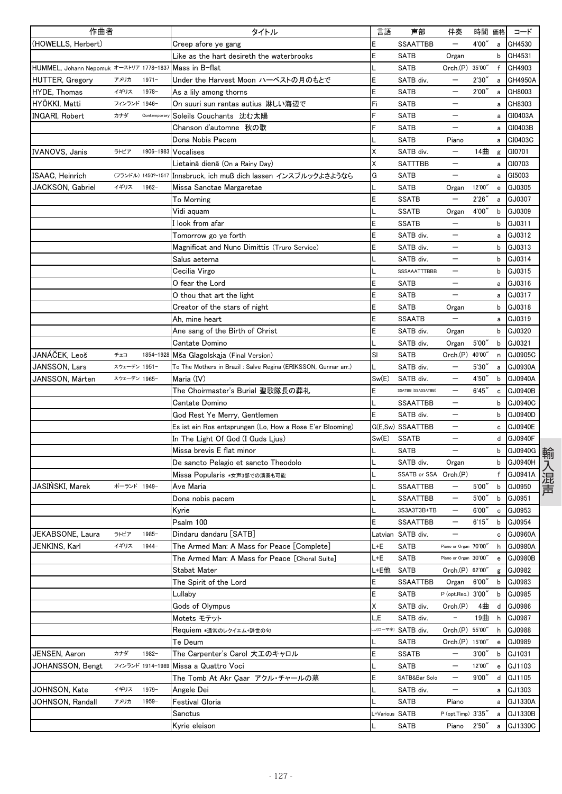| 作曲者                                     |              |                    | タイトル                                                            | 言語             | 声部                    | 伴奏                       | 時間 価格  |   | コード            |
|-----------------------------------------|--------------|--------------------|-----------------------------------------------------------------|----------------|-----------------------|--------------------------|--------|---|----------------|
| (HOWELLS, Herbert)                      |              |                    | Creep afore ye gang                                             | E              | <b>SSAATTBB</b>       | $\overline{\phantom{0}}$ | 4'00"  | a | GH4530         |
|                                         |              |                    | Like as the hart desireth the waterbrooks                       | E              | <b>SATB</b>           | Organ                    |        | b | GH4531         |
| HUMMEL, Johann Nepomuk オーストリア 1778-1837 |              |                    | Mass in B-flat                                                  |                | <b>SATB</b>           | Orch.(P) 35'00"          |        | f | GH4903         |
| <b>HUTTER, Gregory</b>                  | アメリカ         | $1971 -$           | Under the Harvest Moon ハーベストの月のもとで                              | E              | SATB div.             | —                        | 2'30'' | a | GH4950A        |
| <b>HYDE, Thomas</b>                     | イギリス         | 1978-              | As a lily among thorns                                          | E              | <b>SATB</b>           |                          | 2'00'' | a | GH8003         |
| HYÖKKI, Matti                           | フィンランド 1946- |                    | On suuri sun rantas autius 淋しい海辺で                               | Fi             | <b>SATB</b>           |                          |        | a | GH8303         |
| <b>INGARI, Robert</b>                   | カナダ          | Contempora         | Soleils Couchants 沈む太陽                                          | F              | <b>SATB</b>           |                          |        | a | GI0403A        |
|                                         |              |                    | Chanson d'automne 秋の歌                                           |                | <b>SATB</b>           | $\qquad \qquad -$        |        |   | a GI0403B      |
|                                         |              |                    | Dona Nobis Pacem                                                |                | <b>SATB</b>           | Piano                    |        | a | GI0403C        |
| <b>IVANOVS, Jānis</b>                   | ラトビア         | 1906-1983          | Vocalises                                                       | Χ              | SATB div.             | $\qquad \qquad -$        | 14曲    | g | GI0701         |
|                                         |              |                    | Lietainā dienā (On a Rainy Day)                                 | Χ              | SATTTBB               |                          |        | a | GI0703         |
| ISAAC, Heinrich                         |              | (フランドル) 1450?-1517 |                                                                 | G              | <b>SATB</b>           | $\overline{\phantom{0}}$ |        |   | GI5003         |
|                                         | イギリス         | $1962 -$           | Innsbruck, ich muß dich lassen インスブルックよさようなら                    |                |                       |                          | 12'00" | a |                |
| JACKSON, Gabriel                        |              |                    | Missa Sanctae Margaretae                                        |                | <b>SATB</b>           | Organ                    |        |   | e GJ0305       |
|                                         |              |                    | To Morning                                                      | E              | <b>SSATB</b>          | —                        | 2'26'' | a | GJ0307         |
|                                         |              |                    | Vidi aquam                                                      |                | <b>SSATB</b>          | Organ                    | 4'00'' | b | GJ0309         |
|                                         |              |                    | l look from afar                                                | E              | <b>SSATB</b>          |                          |        | b | GJ0311         |
|                                         |              |                    | Tomorrow go ye forth                                            | E              | SATB div.             |                          |        | a | GJ0312         |
|                                         |              |                    | Magnificat and Nunc Dimittis (Truro Service)                    | E              | SATB div.             |                          |        | b | GJ0313         |
|                                         |              |                    | Salus aeterna                                                   |                | SATB div.             | —                        |        | b | GJ0314         |
|                                         |              |                    | Cecilia Virgo                                                   |                | SSSAAATTTBBB          | —                        |        | b | GJ0315         |
|                                         |              |                    | O fear the Lord                                                 | E              | <b>SATB</b>           |                          |        | a | GJ0316         |
|                                         |              |                    | O thou that art the light                                       | E              | <b>SATB</b>           |                          |        | a | GJ0317         |
|                                         |              |                    | Creator of the stars of night                                   | E              | <b>SATB</b>           | Organ                    |        | b | GJ0318         |
|                                         |              |                    | Ah. mine heart                                                  | E              | <b>SSAATB</b>         | $\equiv$                 |        | a | GJ0319         |
|                                         |              |                    | Ane sang of the Birth of Christ                                 | E              | SATB div.             | Organ                    |        | b | GJ0320         |
|                                         |              |                    | Cantate Domino                                                  |                | SATB div.             | Organ                    | 5'00'' | b | GJ0321         |
| JANÁČEK, Leoš                           | チェコ          | 1854-1928          | Mša Glagolskaja (Final Version)                                 | SI             | <b>SATB</b>           | Orch.(P) 40'00"          |        | n | GJ0905C        |
| JANSSON, Lars                           | スウェーデン 1951- |                    | To The Mothers in Brazil : Salve Regina (ERIKSSON, Gunnar arr.) |                | SATB div.             |                          | 5'30'' | a | GJ0930A        |
| JANSSON, Mårten                         | スウェーデン 1965- |                    | Maria (IV)                                                      | Sw(E)          | SATB div.             |                          | 4'50"  | b | GJ0940A        |
|                                         |              |                    | The Choirmaster's Burial 聖歌隊長の葬礼                                | E              | SSATBB (SSASSATBB)    | $\overline{\phantom{0}}$ | 6'45'' | c | GJ0940B        |
|                                         |              |                    | Cantate Domino                                                  |                | <b>SSAATTBB</b>       | $\overline{\phantom{0}}$ |        | b | GJ0940C        |
|                                         |              |                    | God Rest Ye Merry, Gentlemen                                    | E              | SATB div.             | —                        |        | b | GJ0940D        |
|                                         |              |                    | Es ist ein Ros entsprungen (Lo, How a Rose E'er Blooming)       |                | G(E,Sw) SSAATTBB      | —                        |        | c | GJ0940E        |
|                                         |              |                    | In The Light Of God (I Guds Ljus)                               | Sw(E)          | <b>SSATB</b>          |                          |        | d | <b>GJ0940F</b> |
|                                         |              |                    | Missa brevis E flat minor                                       |                | <b>SATB</b>           |                          |        | b | GJ0940G        |
|                                         |              |                    | De sancto Pelagio et sancto Theodolo                            |                | SATB div.             | Organ                    |        | b | GJ0940H        |
|                                         |              |                    | Missa Popularis *女声3部での演奏も可能                                    |                | SSATB or SSA Orch.(P) |                          |        | f | GJ0941A        |
| JASIŃSKI, Marek                         | ポーランド 1949-  |                    | Ave Maria                                                       |                | <b>SSAATTBB</b>       | $\qquad \qquad -$        | 5'00'' | b | GJ0950         |
|                                         |              |                    |                                                                 |                | SSAATTBB              | —                        | 5'00'' | b | GJ0951         |
|                                         |              |                    | Dona nobis pacem                                                |                |                       |                          | 6'00'' |   |                |
|                                         |              |                    | Kyrie                                                           |                | 3S3A3T3B+TB           | $\qquad \qquad -$        |        | c | GJ0953         |
|                                         |              |                    | Psalm 100                                                       | Ε              | SSAATTBB              |                          | 6'15'' | b | GJ0954         |
| JEKABSONE, Laura                        | ラトビア         | 1985-              | Dindaru dandaru [SATB]                                          |                | Latvian SATB div.     | $\overline{\phantom{0}}$ |        |   | c GJ0960A      |
| JENKINS, Karl                           | イギリス         | $1944-$            | The Armed Man: A Mass for Peace [Complete]                      | L+E            | <b>SATB</b>           | Piano or Organ 70'00'    |        | h | GJ0980A        |
|                                         |              |                    | The Armed Man: A Mass for Peace 「Choral Suite]                  | L+E            | SATB                  | Piano or Organ 30'00"    |        | e | GJ0980B        |
|                                         |              |                    | Stabat Mater                                                    | L+E他           | SATB                  | Orch.(P) 62'00'          |        | g | GJ0982         |
|                                         |              |                    | The Spirit of the Lord                                          | Е              | SSAATTBB              | Organ                    | 6'00'' | b | GJ0983         |
|                                         |              |                    | Lullaby                                                         | E              | <b>SATB</b>           | P (opt.Rec.) 3'00"       |        | b | GJ0985         |
|                                         |              |                    | Gods of Olympus                                                 | Χ              | SATB div.             | Orch.(P)                 | 4曲     | d | GJ0986         |
|                                         |              |                    | Motets モテット                                                     | L.E            | SATB div.             | $\qquad \qquad =$        | 19曲    | h | GJ0987         |
|                                         |              |                    | Requiem *通常のレクイエム+辞世の句                                          |                | J(ローマ字) SATB div.     | Orch.(P) 55'00"          |        | h | GJ0988         |
|                                         |              |                    | Te Deum                                                         |                | SATB                  | Orch.(P) 15'00"          |        | e | GJ0989         |
| JENSEN, Aaron                           | カナダ          | $1982 -$           | The Carpenter's Carol 大工のキャロル                                   | Е              | SSATB                 | $\overline{\phantom{0}}$ | 3'00'' | b | GJ1031         |
| JOHANSSON, Bengt                        |              | フィンランド 1914-1989   | Missa a Quattro Voci                                            |                | SATB                  | $\overline{\phantom{0}}$ | 12'00" | е | GJ1103         |
|                                         |              |                    | The Tomb At Akr Çaar アクル・チャールの墓                                 | E              | SATB&Bar Solo         | —                        | 9'00'' | d | GJ1105         |
| JOHNSON, Kate                           | イギリス         | $1979 -$           | Angele Dei                                                      |                | SATB div.             | $\qquad \qquad -$        |        | а | GJ1303         |
| JOHNSON, Randall                        | アメリカ         | $1959 -$           | Festival Gloria                                                 |                | SATB                  | Piano                    |        | а | GJ1330A        |
|                                         |              |                    | Sanctus                                                         | L+Various SATB |                       | P (opt.Timp) 3'35"       |        | a | GJ1330B        |
|                                         |              |                    | Kyrie eleison                                                   |                | SATB                  | Piano                    | 2'50'' | а | GJ1330C        |
|                                         |              |                    |                                                                 |                |                       |                          |        |   |                |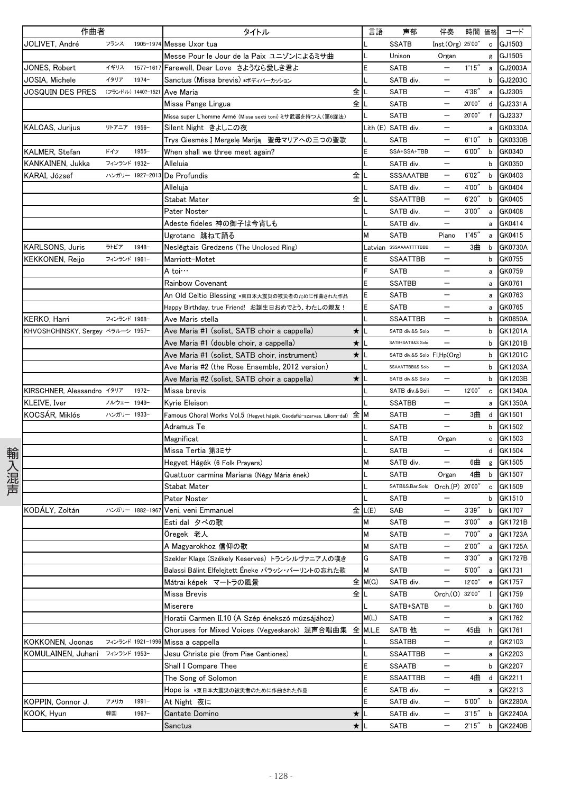|      | 作曲者                               |              |                    | タイトル                                                                     | 言語      | 声部                              | 伴奏                       | 時間 価格  |                                   | コード            |
|------|-----------------------------------|--------------|--------------------|--------------------------------------------------------------------------|---------|---------------------------------|--------------------------|--------|-----------------------------------|----------------|
|      | JOLIVET, André                    | フランス         | 1905-1974          | Messe Uxor tua                                                           |         | <b>SSATB</b>                    | Inst.(Org) 25'00"        |        | c                                 | GJ1503         |
|      |                                   |              |                    | Messe Pour le Jour de la Paix ユニゾンによるミサ曲                                 |         | Unison                          | Organ                    |        |                                   | g GJ1505       |
|      | JONES, Robert                     | イギリス         | 1577-1617          | Farewell, Dear Love さようなら愛しき君よ                                           |         | <b>SATB</b>                     | $\overline{\phantom{m}}$ | 1'15'' | a                                 | GJ2003A        |
|      | JOSIA, Michele                    | イタリア         | $1974-$            | Sanctus (Missa brevis) *ボディパーカッション                                       |         | SATB div.                       |                          |        | b                                 | GJ2203C        |
|      | JOSQUIN DES PRES                  |              | (フランドル) 1440?-1521 | 全<br>Ave Maria                                                           |         | <b>SATB</b>                     |                          | 4'38'  | a                                 | GJ2305         |
|      |                                   |              |                    | 全<br>Missa Pange Lingua                                                  |         | <b>SATB</b>                     |                          | 20'00" | d                                 | GJ2331A        |
|      |                                   |              |                    | Missa super L'homme Armé (Missa sexti toni) ミサ武器を持つ人(第6旋法)               |         | <b>SATB</b>                     |                          | 20'00" | f                                 | GJ2337         |
|      | KALCAS, Jurijus                   | リトアニア 1956-  |                    | Silent Night きよしこの夜                                                      |         | Lith (E) SATB div.              |                          |        | a                                 | GK0330A        |
|      |                                   |              |                    | Trys Giesmės Į Mergelę Mariją 聖母マリアへの三つの聖歌                               |         | <b>SATB</b>                     | $\overline{\phantom{m}}$ | 6'10'' | $\mathsf b$                       | GK0330B        |
|      | KALMER, Stefan                    | ドイツ          | $1955 -$           | When shall we three meet again?                                          |         | SSA+SSA+TBB                     | $\qquad \qquad -$        | 6'00'' | b                                 | GK0340         |
|      | KANKAINEN, Jukka                  | フィンランド 1932- |                    | Alleluia                                                                 |         | SATB div.                       |                          |        | b                                 | GK0350         |
|      | KARAI, József                     |              | ハンガリー 1927-2013    | 全<br>De Profundis                                                        |         | SSSAAATBB                       | $\overline{\phantom{m}}$ | 6'02'' | $\mathbf b$                       | GK0403         |
|      |                                   |              |                    | Alleluja                                                                 |         | SATB div.                       |                          | 4'00'' | b                                 | GK0404         |
|      |                                   |              |                    | 全<br><b>Stabat Mater</b>                                                 |         | <b>SSAATTBB</b>                 | $\qquad \qquad -$        | 6'20'' | b                                 | GK0405         |
|      |                                   |              |                    | Pater Noster                                                             |         | SATB div.                       | $\qquad \qquad -$        | 3'00'' | $\mathsf{a}$                      | GK0408         |
|      |                                   |              |                    | Adeste fideles 神の御子は今宵しも                                                 |         | SATB div.                       |                          |        | a                                 | GK0414         |
|      |                                   |              |                    | Ugrotanc 跳ねて踊る                                                           | м       | <b>SATB</b>                     | Piano                    | 1'45'' | a                                 | GK0415         |
|      | <b>KARLSONS, Juris</b>            | ラトビア         | 1948-              | Neslēgtais Gredzens (The Unclosed Ring)                                  |         | atvian SSSAAAATTTTBBB           |                          | 3曲     | b                                 | GK0730A        |
|      |                                   | フィンランド 1961- |                    | Marriott-Motet                                                           |         | SSAATTBB                        | $\overline{\phantom{m}}$ |        | b                                 | GK0755         |
|      | KEKKONEN, Reijo                   |              |                    | A toi…                                                                   |         | <b>SATB</b>                     | $\overline{\phantom{0}}$ |        |                                   | GK0759         |
|      |                                   |              |                    | Rainbow Covenant                                                         | F       |                                 |                          |        | a                                 |                |
|      |                                   |              |                    |                                                                          |         | <b>SSATBB</b>                   |                          |        | a                                 | GK0761         |
|      |                                   |              |                    | An Old Celtic Blessing *東日本大震災の被災者のために作曲された作品                            |         | SATB                            |                          |        | a                                 | GK0763         |
|      |                                   |              |                    | Happy Birthday, true Friend! お誕生日おめでとう、わたしの親友!                           |         | <b>SATB</b>                     |                          |        | a                                 | GK0765         |
|      | KERKO, Harri                      | フィンランド 1968- |                    | Ave Maris stella                                                         |         | <b>SSAATTBB</b>                 |                          |        | b                                 | GK0850A        |
|      | KHVOSHCHINSKY, Sergey ベラルーシ 1957- |              |                    | Ave Maria #1 (solist, SATB choir a cappella)<br>$\star$                  |         | SATB div.&S Solo                | $\overline{\phantom{m}}$ |        | b                                 | GK1201A        |
|      |                                   |              |                    | Ave Maria #1 (double choir, a cappella)<br>$\star$                       |         | SATB+SATB&S Solo                | $\overline{\phantom{0}}$ |        | b                                 | GK1201B        |
|      |                                   |              |                    | $\star$<br>Ave Maria #1 (solist, SATB choir, instrument)                 |         | SATB div.&S Solo Fl,Hp(Org)     |                          |        | b                                 | GK1201C        |
|      |                                   |              |                    | Ave Maria #2 (the Rose Ensemble, 2012 version)                           |         | SSAAATTBB&S Solo                |                          |        | b                                 | GK1203A        |
|      |                                   |              |                    | Ave Maria #2 (solist, SATB choir a cappella)<br>★                        |         | SATB div.&S Solo                |                          |        | b                                 | GK1203B        |
|      | KIRSCHNER, Alessandro イタリア        |              | $1972 -$           | Missa brevis                                                             |         | SATB div.&Soli                  |                          | 12'00" | $\mathtt{c}$                      | GK1340A        |
|      | KLEIVE, Iver                      | ノルウェー 1949-  |                    | Kyrie Eleison                                                            |         | <b>SSATBB</b>                   | $\overline{\phantom{m}}$ |        |                                   | a GK1350A      |
|      | KOCSÁR, Miklós                    | ハンガリー 1933-  |                    | Famous Choral Works Vol.5 (Hegyet hágék, Csodafiú-szarvas, Liliom-dal) 全 | M       | <b>SATB</b>                     |                          | 3曲     | d                                 | GK1501         |
|      |                                   |              |                    | Adramus Te                                                               |         | <b>SATB</b>                     |                          |        | b                                 | GK1502         |
|      |                                   |              |                    | Magnificat                                                               |         | SATB                            | Organ                    |        | c                                 | GK1503         |
| 輸入混声 |                                   |              |                    | Missa Tertia 第3ミサ                                                        |         | <b>SATB</b>                     |                          |        | d                                 | GK1504         |
|      |                                   |              |                    | Hegyet Hágék (6 Folk Prayers)                                            | М       | SATB div.                       | $\overline{\phantom{m}}$ | 6曲     | g                                 | GK1505         |
|      |                                   |              |                    | Quattuor carmina Mariana (Négy Mária ének)                               |         | <b>SATB</b>                     | Organ                    | 4曲     | b                                 | GK1507         |
|      |                                   |              |                    | Stabat Mater                                                             |         | SATB&S.Bar.Solo Orch.(P) 20'00" |                          |        | c                                 | GK1509         |
|      |                                   |              |                    | Pater Noster                                                             |         | <b>SATB</b>                     |                          |        | b                                 | GK1510         |
|      | KODÁLY, Zoltán                    |              |                    | ハンガリー 1882-1967 Veni, veni Emmanuel                                      | E L(E)  | SAB                             | $\overline{\phantom{m}}$ | 3'39'' | $\mathsf b$                       | GK1707         |
|      |                                   |              |                    | Esti dal タベの歌                                                            | M       | <b>SATB</b>                     | $\qquad \qquad -$        | 3'00'' | a                                 | GK1721B        |
|      |                                   |              |                    | Öregek 老人                                                                | М       | <b>SATB</b>                     |                          | 7'00'' | a                                 | GK1723A        |
|      |                                   |              |                    | A Magyarokhoz 信仰の歌                                                       | М       | SATB                            | $\qquad \qquad -$        | 2'00'' |                                   | a GK1725A      |
|      |                                   |              |                    | Szekler Klage (Székely Keserves) トランシルヴァニア人の嘆き                           | G       | <b>SATB</b>                     | $\qquad \qquad -$        | 3'30'' | a                                 | <b>GK1727B</b> |
|      |                                   |              |                    | Balassi Bálint Elfelejtett Éneke バラッシ・バーリントの忘れた歌                         | М       | <b>SATB</b>                     | $\qquad \qquad -$        | 5'00'' | a                                 | GK1731         |
|      |                                   |              |                    | Mátrai képek マートラの風景                                                     | 全 M(G)  | SATB div.                       | $\overline{\phantom{m}}$ | 12'00" | $\mathbf{e}% _{t}\left( t\right)$ | GK1757         |
|      |                                   |              |                    | 全<br>Missa Brevis                                                        |         | <b>SATB</b>                     | Orch.(0) 32'00"          |        | Ι.                                | GK1759         |
|      |                                   |              |                    | Miserere                                                                 |         | SATB+SATB                       | $\overline{\phantom{m}}$ |        | b                                 | GK1760         |
|      |                                   |              |                    | Horatii Carmen II.10 (A Szép énekszó múzsájához)                         | M(L)    | SATB                            | $\qquad \qquad -$        |        | a                                 | GK1762         |
|      |                                   |              |                    | Choruses for Mixed Voices (Vegyeskarok) 混声合唱曲集 全                         | M, L, E | SATB 他                          | $\qquad \qquad -$        | 45曲    | h                                 | GK1761         |
|      | KOKKONEN, Joonas                  |              | フィンランド 1921-1996   | Missa a cappella                                                         |         | <b>SSATBB</b>                   | $\overline{\phantom{m}}$ |        | g                                 | GK2103         |
|      | KOMULAINEN, Juhani                | フィンランド 1953- |                    | Jesu Christe pie (from Piae Cantiones)                                   |         | SSAATTBB                        | $\overline{\phantom{m}}$ |        | a                                 | GK2203         |
|      |                                   |              |                    | Shall I Compare Thee                                                     | E       | <b>SSAATB</b>                   | $\overline{\phantom{m}}$ |        | b                                 | GK2207         |
|      |                                   |              |                    | The Song of Solomon                                                      |         | <b>SSAATTBB</b>                 | $\qquad \qquad -$        | 4曲     | d                                 | GK2211         |
|      |                                   |              |                    | Hope is *東日本大震災の被災者のために作曲された作品                                           |         | SATB div.                       | $\overline{\phantom{m}}$ |        |                                   | a GK2213       |
|      | KOPPIN, Connor J.                 | アメリカ         | $1991 -$           | At Night 夜に                                                              | F       | SATB div.                       | $\qquad \qquad -$        | 5'00'' | b                                 | GK2280A        |
|      | KOOK, Hyun                        | 韓国           | $1967 -$           | Cantate Domino<br>★                                                      |         | SATB div.                       | $\qquad \qquad -$        | 3'15'' | b                                 | GK2240A        |
|      |                                   |              |                    | $\star$<br>Sanctus                                                       |         | SATB                            | $\qquad \qquad -$        | 2'15'' | b                                 | GK2240B        |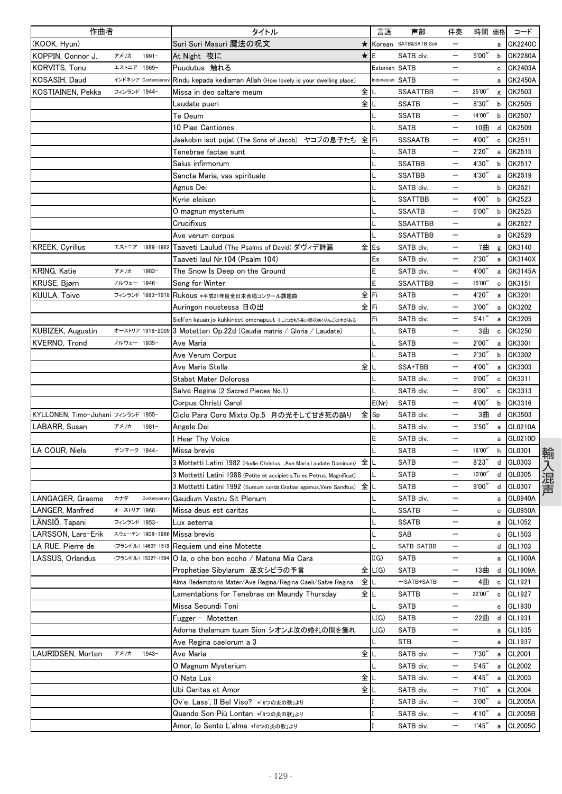| 作曲者                                |              |                    | タイトル                                                                    |         | 言語              | 声部                    | 伴奏                       | 時間 価格  |              | コード            |
|------------------------------------|--------------|--------------------|-------------------------------------------------------------------------|---------|-----------------|-----------------------|--------------------------|--------|--------------|----------------|
| (KOOK, Hyun)                       |              |                    | Suri Suri Masuri 魔法の呪文                                                  | $\star$ |                 | Korean SATB&SATB Soli |                          |        | a            | GK2240C        |
| KOPPIN, Connor J.                  | アメリカ         | $1991 -$           | At Night 夜に                                                             | $\star$ | E               | SATB div.             | —                        | 5'00'' | b            | <b>GK2280A</b> |
| KORVITS, Tonu                      | エストニア 1969-  |                    | Puudutus 触れる                                                            |         | Estonian SATB   |                       | $\qquad \qquad -$        |        | c            | GK2403A        |
| KOSASIH, Daud                      |              | インドネシア Contempora  | Rindu kepada kediaman Allah (How lovely is your dwelling place)         |         | Indonesian SATB |                       |                          |        | a            | GK2450A        |
| KOSTIAINEN, Pekka                  | フィンランド 1944- |                    | Missa in deo saltare meum                                               | 全       |                 | <b>SSAATTBB</b>       |                          | 25'00" | g            | GK2503         |
|                                    |              |                    | Laudate pueri                                                           | 全       |                 | <b>SSATB</b>          |                          | 8'30'' | b            | GK2505         |
|                                    |              |                    | Te Deum                                                                 |         |                 | <b>SSATB</b>          |                          | 14'00" | b            | GK2507         |
|                                    |              |                    | 10 Piae Cantiones                                                       |         |                 | <b>SATB</b>           |                          | 10曲    | d            | GK2509         |
|                                    |              |                    | Jaakobin isot pojat (The Sons of Jacob) ヤコブの息子たち 全                      |         | Fi              | <b>SSSAATB</b>        | —                        | 4'00'' | c            | GK2511         |
|                                    |              |                    | Tenebrae factae sunt                                                    |         |                 | SATB                  |                          | 2'20'' | a            | GK2515         |
|                                    |              |                    | Salus infirmorum                                                        |         |                 | <b>SSATBB</b>         |                          | 4'30'' | b            | GK2517         |
|                                    |              |                    | Sancta Maria, vas spirituale                                            |         |                 | <b>SSATBB</b>         |                          | 4'30'' | a            | GK2519         |
|                                    |              |                    | Agnus Dei                                                               |         |                 | SATB div.             | $\overline{\phantom{0}}$ |        | b            | GK2521         |
|                                    |              |                    | Kyrie eleison                                                           |         |                 | <b>SSATTBB</b>        |                          | 4'00'' | b            | GK2523         |
|                                    |              |                    | O magnun mysterium                                                      |         |                 | <b>SSAATB</b>         | $\overline{\phantom{0}}$ | 6'00'' | b            | GK2525         |
|                                    |              |                    | Crucifixus                                                              |         |                 | SSAATTBB              | —                        |        | a            | GK2527         |
|                                    |              |                    | Ave verum corpus                                                        |         |                 | <b>SSAATTBB</b>       |                          |        | a            | GK2529         |
| <b>KREEK, Cyrillus</b>             |              | エストニア 1889-1962    | Taaveti Laulud (The Psalms of David) ダヴィデ詩篇                             | 全Es     |                 | SATB div.             |                          | 7曲     | g            | GK3140         |
|                                    |              |                    | Taaveti laul Nr.104 (Psalm 104)                                         |         | Es              | SATB div.             | $\overline{\phantom{0}}$ | 2'30'  | a            | GK3140X        |
| <b>KRING, Katie</b>                | アメリカ         | 1983-              | The Snow Is Deep on the Ground                                          |         | E               | SATB div.             |                          | 4'00'' | a            | GK3145A        |
| KRUSE, Bjørn                       | ノルウェー 1946-  |                    | Song for Winter                                                         |         | E               | <b>SSAATTBB</b>       | —                        | 15'00" | $\mathbf c$  | GK3151         |
| KUULA, Toivo                       |              |                    | フィンランド 1883-1918 Rukous *平成21年度全日本合唱コンクール課題曲                            | 全       | Fi              | SATB                  |                          | 4'20'  | $\mathsf{a}$ | GK3201         |
|                                    |              |                    | Auringon noustessa 日の出                                                  | 全       | Fi              | SATB div.             |                          | 3'00'' | а            | GK3202         |
|                                    |              |                    | Siell'on kauan jo kukkineet omenapuut そこにはもう長い間花咲くりんごの木がある              |         | Fi              | SATB div.             |                          | 5'41'' | a            | GK3205         |
| KUBIZEK, Augustin                  |              | オーストリア 1918-2009   | 3 Motetten Op.22d (Gaudia matris / Gloria / Laudate)                    |         |                 | SATB                  | $\qquad \qquad -$        | 3曲     | $\mathtt{c}$ | GK3250         |
| KVERNO, Trond                      | ノルウェー 1935-  |                    | Ave Maria                                                               |         |                 | <b>SATB</b>           | $\qquad \qquad -$        | 2'00'' | a            | GK3301         |
|                                    |              |                    | Ave Verum Corpus                                                        |         |                 | <b>SATB</b>           |                          | 2'30'  | b            | GK3302         |
|                                    |              |                    | Ave Maris Stella                                                        | 全       |                 | SSA+TBB               |                          | 4'00'' | a            | GK3303         |
|                                    |              |                    | Stabat Mater Dolorosa                                                   |         |                 | SATB div.             |                          | 9'00'' |              | GK3311         |
|                                    |              |                    |                                                                         |         |                 | SATB div.             |                          | 8'00'' | c            | GK3313         |
|                                    |              |                    | Salve Regina (2 Sacred Pieces No.1)                                     |         | E(Nr)           | <b>SATB</b>           | —                        | 4'00"  | с<br>b       | GK3316         |
|                                    |              |                    | Corpus Christi Carol                                                    |         |                 |                       |                          |        |              |                |
| KYLLÖNEN, Timo-Juhani フィンランド 1955- |              |                    | Ciclo Para Coro Mixto Op.5 月の光そして甘き死の踊り                                 | 全       | Sp              | SATB div.             | —                        | 3曲     | d            | GK3503         |
| LABARR, Susan                      | アメリカ         | $1981 -$           | Angele Dei                                                              |         |                 | SATB div.             |                          | 3'50'' | a            | GL0210A        |
|                                    |              |                    | I Hear Thy Voice                                                        |         | E               | SATB div.             |                          |        | a            | GL0210D        |
| LA COUR, Niels                     | デンマーク 1944-  |                    | Missa brevis                                                            |         |                 | <b>SATB</b>           |                          | 16'00" | h            | GL0301         |
|                                    |              |                    | 3 Mottetti Latini 1982 (Hodie ChristusAve Maria.Laudate Dominum)        | 全       |                 | <b>SATB</b>           |                          | 8'23'  | d            | GL0303         |
|                                    |              |                    | 3 Mottetti Latini 1988 (Petite et accipietis, Tu es Petrus, Magnificat) |         |                 | <b>SATB</b>           | $\qquad \qquad -$        | 10'00" |              | d GL0305       |
|                                    |              |                    | 3 Mottetti Latini 1992 (Sursum corda, Gratias agamus, Vere Sandtus)     | 全       | L               | <b>SATB</b>           | —                        | 9'00'' | d            | GL0307         |
| LANGAGER, Graeme                   | カナダ          | Contemporal        | Gaudium Vestru Sit Plenum                                               |         |                 | SATB div.             |                          |        | a            | <b>GL0940A</b> |
| LANGER, Manfred                    | オーストリア 1968- |                    | Missa deus est caritas                                                  |         |                 | <b>SSATB</b>          | $\overline{\phantom{0}}$ |        | c            | <b>GL0950A</b> |
| LÄNSIÖ, Tapani                     | フィンランド 1953- |                    | Lux aeterna                                                             |         | L               | <b>SSATB</b>          | $\qquad \qquad -$        |        | a            | GL1052         |
| LARSSON, Lars-Erik                 |              | スウェーデン 1908-1986   | Missa brevis                                                            |         |                 | SAB                   |                          |        | с            | GL1503         |
| LA RUE. Pierre de                  |              | (フランドル) 1460?-1518 | Requiem und eine Motette                                                |         | L               | SATB-SATBB            | $\qquad \qquad -$        |        |              | d GL1703       |
| LASSUS, Orlandus                   |              | (フランドル) 1532?-1594 | O la. o che bon eccho / Matona Mia Cara                                 |         | I(G)            | <b>SATB</b>           | $\qquad \qquad -$        |        |              | a GL1900A      |
|                                    |              |                    | Prophetiae Sibylarum 巫女シビラの予言                                           | 全       | L(G)            | SATB                  | $\qquad \qquad -$        | 13曲    |              | d GL1909A      |
|                                    |              |                    | Alma Redemptoris Mater/Ave Regina/Regina Caeli/Salve Regina             | 全       | L               | $\sim$ SATB+SATB      |                          | 4曲     | $\mathtt{c}$ | GL1921         |
|                                    |              |                    | Lamentations for Tenebrae on Maundy Thursday                            | 全       |                 | SATTB                 | —                        | 22'00" | $\mathbf c$  | GL1927         |
|                                    |              |                    | Missa Secundi Toni                                                      |         |                 | SATB                  |                          |        | e            | GL1930         |
|                                    |              |                    | Fugger - Motetten                                                       |         | L(G)            | <b>SATB</b>           | —                        | 22曲    | d            | GL1931         |
|                                    |              |                    | Adorna thalamum tuum Sion シオンよ汝の婚礼の間を飾れ                                 |         | L(G)            | <b>SATB</b>           | —                        |        | a            | GL1935         |
|                                    |              |                    | Ave Regina caelorum a 3                                                 |         |                 | STB                   | —                        |        | a            | GL1937         |
| LAURIDSEN, Morten                  | アメリカ         | $1943 -$           | Ave Maria                                                               | 全       |                 | SATB div.             |                          | 7'30'' | a            | GL2001         |
|                                    |              |                    | O Magnum Mysterium                                                      |         |                 | SATB div.             |                          | 5'45'' | a            | GL2002         |
|                                    |              |                    | O Nata Lux                                                              | 全       |                 | SATB div.             | $\qquad \qquad -$        | 4'45'' |              | a GL2003       |
|                                    |              |                    | Ubi Caritas et Amor                                                     | 全       |                 | SATB div.             | —                        | 7'10'' |              | a GL2004       |
|                                    |              |                    | Ov'e, Lass', Il Bel Viso? *「6つの炎の歌」より                                   |         |                 | SATB div.             | —                        | 3'00'' | a            | GL2005A        |
|                                    |              |                    | Quando Son Più Lontan *「6つの炎の歌」より                                       |         |                 | SATB div.             | —                        | 4'10'' | a            | GL2005B        |
|                                    |              |                    | Amor, Io Sento L'alma *「6つの炎の歌」より                                       |         |                 | SATB div.             | —                        | 1'45'' | a            | GL2005C        |
|                                    |              |                    |                                                                         |         |                 |                       |                          |        |              |                |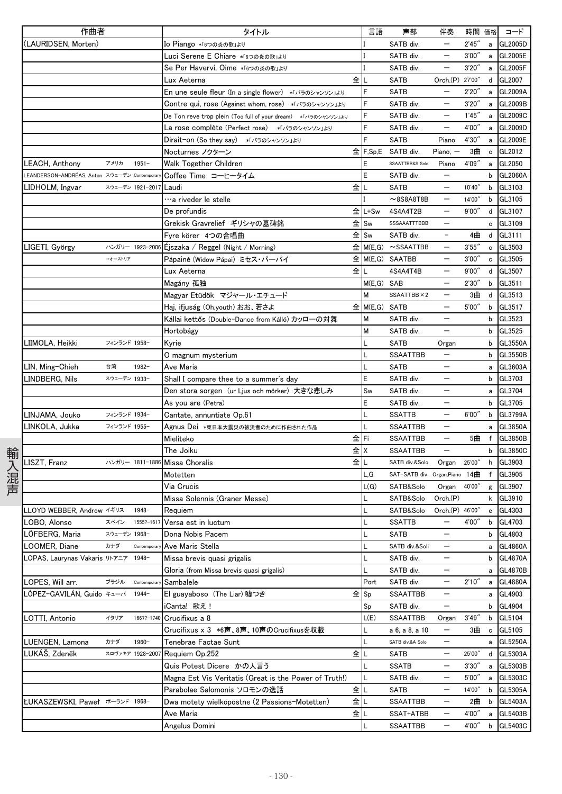|      | 作曲者                                          |              |                  | タイトル                                                          |       | 言語            | 声部                                        | 伴奏                       | 時間 価格  |              | コード            |
|------|----------------------------------------------|--------------|------------------|---------------------------------------------------------------|-------|---------------|-------------------------------------------|--------------------------|--------|--------------|----------------|
|      | (LAURIDSEN, Morten)                          |              |                  | <b>Io Piango *「6つの炎の歌」より</b>                                  |       |               | SATB div.                                 |                          | 2'45'' | $\mathsf{a}$ | GL2005D        |
|      |                                              |              |                  | Luci Serene E Chiare *「6つの炎の歌」より                              |       |               | SATB div.                                 | $\qquad \qquad -$        | 3'00'' |              | a GL2005E      |
|      |                                              |              |                  | Se Per Havervi, Oime *「6つの炎の歌」より                              |       |               | SATB div.                                 | $\qquad \qquad -$        | 3'20'' |              | a GL2005F      |
|      |                                              |              |                  | Lux Aeterna                                                   | 全儿    |               | <b>SATB</b>                               | Orch.(P) 27'00"          |        |              | d GL2007       |
|      |                                              |              |                  | En une seule fleur (In a single flower) * バラのシャンソン」より         |       | F             | <b>SATB</b>                               |                          | 2'20'' | a            | GL2009A        |
|      |                                              |              |                  | Contre qui, rose (Against whom, rose) *「バラのシャンソン」より           |       |               | SATB div.                                 |                          | 3'20'' | a            | GL2009B        |
|      |                                              |              |                  | De Ton reve trop plein (Too full of your dream) *「バラのシャンソン」より |       |               | SATB div.                                 |                          | 1'45'' | a            | GL2009C        |
|      |                                              |              |                  | La rose complète (Perfect rose) *バラのシャンソン」より                  |       |               | SATB div.                                 | $\qquad \qquad -$        | 4'00"  | a            | GL2009D        |
|      |                                              |              |                  | Dirait-on (So they say) *「バラのシャンソン」より                         |       | F             | <b>SATB</b>                               | Piano                    | 4'30'' | a            | GL2009E        |
|      |                                              |              |                  | Nocturnes ノクターン                                               |       | $E$ F, Sp, E  | SATB div.                                 | Piano, $-$               | 3曲     | $\mathbf c$  | GL2012         |
|      | LEACH, Anthony                               | アメリカ         | $1951 -$         | Walk Together Children                                        |       | E             | SSAATTBB&S Solo                           | Piano                    | 4'09'' | a            | GL2050         |
|      | LEANDERSON-ANDRÉAS, Anton スウェーデン Contemporar |              |                  | Coffee Time コーヒータイム                                           |       | E             | SATB div.                                 |                          |        | b            | GL2060A        |
|      | LIDHOLM, Ingvar                              |              | スウェーデン 1921-2017 | Laudi                                                         | 全儿    |               | <b>SATB</b>                               | $\equiv$                 | 10'40" |              | b GL3103       |
|      |                                              |              |                  | …a riveder le stelle                                          |       |               | $~8$ S8A8T8B                              | $\qquad \qquad -$        | 14'00" | b            | GL3105         |
|      |                                              |              |                  | De profundis                                                  |       | 全 L+Sw        | 4S4A4T2B                                  | $\qquad \qquad -$        | 9'00'' | d            | GL3107         |
|      |                                              |              |                  | Grekisk Gravrelief ギリシャの墓碑銘                                   | 全 ISw |               | SSSAAATTTBBB                              | —                        |        | c            | GL3109         |
|      |                                              |              |                  | Fyre körer 4つの合唱曲                                             | 全 Sw  |               | SATB div.                                 |                          | 4曲     | d            | GL3111         |
|      | LIGETI, György                               |              | ハンガリー 1923-2006  | Éjszaka / Reggel (Night / Morning)                            |       |               | $\hat{\mathbf{\Sigma}}$ M(E,G) ~ SSAATTBB | $\overline{\phantom{m}}$ | 3'55'' | $\mathbf c$  | GL3503         |
|      |                                              | →オーストリア      |                  | Pápainé (Widow Pápai) ミセス・パーパイ                                |       |               | $\hat{\mathbf{\pm}}$ M(E,G) SAATBB        | $\qquad \qquad -$        | 3'00'' |              | c GL3505       |
|      |                                              |              |                  | Lux Aeterna                                                   | 全儿    |               | 4S4A4T4B                                  | $\qquad \qquad -$        | 9'00'' |              | d GL3507       |
|      |                                              |              |                  | Magány 孤独                                                     |       | M(E,G) SAB    |                                           | $\qquad \qquad -$        | 2'30'' | b            | GL3511         |
|      |                                              |              |                  | Magyar Etüdök マジャール・エチュード                                     |       | М             | SSAATTBB × 2                              |                          | 3曲     | d            | GL3513         |
|      |                                              |              |                  | Haj, ifjuság (Oh,youth) おお、若さよ                                |       | 全 M(E,G) SATB |                                           |                          | 5'00'' | b            | GL3517         |
|      |                                              |              |                  | Kállai kettős (Double-Dance from Kálló) カッローの対舞               |       | М             | SATB div.                                 | $\qquad \qquad -$        |        | b            | GL3523         |
|      |                                              |              |                  | Hortobágy                                                     |       | М             | SATB div.                                 | $\qquad \qquad -$        |        |              | b GL3525       |
|      | LIIMOLA, Heikki                              | フィンランド 1958- |                  | Kyrie                                                         |       |               | <b>SATB</b>                               | Organ                    |        |              | b GL3550A      |
|      |                                              |              |                  | O magnum mysterium                                            |       |               | <b>SSAATTBB</b>                           | $\qquad \qquad -$        |        | $\mathsf{b}$ | <b>GL3550B</b> |
|      | LIN, Ming-Chieh                              | 台湾           | $1982 -$         | Ave Maria                                                     |       |               | SATB                                      |                          |        | $\mathsf{a}$ | GL3603A        |
|      | LINDBERG, Nils                               | スウェーデン 1933- |                  | Shall I compare thee to a summer's day                        |       | E             | SATB div.                                 |                          |        |              | b GL3703       |
|      |                                              |              |                  | Den stora sorgen(ur Ljus och mörker)大きな悲しみ                    |       | Sw            | SATB div.                                 | $\qquad \qquad -$        |        | a            | GL3704         |
|      |                                              |              |                  |                                                               |       | E             | SATB div.                                 | $\qquad \qquad -$        |        |              | b GL3705       |
|      | LINJAMA, Jouko                               | フィンランド 1934- |                  | As you are (Petra)<br>Cantate, annuntiate Op.61               |       |               | <b>SSATTB</b>                             | $\qquad \qquad -$        | 6'00'' |              | b GL3799A      |
|      | LINKOLA, Jukka                               | フィンランド 1955- |                  | Agnus Dei *東日本大震災の被災者のために作曲された作品                              |       |               | <b>SSAATTBB</b>                           | $\overline{\phantom{m}}$ |        |              | GL3850A        |
|      |                                              |              |                  | Mieliteko                                                     | 全lFi  |               | SSAATTBB                                  | $\overline{\phantom{m}}$ | 5曲     | a<br>f       | GL3850B        |
|      |                                              |              |                  | The Joiku                                                     | 全 X   |               | <b>SSAATTBB</b>                           |                          |        | b            | GL3850C        |
| 輸入混声 | <b>ISZT, Franz</b>                           |              | ハンガリー 1811-1886  | Missa Choralis                                                | 全┃∟   |               | SATB div.&Solo                            | Organ                    | 25'00" | h            | GL3903         |
|      |                                              |              |                  | Motetten                                                      |       | L, G          | SAT-SATB div. Organ, Piano 14曲            |                          |        |              | f GL3905       |
|      |                                              |              |                  | Via Crucis                                                    |       | L(G)          | SATB&Solo                                 | Organ                    | 40'00" |              | g GL3907       |
|      |                                              |              |                  | Missa Solennis (Graner Messe)                                 |       |               | SATB&Solo                                 | Orch.(P)                 |        | k            | GL3910         |
|      | LLOYD WEBBER. Andrew イギリス                    |              | 1948-            |                                                               |       |               | SATB&Solo                                 | Orch.(P) 46'00"          |        |              | e GL4303       |
|      | LOBO, Alonso                                 | スペイン         | 1555?-1617       | Requiem                                                       |       | L             | <b>SSATTB</b>                             |                          |        |              | b GL4703       |
|      |                                              |              |                  | Versa est in luctum                                           |       |               |                                           | $\overline{\phantom{0}}$ | 4'00″  |              |                |
|      | LÖFBERG, Maria                               | スウェーデン 1968- |                  | Dona Nobis Pacem                                              |       |               | SATB                                      | $\qquad \qquad -$        |        |              | b GL4803       |
|      | LOOMER, Diane                                | カナダ          | Contempora       | Ave Maris Stella                                              |       |               | SATB div.&Soli                            |                          |        |              | a GL4860A      |
|      | LOPAS, Laurynas Vakaris リトアニア                |              | 1948-            | Missa brevis quasi grigalis                                   |       |               | SATB div.                                 | $\qquad \qquad -$        |        |              | b GL4870A      |
|      |                                              |              |                  | Gloria (from Missa brevis quasi grigalis)                     |       |               | SATB div.                                 | $\qquad \qquad -$        |        | a            | <b>GL4870B</b> |
|      | LOPES, Will arr.                             | ブラジル         | Contemporal      | Sambalele                                                     |       | Port          | SATB div.                                 | $\qquad \qquad -$        | 2'10'' | a            | <b>GL4880A</b> |
|      | LÓPEZ-GAVILÁN, Guido キューバ                    |              | $1944-$          | El guayaboso (The Liar) 嘘つき                                   | 全 Sp  |               | SSAATTBB                                  |                          |        |              | a GL4903       |
|      |                                              |              |                  | iCanta! 歌え!                                                   |       | Sp            | SATB div.                                 | $\qquad \qquad -$        |        |              | b GL4904       |
|      | LOTTI, Antonio                               | イタリア         | 1667?-1740       | Crucifixus a 8                                                |       | L(E)          | <b>SSAATTBB</b>                           | Organ                    | 3'49'' |              | b GL5104       |
|      |                                              |              |                  | Crucifixus x 3 *6声、8声、10声のCrucifixusを収載                       |       |               | a 6, a 8, a 10                            | $\qquad \qquad -$        | 3曲     | c            | GL5105         |
|      | LUENGEN, Lamona                              | カナダ          | $1960 -$         | Tenebrae Factae Sunt                                          |       |               | SATB div.&A Solo                          |                          |        | a            | <b>GL5250A</b> |
|      | LUKÁŠ, Zdeněk                                |              | スロヴァキア 1928-2007 | Requiem Op.252                                                | 全     |               | SATB                                      |                          | 25'00" |              | d GL5303A      |
|      |                                              |              |                  | Quis Potest Dicere かの人言う                                      |       |               | SSATB                                     |                          | 3'30'' |              | a GL5303B      |
|      |                                              |              |                  | Magna Est Vis Veritatis (Great is the Power of Truth!)        |       |               | SATB div.                                 | $\qquad \qquad -$        | 5'00'' |              | a GL5303C      |
|      |                                              |              |                  | Parabolae Salomonis ソロモンの逸話                                   | 全∥    |               | <b>SATB</b>                               | $\qquad \qquad -$        | 14'00" |              | b GL5305A      |
|      | <b>ŁUKASZEWSKI, Paweł ポーランド 1968-</b>        |              |                  | Dwa motety wielkopostne (2 Passions-Motetten)                 | 全儿    |               | <b>SSAATTBB</b>                           | $\qquad \qquad -$        | 2曲     | b            | GL5403A        |
|      |                                              |              |                  | Ave Maria                                                     | 全儿    |               | SSAT+ATBB                                 | $\qquad \qquad -$        | 4'00"  | a            | GL5403B        |
|      |                                              |              |                  | Angelus Domini                                                |       |               | <b>SSAATTBB</b>                           | $\qquad \qquad -$        | 4'00"  | b            | GL5403C        |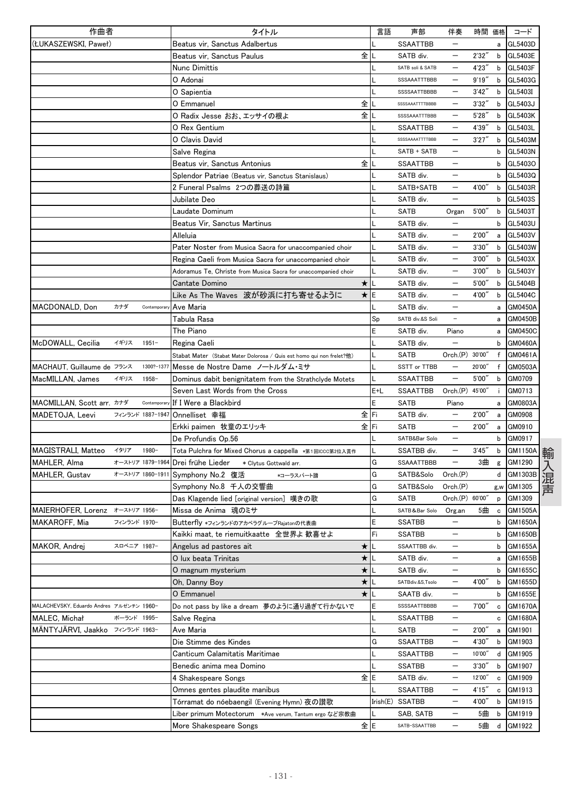|                                                   | タイトル                                                                  | 言語  | 声部               | 伴奏                       |        | 時間 価格  | コード            |
|---------------------------------------------------|-----------------------------------------------------------------------|-----|------------------|--------------------------|--------|--------|----------------|
| (ŁUKASZEWSKI, Paweł)                              | Beatus vir, Sanctus Adalbertus                                        |     | <b>SSAATTBB</b>  |                          |        | a      | GL5403D        |
|                                                   | Beatus vir, Sanctus Paulus<br>全                                       |     | SATB div.        | —                        | 2'32'  | b      | GL5403E        |
|                                                   | Nunc Dimittis                                                         |     | SATB soli & SATB | —                        | 4'23'  | b      | GL5403F        |
|                                                   | O Adonai                                                              |     | SSSAAATTTBBB     |                          | 9'19'' | b      | GL5403G        |
|                                                   | O Sapientia                                                           |     | SSSSAATTBBBB     |                          | 3'42'' | b      | GL5403I        |
|                                                   | 全<br>O Emmanuel                                                       |     | SSSSAAATTTTBBBB  |                          | 3'32'  | b      | GL5403J        |
|                                                   | O Radix Jesse おお、エッサイの根よ<br>全                                         |     | SSSSAAATTTBBB    | —                        | 5'28'  | b      | GL5403K        |
|                                                   | O Rex Gentium                                                         |     | <b>SSAATTBB</b>  | $\overline{\phantom{0}}$ | 4'39'' | b      | GL5403L        |
|                                                   | O Clavis David                                                        |     | SSSSAAAATTTTBBB  | $\overline{\phantom{0}}$ | 3'27'  | b      | GL5403M        |
|                                                   | Salve Regina                                                          |     | SATB + SATB      | —                        |        | b      | GL5403N        |
|                                                   | 全<br>Beatus vir, Sanctus Antonius                                     |     | <b>SSAATTBB</b>  |                          |        | b      | GL5403O        |
|                                                   | Splendor Patriae (Beatus vir, Sanctus Stanislaus)                     |     | SATB div.        |                          |        | b      | GL5403Q        |
|                                                   | 2 Funeral Psalms 2つの葬送の詩篇                                             |     | SATB+SATB        | $\overline{\phantom{0}}$ | 4'00'  | b      | GL5403R        |
|                                                   | Jubilate Deo                                                          |     | SATB div.        | —                        |        | b      | GL5403S        |
|                                                   | Laudate Dominum                                                       |     | SATB             | Organ                    | 5'00'  | b      | GL5403T        |
|                                                   | Beatus Vir, Sanctus Martinus                                          |     | SATB div.        |                          |        | b      | GL5403U        |
|                                                   | Alleluia                                                              |     | SATB div.        |                          | 2'00'' | a      | GL5403V        |
|                                                   | Pater Noster from Musica Sacra for unaccompanied choir                |     | SATB div.        |                          | 3'30'  | b      | GL5403W        |
|                                                   | Regina Caeli from Musica Sacra for unaccompanied choir                |     | SATB div.        |                          | 3'00'' | b      | GL5403X        |
|                                                   | Adoramus Te, Christe from Musica Sacra for unaccompanied choir        |     | SATB div.        |                          | 3'00'' | b      | GL5403Y        |
|                                                   | $\star$<br>Cantate Domino                                             |     | SATB div.        |                          | 5'00'  | b      | GL5404B        |
|                                                   | Like As The Waves 波が砂浜に打ち寄せるように<br>$\star$                            | Ε   | SATB div.        |                          | 4'00'  | b      | GL5404C        |
| カナダ<br>MACDONALD, Don<br>Contemporal              | Ave Maria                                                             |     | SATB div.        |                          |        | а      | GM0450A        |
|                                                   | Tabula Rasa                                                           | Sp  | SATB div.&S Soli | $\qquad \qquad -$        |        | a      | <b>GM0450B</b> |
|                                                   | The Piano                                                             | E   | SATB div.        | Piano                    |        |        | GM0450C        |
| イギリス<br>$1951 -$                                  |                                                                       |     | SATB div.        |                          |        | a<br>b | GM0460A        |
| McDOWALL, Cecilia                                 | Regina Caeli                                                          |     | SATB             | Orch.(P) 30'00'          |        |        |                |
|                                                   | Stabat Mater (Stabat Mater Dolorosa / Quis est homo qui non frelet?他) | L   | SSTT or TTBB     |                          | 20'00' | f<br>f | GM0461A        |
| MACHAUT, Guillaume de フランス<br>1300?-1377<br>1958- | Messe de Nostre Dame ノートルダム・ミサ                                        |     |                  | $\overline{\phantom{0}}$ |        |        | GM0503A        |
| MacMILLAN, James<br>イギリス                          | Dominus dabit benignitatem from the Strathclyde Motets                |     | SSAATTBB         |                          | 5'00'  | b      | GM0709         |
|                                                   | Seven Last Words from the Cross                                       | E+L | <b>SSAATTBB</b>  | Orch.(P) 45'00'          |        | ÷.     | GM0713         |
| MACMILLAN, Scott arr. カナダ<br>Contemporary         | If I Were a Blackbird                                                 | E   | <b>SATB</b>      | Piano                    |        | а      | GM0803A        |
| MADETOJA, Leevi<br>フィンランド 1887-1947               | Onnelliset 幸福<br>全                                                    | Fi  | SATB div.        |                          | 2'00'' | a      | GM0908         |
|                                                   | 全<br>Erkki paimen 牧童のエリッキ                                             | Fi  | SATB             |                          | 2'00'  | a      | GM0910         |
|                                                   | De Profundis Op.56                                                    |     | SATB&Bar Solo    |                          |        | b      | GM0917         |
| MAGISTRALI, Matteo<br>イタリア<br>1980-               | Tota Pulchra for Mixed Chorus a cappella *第1回ICCC第2位入賞作               |     | SSATBB div.      |                          | 3'45'  | b      | GM1150A        |
| MAHLER, Alma<br>オーストリア 1879-1964                  | Drei frühe Lieder<br>* Clytus Gottwald arr.                           | G   | SSAAATTBBB       | —                        | 3曲     | g      | GM1290         |
| <b>MAHLER, Gustav</b>                             | ォーストリア 1860-1911 Symphony No.2 復活<br>*コーラスパート譜                        | G   | SATB&Solo        | Orch.(P)                 |        | d      | GM1303B        |
|                                                   | Symphony No.8 千人の交響曲                                                  | G   | SATB&Solo        | Orch(P)                  |        | g,w    | GM1305         |
|                                                   | Das Klagende lied [original version] 嘆きの歌                             | G   | SATB             | Orch.(P) 60'00"          |        | p      | GM1309         |
| MAIERHOFER, Lorenz オーストリア 1956-                   | Missa de Anima 魂のミサ                                                   |     | SATB&Bar Solo    | Org.an                   | 5曲     | c      | GM1505A        |
| MAKAROFF, Mia<br>フィンランド 1970-                     | Butterfly *フィンランドのアカペラグループRajatonの代表曲                                 | E   | <b>SSATBB</b>    |                          |        | b      | GM1650A        |
|                                                   | Kaikki maat, te riemuitkaatte 全世界よ 歓喜せよ                               | Fi  | <b>SSATBB</b>    | —                        |        | b      | GM1650B        |
| MAKOR, Andrej<br>スロベニア 1987-                      | Angelus ad pastores ait<br>*                                          |     | SSAATTBB div.    | $\qquad \qquad -$        |        | b      | GM1655A        |
|                                                   | O lux beata Trinitas<br>$\star$                                       |     | SATB div.        | $\qquad \qquad -$        |        | a      | GM1655B        |
|                                                   | $\star$<br>O magnum mysterium                                         |     | SATB div.        | —                        |        | b      | GM1655C        |
|                                                   | ★<br>Oh, Danny Boy                                                    |     | SATBdiv.&S,Tsolo | $\overline{\phantom{0}}$ | 4'00"  | b      | GM1655D        |
|                                                   | $\star$<br>O Emmanuel                                                 |     | SAATB div.       | $\overline{\phantom{0}}$ |        | b      | GM1655E        |
| MALACHEVSKY, Eduardo Andres アルゼンチン 1960-          | Do not pass by like a dream 夢のように通り過ぎて行かないで                           | E   | SSSSAATTBBBB     | —                        | 7'00'' | c      | GM1670A        |
| MALEC, Michał<br>ポーランド 1995-                      | Salve Regina                                                          |     | <b>SSAATTBB</b>  | $\overline{\phantom{0}}$ |        | c      | GM1680A        |
| MÄNTYJÄRVI, Jaakko フィンランド 1963-                   | Ave Maria                                                             |     | SATB             | —                        | 2'00'  | а      | GM1901         |
|                                                   | Die Stimme des Kindes                                                 | G   | <b>SSAATTBB</b>  | —                        | 4'30'' | b      | GM1903         |
|                                                   | Canticum Calamitatis Maritimae                                        |     | SSAATTBB         |                          | 10'00" | d      | GM1905         |
|                                                   | Benedic anima mea Domino                                              |     | <b>SSATBB</b>    | $\overline{\phantom{0}}$ | 3'30'' | b      | GM1907         |
|                                                   | 4 Shakespeare Songs                                                   | 全IE | SATB div.        | —                        | 12'00" | c      | GM1909         |
|                                                   | Omnes gentes plaudite manibus                                         |     | SSAATTBB         | —                        | 4'15'' | c      | GM1913         |
|                                                   | Tórramat do nóebaengil (Evening Hymn) 夜の讃歌                            |     | Irish(E) SSATBB  | —                        | 4'00"  | b      | GM1915         |
|                                                   | Liber primum Motectorum *Ave verum, Tantum ergo など宗教曲                 |     | SAB, SATB        |                          | 5曲     | b      | GM1919         |
|                                                   | More Shakespeare Songs                                                | 全IE | SATB-SSAATTBB    | —                        | 5曲     | d      | GM1922         |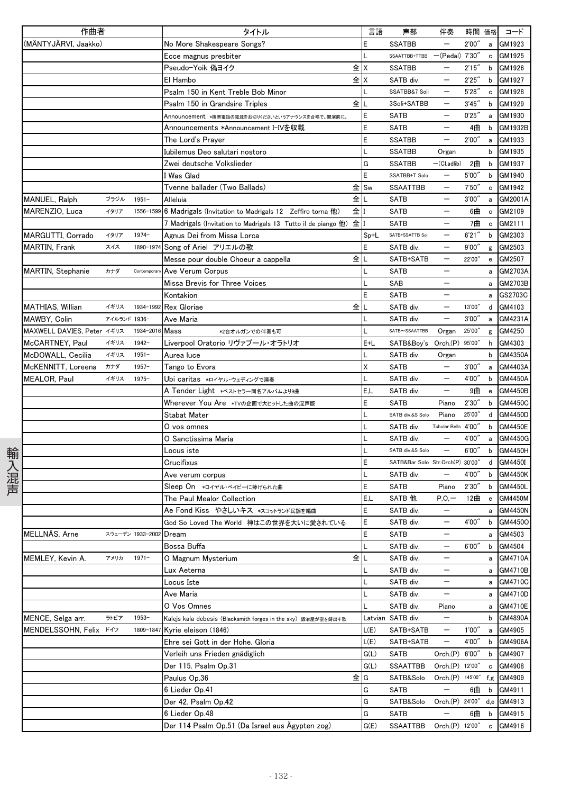|      | 作曲者                                        |              |                  | タイトル                                                                    | 言語    | 声部                               | 伴奏                         | 時間 価格  |                                                       | コード                |
|------|--------------------------------------------|--------------|------------------|-------------------------------------------------------------------------|-------|----------------------------------|----------------------------|--------|-------------------------------------------------------|--------------------|
|      | (MÄNTYJÄRVI, Jaakko)                       |              |                  | No More Shakespeare Songs?                                              | E     | <b>SSATBB</b>                    |                            | 2'00'' | a                                                     | GM1923             |
|      |                                            |              |                  | Ecce magnus presbiter                                                   |       | SSAATTBB+TTBB -(Pedal) 7'30"     |                            |        | c                                                     | GM1925             |
|      |                                            |              |                  | Pseudo-Yoik 偽ヨイク                                                        | 全 X   | <b>SSATBB</b>                    |                            | 2'15'' | b                                                     | GM1926             |
|      |                                            |              |                  | El Hambo                                                                | 全 X   | SATB div.                        | $\qquad \qquad -$          | 2'25'' | b                                                     | GM1927             |
|      |                                            |              |                  | Psalm 150 in Kent Treble Bob Minor                                      |       | SSATBB&7 Soli                    |                            | 5'28'' | c                                                     | GM1928             |
|      |                                            |              |                  | 全<br>Psalm 150 in Grandsire Triples                                     |       | 3Soli+SATBB                      |                            | 3'45'' | b                                                     | GM1929             |
|      |                                            |              |                  | Announcement *携帯電話の電源をお切りくださいというアナウンスを合唱で。開演前に。                         | Ε     | <b>SATB</b>                      |                            | 0'25'' | a                                                     | GM1930             |
|      |                                            |              |                  | Announcements *Announcement I-IVを収載                                     | E     | <b>SATB</b>                      | $\overline{\phantom{m}}$   | 4曲     | b                                                     | GM1932B            |
|      |                                            |              |                  | The Lord's Prayer                                                       | E     | <b>SSATBB</b>                    | $\qquad \qquad -$          | 2'00'' | $\mathsf{a}$                                          | GM1933             |
|      |                                            |              |                  | Iubilemus Deo salutari nostoro                                          |       | <b>SSATBB</b>                    | Organ                      |        | b                                                     | GM1935             |
|      |                                            |              |                  | Zwei deutsche Volkslieder                                               | G     | <b>SSATBB</b>                    | $-(CI.addib)$              | 2曲     | b                                                     | GM1937             |
|      |                                            |              |                  | l Was Glad                                                              | E     | SSATBB+T Solo                    |                            | 5'00'' | b                                                     | GM1940             |
|      |                                            |              |                  | Tvenne ballader (Two Ballads)                                           | 全 ISw | SSAATTBB                         | $\qquad \qquad -$          | 7'50'' | c                                                     | GM1942             |
|      | MANUEL, Ralph                              | ブラジル         | $1951 -$         | 全<br>Alleluia                                                           |       | <b>SATB</b>                      | $\qquad \qquad -$          | 3'00'' | a                                                     | GM2001A            |
|      | MARENZIO, Luca                             | イタリア         | 1556-1599        | 全Ⅱ<br>6 Madrigals (Invitation to Madrigals 12 Zeffiro torna 他)          |       | <b>SATB</b>                      | $\qquad \qquad -$          | 6曲     | $\mathbf c$                                           | GM2109             |
|      |                                            |              |                  | 7 Madrigals (Invitation to Madrigals 13 Tutto il de piango 他) 全 I       |       | SATB                             |                            | 7曲     | $\mathbf c$                                           | GM2111             |
|      | MARGUTTI, Corrado                          | イタリア         | $1974-$          | Agnus Dei from Missa Lorca                                              | Sp+L  | SATB+SSATTB Soli                 |                            | 6'21'' | b                                                     | GM2303             |
|      | MARTIN, Frank                              | スイス          | 1890-1974        | Song of Ariel アリエルの歌                                                    | E     | SATB div.                        |                            | 9'00'' |                                                       | GM2503             |
|      |                                            |              |                  | Messe pour double Choeur a cappella                                     | 全儿    | SATB+SATB                        | $\qquad \qquad -$          | 22'00" | g<br>$\mathbf{e}% _{t}\left  \mathbf{1}\right\rangle$ | GM2507             |
|      | MARTIN, Stephanie                          | カナダ          | Contemporary     | Ave Verum Corpus                                                        |       | <b>SATB</b>                      | —                          |        | a                                                     | GM2703A            |
|      |                                            |              |                  | Missa Brevis for Three Voices                                           |       | SAB                              |                            |        |                                                       | GM2703B            |
|      |                                            |              |                  | Kontakion                                                               | E     | SATB                             |                            |        | a                                                     | GS2703C            |
|      | MATHIAS, Willian                           | イギリス         | 1934-1992        | 全<br><b>Rex Gloriae</b>                                                 |       | SATB div.                        |                            | 13'00" | a<br>d                                                | GM4103             |
|      |                                            | アイルランド 1936- |                  |                                                                         |       | SATB div.                        | $\qquad \qquad -$          | 3'00'' |                                                       | GM4231A            |
|      | MAWBY, Colin<br>MAXWELL DAVIES, Peter イギリス |              | 1934-2016        | Ave Maria<br>Mass                                                       |       | SATB~SSAATTBB                    |                            |        | $\mathsf{a}$                                          |                    |
|      |                                            |              | $1942 -$         | *2台オルガンでの伴奏も可<br>Liverpool Oratorio リヴァプール・オラトリオ                        |       |                                  | Organ                      | 25'00" | g                                                     | GM4250             |
|      | McCARTNEY, Paul                            | イギリス<br>イギリス | $1951 -$         |                                                                         | E+L   | SATB&Boy's Orch.(P)<br>SATB div. |                            | 95'00″ | h<br>b                                                | GM4303<br>GM4350A  |
|      | McDOWALL, Cecilia                          | カナダ          | $1957 -$         | Aurea Iuce                                                              | Χ     | SATB                             | Organ<br>$\qquad \qquad -$ | 3'00'' |                                                       |                    |
|      | McKENNITT, Loreena<br>MEALOR, Paul         | イギリス         | $1975 -$         | Tango to Evora                                                          |       | SATB div.                        |                            | 4'00"  | a<br>b                                                | GM4403A<br>GM4450A |
|      |                                            |              |                  | Ubi caritas *ロイヤル・ウェディングで演奏                                             | E,L   | SATB div.                        | $\qquad \qquad -$          | 9曲     | $\mathbf{e}% _{t}\left( t\right)$                     | GM4450B            |
|      |                                            |              |                  | A Tender Light *ベストセラー同名アルバムより9曲<br>Wherever You Are *TVの企画で大ヒットした曲の混声版 | E     | <b>SATB</b>                      | Piano                      | 2'30'' | b                                                     | GM4450C            |
|      |                                            |              |                  | Stabat Mater                                                            |       | SATB div.&S Solo                 | Piano                      | 25'00" | d                                                     | GM4450D            |
|      |                                            |              |                  | O vos omnes                                                             |       | SATB div.                        | Tubular Bells 4'00"        |        | b                                                     | GM4450E            |
|      |                                            |              |                  | O Sanctissima Maria                                                     |       | SATB div.                        |                            | 4'00"  | a                                                     | GM4450G            |
|      |                                            |              |                  | Locus iste                                                              |       | SATB div.&S Solo                 |                            | 6'00'' | b                                                     | <b>GM4450H</b>     |
| 輸入混声 |                                            |              |                  | Crucifixus                                                              |       | SATB&Bar Solo Str.Orch(P) 30'00" |                            |        | d                                                     | GM4450I            |
|      |                                            |              |                  | Ave verum corpus                                                        |       | SATB div.                        |                            | 4'00"  | b                                                     | <b>GM4450K</b>     |
|      |                                            |              |                  | Sleep On *ロイヤル・ベイビーに捧げられた曲                                              | E     | <b>SATB</b>                      | Piano                      | 2'30'' | b                                                     | GM4450L            |
|      |                                            |              |                  | The Paul Mealor Collection                                              | E.L   | SATB 他                           | $P, O, -$                  | 12曲    | $\mathbf{e}% _{t}\left( t\right)$                     | <b>GM4450M</b>     |
|      |                                            |              |                  | Ae Fond Kiss やさしいキス *スコットランド民謡を編曲                                       | E     | SATB div.                        |                            |        | a                                                     | <b>GM4450N</b>     |
|      |                                            |              |                  | God So Loved The World 神はこの世界を大いに愛されている                                 | E     | SATB div.                        |                            | 4'00"  |                                                       | b GM44500          |
|      | MELLNÄS, Arne                              |              | スウェーデン 1933-2002 | Dream                                                                   | E     | <b>SATB</b>                      |                            |        |                                                       | a GM4503           |
|      |                                            |              |                  | Bossa Buffa                                                             |       | SATB div.                        | $\qquad \qquad -$          | 6'00'' |                                                       | b GM4504           |
|      | MEMLEY, Kevin A.                           | アメリカ         | $1971 -$         | 全<br>O Magnum Mysterium                                                 |       | SATB div.                        | $\qquad \qquad -$          |        | a                                                     | GM4710A            |
|      |                                            |              |                  | Lux Aeterna                                                             |       | SATB div.                        | $\qquad \qquad -$          |        | a                                                     | GM4710B            |
|      |                                            |              |                  | Locus Iste                                                              |       | SATB div.                        |                            |        | a                                                     | GM4710C            |
|      |                                            |              |                  | Ave Maria                                                               |       | SATB div.                        | -                          |        | a                                                     | GM4710D            |
|      |                                            |              |                  | O Vos Omnes                                                             |       | SATB div.                        | Piano                      |        |                                                       | a GM4710E          |
|      | MENCE, Selga arr.                          | ラトビア         | $1953 -$         | Kalejs kala debesis (Blacksmith forges in the sky) 鍛冶屋が空を鋳出す歌           |       | Latvian SATB div.                | $\qquad \qquad -$          |        | b                                                     | GM4890A            |
|      | MENDELSSOHN, Felix                         | ドイツ          | 1809-1847        | Kyrie eleison (1846)                                                    | L(E)  | SATB+SATB                        | -                          | 1'00'' | a                                                     | GM4905             |
|      |                                            |              |                  | Ehre sei Gott in der Hohe. Gloria                                       | L(E)  | SATB+SATB                        | $\qquad \qquad -$          | 4'00"  | b                                                     | GM4906A            |
|      |                                            |              |                  | Verleih uns Frieden gnädiglich                                          | G(L)  | <b>SATB</b>                      | Orch.(P) 6'00"             |        | b                                                     | GM4907             |
|      |                                            |              |                  | Der 115. Psalm Op.31                                                    | G(L)  | <b>SSAATTBB</b>                  | Orch.(P) 12'00"            |        | c                                                     | GM4908             |
|      |                                            |              |                  | Paulus Op.36                                                            | 全IG   | SATB&Solo                        | $Orch.(P)$ 145'00"         |        |                                                       | f,g GM4909         |
|      |                                            |              |                  | 6 Lieder Op.41                                                          | G     | <b>SATB</b>                      |                            | 6曲     | b                                                     | GM4911             |
|      |                                            |              |                  | Der 42. Psalm Op.42                                                     | G     | SATB&Solo                        | Orch.(P) 24'00" d,e        |        |                                                       | GM4913             |
|      |                                            |              |                  |                                                                         |       |                                  |                            |        |                                                       |                    |
|      |                                            |              |                  | 6 Lieder Op.48                                                          | G     | SATB                             | $\qquad \qquad -$          | 6曲     | b                                                     | GM4915             |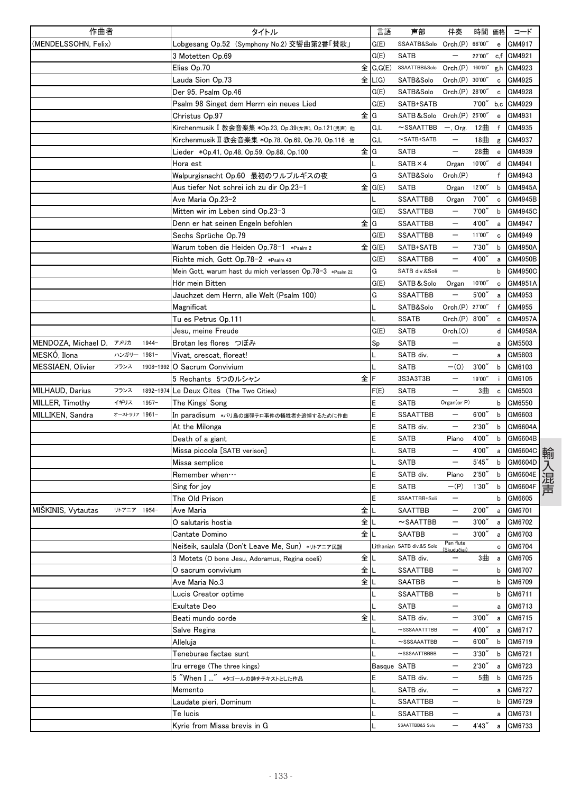| 作曲者                    |               |           | タイトル                                                      |        | 言語      | 声部                         | 伴奏                       | 時間 価格  |                                                  | コード        |
|------------------------|---------------|-----------|-----------------------------------------------------------|--------|---------|----------------------------|--------------------------|--------|--------------------------------------------------|------------|
| (MENDELSSOHN, Felix)   |               |           | Lobgesang Op.52(Symphony No.2)交響曲第2番「賛歌」                  |        | G(E)    | SSAATB&Solo                | Orch.(P) 66'00'          |        | $\mathbf{e}$                                     | GM4917     |
|                        |               |           | 3 Motetten Op.69                                          |        | G(E)    | <b>SATB</b>                |                          | 22'00" |                                                  | c.f GM4921 |
|                        |               |           | Elias Op.70                                               | 全      | G, G(E) | SSAATTBB&Solo              | Orch.(P) 160'00"         |        | g,h                                              | GM4923     |
|                        |               |           | Lauda Sion Op.73                                          | 全      | L(G)    | SATB&Solo                  | Orch.(P) 30'00'          |        | $\mathbf c$                                      | GM4925     |
|                        |               |           | Der 95. Psalm Op.46                                       |        | G(E)    | SATB&Solo                  | Orch.(P) 28'00'          |        | c                                                | GM4928     |
|                        |               |           | Psalm 98 Singet dem Herrn ein neues Lied                  |        | G(E)    | SATB+SATB                  |                          | 7'00'' | b,c                                              | GM4929     |
|                        |               |           | Christus Op.97                                            | 全IG    |         | SATB & Solo                | Orch(P)                  | 25'00' | $\mathbf{e}% _{t}\left  \mathbf{1}\right\rangle$ | GM4931     |
|                        |               |           | Kirchenmusik I 教会音楽集 *Op.23, Op.39(女声), Op.121(男声) 他      |        | G,L     | $\sim$ SSAATTBB            | $-$ , Org.               | 12曲    | f                                                | GM4935     |
|                        |               |           | Kirchenmusik II 教会音楽集 *Op.78, Op.69, Op.79, Op.116 他      |        | G,L     | $\sim$ SATB+SATB           | —                        | 18曲    | g                                                | GM4937     |
|                        |               |           | Lieder *Op.41, Op.48, Op.59, Op.88, Op.100                | 全IG    |         | <b>SATB</b>                | —                        | 28曲    | $\mathbf{e}$                                     | GM4939     |
|                        |               |           | Hora est                                                  |        |         | $SATB \times 4$            | Organ                    | 10'00" | d                                                | GM4941     |
|                        |               |           | Walpurgisnacht Op.60 最初のワルプルギスの夜                          |        | G       | SATB&Solo                  | Orch(P)                  |        | f                                                | GM4943     |
|                        |               |           | Aus tiefer Not schrei ich zu dir Op.23-1                  | 全 G(E) |         | <b>SATB</b>                | Organ                    | 12'00" | b                                                | GM4945A    |
|                        |               |           | Ave Maria Op.23-2                                         |        |         | <b>SSAATTBB</b>            | Organ                    | 7'00"  | с                                                | GM4945B    |
|                        |               |           | Mitten wir im Leben sind Op.23–3                          |        | G(E)    | <b>SSAATTBB</b>            | $\overline{\phantom{0}}$ | 7'00'' | b                                                | GM4945C    |
|                        |               |           | Denn er hat seinen Engeln befohlen                        | 全<br>G |         | SSAATTBB                   | —                        | 4'00″  | a                                                | GM4947     |
|                        |               |           | Sechs Sprüche Op.79                                       |        | G(E)    | <b>SSAATTBB</b>            | $\qquad \qquad -$        | 11'00" | с                                                | GM4949     |
|                        |               |           | Warum toben die Heiden Op.78-1 *Psalm 2                   | 全 G(E) |         | SATB+SATB                  |                          | 7'30'  | b                                                | GM4950A    |
|                        |               |           | Richte mich, Gott Op.78-2 *Psalm 43                       |        | G(E)    | <b>SSAATTBB</b>            | $\qquad \qquad -$        | 4'00'' | a                                                | GM4950B    |
|                        |               |           | Mein Gott, warum hast du mich verlassen Op.78-3 *Psalm 22 |        | G       | SATB div.&Soli             | $\overline{\phantom{0}}$ |        | b                                                | GM4950C    |
|                        |               |           | Hör mein Bitten                                           |        | G(E)    | SATB&Solo                  | Organ                    | 10'00" | c                                                | GM4951A    |
|                        |               |           | Jauchzet dem Herrn, alle Welt (Psalm 100)                 |        | G       | <b>SSAATTBB</b>            | —                        | 5'00'' | a                                                | GM4953     |
|                        |               |           | Magnificat                                                |        |         | SATB&Solo                  | Orch.(P) 27'00"          |        | f                                                | GM4955     |
|                        |               |           | Tu es Petrus Op.111                                       |        |         | <b>SSATB</b>               | Orch.(P) 8'00'           |        | с                                                | GM4957A    |
|                        |               |           | Jesu, meine Freude                                        |        | G(E)    | <b>SATB</b>                | Orch. (O)                |        | d                                                | GM4958A    |
| MENDOZA, Michael D.    | アメリカ          | $1944-$   | Brotan les flores つぼみ                                     |        |         | <b>SATB</b>                | $\overline{\phantom{0}}$ |        |                                                  | GM5503     |
|                        | ハンガリー 1981-   |           |                                                           |        | Sp      |                            | —                        |        | a                                                |            |
| MESKÓ, Ilona           |               |           | Vivat, crescat, floreat!                                  |        |         | SATB div.                  |                          |        | a                                                | GM5803     |
| MESSIAEN, Olivier      | フランス          | 1908-1992 | O Sacrum Convivium                                        |        |         | <b>SATB</b>                | $-(0)$                   | 3'00'' | b                                                | GM6103     |
|                        |               |           | 5 Rechants 5つのルシャン                                        | 全<br>F |         | 3S3A3T3B                   |                          | 19'00" |                                                  | GM6105     |
| <b>MILHAUD, Darius</b> | フランス          | 1892-1974 | Le Deux Cites (The Two Cities)                            |        | F(E)    | <b>SATB</b>                | $\overline{\phantom{0}}$ | 3曲     | $\mathbf c$                                      | GM6503     |
| MILLER, Timothy        | イギリス          | $1957 -$  | The Kings' Song                                           |        | E       | <b>SATB</b>                | Organ(or P)              |        | b                                                | GM6550     |
| MILLIKEN, Sandra       | オーストラリア 1961- |           | 【n paradisum ∗バリ島の爆弾テロ事件の犠牲者を追悼するために作曲                    | E      |         | SSAATTBB                   |                          | 6'00'' | b                                                | GM6603     |
|                        |               |           | At the Milonga                                            | Ε      |         | SATB div.                  | —                        | 2'30'' | b                                                | GM6604A    |
|                        |               |           | Death of a giant                                          | E      |         | <b>SATB</b>                | Piano                    | 4'00'' | b                                                | GM6604B    |
|                        |               |           | Missa piccola [SATB verison]                              |        |         | <b>SATB</b>                |                          | 4'00'  | a                                                | GM6604C    |
|                        |               |           | Missa semplice                                            |        |         | <b>SATB</b>                | $\qquad \qquad -$        | 5'45'' | b                                                | GM6604D    |
|                        |               |           | Remember when                                             | E      |         | SATB div.                  | Piano                    | 2'50'' | b                                                | GM6604E    |
|                        |               |           | Sing for joy                                              | E      |         | <b>SATB</b>                | $-(P)$                   | 1'30'' | b                                                | GM6604F    |
|                        |               |           | The Old Prison                                            | E      |         | SSAATTBB+Soli              | —                        |        | b                                                | GM6605     |
| MIŠKINIS, Vytautas     | リトアニア 1954-   |           | Ave Maria                                                 | 全<br>L |         | <b>SAATTBB</b>             | —                        | 2'00"  | a                                                | GM6701     |
|                        |               |           | O salutaris hostia                                        | 全儿     |         | $\sim$ SAATTBB             |                          | 3'00'' | а                                                | GM6702     |
|                        |               |           | Cantate Domino                                            | 全      |         | SAATBB                     | $\overline{\phantom{0}}$ | 3'00'' |                                                  | a GM6703   |
|                        |               |           | Neišeik, saulala (Don't Leave Me, Sun) *リトアニア民謡           |        |         | Lithanian SATB div.&S Solo | Pan flute<br>(Skudučiai) |        |                                                  | c GM6704   |
|                        |               |           | 3 Motets (O bone Jesu, Adoramus, Regina coeli)            | 全      |         | SATB div.                  | —                        | 3曲     | a                                                | GM6705     |
|                        |               |           | O sacrum convivium                                        | 全儿     |         | SSAATTBB                   |                          |        | b                                                | GM6707     |
|                        |               |           | Ave Maria No.3                                            | 全      |         | SAATBB                     | —                        |        | b                                                | GM6709     |
|                        |               |           | Lucis Creator optime                                      |        |         | SSAATTBB                   |                          |        | b                                                | GM6711     |
|                        |               |           | Exultate Deo                                              |        |         | SATB                       | $\overline{\phantom{0}}$ |        |                                                  | a GM6713   |
|                        |               |           | Beati mundo corde                                         | 全      |         | SATB div.                  | —                        | 3'00'' | а                                                | GM6715     |
|                        |               |           | Salve Regina                                              |        |         | $\sim$ SSSAAATTTBB         | —                        | 4'00"  | а                                                | GM6717     |
|                        |               |           | Alleluja                                                  |        |         | $\sim$ SSSAAATTBB          | —                        | 6'00″  | b                                                | GM6719     |
|                        |               |           | Teneburae factae sunt                                     |        |         | $\sim$ SSSAATTBBBB         |                          | 3'30'' | b                                                | GM6721     |
|                        |               |           | Iru errege (The three kings)                              |        |         | Basque SATB                |                          | 2'30'' | а                                                | GM6723     |
|                        |               |           | 5 "When I " *タゴールの詩をテキストとした作品                             | E      |         | SATB div.                  | —                        | 5曲     | b                                                | GM6725     |
|                        |               |           | Memento                                                   |        |         | SATB div.                  | —                        |        |                                                  | a GM6727   |
|                        |               |           | Laudate pieri, Dominum                                    |        |         | SSAATTBB                   | $\qquad \qquad -$        |        | b                                                | GM6729     |
|                        |               |           | Te lucis                                                  |        |         | SSAATTBB                   | —                        |        | а                                                | GM6731     |
|                        |               |           | Kyrie from Missa brevis in G                              |        |         | SSAATTBB&S Solo            | —                        | 4'43'' | а                                                | GM6733     |
|                        |               |           |                                                           |        |         |                            |                          |        |                                                  |            |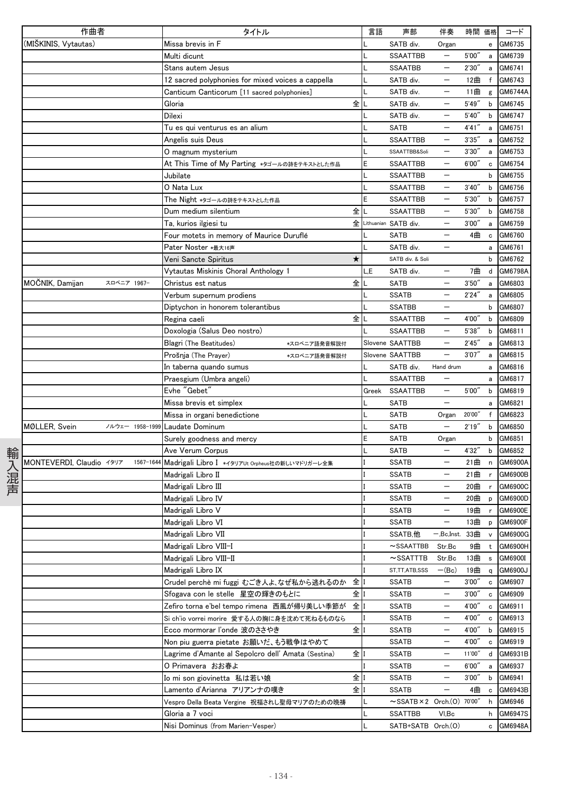|      | 作曲者                                   | タイトル                                                                 | 言語    | 声部                                      | 伴奏                       | 時間 価格      |              | コード                |
|------|---------------------------------------|----------------------------------------------------------------------|-------|-----------------------------------------|--------------------------|------------|--------------|--------------------|
|      | (MIŠKINIS, Vytautas)                  | Missa brevis in F                                                    |       | SATB div.                               | Organ                    |            | e            | GM6735             |
|      |                                       | Multi dicunt                                                         |       | <b>SSAATTBB</b>                         |                          | 5'00"      | a            | GM6739             |
|      |                                       | Stans autem Jesus                                                    |       | <b>SSAATBB</b>                          | $\qquad \qquad -$        | 2'30"      | a            | GM6741             |
|      |                                       | 12 sacred polyphonies for mixed voices a cappella                    |       | SATB div.                               | $\qquad \qquad -$        | 12曲        | $\mathsf{f}$ | GM6743             |
|      |                                       | Canticum Canticorum [11 sacred polyphonies]                          |       | SATB div.                               |                          | 11曲        | g            | GM6744A            |
|      |                                       | 全<br>Gloria                                                          |       | SATB div.                               |                          | 5'49''     | b            | GM6745             |
|      |                                       | Dilexi                                                               |       | SATB div.                               |                          | 5'40''     | b            | GM6747             |
|      |                                       | Tu es qui venturus es an alium                                       |       | <b>SATB</b>                             | $\qquad \qquad -$        | 4'41''     | a            | GM6751             |
|      |                                       | Angelis suis Deus                                                    |       | <b>SSAATTBB</b>                         | $\overline{\phantom{m}}$ | 3'35''     | a            | GM6752             |
|      |                                       | O magnum mysterium                                                   |       | SSAATTBB&Soli                           | $\qquad \qquad -$        | 3'30''     | a            | GM6753             |
|      |                                       | At This Time of My Parting *タゴールの詩をテキストとした作品                         | E     | SSAATTBB                                | $\qquad \qquad -$        | 6'00''     | $\mathbf c$  | GM6754             |
|      |                                       | Jubilate                                                             |       | <b>SSAATTBB</b>                         |                          |            | b            | GM6755             |
|      |                                       | O Nata Lux                                                           |       | <b>SSAATTBB</b>                         |                          | 3'40''     | b            | GM6756             |
|      |                                       | The Night *タゴールの詩をテキストとした作品                                          | E     | <b>SSAATTBB</b>                         | $\qquad \qquad -$        | 5'30''     | b            | GM6757             |
|      |                                       | 全<br>Dum medium silentium                                            |       | <b>SSAATTBB</b>                         | $\qquad \qquad -$        | 5'30''     | b            | GM6758             |
|      |                                       | Ta, kurios ilgiesi tu                                                |       | 全 Lithuanian SATB div.                  | $\qquad \qquad -$        | 3'00''     | $\mathsf{a}$ | GM6759             |
|      |                                       | Four motets in memory of Maurice Duruflé                             |       | SATB                                    |                          | 4曲         | $\mathbf c$  | GM6760             |
|      |                                       | Pater Noster *最大16声                                                  |       | SATB div.                               |                          |            | $\mathsf{a}$ | GM6761             |
|      |                                       | ★<br>Veni Sancte Spiritus                                            |       | SATB div. & Soli                        |                          |            | b            | GM6762             |
|      |                                       | Vytautas Miskinis Choral Anthology 1                                 | L,E   | SATB div.                               | $\qquad \qquad -$        | 7曲         | d            | GM6798A            |
|      | MOČNIK, Damijan<br>スロベニア 1967-        | Christus est natus<br>全                                              |       | <b>SATB</b>                             | $\qquad \qquad -$        | 3'50''     | a            | GM6803             |
|      |                                       | Verbum supernum prodiens                                             |       | <b>SSATB</b>                            | $\overline{\phantom{m}}$ | 2'24''     | a            | GM6805             |
|      |                                       | Diptychon in honorem tolerantibus                                    |       | <b>SSATBB</b>                           |                          |            | b            | GM6807             |
|      |                                       | 全<br>Regina caeli                                                    |       | <b>SSAATTBB</b>                         |                          | 4'00"      | b            | GM6809             |
|      |                                       | Doxologia (Salus Deo nostro)                                         |       | <b>SSAATTBB</b>                         | $\qquad \qquad -$        | 5'38''     | b            | GM6811             |
|      |                                       | Blagri (The Beatitudes)<br>*スロベニア語発音解説付                              |       | Slovene SAATTBB                         | $\overline{\phantom{0}}$ | 2'45''     | a            | GM6813             |
|      |                                       | Prošnja (The Prayer)<br>*スロベニア語発音解説付                                 |       | Slovene SAATTBB                         | $\qquad \qquad -$        | 3'07''     | a            | GM6815             |
|      |                                       | In taberna quando sumus                                              |       | SATB div.                               | Hand drum                |            | a            | GM6816             |
|      |                                       | Praesgium (Umbra angeli)                                             |       | <b>SSAATTBB</b>                         | $\overline{\phantom{0}}$ |            | a            | GM6817             |
|      |                                       | Evhe "Gebet"                                                         | Greek | <b>SSAATTBB</b>                         | $\overline{\phantom{m}}$ | 5'00"      | b            | GM6819             |
|      |                                       | Missa brevis et simplex                                              |       | SATB                                    | $\overline{\phantom{0}}$ |            | a            | GM6821             |
|      |                                       | Missa in organi benedictione                                         |       | SATB                                    | Organ                    | 20'00"     | $\mathsf{f}$ | GM6823             |
|      | MØLLER, Svein<br>ノルウェー 1958-1999      | Laudate Dominum                                                      |       | <b>SATB</b>                             | $\overline{\phantom{m}}$ | 2'19''     | b            | GM6850             |
|      |                                       | Surely goodness and mercy                                            | E     | SATB                                    | Organ                    | 4'32"      | b            | GM6851             |
| 輸入混声 |                                       | Ave Verum Corpus                                                     |       | <b>SATB</b>                             |                          |            | b            | GM6852             |
|      | MONTEVERDI, Claudio イタリア<br>1567-1644 | Madrigali Libro I *イタリアUt Orpheus社の新しいマドリガーレ全集<br>Madrigali Libro II |       | <b>SSATB</b><br><b>SSATB</b>            | $\qquad \qquad -$        | 21曲        | $\mathsf{n}$ | GM6900A<br>GM6900B |
|      |                                       | Madrigali Libro III                                                  |       | <b>SSATB</b>                            | $\qquad \qquad -$        | 21曲<br>20曲 | $\mathsf{r}$ | GM6900C            |
|      |                                       | Madrigali Libro IV                                                   |       | <b>SSATB</b>                            | $\qquad \qquad -$        | 20曲        | r<br>p       | GM6900D            |
|      |                                       | Madrigali Libro V                                                    |       | <b>SSATB</b>                            |                          | 19曲        | r            | GM6900E            |
|      |                                       | Madrigali Libro VI                                                   |       | <b>SSATB</b>                            | $\qquad \qquad -$        | 13曲        | p            | GM6900F            |
|      |                                       | Madrigali Libro VII                                                  |       | SSATB,他                                 | — 'Bc,Inst.              | 33曲        | v            | GM6900G            |
|      |                                       | Madrigali Libro VIII-I                                               |       | $\sim$ SSAATTBB                         | Str.Bc                   | 9曲         |              | t GM6900H          |
|      |                                       | Madrigali Libro VIII-II                                              |       | $\sim$ SSATTTB                          | Str.Bc                   | 13曲        | $\mathsf{s}$ | GM6900I            |
|      |                                       | Madrigali Libro IX                                                   |       | ST,TT,ATB,SSS                           | $-(Bc)$                  | 19曲        | q            | GM6900J            |
|      |                                       | Crudel perchè mi fuggi むごき人よ、なぜ私から逃れるのか<br>全                         |       | <b>SSATB</b>                            | $\qquad \qquad -$        | 3'00''     | $\mathbf c$  | GM6907             |
|      |                                       | 全<br>Sfogava con le stelle 星空の輝きのもとに                                 |       | <b>SSATB</b>                            |                          | 3'00''     | c            | GM6909             |
|      |                                       | 全工<br>Zefiro torna e'bel tempo rimena 西風が帰り美しい季節が                    |       | SSATB                                   |                          | 4'00"      | c            | GM6911             |
|      |                                       | Si ch'io vorrei morire 愛する人の胸に身を沈めて死ねるものなら                           |       | <b>SSATB</b>                            | $\qquad \qquad -$        | 4'00"      |              | c GM6913           |
|      |                                       | 全<br>Ecco mormorar l'onde 波のささやき                                     |       | <b>SSATB</b>                            | $\qquad \qquad -$        | 4'00"      | b            | GM6915             |
|      |                                       | Non piu guerra pietate お願いだ、もう戦争はやめて                                 |       | SSATB                                   | $\qquad \qquad -$        | 4'00"      | c            | GM6919             |
|      |                                       | 全<br>Lagrime d'Amante al Sepolcro dell' Amata (Sestina)              |       | <b>SSATB</b>                            | —                        | 11'00"     | d            | GM6931B            |
|      |                                       | O Primavera おお春よ                                                     |       | <b>SSATB</b>                            |                          | 6'00''     | a            | GM6937             |
|      |                                       | 全<br>Io mi son giovinetta  私は若い娘                                     |       | <b>SSATB</b>                            |                          | 3'00''     | b            | GM6941             |
|      |                                       | 全<br>Lamento d'Arianna アリアンナの嘆き                                      |       | <b>SSATB</b>                            | $\qquad \qquad -$        | 4曲         | $\mathbf{c}$ | GM6943B            |
|      |                                       | Vespro Della Beata Vergine 祝福されし聖母マリアのための晩祷                          |       | $\sim$ SSATB $\times$ 2 Orch.(0) 70'00" |                          |            |              | h GM6946           |
|      |                                       | Gloria a 7 voci                                                      |       | <b>SSATTBB</b>                          | VI,Bc                    |            | h            | GM6947S            |
|      |                                       | Nisi Dominus (from Marien-Vesper)                                    |       | SATB+SATB Orch.(O)                      |                          |            | c            | GM6948A            |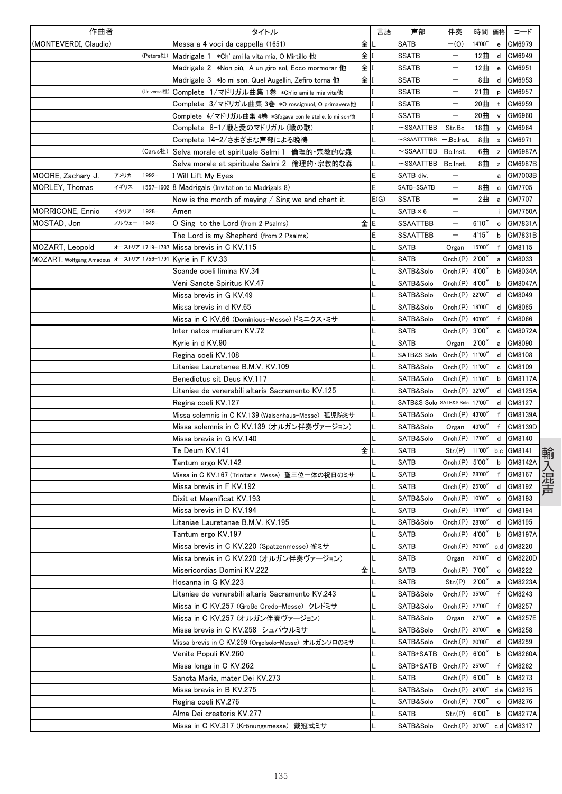| 作曲者                                       |                  | タイトル                                                     |    | 言語   | 声部                             | 伴奏                       | 時間 価格  |                                                  | コード            |
|-------------------------------------------|------------------|----------------------------------------------------------|----|------|--------------------------------|--------------------------|--------|--------------------------------------------------|----------------|
| (MONTEVERDI, Claudio)                     |                  | Messa a 4 voci da cappella (1651)                        | 全  |      | <b>SATB</b>                    | $-(0)$                   | 14'00" | e                                                | GM6979         |
|                                           | (Peters社)        | Madrigale 1 *Ch' ami la vita mia, O Mirtillo 他           | 全  |      | <b>SSATB</b>                   | $\qquad \qquad -$        | 12曲    | d                                                | GM6949         |
|                                           |                  | Madrigale 2   *Non più, A un giro sol, Ecco mormorar 他   | 全  |      | <b>SSATB</b>                   | —                        | 12曲    | $\mathbf{e}% _{t}\left  \mathbf{v}_{t}\right $   | GM6951         |
|                                           |                  | Madrigale 3 *Io mi son, Quel Augellin, Zefiro torna 他    | 全  |      | <b>SSATB</b>                   |                          | 8曲     | d                                                | GM6953         |
|                                           | (Universal社      | Complete 1/マドリガル曲集 1巻 *Ch'io ami la mia vita他            |    |      | <b>SSATB</b>                   |                          | 21曲    | p                                                | GM6957         |
|                                           |                  | Complete 3/マドリガル曲集 3巻 *0 rossignuol, 0 primavera他        |    |      | <b>SSATB</b>                   |                          | 20曲    | t                                                | GM6959         |
|                                           |                  | Complete 4/マドリガル曲集 4巻 *Sfogava con le stelle, Io mi son他 |    |      | <b>SSATB</b>                   |                          | 20曲    | $\mathsf{v}$                                     | GM6960         |
|                                           |                  | Complete 8−1/戦と愛のマドリガル(戦の歌)                              |    |      | $\sim$ SSAATTBB                | Str.Bc                   | 18曲    | $\mathbf{y}$                                     | GM6964         |
|                                           |                  | Complete 14−2/さまざまな声部による晩祷                               |    |      | $\sim$ SSAATTTTBB              | $-$ , $Bc$ , $Inst$ .    | 8曲     | $\boldsymbol{\mathsf{x}}$                        | GM6971         |
|                                           | (Carus社)         | Selva morale et spirituale Salmi 1 倫理的・宗教的な森             |    |      | $\sim$ SSAATTBB                | Bc.Inst                  | 6曲     | z                                                | GM6987A        |
|                                           |                  | Selva morale et spirituale Salmi 2 倫理的・宗教的な森             |    |      | $\sim$ SSAATTBB                | Bc.Inst.                 | 8曲     | $\mathsf z$                                      | GM6987B        |
| アメリカ<br>MOORE, Zachary J.                 | $1992 -$         | I Will Lift My Eyes                                      |    | E    | SATB div.                      | $\qquad \qquad -$        |        | a                                                | GM7003B        |
| <b>MORLEY, Thomas</b><br>イギリス             | 1557-1602        | 8 Madrigals (Invitation to Madrigals 8)                  |    | E    | SATB-SSATB                     | —                        | 8曲     | c                                                | GM7705         |
|                                           |                  | Now is the month of maying $\ell$ Sing we and chant it   |    | E(G) | <b>SSATB</b>                   |                          | 2曲     | a                                                | GM7707         |
| <b>MORRICONE, Ennio</b><br>イタリア           | $1928 -$         | Amen                                                     |    | L    | $SATB \times 6$                |                          |        | ÷                                                | <b>GM7750A</b> |
| ノルウェー 1942-<br>MOSTAD, Jon                |                  | O Sing to the Lord (from 2 Psalms)                       | 全に |      | <b>SSAATTBB</b>                |                          | 6'10'' | $\mathbf c$                                      | GM7831A        |
|                                           |                  | The Lord is my Shepherd (from 2 Psalms)                  |    | E    | <b>SSAATTBB</b>                | $\overline{\phantom{m}}$ | 4'15'' | b                                                | GM7831B        |
| MOZART, Leopold                           | オーストリア 1719-1787 | Missa brevis in C KV.115                                 |    |      | SATB                           | Organ                    | 15'00" | f                                                | GM8115         |
| MOZART, Wolfgang Amadeus オーストリア 1756-1791 |                  | Kyrie in F KV.33                                         |    |      | SATB                           | Orch.(P)                 | 2'00'  | а                                                | GM8033         |
|                                           |                  | Scande coeli limina KV.34                                |    |      | SATB&Solo                      | Orch.(P) 4'00"           |        | b                                                | GM8034A        |
|                                           |                  | Veni Sancte Spiritus KV.47                               |    | L    | SATB&Solo                      | Orch.(P) 4'00"           |        | b                                                | GM8047A        |
|                                           |                  | Missa brevis in G KV.49                                  |    |      | SATB&Solo                      | Orch.(P) 22'00'          |        | d                                                | GM8049         |
|                                           |                  | Missa brevis in d KV.65                                  |    |      | SATB&Solo                      | Orch.(P) 18'00"          |        | d                                                | GM8065         |
|                                           |                  | Missa in C KV.66 (Dominicus-Messe) ドミニクス・ミサ              |    |      | SATB&Solo                      | Orch.(P) 40'00"          |        | $\mathsf{f}$                                     | GM8066         |
|                                           |                  | Inter natos mulierum KV.72                               |    |      | <b>SATB</b>                    | Orch.(P) 3'00'           |        | с                                                | GM8072A        |
|                                           |                  | Kvrie in d KV.90                                         |    |      | <b>SATB</b>                    | Organ                    | 2'00'  | a                                                | GM8090         |
|                                           |                  | Regina coeli KV.108                                      |    |      | SATB&S Solo Orch.(P) 11'00"    |                          |        | d                                                | GM8108         |
|                                           |                  | Litaniae Lauretanae B.M.V. KV.109                        |    |      | SATB&Solo                      | Orch.(P) 11'00"          |        | $\mathbf c$                                      | GM8109         |
|                                           |                  | Benedictus sit Deus KV.117                               |    |      | SATB&Solo                      | Orch.(P) 11'00"          |        | b                                                | GM8117A        |
|                                           |                  | Litaniae de venerabili altaris Sacramento KV.125         |    |      | SATB&Solo                      | Orch.(P) 32'00"          |        | d                                                | GM8125A        |
|                                           |                  | Regina coeli KV.127                                      |    |      | SATB&S Solo SATB&S.Solo 17'00" |                          |        | d                                                | GM8127         |
|                                           |                  | Missa solemnis in C KV.139 (Waisenhaus-Messe) 孤児院ミサ      |    |      | SATB&Solo                      | Orch.(P) 43'00"          |        | f                                                | GM8139A        |
|                                           |                  | Missa solemnis in C KV.139 (オルガン伴奏ヴァージョン)                |    |      | SATB&Solo                      | Organ                    | 43'00" | $\mathbf{f}$                                     | GM8139D        |
|                                           |                  | Missa brevis in G KV.140                                 |    |      | SATB&Solo                      | Orch.(P) 17'00"          |        | d                                                | GM8140         |
|                                           |                  | Te Deum KV 141                                           | 全  |      | <b>SATB</b>                    | Str.(P) 11'00"           |        |                                                  | b,c GM8141     |
|                                           |                  | Tantum ergo KV.142                                       |    |      | <b>SATB</b>                    | Orch.(P) 5'00"           |        | b                                                | GM8142A        |
|                                           |                  | Missa in C KV.167 (Trinitatis-Messe) 聖三位一体の祝日のミサ         |    |      | <b>SATB</b>                    | Orch.(P) 28'00"          |        | f                                                | GM8167         |
|                                           |                  | Missa brevis in F KV.192                                 |    |      | <b>SATB</b>                    | Orch.(P) 25'00"          |        | d                                                | GM8192         |
|                                           |                  | Dixit et Magnificat KV.193                               |    |      | SATB&Solo                      | Orch.(P) 10'00"          |        | c                                                | GM8193         |
|                                           |                  | Missa brevis in D KV.194                                 |    |      | <b>SATB</b>                    | Orch.(P) 18'00"          |        | d                                                | GM8194         |
|                                           |                  | Litaniae Lauretanae B.M.V. KV.195                        |    |      | SATB&Solo                      | Orch.(P) 28'00"          |        |                                                  | d GM8195       |
|                                           |                  | Tantum ergo KV.197                                       |    | L    | <b>SATB</b>                    | Orch.(P) 4'00"           |        | b                                                | GM8197A        |
|                                           |                  | Missa brevis in C KV.220 (Spatzenmesse) 雀ミサ              |    |      | <b>SATB</b>                    | Orch.(P) 20'00"          |        |                                                  | c,d GM8220     |
|                                           |                  | Missa brevis in C KV.220 (オルガン伴奏ヴァージョン)                  |    |      | SATB                           | Organ                    | 20'00" | d                                                | GM8220D        |
|                                           |                  | Misericordias Domini KV.222                              | 全  |      | <b>SATB</b>                    | Orch.(P) 7'00"           |        | c                                                | GM8222         |
|                                           |                  | Hosanna in G KV.223                                      |    |      | SATB                           | Str(P)                   | 2'00'' | a                                                | GM8223A        |
|                                           |                  | Litaniae de venerabili altaris Sacramento KV.243         |    |      | SATB&Solo                      | Orch.(P) 35'00"          |        | f                                                | GM8243         |
|                                           |                  | Missa in C KV.257 (Große Credo-Messe) クレドミサ              |    |      | SATB&Solo                      | Orch.(P) 27'00"          |        | f                                                | GM8257         |
|                                           |                  | Missa in C KV.257 (オルガン伴奏ヴァージョン)                         |    |      | SATB&Solo                      | Organ                    | 27'00" | $\mathbf{e}% _{t}\left  \mathbf{1}\right\rangle$ | GM8257E        |
|                                           |                  | Missa brevis in C KV.258 シュパウルミサ                         |    |      | SATB&Solo                      | Orch.(P) 20'00"          |        | $\mathbf{e}% _{t}\left  \mathbf{1}\right\rangle$ | GM8258         |
|                                           |                  | Missa brevis in C KV.259 (Orgelsolo-Messe) オルガンソロのミサ     |    |      | SATB&Solo                      | Orch.(P) 20'00"          |        | d                                                | GM8259         |
|                                           |                  | Venite Populi KV.260                                     |    |      | SATB+SATB Orch.(P) 6'00"       |                          |        | b                                                | GM8260A        |
|                                           |                  | Missa longa in C KV.262                                  |    |      | SATB+SATB Orch.(P) 25'00"      |                          |        | f                                                | GM8262         |
|                                           |                  | Sancta Maria, mater Dei KV.273                           |    |      | SATB                           | Orch.(P) 6'00"           |        | b                                                | GM8273         |
|                                           |                  | Missa brevis in B KV.275                                 |    |      | SATB&Solo                      | Orch.(P) 24'00"          |        |                                                  | d,e GM8275     |
|                                           |                  | Regina coeli KV.276                                      |    |      | SATB&Solo                      | Orch.(P) 7'00"           |        | c                                                | GM8276         |
|                                           |                  | Alma Dei creatoris KV.277                                |    |      | SATB                           | Str(P)                   | 6'00'' | b                                                | GM8277A        |
|                                           |                  | Missa in C KV.317 (Krönungsmesse) 戴冠式ミサ                  |    |      | SATB&Solo                      | Orch.(P) 30'00"          |        |                                                  | c,d GM8317     |
|                                           |                  |                                                          |    |      |                                |                          |        |                                                  |                |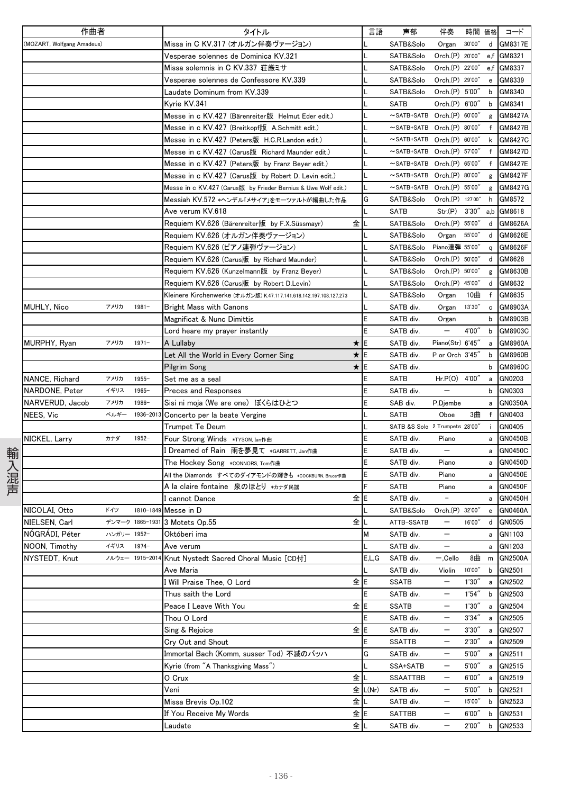|      | 作曲者                        |             |                 | タイトル                                                               | 言語      | 声部                                  | 伴奏                       | 時間 価格  |              | コード            |
|------|----------------------------|-------------|-----------------|--------------------------------------------------------------------|---------|-------------------------------------|--------------------------|--------|--------------|----------------|
|      | (MOZART, Wolfgang Amadeus) |             |                 | Missa in C KV.317 (オルガン伴奏ヴァージョン)                                   |         | SATB&Solo                           | Organ                    | 30'00" |              | d GM8317E      |
|      |                            |             |                 | Vesperae solennes de Dominica KV.321                               |         | SATB&Solo                           | Orch.(P) 20'00"          |        |              | e.f GM8321     |
|      |                            |             |                 | Missa solemnis in C KV.337 荘厳ミサ                                    |         | SATB&Solo                           | Orch.(P) 22'00"          |        |              | e.f GM8337     |
|      |                            |             |                 | Vesperae solennes de Confessore KV.339                             |         | SATB&Solo                           | Orch.(P) 29'00"          |        | e            | GM8339         |
|      |                            |             |                 | Laudate Dominum from KV.339                                        |         | SATB&Solo                           | Orch.(P) 5'00"           |        | b            | GM8340         |
|      |                            |             |                 | Kyrie KV.341                                                       |         | <b>SATB</b>                         | Orch.(P) 6'00"           |        | b            | GM8341         |
|      |                            |             |                 | Messe in c KV.427 (Bärenreiter版 Helmut Eder edit.)                 |         | ~SATB+SATB Orch.(P) 60'00"          |                          |        |              | g GM8427A      |
|      |                            |             |                 | Messe in c KV.427 (Breitkopf版 A.Schmitt edit.)                     |         | ~SATB+SATB Orch.(P) 80'00"          |                          |        | f            | GM8427B        |
|      |                            |             |                 | Messe in c KV.427 (Peters版 H.C.R.Landon edit.)                     |         | $\sim$ SATB+SATB Orch. $(P)$ 60'00" |                          |        | k            | GM8427C        |
|      |                            |             |                 | Messe in c KV.427 (Carus版 Richard Maunder edit.)                   |         | ~SATB+SATB Orch.(P) 57'00"          |                          |        | f            |                |
|      |                            |             |                 |                                                                    |         |                                     |                          |        |              | GM8427D        |
|      |                            |             |                 | Messe in c KV.427 (Peters版 by Franz Beyer edit.)                   |         | ~SATB+SATB Orch.(P) 65'00"          |                          |        | f            | GM8427E        |
|      |                            |             |                 | Messe in c KV.427 (Carus版 by Robert D. Levin edit.)                |         | ~SATB+SATB Orch.(P) 80'00"          |                          |        | g            | GM8427F        |
|      |                            |             |                 | Messe in c KV.427 (Carus版 by Frieder Bernius & Uwe Wolf edit.)     |         | ~SATB+SATB Orch.(P) 55'00"          |                          |        |              | g GM8427G      |
|      |                            |             |                 | Messiah KV.572 *ヘンデル「メサイア」をモーツァルトが編曲した作品                           | G       | SATB&Solo                           | Orch.(P) 127'00"         |        | h            | GM8572         |
|      |                            |             |                 | Ave verum KV.618                                                   |         | SATB                                | Str.(P)                  | 3'30'' | a,b          | GM8618         |
|      |                            |             |                 | 全<br>Requiem KV.626 (Bärenreiter版 by F.X.Süssmayr)                 |         | SATB&Solo                           | Orch.(P) 55'00"          |        | d            | GM8626A        |
|      |                            |             |                 | Requiem KV.626 (オルガン伴奏ヴァージョン)                                      |         | SATB&Solo                           | Organ                    | 55'00" | d            | GM8626E        |
|      |                            |             |                 | Requiem KV.626 (ピアノ連弾ヴァージョン)                                       |         | SATB&Solo                           | Piano連弾 55'00"           |        | q            | GM8626F        |
|      |                            |             |                 | Requiem KV.626 (Carus版 by Richard Maunder)                         |         | SATB&Solo                           | Orch.(P) 50'00"          |        | d            | GM8628         |
|      |                            |             |                 | Requiem KV.626 (Kunzelmann版 by Franz Beyer)                        |         | SATB&Solo                           | Orch.(P) 50'00'          |        | g            | GM8630B        |
|      |                            |             |                 | Requiem KV.626 (Carus版 by Robert D.Levin)                          |         | SATB&Solo                           | Orch.(P) 45'00"          |        | d            | GM8632         |
|      |                            |             |                 | Kleinere Kirchenwerke (オルガン版) K.47.117.141.618.142.197.108.127.273 |         | SATB&Solo                           | Organ                    | 10曲    | $\mathsf{f}$ | GM8635         |
|      | MUHLY, Nico                | アメリカ        | $1981 -$        | <b>Bright Mass with Canons</b>                                     |         | SATB div.                           | Organ                    | 13'30" | $\mathbf c$  | GM8903A        |
|      |                            |             |                 | Magnificat & Nunc Dimittis                                         |         | SATB div.                           | Organ                    |        | b            | GM8903B        |
|      |                            |             |                 | Lord heare my prayer instantly                                     |         | SATB div.                           |                          | 4'00"  | b            | GM8903C        |
|      | MURPHY, Ryan               | アメリカ        | $1971 -$        | ★<br>A Lullaby                                                     | E       | SATB div.                           | Piano(Str) 6'45"         |        | a            | GM8960A        |
|      |                            |             |                 | Let All the World in Every Corner Sing                             | ★∥E     | SATB div.                           | P or Orch 3'45"          |        | b            | GM8960B        |
|      |                            |             |                 | *<br>Pilgrim Song                                                  | IE      | SATB div.                           |                          |        | b            | GM8960C        |
|      | NANCE, Richard             | アメリカ        | $1955 -$        | Set me as a seal                                                   | E       | SATB                                | $Hr.P(O)$ 4'00"          |        | a            | GN0203         |
|      | NARDONE, Peter             | イギリス        | $1965 -$        | <b>Preces and Responses</b>                                        |         | SATB div.                           | $\overline{\phantom{0}}$ |        | b            | GN0303         |
|      | NARVERUD, Jacob            | アメリカ        | 1986-           | Sisi ni moja (We are one) ぼくらはひとつ                                  |         | SAB div.                            | P,Djembe                 |        | a            | GN0350A        |
|      |                            | ベルギー        | 1936-201        |                                                                    |         | <b>SATB</b>                         | Oboe                     | 3曲     |              |                |
|      | NEES, Vic                  |             |                 | Concerto per la beate Vergine                                      |         |                                     |                          |        | f            | GN0403         |
|      |                            |             |                 | Trumpet Te Deum                                                    |         | SATB &S Solo 2 Trumpets 28'00"      |                          |        | ÷            | GN0405         |
|      | NICKEL, Larry              | カナダ         | $1952 -$        | Four Strong Winds *TYSON, Ian作曲                                    |         | SATB div.                           | Piano                    |        | а            | GN0450B        |
|      |                            |             |                 | Dreamed of Rain 雨を夢見て *GARRETT, Jan作曲                              |         | SATB div.                           |                          |        | a            | GN0450C        |
|      |                            |             |                 | The Hockey Song *CONNORS, Tom作曲                                    |         | SATB div.                           | Piano                    |        |              | a GN0450D      |
| 輸入混声 |                            |             |                 | All the Diamonds すべてのダイアモンドの輝きも *COCKBURN. Bruce作曲                 |         | SATB div.                           | Piano                    |        | a            | <b>GN0450E</b> |
|      |                            |             |                 | A la claire fontaine 泉のほとり *カナダ民謡                                  |         | SATB                                | Piano                    |        | a            | <b>GN0450F</b> |
|      |                            |             |                 | 全<br>I cannot Dance                                                | E       | SATB div.                           | $\overline{\phantom{a}}$ |        | а            | GN0450H        |
|      | NICOLAI, Otto              | ドイツ         |                 | 1810-1849 Messe in D                                               |         | SATB&Solo                           | Orch.(P) 32'00"          |        | e            | GN0460A        |
|      | NIELSEN, Carl              |             |                 | デンマーク 1865-1931 3 Motets Op.55                                     | 全工      | ATTB-SSATB                          | $\qquad \qquad -$        | 16'00" |              | d GN0505       |
|      | NÓGRÁDI, Péter             | ハンガリー 1952- |                 | Októberi ima                                                       | M       | SATB div.                           | $\qquad \qquad -$        |        |              | a GN1103       |
|      | NOON, Timothy              | イギリス        | $1974-$         | Ave verum                                                          |         | SATB div.                           | $\qquad \qquad -$        |        |              | a GN1203       |
|      | NYSTEDT, Knut              |             | ノルウェー 1915-2014 | Knut Nystedt Sacred Choral Music [CD付]                             | E,L,G   | SATB div.                           | $-$ , Cello              | 8曲     |              | m GN2500A      |
|      |                            |             |                 | Ave Maria                                                          |         | SATB div.                           | Violin                   | 10'00" | b            | GN2501         |
|      |                            |             |                 | 全<br>Will Praise Thee, O Lord                                      | E       | SSATB                               | $\overline{\phantom{m}}$ | 1'30'' | а            | GN2502         |
|      |                            |             |                 | Thus saith the Lord                                                | Ε       | SATB div.                           |                          | 1'54'' | b            | GN2503         |
|      |                            |             |                 | Peace I Leave With You                                             | 全lE     | <b>SSATB</b>                        | $\qquad \qquad -$        | 1'30'' | a            | GN2504         |
|      |                            |             |                 | Thou O Lord                                                        |         | SATB div.                           | $\qquad \qquad -$        | 3'34'' | а            | GN2505         |
|      |                            |             |                 | Sing & Rejoice                                                     | 全E      | SATB div.                           | $\overline{\phantom{m}}$ | 3'30'' | a            | GN2507         |
|      |                            |             |                 | Cry Out and Shout                                                  | Ε       | <b>SSATTB</b>                       | $\qquad \qquad -$        | 2'30'' | a            | GN2509         |
|      |                            |             |                 | Immortal Bach (Komm, susser Tod) 不滅のバッハ                            | G       | SATB div.                           | $\overline{\phantom{m}}$ | 5'00'' | а            | GN2511         |
|      |                            |             |                 | Kyrie (from "A Thanksgiving Mass")                                 |         | SSA+SATB                            |                          | 5'00'' | a            | GN2515         |
|      |                            |             |                 | 全<br>0 Crux                                                        |         | SSAATTBB                            | $\qquad \qquad -$        | 6'00'' | a            | GN2519         |
|      |                            |             |                 | Veni                                                               | 全 L(Nr) |                                     | $\qquad \qquad -$        |        |              | GN2521         |
|      |                            |             |                 |                                                                    |         | SATB div.                           |                          | 5'00'' | b            |                |
|      |                            |             |                 | Missa Brevis Op.102<br>全丨                                          |         | SATB div.                           | $\overline{\phantom{m}}$ | 15'00" | b            | GN2523         |
|      |                            |             |                 | If You Receive My Words                                            | 全E      | SATTBB                              | $\qquad \qquad -$        | 6'00'' | b            | GN2531         |
|      |                            |             |                 | 全<br>Laudate                                                       |         | SATB div.                           | $\qquad \qquad -$        | 2'00'' | b            | GN2533         |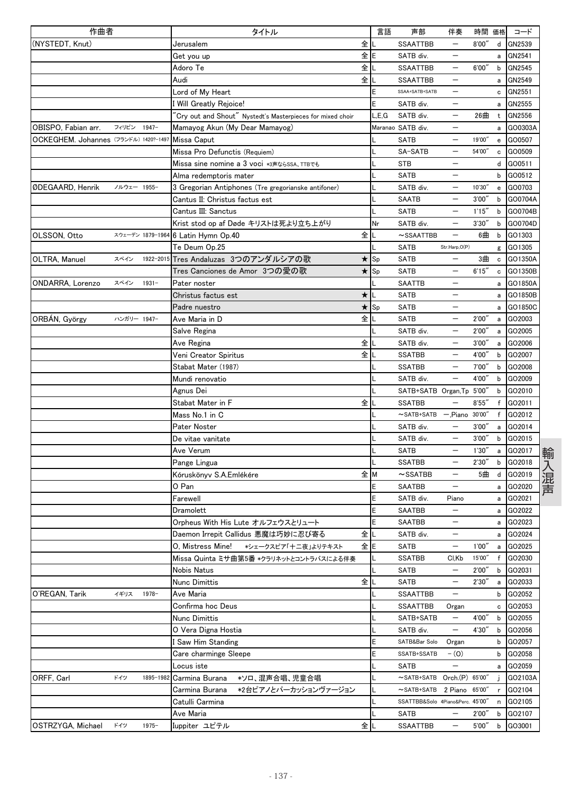| 作曲者                                   |             |                  | タイトル                                                       | 言語    | 声部                               | 伴奏                       |        | 時間 価格        | コード              |
|---------------------------------------|-------------|------------------|------------------------------------------------------------|-------|----------------------------------|--------------------------|--------|--------------|------------------|
| (NYSTEDT, Knut)                       |             |                  | 全<br>Jerusalem                                             |       | <b>SSAATTBB</b>                  |                          | 8'00'' | d            | GN2539           |
|                                       |             |                  | 全<br>Get you up                                            | E     | SATB div.                        | $\overline{\phantom{0}}$ |        | a            | GN2541           |
|                                       |             |                  | 全<br>Adoro Te                                              |       | <b>SSAATTBB</b>                  | $\overline{\phantom{0}}$ | 6'00'  | b            | GN2545           |
|                                       |             |                  | 全<br>Audi                                                  |       | <b>SSAATTBB</b>                  |                          |        | a            | GN2549           |
|                                       |             |                  | Lord of My Heart                                           | E     | SSAA+SATB+SATB                   |                          |        | с            | GN2551           |
|                                       |             |                  | I Will Greatly Rejoice!                                    | E     | SATB div.                        | $\overline{\phantom{0}}$ |        | a            | GN2555           |
|                                       |             |                  | 'Cry out and Shout" Nystedt's Masterpieces for mixed choir | L.E.G | SATB div.                        |                          | 26曲    | t            | GN2556           |
| OBISPO, Fabian arr.                   | フィリピン 1947- |                  | Mamayog Akun (My Dear Mamayog)                             |       | Maranao SATB div.                |                          |        | a            | GO0303A          |
| OCKEGHEM. Johannes (フランドル) 1420?-1497 |             |                  | Missa Caput                                                |       | SATB                             |                          | 19'00" | e            | GO0507           |
|                                       |             |                  | Missa Pro Defunctis (Requiem)                              |       | SA-SATB                          |                          | 54'00" | с            | GO0509           |
|                                       |             |                  | Missa sine nomine a 3 voci *3声ならSSA、TTBでも                  |       | <b>STB</b>                       |                          |        | d            | GO0511           |
|                                       |             |                  | Alma redemptoris mater                                     |       | <b>SATB</b>                      | $\overline{\phantom{0}}$ |        | b            | GO0512           |
| ØDEGAARD, Henrik                      | ノルウェー 1955- |                  | 3 Gregorian Antiphones (Tre gregorianske antifoner)        |       | SATB div.                        |                          | 10'30" | e            | GO0703           |
|                                       |             |                  | Cantus II: Christus factus est                             |       | <b>SAATB</b>                     | —                        | 3'00'' | b            | GO0704A          |
|                                       |             |                  | Cantus III: Sanctus                                        |       | SATB                             |                          | 1'15'  | b            | GO0704B          |
|                                       |             |                  | Krist stod op af Døde キリストは死より立ち上がり                        | Nr    | SATB div.                        |                          | 3'30'' | b            | GO0704D          |
| OLSSON, Otto                          |             | スウェーデン 1879-1964 | 全<br>6 Latin Hymn Op.40                                    |       | $\sim$ SSAATTBB                  | $\qquad \qquad -$        | 6曲     | b            | GO1303           |
|                                       |             |                  | Te Deum Op.25                                              |       | SATB                             | Str.Harp,O(P)            |        |              | g GO1305         |
| OLTRA, Manuel                         | スペイン        |                  | 1922-2015 Tres Andaluzas 3つのアンダルシアの歌<br>★.                 | Sp    | <b>SATB</b>                      | $\overline{\phantom{0}}$ | 3曲     | c            | GO1350A          |
|                                       |             |                  | Tres Canciones de Amor 3つの愛の歌<br>$\star$                   | Sp    | <b>SATB</b>                      |                          | 6'15'' | с            | GO1350B          |
| ONDARRA, Lorenzo                      | スペイン        | $1931 -$         | Pater noster                                               |       | <b>SAATTB</b>                    |                          |        | a            | GO1850A          |
|                                       |             |                  | Christus factus est<br>$\star$                             |       | <b>SATB</b>                      |                          |        | а            | GO1850B          |
|                                       |             |                  | $\star$<br>Padre nuestro                                   | Sp    | <b>SATB</b>                      |                          |        | а            | GO1850C          |
| ORBÁN, György                         | ハンガリー 1947- |                  | 全<br>Ave Maria in D                                        |       | <b>SATB</b>                      | $\qquad \qquad -$        | 2'00'' | a            | GO2003           |
|                                       |             |                  | Salve Regina                                               |       | SATB div.                        | $\qquad \qquad -$        | 2'00'  | a            | GO2005           |
|                                       |             |                  | 全<br>Ave Regina                                            |       | SATB div.                        |                          | 3'00'' | a            | GO2006           |
|                                       |             |                  | 全<br>Veni Creator Spiritus                                 |       | <b>SSATBB</b>                    | $\overline{\phantom{0}}$ | 4'00'' | b            | GO2007           |
|                                       |             |                  | Stabat Mater (1987)                                        |       | <b>SSATBB</b>                    |                          | 7'00"  | b            | GO2008           |
|                                       |             |                  | Mundi renovatio                                            |       | SATB div.                        |                          | 4'00'' | b            | GO2009           |
|                                       |             |                  | Agnus Dei                                                  |       | SATB+SATB Organ, Tp 5'00"        |                          |        | b            | GO2010           |
|                                       |             |                  | 全<br>Stabat Mater in F                                     |       | <b>SSATBB</b>                    |                          | 8'55'' | f            | GO2011           |
|                                       |             |                  | Mass No.1 in C                                             |       | $\sim$ SATB+SATB                 | Piano 30'00'             |        | f            | GO2012           |
|                                       |             |                  | Pater Noster                                               |       | SATB div.                        |                          | 3'00'' |              |                  |
|                                       |             |                  |                                                            |       | SATB div.                        |                          | 3'00'' | a<br>b       | GO2014<br>GO2015 |
|                                       |             |                  | De vitae vanitate                                          |       | <b>SATB</b>                      |                          | 1'30'  |              | GO2017           |
|                                       |             |                  | Ave Verum                                                  |       |                                  |                          | 2'30'' | a            | GO2018           |
|                                       |             |                  | Pange Lingua                                               |       | <b>SSATBB</b>                    | —                        |        | b            |                  |
|                                       |             |                  | Kóruskönyv S.A.Emlékére<br>全                               | M     | $\sim$ SSATBB                    | $\qquad \qquad -$        | 5曲     | d            | GO2019           |
|                                       |             |                  | O Pan                                                      | E     | <b>SAATBB</b>                    |                          |        | a            | GO2020           |
|                                       |             |                  | Farewell                                                   | E     | SATB div.                        | Piano                    |        | a            | GO2021           |
|                                       |             |                  | Dramolett                                                  | E     | SAATBB                           |                          |        | $\mathbf{a}$ | GO2022           |
|                                       |             |                  | Orpheus With His Lute オルフェウスとリュート                          | E     | <b>SAATBB</b>                    |                          |        |              | a GO2023         |
|                                       |             |                  | 全<br>Daemon Irrepit Callidus 悪魔は巧妙に忍び寄る                    |       | SATB div.                        |                          |        | a            | GO2024           |
|                                       |             |                  | O. Mistress Mine!<br>*シェークスピア「十二夜」よりテキスト                   | 全lE   | <b>SATB</b>                      | —                        | 1'00'' | a            | GO2025           |
|                                       |             |                  | Missa Quinta ミサ曲第5番 *クラリネットとコントラバスによる伴奏                    |       | <b>SSATBB</b>                    | CI,Kb                    | 15'00" | f            | GO2030           |
|                                       |             |                  | Nobis Natus                                                |       | SATB                             |                          | 2'00'' | b            | GO2031           |
|                                       |             |                  | 全<br>Nunc Dimittis                                         |       | <b>SATB</b>                      |                          | 2'30'' | а            | GO2033           |
| O'REGAN, Tarik                        | イギリス        | 1978-            | Ave Maria                                                  |       | <b>SSAATTBB</b>                  | $\qquad \qquad -$        |        | b            | GO2052           |
|                                       |             |                  | Confirma hoc Deus                                          |       | <b>SSAATTBB</b>                  | Organ                    |        | c            | GO2053           |
|                                       |             |                  | Nunc Dimittis                                              |       | SATB+SATB                        | —                        | 4'00"  | b            | GO2055           |
|                                       |             |                  | O Vera Digna Hostia                                        | L     | SATB div.                        | —                        | 4'30'' | b            | GO2056           |
|                                       |             |                  | I Saw Him Standing                                         | E     | SATB&Bar Solo                    | Organ                    |        | b            | GO2057           |
|                                       |             |                  | Care charminge Sleepe                                      | E     | SSATB+SSATB                      | $- (0)$                  |        | b            | GO2058           |
|                                       |             |                  | Locus iste                                                 |       | SATB                             | $\qquad \qquad -$        |        |              | a GO2059         |
| ORFF, Carl                            | ドイツ         | 1895-1982        | Carmina Burana<br>*ソロ、混声合唱、児童合唱                            |       | $\sim$ SATB+SATB                 | Orch.(P) 65'00'          |        |              | GO2103A          |
|                                       |             |                  | Carmina Burana<br>*2台ピアノとパーカッションヴァージョン                     |       | $\sim$ SATB+SATB                 | 2 Piano 65'00"           |        | r            | GO2104           |
|                                       |             |                  | Catulli Carmina                                            |       | SSATTBB&Solo 4Piano&Perc. 45'00' |                          |        | n            | GO2105           |
|                                       |             |                  | Ave Maria                                                  |       | SATB                             |                          | 2'00'' | b            | GO2107           |
| OSTRZYGA, Michael                     | ドイツ         | $1975 -$         | Iuppiter ユピテル                                              | 全儿    | <b>SSAATTBB</b>                  | $\qquad \qquad -$        | 5'00'' | b            | GO3001           |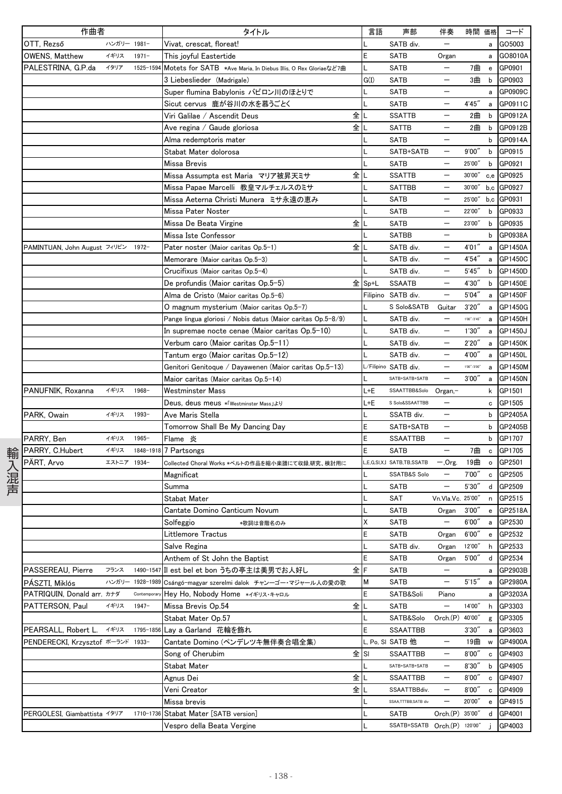| 作曲者                          |             |            | タイトル                                                           | 言語          | 声部                           | 伴奏                       | 時間 価格         |              | コード        |
|------------------------------|-------------|------------|----------------------------------------------------------------|-------------|------------------------------|--------------------------|---------------|--------------|------------|
| OTT, Rezső                   | ハンガリー 1981- |            | Vivat, crescat, floreat!                                       |             | SATB div.                    | $\overline{\phantom{0}}$ |               | a            | GO5003     |
| <b>OWENS, Matthew</b>        | イギリス        | $1971 -$   | This joyful Eastertide                                         | E           | <b>SATB</b>                  | Organ                    |               | a            | GO8010A    |
| PALESTRINA, G.P.da           | イタリア        | 1525-1594  | Motets for SATB *Ave Maria, In Diebus Illis, O Rex Gloriaeなど7曲 | L           | <b>SATB</b>                  | —                        | 7曲            | $\mathbf{e}$ | GP0901     |
|                              |             |            | 3 Liebeslieder (Madrigale)                                     | G(I)        | SATB                         |                          | 3曲            | b            | GP0903     |
|                              |             |            | Super flumina Babylonis バビロン川のほとりで                             | L           | <b>SATB</b>                  |                          |               | a            | GP0909C    |
|                              |             |            | Sicut cervus 鹿が谷川の水を慕うごとく                                      |             | <b>SATB</b>                  |                          | 4'45''        | a            | GP0911C    |
|                              |             |            | 全<br>Viri Galilae / Ascendit Deus                              |             | <b>SSATTB</b>                | —                        | 2曲            | b            | GP0912A    |
|                              |             |            | 全<br>Ave regina / Gaude gloriosa                               | L           | SATTB                        | —                        | 2曲            | b            | GP0912B    |
|                              |             |            | Alma redemptoris mater                                         |             | <b>SATB</b>                  |                          |               | b            | GP0914A    |
|                              |             |            | Stabat Mater dolorosa                                          | L           | SATB+SATB                    | —                        | 9'00''        | b            | GP0915     |
|                              |             |            | Missa Brevis                                                   |             | <b>SATB</b>                  |                          | 25'00"        | b            | GP0921     |
|                              |             |            | 全<br>Missa Assumpta est Maria マリア被昇天ミサ                         |             | <b>SSATTB</b>                |                          | 30'00"        | c,e          | GP0925     |
|                              |             |            | Missa Papae Marcelli 教皇マルチェルスのミサ                               |             | <b>SATTBB</b>                |                          | 30'00"        |              | b,c GP0927 |
|                              |             |            | Missa Aeterna Christi Munera ミサ永遠の恵み                           |             | <b>SATB</b>                  | —                        | 25'00"        |              | b,c GP0931 |
|                              |             |            | <b>Missa Pater Noster</b>                                      |             | <b>SATB</b>                  |                          | 22'00"        | b            | GP0933     |
|                              |             |            | 全<br>Missa De Beata Virgine                                    | L           | <b>SATB</b>                  | —                        | 23'00"        | b            | GP0935     |
|                              |             |            | Missa Iste Confessor                                           |             | <b>SATBB</b>                 |                          |               | b            | GP0938A    |
| PAMINTUAN, John August フィリピン |             | 1972-      | 全<br>Pater noster (Maior caritas Op.5-1)                       |             | SATB div.                    |                          | 4'01"         | a            | GP1450A    |
|                              |             |            | Memorare (Maior caritas Op.5-3)                                |             | SATB div.                    | —                        | 4'54''        | a            | GP1450C    |
|                              |             |            | Crucifixus (Maior caritas Op.5-4)                              |             | SATB div.                    | —                        | 5'45''        | b            | GP1450D    |
|                              |             |            | De profundis (Maior caritas Op.5-5)<br>全                       | $Sp+L$      | <b>SSAATB</b>                |                          | 4'30'         | b            | GP1450E    |
|                              |             |            | Alma de Cristo (Maior caritas Op.5-6)                          |             | Filipino SATB div.           |                          | 5'04''        | a            | GP1450F    |
|                              |             |            | O magnum mysterium (Maior caritas Op.5-7)                      |             | S Solo&SATB                  | Guitar                   | 3'20''        | a            | GP1450G    |
|                              |             |            | Pange lingua gloriosi / Nobis datus (Maior caritas Op.5-8/9)   |             | SATB div.                    | $\overline{\phantom{0}}$ | 1'00''/2'45'' | a            | GP1450H    |
|                              |             |            | In supremae nocte cenae (Maior caritas Op.5-10)                | L           | SATB div.                    | —                        | 1'30''        | a            | GP1450J    |
|                              |             |            | Verbum caro (Maior caritas Op.5-11)                            | L           | SATB div.                    | —                        | 2'20''        | a            | GP1450K    |
|                              |             |            | Tantum ergo (Maior caritas Op.5-12)                            |             | SATB div.                    |                          | 4'00"         | а            | GP1450L    |
|                              |             |            | Genitori Genitoque / Dayawenen (Maior caritas Op.5-13)         |             | L/Filipino SATB div.         |                          | 1'00''/3'00'' | a            | GP1450M    |
|                              |             |            | Maior caritas (Maior caritas Op.5-14)                          |             | SATB+SATB+SATB               | —                        | 3'00''        | a            | GP1450N    |
| PANUFNIK, Roxanna            | イギリス        | 1968-      | Westminster Mass                                               | L+E         | SSAATTBB&Solo                | Organ,-                  |               | k            | GP1501     |
|                              |             |            |                                                                | L+E         | S Solo&SSAATTBB              |                          |               | c            | GP1505     |
| PARK, Owain                  | イギリス        | 1993-      | Deus, deus meus *「Westminster Mass」より<br>Ave Maris Stella      |             | SSATB div.                   |                          |               | b            | GP2405A    |
|                              |             |            |                                                                | E           |                              | —                        |               |              | GP2405B    |
|                              | イギリス        | 1965-      | Tomorrow Shall Be My Dancing Day                               | E           | SATB+SATB<br><b>SSAATTBB</b> |                          |               | b<br>b       | GP1707     |
| PARRY, Ben                   | イギリス        |            | Flame 炎                                                        | E           | <b>SATB</b>                  | —                        | 7曲            |              | GP1705     |
| PARRY, C.Hubert              | エストニア       |            | 1848-1918 7 Partsongs                                          |             |                              |                          |               | $\mathbf c$  |            |
| PÄRT, Arvo                   |             | 1934-      | Collected Choral Works *ペルトの作品を縮小楽譜にて収録,研究、検討用に                |             | L,E,G,SI,X,I SATB,TB,SSATB   | -.Org.                   | 19曲           | $\mathsf{o}$ | GP2501     |
|                              |             |            | Magnificat                                                     |             | <b>SSATB&amp;S Solo</b>      | —                        | 7'00''        | c            | GP2505     |
|                              |             |            | Summa                                                          |             | <b>SATB</b>                  | —                        | 5'30''        | d            | GP2509     |
|                              |             |            | Stabat Mater                                                   | L           | SAT                          | Vn.Vla.Vc. 25'00"        |               | n            | GP2515     |
|                              |             |            | Cantate Domino Canticum Novum                                  |             | <b>SATB</b>                  | Organ                    | 3'00''        | e            | GP2518A    |
|                              |             |            | Solfeggio<br>*歌詞は音階名のみ                                         | Χ           | SATB                         | $\overline{\phantom{m}}$ | 6'00''        | a            | GP2530     |
|                              |             |            | Littlemore Tractus                                             | E           | <b>SATB</b>                  | Organ                    | 6'00''        | ${\bf e}$    | GP2532     |
|                              |             |            | Salve Regina                                                   | L           | SATB div.                    | Organ                    | 12'00"        | h            | GP2533     |
|                              |             |            | Anthem of St John the Baptist                                  | E           | <b>SATB</b>                  | Organ                    | 5'00''        | d            | GP2534     |
| PASSEREAU, Pierre            | フランス        | 1490-154   | 全<br>Ⅱ est bel et bon うちの亭主は美男でお人好し                            | $\mathsf F$ | SATB                         | —                        |               | а            | GP2903B    |
| PASZTI, Miklós               | ハンガリー       | 1928-1989  | Csángó-magyar szerelmi dalok チャンーゴー・マジャール人の愛の歌                 | М           | <b>SATB</b>                  |                          | 5'15''        | a            | GP2980A    |
| PATRIQUIN, Donald arr. カナダ   |             | Contempora | Hey Ho, Nobody Home *イギリス・キャロル                                 | E           | SATB&Soli                    | Piano                    |               | a            | GP3203A    |
| PATTERSON, Paul              | イギリス        | $1947 -$   | 全<br>Missa Brevis Op.54                                        | L           | <b>SATB</b>                  | —                        | 14'00"        | h            | GP3303     |
|                              |             |            | Stabat Mater Op.57                                             | L           | SATB&Solo                    | Orch.(P)                 | 40'00"        | g            | GP3305     |
| PEARSALL. Robert L.          | イギリス        | 1795-1856  | Lay a Garland 花輪を飾れ                                            | E           | <b>SSAATTBB</b>              |                          | 3'30''        | a            | GP3603     |
| PENDERECKI, Krzysztof ポーランド  |             | 1933-      | Cantate Domino (ペンデレツキ無伴奏合唱全集)                                 |             | L, Po, SI SATB 他             |                          | 19曲           | W            | GP4900A    |
|                              |             |            | 全<br>Song of Cherubim                                          | SI          | SSAATTBB                     |                          | 8'00''        | $\mathbf c$  | GP4903     |
|                              |             |            | Stabat Mater                                                   |             | SATB+SATB+SATB               | $\overline{\phantom{0}}$ | 8'30''        | b            | GP4905     |
|                              |             |            | 全<br>Agnus Dei                                                 |             | SSAATTBB                     | —                        | 8'00''        | c            | GP4907     |
|                              |             |            | Veni Creator<br>全                                              |             | SSAATTBBdiv.                 | —                        | 8'00''        |              | c GP4909   |
|                              |             |            | Missa brevis                                                   |             | SSAA,TTTBB,SATB div          | —                        | 20'00"        | e            | GP4915     |
| PERGOLESI, Giambattista イタリア |             | 1710-1736  | Stabat Mater [SATB version]                                    | L           | SATB                         | Orch(P)                  | 35'00"        | d            | GP4001     |
|                              |             |            | Vespro della Beata Vergine                                     |             | SSATB+SSATB Orch.(P) 120'00" |                          |               | j.           | GP4003     |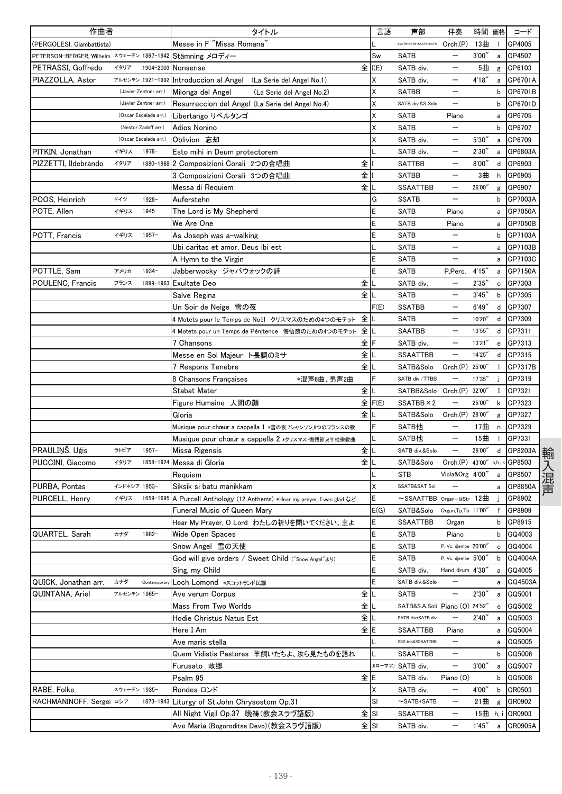| 作曲者                                       |              |                       | タイトル                                                                      |      | 言語   | 声部                             | 伴奏                       | 時間 価格    |              | コード            |
|-------------------------------------------|--------------|-----------------------|---------------------------------------------------------------------------|------|------|--------------------------------|--------------------------|----------|--------------|----------------|
| (PERGOLESI, Giambattista)                 |              |                       | Messe in F "Missa Romana"                                                 |      |      | SSATB+SATB+SSATB+SATB          | Orch(P)                  | 13曲      | $\mathbf{I}$ | GP4005         |
| PETERSON-BERGER, Wilhelm スウェーデン 1867-1942 |              |                       | Stämning メロディー                                                            |      | Sw   | <b>SATB</b>                    | $\qquad \qquad -$        | 3'00''   | a            | GP4507         |
| PETRASSI, Goffredo                        | イタリア         | 1904-2003             | Nonsense                                                                  | 全    | I(E) | SATB div.                      | —                        | 5曲       | g            | GP6103         |
| PIAZZOLLA, Astor                          |              | アルゼンチン 1921-1992      | Introduccion al Angel (La Serie del Angel No.1)                           |      | Χ    | SATB div.                      | —                        | 4'18''   | a            | GP6701A        |
|                                           |              | (Javier Zentner arr.) | Milonga del Angel<br>(La Serie del Angel No.2)                            |      | Χ    | <b>SATBB</b>                   |                          |          | b            | GP6701B        |
|                                           |              | (Javier Zentner arr.) | Resurreccion del Angel (La Serie del Angel No.4)                          |      | χ    | SATB div.&S Solo               |                          |          | b            | GP6701D        |
|                                           |              | (Oscar Escalada arr.) | Libertango リベルタンゴ                                                         |      | Χ    | <b>SATB</b>                    | Piano                    |          | a            | GP6705         |
|                                           |              | (Nestor Zadoff arr.)  | Adios Nonino                                                              |      | Χ    | <b>SATB</b>                    |                          |          | b            | GP6707         |
|                                           |              | (Oscar Escalada arr.) | Oblivion 忘却                                                               |      | Χ    | SATB div.                      | —                        | 5'30'    | a            | GP6709         |
| PITKIN, Jonathan                          | イギリス         | $1978-$               | Esto mihi in Deum protectorem                                             |      |      | SATB div.                      |                          | 2'30'    | a            | GP6803A        |
| PIZZETTI, Ildebrando                      | イタリア         |                       | 1880-1968 2 Composizioni Corali 2つの合唱曲                                    | 全    |      | <b>SATTBB</b>                  |                          | 8'00''   | d            | GP6903         |
|                                           |              |                       | 3 Composizioni Corali 3つの合唱曲                                              | 全    |      | <b>SATBB</b>                   |                          | 3曲       | h            | GP6905         |
|                                           |              |                       | Messa di Requiem                                                          | 全    |      | <b>SSAATTBB</b>                |                          | 26'00"   | g            | GP6907         |
| POOS, Heinrich                            | ドイツ          | 1928-                 | Auferstehn                                                                |      | G    | <b>SSATB</b>                   |                          |          | b            | GP7003A        |
| POTE, Allen                               | イギリス         | $1945 -$              | The Lord is My Shepherd                                                   |      | E    | <b>SATB</b>                    | Piano                    |          | a            | GP7050A        |
|                                           |              |                       | We Are One                                                                |      | E    | SATB                           | Piano                    |          | a            | GP7050B        |
| POTT, Francis                             | イギリス         | $1957 -$              | As Joseph was a-walking                                                   |      | E    | <b>SATB</b>                    |                          |          | b            | GP7103A        |
|                                           |              |                       | Ubi caritas et amor, Deus ibi est                                         |      |      | <b>SATB</b>                    | $\overline{\phantom{0}}$ |          | a            | GP7103B        |
|                                           |              |                       | A Hymn to the Virgin                                                      |      | E    | <b>SATB</b>                    | $\overline{\phantom{0}}$ |          | a            | GP7103C        |
| POTTLE, Sam                               | アメリカ         | $1934-$               | Jabberwocky ジャバウォックの詩                                                     |      | E    | <b>SATB</b>                    | P,Perc.                  | 4'15'    | a            | GP7150A        |
| POULENC, Francis                          | フランス         | 1899-1963             | <b>Exultate Deo</b>                                                       | 全    |      | SATB div.                      |                          | 2'35'    | c            | GP7303         |
|                                           |              |                       | Salve Regina                                                              | 全    |      | SATB                           |                          | 3'45'    | b            | GP7305         |
|                                           |              |                       | Un Soir de Neige 雪の夜                                                      |      | F(E) | <b>SSATBB</b>                  |                          | 6'49''   | d            | GP7307         |
|                                           |              |                       | 4 Motets pour le Temps de Noël クリスマスのための4つのモテット                           | 全    |      | <b>SATB</b>                    |                          | 10'20"   | d            | GP7309         |
|                                           |              |                       | 4 Motets pour un Temps de Pénitence 悔悟節のための4つのモテット                        | 全    |      | <b>SAATBB</b>                  | $\qquad \qquad -$        | 13'55'   | d            | GP7311         |
|                                           |              |                       | 7 Chansons                                                                | 全    |      | SATB div.                      | —                        | 13'21'   | e            | GP7313         |
|                                           |              |                       | Messe en Sol Majeur ト長調のミサ                                                | 全    |      | <b>SSAATTBB</b>                | $\overline{\phantom{0}}$ | 14'25"   | d            | GP7315         |
|                                           |              |                       | 7 Respons Tenebre                                                         | 全    |      | SATB&Solo                      | Orch.(P) 25'00"          |          |              | GP7317B        |
|                                           |              |                       | 8 Chansons Françaises<br>*混声6曲、男声2曲                                       |      |      | SATB div./TTBB                 |                          | 17'35"   |              | GP7319         |
|                                           |              |                       | Stabat Mater                                                              | 全    |      | SATBB&Solo                     | Orch.(P) 32'00'          |          | Ι.           | GP7321         |
|                                           |              |                       | Figure Humaine 人間の顔                                                       | 全    | F(E) | SSATBB × 2                     | $\overline{\phantom{0}}$ | 25'00"   | k            | GP7323         |
|                                           |              |                       | Gloria                                                                    | 全    |      | SATB&Solo                      | Orch. <sub>(P)</sub>     | 28'00'   |              | GP7327         |
|                                           |              |                       |                                                                           |      | F    | SATB他                          |                          | 17曲      | g            | GP7329         |
|                                           |              |                       | Musique pour chœur a cappella 1 *雪の夜,フシャンソン,8つのフランスの歌                     |      |      | SATB他                          |                          | 15曲      | n            | GP7331         |
| PRAULINŠ. Uģis                            | ラトビア         | $1957 -$              | Musique pour chœur a cappella 2 *クリスマス·悔悟節ミサ他宗教曲                          | 全    |      | SATB div.&Solo                 |                          | 29'00"   | d            | GP8203A        |
|                                           | イタリア         |                       | Missa Rigensis                                                            | 全    |      |                                |                          |          |              |                |
| PUCCINI, Giacomo                          |              |                       | 1858-1924 Messa di Gloria                                                 |      |      | SATB&Solo                      | Orch.(P) 43'00"          |          |              | c,h,i,k GP8503 |
|                                           | インドネシア 1953- |                       | Requiem                                                                   |      |      | <b>STB</b>                     | Viola&Org. 4'00"         |          | a            | GP8507         |
| PURBA, Pontas                             |              |                       | Siksik si batu manikkam                                                   |      | Χ    | SSATB&SAT Soli                 |                          |          | a            | GP8850A        |
| PURCELL, Henry                            | イギリス         |                       | 1659-1695 A Purcell Anthology (12 Anthems) *Hear my preyer, I was glad など |      | Ε    | $\sim$ SSAATTBB Organ-#Str 12曲 |                          |          |              | GP8902         |
|                                           |              |                       | Funeral Music of Queen Mary                                               |      | E(G) | SATB&Solo Organ, Tp, Tb 11'00" |                          |          | $\mathsf{f}$ | GP8909         |
|                                           |              |                       | Hear My Prayer, O Lord わたしの祈りを聞いてください、主よ                                  |      | E    | SSAATTBB                       | Organ                    |          | b            | GP8915         |
| QUARTEL, Sarah                            | カナダ          | 1982-                 | Wide Open Spaces                                                          |      | E    | SATB                           | Piano                    |          | b            | GQ4003         |
|                                           |              |                       | Snow Angel 雪の天使                                                           |      | E    | <b>SATB</b>                    | P. Vc. djembe 20'00"     |          |              | c GQ4004       |
|                                           |              |                       | God will give orders / Sweet Child ("Snow Angel" Ly)                      |      | E    | <b>SATB</b>                    | P. Vc. djembe 5'00"      |          | b            | GQ4004A        |
|                                           |              |                       | Sing, my Child                                                            |      | E    | SATB div.                      | Hand drum 4'30"          |          | а            | GQ4005         |
| QUICK, Jonathan arr.                      | カナダ          | Contemporal           | Loch Lomond *スコットランド民謡                                                    |      | E    | SATB div.&Solo                 |                          |          | а            | GQ4503A        |
| QUINTANA, Ariel                           | アルゼンチン 1965- |                       | Ave verum Corpus                                                          | 全    |      | SATB                           | —                        | 2'30''   | a            | GQ5001         |
|                                           |              |                       | Mass From Two Worlds                                                      | 全    |      | SATB&S.A.Soli Piano (O) 24'52" |                          |          | e            | GQ5002         |
|                                           |              |                       | Hodie Christus Natus Est                                                  | 全    |      | SATB div+SATB div              |                          | 2'40''   | а            | GQ5003         |
|                                           |              |                       | Here I Am                                                                 | 全    | E    | SSAATTBB                       | Piano                    |          | а            | GQ5004         |
|                                           |              |                       | Ave maris stella                                                          |      |      | SSS trio&SSAATTBB              | $\qquad \qquad -$        |          | a            | GQ5005         |
|                                           |              |                       | Quem Vidistis Pastores 羊飼いたちよ、汝ら見たものを語れ                                   |      |      | SSAATTBB                       |                          |          | b            | GQ5006         |
|                                           |              |                       | Furusato 故郷                                                               |      |      | J(ローマ字) SATB div.              | —                        | 3'00''   | a            | GQ5007         |
|                                           |              |                       | Psalm 95                                                                  | 全    | E    | SATB div.                      | Piano (O)                |          |              | b GQ5008       |
| RABE, Folke                               | スウェーデン 1935- |                       | Rondes ロンド                                                                |      | Χ    | SATB div.                      |                          | 4'00''   | b            | GR0503         |
| RACHMANINOFF, Sergei ロシア                  |              |                       | 1873-1943 Liturgy of St. John Chrysostom Op.31                            |      | SI   | $\sim$ SATB+SATB               | —                        | 21曲      | g            | GR0902         |
|                                           |              |                       | All Night Vigil Op.37 晩祷(教会スラヴ語版)                                         | 全SI  |      | SSAATTBB                       | $\qquad \qquad -$        | 15曲 h, i |              | GR0903         |
|                                           |              |                       | Ave Maria (Bogoroditse Devo)(教会スラヴ語版)                                     | 全ISI |      | SATB div.                      | —                        | 1'45''   | a            | GR0905A        |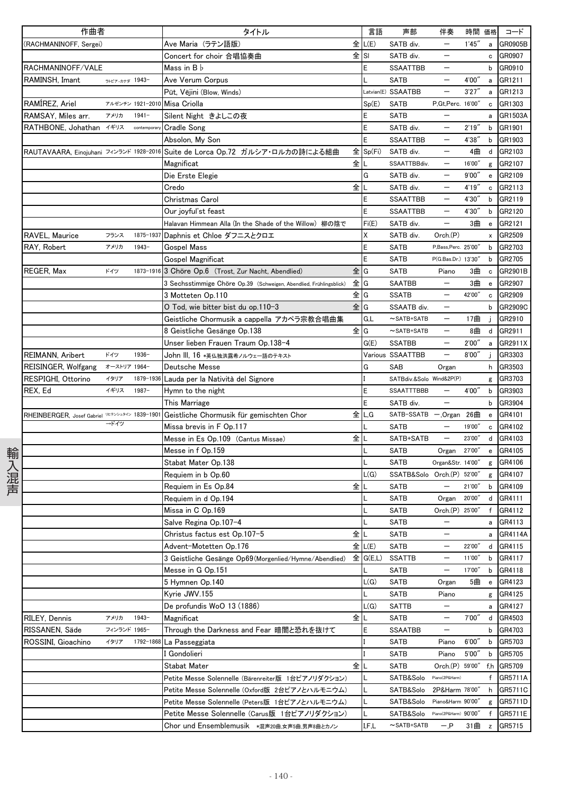| 全 L(E)<br>(RACHMANINOFF, Sergei)<br>SATB div.<br>1'45''<br>GR0905B<br>Ave Maria(ラテン語版)<br>a<br>$\qquad \qquad -$<br>$\pm$ SI<br>Concert for choir 合唱協奏曲<br>SATB div.<br>c GR0907<br>RACHMANINOFF/VALE<br>E<br>Mass in $B \, \flat$<br><b>SSAATTBB</b><br>b GR0910<br>$\qquad \qquad -$<br>RAMINSH, Imant<br><b>SATB</b><br>$\qquad \qquad -$<br>4'00"<br>GR1211<br>ラトビアーカナダ 1943-<br>Ave Verum Corpus<br>$\mathsf{a}$<br>3'27''<br>Latvian(E) SSAATBB<br>$\qquad \qquad -$<br>GR1213<br>Pūt, Vējini (Blow, Winds)<br>a<br>RAMIREZ, Ariel<br>アルゼンチン 1921-2010 Misa Criolla<br>Sp(E)<br><b>SATB</b><br>P, Gt, Perc. 16'00"<br>GR1303<br>c<br>RAMSAY, Miles arr.<br>Silent Night きよしこの夜<br>E<br>アメリカ<br>$1941 -$<br><b>SATB</b><br>GR1503A<br>a<br>E<br>2'19''<br>RATHBONE, Johathan イギリス<br>SATB div.<br>$\qquad \qquad -$<br>b GR1901<br><b>Cradle Song</b><br>contemporar<br>E<br>Absolon, My Son<br>SSAATTBB<br>4'38''<br>GR1903<br>$\qquad \qquad -$<br>b<br>Suite de Lorca Op.72 ガルシア・ロルカの詩による組曲<br>RAUTAVAARA, Einojuhani フィンランド 1928-2016<br>$\hat{\Xi}$ Sp(Fi)<br>SATB div.<br>4曲<br>GR2103<br>d<br>全に<br>SSAATTBBdiv.<br>16'00"<br>GR2107<br>Magnificat<br>$\qquad \qquad -$<br>g<br>G<br>SATB div.<br>9'00''<br>GR2109<br>Die Erste Elegie<br>$\mathbf{e}$<br>全┃∟<br>Credo<br>SATB div.<br>4'19''<br>GR2113<br>$\mathbf c$<br>Christmas Carol<br>E<br>$\qquad \qquad -$<br>b GR2119<br><b>SSAATTBB</b><br>4'30"<br>E<br>4'30"<br><b>SSAATTBB</b><br>$\qquad \qquad -$<br>GR2120<br>Our joyful'st feast<br>b<br>Fi(E)<br>SATB div.<br>$\qquad \qquad -$<br>3曲<br>GR2121<br>Halavan Himmean Alla (In the Shade of the Willow) 柳の陰で<br>$\mathbf{e}$<br>RAVEL, Maurice<br>1875-1937<br>Daphnis et Chloe ダフニスとクロエ<br>X<br>フランス<br>SATB div.<br>Orch.(P)<br>GR2509<br>x<br>E<br>RAY, Robert<br>アメリカ<br>$1943 -$<br><b>Gospel Mass</b><br><b>SATB</b><br>P,Bass,Perc. 25'00"<br>b<br>GR2703<br>E<br><b>SATB</b><br>P(G.Bas.Dr.) 13'30"<br>GR2705<br>Gospel Magnificat<br>b<br>ドイツ<br>全IG<br>REGER, Max<br>1873-1916 3 Chöre Op.6 (Trost, Zur Nacht, Abendlied)<br><b>SATB</b><br>3曲<br>GR2901B<br>Piano<br>$\mathbf c$<br>3 Sechsstimmige Chöre Op.39 (Schweigen, Abendlied, Frühlingsblick)<br>全IG<br>SAATBB<br>3曲<br>GR2907<br>$\overline{\phantom{a}}$<br>$\mathbf{e}$<br>3 Motteten Op.110<br>全lG<br><b>SSATB</b><br>42'00"<br>$\qquad \qquad -$<br>GR2909<br>$\mathtt{c}$<br>全IG<br>SSAATB div.<br>GR2909C<br>O Tod, wie bitter bist du op.110−3<br>b<br>G,L<br>GR2910<br>17曲<br>Geistliche Chormusik a cappella アカペラ宗教合唱曲集<br>$\sim$ SATB+SATB<br>$\qquad \qquad -$<br>j.<br>$\overline{\phantom{0}}$<br>全G<br>8 Geistliche Gesänge Op.138<br>$\sim$ SATB+SATB<br>8曲<br>d GR2911<br>$\qquad \qquad -$<br><b>SSATBB</b><br>2'00"<br>GR2911X<br>Unser lieben Frauen Traum Op.138-4<br>G(E)<br>a<br>GR3303<br>ドイツ<br>$1936 -$<br>Various SSAATTBB<br>$\qquad \qquad -$<br>8'00''<br>REIMANN, Aribert<br>John III, 16 *英仏独洪露希ノルウェー語のテキスト<br>G<br>オーストリア 1964-<br>SAB<br>REISINGER, Wolfgang<br>Deutsche Messe<br>Organ<br>h<br>GR3503<br>RESPIGHI, Ottorino<br>イタリア<br>1879-1936<br>Lauda per la Natività del Signore<br>SATBdiv.&Solo Wind&2P(P)<br>GR3703<br>g<br>REX, Ed<br>イギリス<br>$1987 -$<br>E<br>4'00"<br>GR3903<br>Hymn to the night<br>SSAATTTBBB<br>b<br>$\overline{\phantom{0}}$<br>$\overline{\phantom{0}}$<br>E<br>b GR3904<br>This Marriage<br>SATB div.<br>Geistliche Chormusik für gemischten Chor<br>全LG<br>RHEINBERGER, Josef Gabriel VE7>>>294> 1839-1901<br>SATB-SSATB - Organ 26曲<br>GR4101<br>$\mathbf{e}$<br>→ドイツ<br>Missa brevis in F Op.117<br><b>SATB</b><br>19'00"<br>GR4102<br>c<br>全<br>SATB+SATB<br>Messe in Es Op.109(Cantus Missae)<br>$\qquad \qquad -$<br>23'00"<br>d<br>GR4103<br>Messe in f Op.159<br><b>SATB</b><br>GR4105<br>Organ<br>27'00"<br>輸入混声<br>e<br>Organ&Str. 14'00"<br>Stabat Mater Op.138<br><b>SATB</b><br>GR4106<br>g<br>L(G)<br>Requiem in b Op.60<br>SSATB&Solo Orch.(P) 52'00"<br>g GR4107<br>Requiem in Es Op.84<br>全儿<br><b>SATB</b><br>$\overline{\phantom{m}}$<br>21'00"<br>b GR4109<br><b>SATB</b><br>20'00"<br>GR4111<br>Requiem in d Op.194<br>Organ<br>d<br>f GR4112<br>Missa in C Op.169<br>Orch.(P) 25'00"<br>$\mathsf{L}$<br>SATB<br>Salve Regina Op.107-4<br>a GR4113<br>L<br>SATB<br>$\qquad \qquad$<br>全儿<br><b>SATB</b><br>GR4114A<br>Christus factus est Op.107-5<br>a<br>全 L(E)<br>22'00"<br>d GR4115<br>Advent-Motetten Op.176<br>SATB<br>$\qquad \qquad -$<br>3 Geistliche Gesänge Op69 (Morgenlied/Hymne/Abendlied)<br>全 G(E.L)<br><b>SSATTB</b><br>11'00"<br>b GR4117<br>$\qquad \qquad -$<br>17'00"<br>GR4118<br>Messe in G Op.151<br>SATB<br>$\qquad \qquad -$<br>b<br>L(G)<br>5曲<br>5 Hymnen Op.140<br>SATB<br>GR4123<br>Organ<br>$\mathbf{e}% _{t}\left( t\right)$<br><b>SATB</b><br>Kyrie JWV.155<br>Piano<br>GR4125<br>g<br>De profundis WoO 13 (1886)<br>L(G)<br>GR4127<br><b>SATTB</b><br>a<br>全儿<br>アメリカ<br>$1943 -$<br><b>SATB</b><br>7'00"<br>d GR4503<br>RILEY, Dennis<br>$\overline{\phantom{m}}$<br>Magnificat<br>フィンランド 1965-<br>E<br><b>SSAATBB</b><br>GR4703<br>RISSANEN, Säde<br>Through the Darkness and Fear 暗闇と恐れを抜けて<br>$\qquad \qquad -$<br>b<br>ROSSINI, Gioachino<br>1792-1868<br>La Passeggiata<br>6'00''<br>GR5703<br>イタリア<br>SATB<br>Piano<br>b<br><b>SATB</b><br>5'00''<br>l Gondolieri<br>Piano<br>GR5705<br>b<br>全儿<br><b>SATB</b><br>Orch.(P) 59'00"<br>Stabat Mater<br>f,h GR5709<br>f GR5711A<br>SATB&Solo<br>Piano(2P&Harm)<br>Petite Messe Solennelle (Bärenreiter版 1台ピアノリダクション)<br>h GR5711C<br>Petite Messe Solennelle (Oxford版 2台ピアノとハルモニウム)<br>SATB&Solo<br>2P&Harm 78'00"<br>Petite Messe Solennelle (Peters版 1台ピアノとハルモニウム)<br>SATB&Solo<br>Piano&Harm 90'00"<br>g GR5711D<br>L<br>Petite Messe Solennelle (Carus版 1台ピアノリダクション)<br>SATB&Solo<br>Piano(2P&Harm) 90'00"<br>f<br>GR5711E<br>I,F,L<br>31曲<br>$\sim$ SATB+SATB<br>$- P$<br>GR5715<br>$\mathsf z$ | 作曲者 |  | タイトル                                        | 言語 | 声部 | 伴奏 | 時間 価格 | コード |
|-------------------------------------------------------------------------------------------------------------------------------------------------------------------------------------------------------------------------------------------------------------------------------------------------------------------------------------------------------------------------------------------------------------------------------------------------------------------------------------------------------------------------------------------------------------------------------------------------------------------------------------------------------------------------------------------------------------------------------------------------------------------------------------------------------------------------------------------------------------------------------------------------------------------------------------------------------------------------------------------------------------------------------------------------------------------------------------------------------------------------------------------------------------------------------------------------------------------------------------------------------------------------------------------------------------------------------------------------------------------------------------------------------------------------------------------------------------------------------------------------------------------------------------------------------------------------------------------------------------------------------------------------------------------------------------------------------------------------------------------------------------------------------------------------------------------------------------------------------------------------------------------------------------------------------------------------------------------------------------------------------------------------------------------------------------------------------------------------------------------------------------------------------------------------------------------------------------------------------------------------------------------------------------------------------------------------------------------------------------------------------------------------------------------------------------------------------------------------------------------------------------------------------------------------------------------------------------------------------------------------------------------------------------------------------------------------------------------------------------------------------------------------------------------------------------------------------------------------------------------------------------------------------------------------------------------------------------------------------------------------------------------------------------------------------------------------------------------------------------------------------------------------------------------------------------------------------------------------------------------------------------------------------------------------------------------------------------------------------------------------------------------------------------------------------------------------------------------------------------------------------------------------------------------------------------------------------------------------------------------------------------------------------------------------------------------------------------------------------------------------------------------------------------------------------------------------------------------------------------------------------------------------------------------------------------------------------------------------------------------------------------------------------------------------------------------------------------------------------------------------------------------------------------------------------------------------------------------------------------------------------------------------------------------------------------------------------------------------------------------------------------------------------------------------------------------------------------------------------------------------------------------------------------------------------------------------------------------------------------------------------------------------------------------------------------------------------------------------------------------------------------------------------------------------------------------------------------------------------------------------------------------------------------------------------------------------------------------------------------------------------------------------------------------------------------------------------------------------------------------------------------------------------------------------------------------------------------------------------------------------------------------------------------------------------------------------------------------------------------------------------------------------------------------------------------------------------------------------------------------------------------------------------------------------------------------------------------------------------------------------------------------------------------------------------------------------------------------------------------------------------------------------------------------------------------------------------------------------------------------------------------|-----|--|---------------------------------------------|----|----|----|-------|-----|
|                                                                                                                                                                                                                                                                                                                                                                                                                                                                                                                                                                                                                                                                                                                                                                                                                                                                                                                                                                                                                                                                                                                                                                                                                                                                                                                                                                                                                                                                                                                                                                                                                                                                                                                                                                                                                                                                                                                                                                                                                                                                                                                                                                                                                                                                                                                                                                                                                                                                                                                                                                                                                                                                                                                                                                                                                                                                                                                                                                                                                                                                                                                                                                                                                                                                                                                                                                                                                                                                                                                                                                                                                                                                                                                                                                                                                                                                                                                                                                                                                                                                                                                                                                                                                                                                                                                                                                                                                                                                                                                                                                                                                                                                                                                                                                                                                                                                                                                                                                                                                                                                                                                                                                                                                                                                                                                                                                                                                                                                                                                                                                                                                                                                                                                                                                                                                                                                                     |     |  |                                             |    |    |    |       |     |
|                                                                                                                                                                                                                                                                                                                                                                                                                                                                                                                                                                                                                                                                                                                                                                                                                                                                                                                                                                                                                                                                                                                                                                                                                                                                                                                                                                                                                                                                                                                                                                                                                                                                                                                                                                                                                                                                                                                                                                                                                                                                                                                                                                                                                                                                                                                                                                                                                                                                                                                                                                                                                                                                                                                                                                                                                                                                                                                                                                                                                                                                                                                                                                                                                                                                                                                                                                                                                                                                                                                                                                                                                                                                                                                                                                                                                                                                                                                                                                                                                                                                                                                                                                                                                                                                                                                                                                                                                                                                                                                                                                                                                                                                                                                                                                                                                                                                                                                                                                                                                                                                                                                                                                                                                                                                                                                                                                                                                                                                                                                                                                                                                                                                                                                                                                                                                                                                                     |     |  |                                             |    |    |    |       |     |
|                                                                                                                                                                                                                                                                                                                                                                                                                                                                                                                                                                                                                                                                                                                                                                                                                                                                                                                                                                                                                                                                                                                                                                                                                                                                                                                                                                                                                                                                                                                                                                                                                                                                                                                                                                                                                                                                                                                                                                                                                                                                                                                                                                                                                                                                                                                                                                                                                                                                                                                                                                                                                                                                                                                                                                                                                                                                                                                                                                                                                                                                                                                                                                                                                                                                                                                                                                                                                                                                                                                                                                                                                                                                                                                                                                                                                                                                                                                                                                                                                                                                                                                                                                                                                                                                                                                                                                                                                                                                                                                                                                                                                                                                                                                                                                                                                                                                                                                                                                                                                                                                                                                                                                                                                                                                                                                                                                                                                                                                                                                                                                                                                                                                                                                                                                                                                                                                                     |     |  |                                             |    |    |    |       |     |
|                                                                                                                                                                                                                                                                                                                                                                                                                                                                                                                                                                                                                                                                                                                                                                                                                                                                                                                                                                                                                                                                                                                                                                                                                                                                                                                                                                                                                                                                                                                                                                                                                                                                                                                                                                                                                                                                                                                                                                                                                                                                                                                                                                                                                                                                                                                                                                                                                                                                                                                                                                                                                                                                                                                                                                                                                                                                                                                                                                                                                                                                                                                                                                                                                                                                                                                                                                                                                                                                                                                                                                                                                                                                                                                                                                                                                                                                                                                                                                                                                                                                                                                                                                                                                                                                                                                                                                                                                                                                                                                                                                                                                                                                                                                                                                                                                                                                                                                                                                                                                                                                                                                                                                                                                                                                                                                                                                                                                                                                                                                                                                                                                                                                                                                                                                                                                                                                                     |     |  |                                             |    |    |    |       |     |
|                                                                                                                                                                                                                                                                                                                                                                                                                                                                                                                                                                                                                                                                                                                                                                                                                                                                                                                                                                                                                                                                                                                                                                                                                                                                                                                                                                                                                                                                                                                                                                                                                                                                                                                                                                                                                                                                                                                                                                                                                                                                                                                                                                                                                                                                                                                                                                                                                                                                                                                                                                                                                                                                                                                                                                                                                                                                                                                                                                                                                                                                                                                                                                                                                                                                                                                                                                                                                                                                                                                                                                                                                                                                                                                                                                                                                                                                                                                                                                                                                                                                                                                                                                                                                                                                                                                                                                                                                                                                                                                                                                                                                                                                                                                                                                                                                                                                                                                                                                                                                                                                                                                                                                                                                                                                                                                                                                                                                                                                                                                                                                                                                                                                                                                                                                                                                                                                                     |     |  |                                             |    |    |    |       |     |
|                                                                                                                                                                                                                                                                                                                                                                                                                                                                                                                                                                                                                                                                                                                                                                                                                                                                                                                                                                                                                                                                                                                                                                                                                                                                                                                                                                                                                                                                                                                                                                                                                                                                                                                                                                                                                                                                                                                                                                                                                                                                                                                                                                                                                                                                                                                                                                                                                                                                                                                                                                                                                                                                                                                                                                                                                                                                                                                                                                                                                                                                                                                                                                                                                                                                                                                                                                                                                                                                                                                                                                                                                                                                                                                                                                                                                                                                                                                                                                                                                                                                                                                                                                                                                                                                                                                                                                                                                                                                                                                                                                                                                                                                                                                                                                                                                                                                                                                                                                                                                                                                                                                                                                                                                                                                                                                                                                                                                                                                                                                                                                                                                                                                                                                                                                                                                                                                                     |     |  |                                             |    |    |    |       |     |
|                                                                                                                                                                                                                                                                                                                                                                                                                                                                                                                                                                                                                                                                                                                                                                                                                                                                                                                                                                                                                                                                                                                                                                                                                                                                                                                                                                                                                                                                                                                                                                                                                                                                                                                                                                                                                                                                                                                                                                                                                                                                                                                                                                                                                                                                                                                                                                                                                                                                                                                                                                                                                                                                                                                                                                                                                                                                                                                                                                                                                                                                                                                                                                                                                                                                                                                                                                                                                                                                                                                                                                                                                                                                                                                                                                                                                                                                                                                                                                                                                                                                                                                                                                                                                                                                                                                                                                                                                                                                                                                                                                                                                                                                                                                                                                                                                                                                                                                                                                                                                                                                                                                                                                                                                                                                                                                                                                                                                                                                                                                                                                                                                                                                                                                                                                                                                                                                                     |     |  |                                             |    |    |    |       |     |
|                                                                                                                                                                                                                                                                                                                                                                                                                                                                                                                                                                                                                                                                                                                                                                                                                                                                                                                                                                                                                                                                                                                                                                                                                                                                                                                                                                                                                                                                                                                                                                                                                                                                                                                                                                                                                                                                                                                                                                                                                                                                                                                                                                                                                                                                                                                                                                                                                                                                                                                                                                                                                                                                                                                                                                                                                                                                                                                                                                                                                                                                                                                                                                                                                                                                                                                                                                                                                                                                                                                                                                                                                                                                                                                                                                                                                                                                                                                                                                                                                                                                                                                                                                                                                                                                                                                                                                                                                                                                                                                                                                                                                                                                                                                                                                                                                                                                                                                                                                                                                                                                                                                                                                                                                                                                                                                                                                                                                                                                                                                                                                                                                                                                                                                                                                                                                                                                                     |     |  |                                             |    |    |    |       |     |
|                                                                                                                                                                                                                                                                                                                                                                                                                                                                                                                                                                                                                                                                                                                                                                                                                                                                                                                                                                                                                                                                                                                                                                                                                                                                                                                                                                                                                                                                                                                                                                                                                                                                                                                                                                                                                                                                                                                                                                                                                                                                                                                                                                                                                                                                                                                                                                                                                                                                                                                                                                                                                                                                                                                                                                                                                                                                                                                                                                                                                                                                                                                                                                                                                                                                                                                                                                                                                                                                                                                                                                                                                                                                                                                                                                                                                                                                                                                                                                                                                                                                                                                                                                                                                                                                                                                                                                                                                                                                                                                                                                                                                                                                                                                                                                                                                                                                                                                                                                                                                                                                                                                                                                                                                                                                                                                                                                                                                                                                                                                                                                                                                                                                                                                                                                                                                                                                                     |     |  |                                             |    |    |    |       |     |
|                                                                                                                                                                                                                                                                                                                                                                                                                                                                                                                                                                                                                                                                                                                                                                                                                                                                                                                                                                                                                                                                                                                                                                                                                                                                                                                                                                                                                                                                                                                                                                                                                                                                                                                                                                                                                                                                                                                                                                                                                                                                                                                                                                                                                                                                                                                                                                                                                                                                                                                                                                                                                                                                                                                                                                                                                                                                                                                                                                                                                                                                                                                                                                                                                                                                                                                                                                                                                                                                                                                                                                                                                                                                                                                                                                                                                                                                                                                                                                                                                                                                                                                                                                                                                                                                                                                                                                                                                                                                                                                                                                                                                                                                                                                                                                                                                                                                                                                                                                                                                                                                                                                                                                                                                                                                                                                                                                                                                                                                                                                                                                                                                                                                                                                                                                                                                                                                                     |     |  |                                             |    |    |    |       |     |
|                                                                                                                                                                                                                                                                                                                                                                                                                                                                                                                                                                                                                                                                                                                                                                                                                                                                                                                                                                                                                                                                                                                                                                                                                                                                                                                                                                                                                                                                                                                                                                                                                                                                                                                                                                                                                                                                                                                                                                                                                                                                                                                                                                                                                                                                                                                                                                                                                                                                                                                                                                                                                                                                                                                                                                                                                                                                                                                                                                                                                                                                                                                                                                                                                                                                                                                                                                                                                                                                                                                                                                                                                                                                                                                                                                                                                                                                                                                                                                                                                                                                                                                                                                                                                                                                                                                                                                                                                                                                                                                                                                                                                                                                                                                                                                                                                                                                                                                                                                                                                                                                                                                                                                                                                                                                                                                                                                                                                                                                                                                                                                                                                                                                                                                                                                                                                                                                                     |     |  |                                             |    |    |    |       |     |
|                                                                                                                                                                                                                                                                                                                                                                                                                                                                                                                                                                                                                                                                                                                                                                                                                                                                                                                                                                                                                                                                                                                                                                                                                                                                                                                                                                                                                                                                                                                                                                                                                                                                                                                                                                                                                                                                                                                                                                                                                                                                                                                                                                                                                                                                                                                                                                                                                                                                                                                                                                                                                                                                                                                                                                                                                                                                                                                                                                                                                                                                                                                                                                                                                                                                                                                                                                                                                                                                                                                                                                                                                                                                                                                                                                                                                                                                                                                                                                                                                                                                                                                                                                                                                                                                                                                                                                                                                                                                                                                                                                                                                                                                                                                                                                                                                                                                                                                                                                                                                                                                                                                                                                                                                                                                                                                                                                                                                                                                                                                                                                                                                                                                                                                                                                                                                                                                                     |     |  |                                             |    |    |    |       |     |
|                                                                                                                                                                                                                                                                                                                                                                                                                                                                                                                                                                                                                                                                                                                                                                                                                                                                                                                                                                                                                                                                                                                                                                                                                                                                                                                                                                                                                                                                                                                                                                                                                                                                                                                                                                                                                                                                                                                                                                                                                                                                                                                                                                                                                                                                                                                                                                                                                                                                                                                                                                                                                                                                                                                                                                                                                                                                                                                                                                                                                                                                                                                                                                                                                                                                                                                                                                                                                                                                                                                                                                                                                                                                                                                                                                                                                                                                                                                                                                                                                                                                                                                                                                                                                                                                                                                                                                                                                                                                                                                                                                                                                                                                                                                                                                                                                                                                                                                                                                                                                                                                                                                                                                                                                                                                                                                                                                                                                                                                                                                                                                                                                                                                                                                                                                                                                                                                                     |     |  |                                             |    |    |    |       |     |
|                                                                                                                                                                                                                                                                                                                                                                                                                                                                                                                                                                                                                                                                                                                                                                                                                                                                                                                                                                                                                                                                                                                                                                                                                                                                                                                                                                                                                                                                                                                                                                                                                                                                                                                                                                                                                                                                                                                                                                                                                                                                                                                                                                                                                                                                                                                                                                                                                                                                                                                                                                                                                                                                                                                                                                                                                                                                                                                                                                                                                                                                                                                                                                                                                                                                                                                                                                                                                                                                                                                                                                                                                                                                                                                                                                                                                                                                                                                                                                                                                                                                                                                                                                                                                                                                                                                                                                                                                                                                                                                                                                                                                                                                                                                                                                                                                                                                                                                                                                                                                                                                                                                                                                                                                                                                                                                                                                                                                                                                                                                                                                                                                                                                                                                                                                                                                                                                                     |     |  |                                             |    |    |    |       |     |
|                                                                                                                                                                                                                                                                                                                                                                                                                                                                                                                                                                                                                                                                                                                                                                                                                                                                                                                                                                                                                                                                                                                                                                                                                                                                                                                                                                                                                                                                                                                                                                                                                                                                                                                                                                                                                                                                                                                                                                                                                                                                                                                                                                                                                                                                                                                                                                                                                                                                                                                                                                                                                                                                                                                                                                                                                                                                                                                                                                                                                                                                                                                                                                                                                                                                                                                                                                                                                                                                                                                                                                                                                                                                                                                                                                                                                                                                                                                                                                                                                                                                                                                                                                                                                                                                                                                                                                                                                                                                                                                                                                                                                                                                                                                                                                                                                                                                                                                                                                                                                                                                                                                                                                                                                                                                                                                                                                                                                                                                                                                                                                                                                                                                                                                                                                                                                                                                                     |     |  |                                             |    |    |    |       |     |
|                                                                                                                                                                                                                                                                                                                                                                                                                                                                                                                                                                                                                                                                                                                                                                                                                                                                                                                                                                                                                                                                                                                                                                                                                                                                                                                                                                                                                                                                                                                                                                                                                                                                                                                                                                                                                                                                                                                                                                                                                                                                                                                                                                                                                                                                                                                                                                                                                                                                                                                                                                                                                                                                                                                                                                                                                                                                                                                                                                                                                                                                                                                                                                                                                                                                                                                                                                                                                                                                                                                                                                                                                                                                                                                                                                                                                                                                                                                                                                                                                                                                                                                                                                                                                                                                                                                                                                                                                                                                                                                                                                                                                                                                                                                                                                                                                                                                                                                                                                                                                                                                                                                                                                                                                                                                                                                                                                                                                                                                                                                                                                                                                                                                                                                                                                                                                                                                                     |     |  |                                             |    |    |    |       |     |
|                                                                                                                                                                                                                                                                                                                                                                                                                                                                                                                                                                                                                                                                                                                                                                                                                                                                                                                                                                                                                                                                                                                                                                                                                                                                                                                                                                                                                                                                                                                                                                                                                                                                                                                                                                                                                                                                                                                                                                                                                                                                                                                                                                                                                                                                                                                                                                                                                                                                                                                                                                                                                                                                                                                                                                                                                                                                                                                                                                                                                                                                                                                                                                                                                                                                                                                                                                                                                                                                                                                                                                                                                                                                                                                                                                                                                                                                                                                                                                                                                                                                                                                                                                                                                                                                                                                                                                                                                                                                                                                                                                                                                                                                                                                                                                                                                                                                                                                                                                                                                                                                                                                                                                                                                                                                                                                                                                                                                                                                                                                                                                                                                                                                                                                                                                                                                                                                                     |     |  |                                             |    |    |    |       |     |
|                                                                                                                                                                                                                                                                                                                                                                                                                                                                                                                                                                                                                                                                                                                                                                                                                                                                                                                                                                                                                                                                                                                                                                                                                                                                                                                                                                                                                                                                                                                                                                                                                                                                                                                                                                                                                                                                                                                                                                                                                                                                                                                                                                                                                                                                                                                                                                                                                                                                                                                                                                                                                                                                                                                                                                                                                                                                                                                                                                                                                                                                                                                                                                                                                                                                                                                                                                                                                                                                                                                                                                                                                                                                                                                                                                                                                                                                                                                                                                                                                                                                                                                                                                                                                                                                                                                                                                                                                                                                                                                                                                                                                                                                                                                                                                                                                                                                                                                                                                                                                                                                                                                                                                                                                                                                                                                                                                                                                                                                                                                                                                                                                                                                                                                                                                                                                                                                                     |     |  |                                             |    |    |    |       |     |
|                                                                                                                                                                                                                                                                                                                                                                                                                                                                                                                                                                                                                                                                                                                                                                                                                                                                                                                                                                                                                                                                                                                                                                                                                                                                                                                                                                                                                                                                                                                                                                                                                                                                                                                                                                                                                                                                                                                                                                                                                                                                                                                                                                                                                                                                                                                                                                                                                                                                                                                                                                                                                                                                                                                                                                                                                                                                                                                                                                                                                                                                                                                                                                                                                                                                                                                                                                                                                                                                                                                                                                                                                                                                                                                                                                                                                                                                                                                                                                                                                                                                                                                                                                                                                                                                                                                                                                                                                                                                                                                                                                                                                                                                                                                                                                                                                                                                                                                                                                                                                                                                                                                                                                                                                                                                                                                                                                                                                                                                                                                                                                                                                                                                                                                                                                                                                                                                                     |     |  |                                             |    |    |    |       |     |
|                                                                                                                                                                                                                                                                                                                                                                                                                                                                                                                                                                                                                                                                                                                                                                                                                                                                                                                                                                                                                                                                                                                                                                                                                                                                                                                                                                                                                                                                                                                                                                                                                                                                                                                                                                                                                                                                                                                                                                                                                                                                                                                                                                                                                                                                                                                                                                                                                                                                                                                                                                                                                                                                                                                                                                                                                                                                                                                                                                                                                                                                                                                                                                                                                                                                                                                                                                                                                                                                                                                                                                                                                                                                                                                                                                                                                                                                                                                                                                                                                                                                                                                                                                                                                                                                                                                                                                                                                                                                                                                                                                                                                                                                                                                                                                                                                                                                                                                                                                                                                                                                                                                                                                                                                                                                                                                                                                                                                                                                                                                                                                                                                                                                                                                                                                                                                                                                                     |     |  |                                             |    |    |    |       |     |
|                                                                                                                                                                                                                                                                                                                                                                                                                                                                                                                                                                                                                                                                                                                                                                                                                                                                                                                                                                                                                                                                                                                                                                                                                                                                                                                                                                                                                                                                                                                                                                                                                                                                                                                                                                                                                                                                                                                                                                                                                                                                                                                                                                                                                                                                                                                                                                                                                                                                                                                                                                                                                                                                                                                                                                                                                                                                                                                                                                                                                                                                                                                                                                                                                                                                                                                                                                                                                                                                                                                                                                                                                                                                                                                                                                                                                                                                                                                                                                                                                                                                                                                                                                                                                                                                                                                                                                                                                                                                                                                                                                                                                                                                                                                                                                                                                                                                                                                                                                                                                                                                                                                                                                                                                                                                                                                                                                                                                                                                                                                                                                                                                                                                                                                                                                                                                                                                                     |     |  |                                             |    |    |    |       |     |
|                                                                                                                                                                                                                                                                                                                                                                                                                                                                                                                                                                                                                                                                                                                                                                                                                                                                                                                                                                                                                                                                                                                                                                                                                                                                                                                                                                                                                                                                                                                                                                                                                                                                                                                                                                                                                                                                                                                                                                                                                                                                                                                                                                                                                                                                                                                                                                                                                                                                                                                                                                                                                                                                                                                                                                                                                                                                                                                                                                                                                                                                                                                                                                                                                                                                                                                                                                                                                                                                                                                                                                                                                                                                                                                                                                                                                                                                                                                                                                                                                                                                                                                                                                                                                                                                                                                                                                                                                                                                                                                                                                                                                                                                                                                                                                                                                                                                                                                                                                                                                                                                                                                                                                                                                                                                                                                                                                                                                                                                                                                                                                                                                                                                                                                                                                                                                                                                                     |     |  |                                             |    |    |    |       |     |
|                                                                                                                                                                                                                                                                                                                                                                                                                                                                                                                                                                                                                                                                                                                                                                                                                                                                                                                                                                                                                                                                                                                                                                                                                                                                                                                                                                                                                                                                                                                                                                                                                                                                                                                                                                                                                                                                                                                                                                                                                                                                                                                                                                                                                                                                                                                                                                                                                                                                                                                                                                                                                                                                                                                                                                                                                                                                                                                                                                                                                                                                                                                                                                                                                                                                                                                                                                                                                                                                                                                                                                                                                                                                                                                                                                                                                                                                                                                                                                                                                                                                                                                                                                                                                                                                                                                                                                                                                                                                                                                                                                                                                                                                                                                                                                                                                                                                                                                                                                                                                                                                                                                                                                                                                                                                                                                                                                                                                                                                                                                                                                                                                                                                                                                                                                                                                                                                                     |     |  |                                             |    |    |    |       |     |
|                                                                                                                                                                                                                                                                                                                                                                                                                                                                                                                                                                                                                                                                                                                                                                                                                                                                                                                                                                                                                                                                                                                                                                                                                                                                                                                                                                                                                                                                                                                                                                                                                                                                                                                                                                                                                                                                                                                                                                                                                                                                                                                                                                                                                                                                                                                                                                                                                                                                                                                                                                                                                                                                                                                                                                                                                                                                                                                                                                                                                                                                                                                                                                                                                                                                                                                                                                                                                                                                                                                                                                                                                                                                                                                                                                                                                                                                                                                                                                                                                                                                                                                                                                                                                                                                                                                                                                                                                                                                                                                                                                                                                                                                                                                                                                                                                                                                                                                                                                                                                                                                                                                                                                                                                                                                                                                                                                                                                                                                                                                                                                                                                                                                                                                                                                                                                                                                                     |     |  |                                             |    |    |    |       |     |
|                                                                                                                                                                                                                                                                                                                                                                                                                                                                                                                                                                                                                                                                                                                                                                                                                                                                                                                                                                                                                                                                                                                                                                                                                                                                                                                                                                                                                                                                                                                                                                                                                                                                                                                                                                                                                                                                                                                                                                                                                                                                                                                                                                                                                                                                                                                                                                                                                                                                                                                                                                                                                                                                                                                                                                                                                                                                                                                                                                                                                                                                                                                                                                                                                                                                                                                                                                                                                                                                                                                                                                                                                                                                                                                                                                                                                                                                                                                                                                                                                                                                                                                                                                                                                                                                                                                                                                                                                                                                                                                                                                                                                                                                                                                                                                                                                                                                                                                                                                                                                                                                                                                                                                                                                                                                                                                                                                                                                                                                                                                                                                                                                                                                                                                                                                                                                                                                                     |     |  |                                             |    |    |    |       |     |
|                                                                                                                                                                                                                                                                                                                                                                                                                                                                                                                                                                                                                                                                                                                                                                                                                                                                                                                                                                                                                                                                                                                                                                                                                                                                                                                                                                                                                                                                                                                                                                                                                                                                                                                                                                                                                                                                                                                                                                                                                                                                                                                                                                                                                                                                                                                                                                                                                                                                                                                                                                                                                                                                                                                                                                                                                                                                                                                                                                                                                                                                                                                                                                                                                                                                                                                                                                                                                                                                                                                                                                                                                                                                                                                                                                                                                                                                                                                                                                                                                                                                                                                                                                                                                                                                                                                                                                                                                                                                                                                                                                                                                                                                                                                                                                                                                                                                                                                                                                                                                                                                                                                                                                                                                                                                                                                                                                                                                                                                                                                                                                                                                                                                                                                                                                                                                                                                                     |     |  |                                             |    |    |    |       |     |
|                                                                                                                                                                                                                                                                                                                                                                                                                                                                                                                                                                                                                                                                                                                                                                                                                                                                                                                                                                                                                                                                                                                                                                                                                                                                                                                                                                                                                                                                                                                                                                                                                                                                                                                                                                                                                                                                                                                                                                                                                                                                                                                                                                                                                                                                                                                                                                                                                                                                                                                                                                                                                                                                                                                                                                                                                                                                                                                                                                                                                                                                                                                                                                                                                                                                                                                                                                                                                                                                                                                                                                                                                                                                                                                                                                                                                                                                                                                                                                                                                                                                                                                                                                                                                                                                                                                                                                                                                                                                                                                                                                                                                                                                                                                                                                                                                                                                                                                                                                                                                                                                                                                                                                                                                                                                                                                                                                                                                                                                                                                                                                                                                                                                                                                                                                                                                                                                                     |     |  |                                             |    |    |    |       |     |
|                                                                                                                                                                                                                                                                                                                                                                                                                                                                                                                                                                                                                                                                                                                                                                                                                                                                                                                                                                                                                                                                                                                                                                                                                                                                                                                                                                                                                                                                                                                                                                                                                                                                                                                                                                                                                                                                                                                                                                                                                                                                                                                                                                                                                                                                                                                                                                                                                                                                                                                                                                                                                                                                                                                                                                                                                                                                                                                                                                                                                                                                                                                                                                                                                                                                                                                                                                                                                                                                                                                                                                                                                                                                                                                                                                                                                                                                                                                                                                                                                                                                                                                                                                                                                                                                                                                                                                                                                                                                                                                                                                                                                                                                                                                                                                                                                                                                                                                                                                                                                                                                                                                                                                                                                                                                                                                                                                                                                                                                                                                                                                                                                                                                                                                                                                                                                                                                                     |     |  |                                             |    |    |    |       |     |
|                                                                                                                                                                                                                                                                                                                                                                                                                                                                                                                                                                                                                                                                                                                                                                                                                                                                                                                                                                                                                                                                                                                                                                                                                                                                                                                                                                                                                                                                                                                                                                                                                                                                                                                                                                                                                                                                                                                                                                                                                                                                                                                                                                                                                                                                                                                                                                                                                                                                                                                                                                                                                                                                                                                                                                                                                                                                                                                                                                                                                                                                                                                                                                                                                                                                                                                                                                                                                                                                                                                                                                                                                                                                                                                                                                                                                                                                                                                                                                                                                                                                                                                                                                                                                                                                                                                                                                                                                                                                                                                                                                                                                                                                                                                                                                                                                                                                                                                                                                                                                                                                                                                                                                                                                                                                                                                                                                                                                                                                                                                                                                                                                                                                                                                                                                                                                                                                                     |     |  |                                             |    |    |    |       |     |
|                                                                                                                                                                                                                                                                                                                                                                                                                                                                                                                                                                                                                                                                                                                                                                                                                                                                                                                                                                                                                                                                                                                                                                                                                                                                                                                                                                                                                                                                                                                                                                                                                                                                                                                                                                                                                                                                                                                                                                                                                                                                                                                                                                                                                                                                                                                                                                                                                                                                                                                                                                                                                                                                                                                                                                                                                                                                                                                                                                                                                                                                                                                                                                                                                                                                                                                                                                                                                                                                                                                                                                                                                                                                                                                                                                                                                                                                                                                                                                                                                                                                                                                                                                                                                                                                                                                                                                                                                                                                                                                                                                                                                                                                                                                                                                                                                                                                                                                                                                                                                                                                                                                                                                                                                                                                                                                                                                                                                                                                                                                                                                                                                                                                                                                                                                                                                                                                                     |     |  |                                             |    |    |    |       |     |
|                                                                                                                                                                                                                                                                                                                                                                                                                                                                                                                                                                                                                                                                                                                                                                                                                                                                                                                                                                                                                                                                                                                                                                                                                                                                                                                                                                                                                                                                                                                                                                                                                                                                                                                                                                                                                                                                                                                                                                                                                                                                                                                                                                                                                                                                                                                                                                                                                                                                                                                                                                                                                                                                                                                                                                                                                                                                                                                                                                                                                                                                                                                                                                                                                                                                                                                                                                                                                                                                                                                                                                                                                                                                                                                                                                                                                                                                                                                                                                                                                                                                                                                                                                                                                                                                                                                                                                                                                                                                                                                                                                                                                                                                                                                                                                                                                                                                                                                                                                                                                                                                                                                                                                                                                                                                                                                                                                                                                                                                                                                                                                                                                                                                                                                                                                                                                                                                                     |     |  |                                             |    |    |    |       |     |
|                                                                                                                                                                                                                                                                                                                                                                                                                                                                                                                                                                                                                                                                                                                                                                                                                                                                                                                                                                                                                                                                                                                                                                                                                                                                                                                                                                                                                                                                                                                                                                                                                                                                                                                                                                                                                                                                                                                                                                                                                                                                                                                                                                                                                                                                                                                                                                                                                                                                                                                                                                                                                                                                                                                                                                                                                                                                                                                                                                                                                                                                                                                                                                                                                                                                                                                                                                                                                                                                                                                                                                                                                                                                                                                                                                                                                                                                                                                                                                                                                                                                                                                                                                                                                                                                                                                                                                                                                                                                                                                                                                                                                                                                                                                                                                                                                                                                                                                                                                                                                                                                                                                                                                                                                                                                                                                                                                                                                                                                                                                                                                                                                                                                                                                                                                                                                                                                                     |     |  |                                             |    |    |    |       |     |
|                                                                                                                                                                                                                                                                                                                                                                                                                                                                                                                                                                                                                                                                                                                                                                                                                                                                                                                                                                                                                                                                                                                                                                                                                                                                                                                                                                                                                                                                                                                                                                                                                                                                                                                                                                                                                                                                                                                                                                                                                                                                                                                                                                                                                                                                                                                                                                                                                                                                                                                                                                                                                                                                                                                                                                                                                                                                                                                                                                                                                                                                                                                                                                                                                                                                                                                                                                                                                                                                                                                                                                                                                                                                                                                                                                                                                                                                                                                                                                                                                                                                                                                                                                                                                                                                                                                                                                                                                                                                                                                                                                                                                                                                                                                                                                                                                                                                                                                                                                                                                                                                                                                                                                                                                                                                                                                                                                                                                                                                                                                                                                                                                                                                                                                                                                                                                                                                                     |     |  |                                             |    |    |    |       |     |
|                                                                                                                                                                                                                                                                                                                                                                                                                                                                                                                                                                                                                                                                                                                                                                                                                                                                                                                                                                                                                                                                                                                                                                                                                                                                                                                                                                                                                                                                                                                                                                                                                                                                                                                                                                                                                                                                                                                                                                                                                                                                                                                                                                                                                                                                                                                                                                                                                                                                                                                                                                                                                                                                                                                                                                                                                                                                                                                                                                                                                                                                                                                                                                                                                                                                                                                                                                                                                                                                                                                                                                                                                                                                                                                                                                                                                                                                                                                                                                                                                                                                                                                                                                                                                                                                                                                                                                                                                                                                                                                                                                                                                                                                                                                                                                                                                                                                                                                                                                                                                                                                                                                                                                                                                                                                                                                                                                                                                                                                                                                                                                                                                                                                                                                                                                                                                                                                                     |     |  |                                             |    |    |    |       |     |
|                                                                                                                                                                                                                                                                                                                                                                                                                                                                                                                                                                                                                                                                                                                                                                                                                                                                                                                                                                                                                                                                                                                                                                                                                                                                                                                                                                                                                                                                                                                                                                                                                                                                                                                                                                                                                                                                                                                                                                                                                                                                                                                                                                                                                                                                                                                                                                                                                                                                                                                                                                                                                                                                                                                                                                                                                                                                                                                                                                                                                                                                                                                                                                                                                                                                                                                                                                                                                                                                                                                                                                                                                                                                                                                                                                                                                                                                                                                                                                                                                                                                                                                                                                                                                                                                                                                                                                                                                                                                                                                                                                                                                                                                                                                                                                                                                                                                                                                                                                                                                                                                                                                                                                                                                                                                                                                                                                                                                                                                                                                                                                                                                                                                                                                                                                                                                                                                                     |     |  |                                             |    |    |    |       |     |
|                                                                                                                                                                                                                                                                                                                                                                                                                                                                                                                                                                                                                                                                                                                                                                                                                                                                                                                                                                                                                                                                                                                                                                                                                                                                                                                                                                                                                                                                                                                                                                                                                                                                                                                                                                                                                                                                                                                                                                                                                                                                                                                                                                                                                                                                                                                                                                                                                                                                                                                                                                                                                                                                                                                                                                                                                                                                                                                                                                                                                                                                                                                                                                                                                                                                                                                                                                                                                                                                                                                                                                                                                                                                                                                                                                                                                                                                                                                                                                                                                                                                                                                                                                                                                                                                                                                                                                                                                                                                                                                                                                                                                                                                                                                                                                                                                                                                                                                                                                                                                                                                                                                                                                                                                                                                                                                                                                                                                                                                                                                                                                                                                                                                                                                                                                                                                                                                                     |     |  |                                             |    |    |    |       |     |
|                                                                                                                                                                                                                                                                                                                                                                                                                                                                                                                                                                                                                                                                                                                                                                                                                                                                                                                                                                                                                                                                                                                                                                                                                                                                                                                                                                                                                                                                                                                                                                                                                                                                                                                                                                                                                                                                                                                                                                                                                                                                                                                                                                                                                                                                                                                                                                                                                                                                                                                                                                                                                                                                                                                                                                                                                                                                                                                                                                                                                                                                                                                                                                                                                                                                                                                                                                                                                                                                                                                                                                                                                                                                                                                                                                                                                                                                                                                                                                                                                                                                                                                                                                                                                                                                                                                                                                                                                                                                                                                                                                                                                                                                                                                                                                                                                                                                                                                                                                                                                                                                                                                                                                                                                                                                                                                                                                                                                                                                                                                                                                                                                                                                                                                                                                                                                                                                                     |     |  |                                             |    |    |    |       |     |
|                                                                                                                                                                                                                                                                                                                                                                                                                                                                                                                                                                                                                                                                                                                                                                                                                                                                                                                                                                                                                                                                                                                                                                                                                                                                                                                                                                                                                                                                                                                                                                                                                                                                                                                                                                                                                                                                                                                                                                                                                                                                                                                                                                                                                                                                                                                                                                                                                                                                                                                                                                                                                                                                                                                                                                                                                                                                                                                                                                                                                                                                                                                                                                                                                                                                                                                                                                                                                                                                                                                                                                                                                                                                                                                                                                                                                                                                                                                                                                                                                                                                                                                                                                                                                                                                                                                                                                                                                                                                                                                                                                                                                                                                                                                                                                                                                                                                                                                                                                                                                                                                                                                                                                                                                                                                                                                                                                                                                                                                                                                                                                                                                                                                                                                                                                                                                                                                                     |     |  |                                             |    |    |    |       |     |
|                                                                                                                                                                                                                                                                                                                                                                                                                                                                                                                                                                                                                                                                                                                                                                                                                                                                                                                                                                                                                                                                                                                                                                                                                                                                                                                                                                                                                                                                                                                                                                                                                                                                                                                                                                                                                                                                                                                                                                                                                                                                                                                                                                                                                                                                                                                                                                                                                                                                                                                                                                                                                                                                                                                                                                                                                                                                                                                                                                                                                                                                                                                                                                                                                                                                                                                                                                                                                                                                                                                                                                                                                                                                                                                                                                                                                                                                                                                                                                                                                                                                                                                                                                                                                                                                                                                                                                                                                                                                                                                                                                                                                                                                                                                                                                                                                                                                                                                                                                                                                                                                                                                                                                                                                                                                                                                                                                                                                                                                                                                                                                                                                                                                                                                                                                                                                                                                                     |     |  |                                             |    |    |    |       |     |
|                                                                                                                                                                                                                                                                                                                                                                                                                                                                                                                                                                                                                                                                                                                                                                                                                                                                                                                                                                                                                                                                                                                                                                                                                                                                                                                                                                                                                                                                                                                                                                                                                                                                                                                                                                                                                                                                                                                                                                                                                                                                                                                                                                                                                                                                                                                                                                                                                                                                                                                                                                                                                                                                                                                                                                                                                                                                                                                                                                                                                                                                                                                                                                                                                                                                                                                                                                                                                                                                                                                                                                                                                                                                                                                                                                                                                                                                                                                                                                                                                                                                                                                                                                                                                                                                                                                                                                                                                                                                                                                                                                                                                                                                                                                                                                                                                                                                                                                                                                                                                                                                                                                                                                                                                                                                                                                                                                                                                                                                                                                                                                                                                                                                                                                                                                                                                                                                                     |     |  |                                             |    |    |    |       |     |
|                                                                                                                                                                                                                                                                                                                                                                                                                                                                                                                                                                                                                                                                                                                                                                                                                                                                                                                                                                                                                                                                                                                                                                                                                                                                                                                                                                                                                                                                                                                                                                                                                                                                                                                                                                                                                                                                                                                                                                                                                                                                                                                                                                                                                                                                                                                                                                                                                                                                                                                                                                                                                                                                                                                                                                                                                                                                                                                                                                                                                                                                                                                                                                                                                                                                                                                                                                                                                                                                                                                                                                                                                                                                                                                                                                                                                                                                                                                                                                                                                                                                                                                                                                                                                                                                                                                                                                                                                                                                                                                                                                                                                                                                                                                                                                                                                                                                                                                                                                                                                                                                                                                                                                                                                                                                                                                                                                                                                                                                                                                                                                                                                                                                                                                                                                                                                                                                                     |     |  |                                             |    |    |    |       |     |
|                                                                                                                                                                                                                                                                                                                                                                                                                                                                                                                                                                                                                                                                                                                                                                                                                                                                                                                                                                                                                                                                                                                                                                                                                                                                                                                                                                                                                                                                                                                                                                                                                                                                                                                                                                                                                                                                                                                                                                                                                                                                                                                                                                                                                                                                                                                                                                                                                                                                                                                                                                                                                                                                                                                                                                                                                                                                                                                                                                                                                                                                                                                                                                                                                                                                                                                                                                                                                                                                                                                                                                                                                                                                                                                                                                                                                                                                                                                                                                                                                                                                                                                                                                                                                                                                                                                                                                                                                                                                                                                                                                                                                                                                                                                                                                                                                                                                                                                                                                                                                                                                                                                                                                                                                                                                                                                                                                                                                                                                                                                                                                                                                                                                                                                                                                                                                                                                                     |     |  |                                             |    |    |    |       |     |
|                                                                                                                                                                                                                                                                                                                                                                                                                                                                                                                                                                                                                                                                                                                                                                                                                                                                                                                                                                                                                                                                                                                                                                                                                                                                                                                                                                                                                                                                                                                                                                                                                                                                                                                                                                                                                                                                                                                                                                                                                                                                                                                                                                                                                                                                                                                                                                                                                                                                                                                                                                                                                                                                                                                                                                                                                                                                                                                                                                                                                                                                                                                                                                                                                                                                                                                                                                                                                                                                                                                                                                                                                                                                                                                                                                                                                                                                                                                                                                                                                                                                                                                                                                                                                                                                                                                                                                                                                                                                                                                                                                                                                                                                                                                                                                                                                                                                                                                                                                                                                                                                                                                                                                                                                                                                                                                                                                                                                                                                                                                                                                                                                                                                                                                                                                                                                                                                                     |     |  |                                             |    |    |    |       |     |
|                                                                                                                                                                                                                                                                                                                                                                                                                                                                                                                                                                                                                                                                                                                                                                                                                                                                                                                                                                                                                                                                                                                                                                                                                                                                                                                                                                                                                                                                                                                                                                                                                                                                                                                                                                                                                                                                                                                                                                                                                                                                                                                                                                                                                                                                                                                                                                                                                                                                                                                                                                                                                                                                                                                                                                                                                                                                                                                                                                                                                                                                                                                                                                                                                                                                                                                                                                                                                                                                                                                                                                                                                                                                                                                                                                                                                                                                                                                                                                                                                                                                                                                                                                                                                                                                                                                                                                                                                                                                                                                                                                                                                                                                                                                                                                                                                                                                                                                                                                                                                                                                                                                                                                                                                                                                                                                                                                                                                                                                                                                                                                                                                                                                                                                                                                                                                                                                                     |     |  |                                             |    |    |    |       |     |
|                                                                                                                                                                                                                                                                                                                                                                                                                                                                                                                                                                                                                                                                                                                                                                                                                                                                                                                                                                                                                                                                                                                                                                                                                                                                                                                                                                                                                                                                                                                                                                                                                                                                                                                                                                                                                                                                                                                                                                                                                                                                                                                                                                                                                                                                                                                                                                                                                                                                                                                                                                                                                                                                                                                                                                                                                                                                                                                                                                                                                                                                                                                                                                                                                                                                                                                                                                                                                                                                                                                                                                                                                                                                                                                                                                                                                                                                                                                                                                                                                                                                                                                                                                                                                                                                                                                                                                                                                                                                                                                                                                                                                                                                                                                                                                                                                                                                                                                                                                                                                                                                                                                                                                                                                                                                                                                                                                                                                                                                                                                                                                                                                                                                                                                                                                                                                                                                                     |     |  |                                             |    |    |    |       |     |
|                                                                                                                                                                                                                                                                                                                                                                                                                                                                                                                                                                                                                                                                                                                                                                                                                                                                                                                                                                                                                                                                                                                                                                                                                                                                                                                                                                                                                                                                                                                                                                                                                                                                                                                                                                                                                                                                                                                                                                                                                                                                                                                                                                                                                                                                                                                                                                                                                                                                                                                                                                                                                                                                                                                                                                                                                                                                                                                                                                                                                                                                                                                                                                                                                                                                                                                                                                                                                                                                                                                                                                                                                                                                                                                                                                                                                                                                                                                                                                                                                                                                                                                                                                                                                                                                                                                                                                                                                                                                                                                                                                                                                                                                                                                                                                                                                                                                                                                                                                                                                                                                                                                                                                                                                                                                                                                                                                                                                                                                                                                                                                                                                                                                                                                                                                                                                                                                                     |     |  |                                             |    |    |    |       |     |
|                                                                                                                                                                                                                                                                                                                                                                                                                                                                                                                                                                                                                                                                                                                                                                                                                                                                                                                                                                                                                                                                                                                                                                                                                                                                                                                                                                                                                                                                                                                                                                                                                                                                                                                                                                                                                                                                                                                                                                                                                                                                                                                                                                                                                                                                                                                                                                                                                                                                                                                                                                                                                                                                                                                                                                                                                                                                                                                                                                                                                                                                                                                                                                                                                                                                                                                                                                                                                                                                                                                                                                                                                                                                                                                                                                                                                                                                                                                                                                                                                                                                                                                                                                                                                                                                                                                                                                                                                                                                                                                                                                                                                                                                                                                                                                                                                                                                                                                                                                                                                                                                                                                                                                                                                                                                                                                                                                                                                                                                                                                                                                                                                                                                                                                                                                                                                                                                                     |     |  |                                             |    |    |    |       |     |
|                                                                                                                                                                                                                                                                                                                                                                                                                                                                                                                                                                                                                                                                                                                                                                                                                                                                                                                                                                                                                                                                                                                                                                                                                                                                                                                                                                                                                                                                                                                                                                                                                                                                                                                                                                                                                                                                                                                                                                                                                                                                                                                                                                                                                                                                                                                                                                                                                                                                                                                                                                                                                                                                                                                                                                                                                                                                                                                                                                                                                                                                                                                                                                                                                                                                                                                                                                                                                                                                                                                                                                                                                                                                                                                                                                                                                                                                                                                                                                                                                                                                                                                                                                                                                                                                                                                                                                                                                                                                                                                                                                                                                                                                                                                                                                                                                                                                                                                                                                                                                                                                                                                                                                                                                                                                                                                                                                                                                                                                                                                                                                                                                                                                                                                                                                                                                                                                                     |     |  |                                             |    |    |    |       |     |
|                                                                                                                                                                                                                                                                                                                                                                                                                                                                                                                                                                                                                                                                                                                                                                                                                                                                                                                                                                                                                                                                                                                                                                                                                                                                                                                                                                                                                                                                                                                                                                                                                                                                                                                                                                                                                                                                                                                                                                                                                                                                                                                                                                                                                                                                                                                                                                                                                                                                                                                                                                                                                                                                                                                                                                                                                                                                                                                                                                                                                                                                                                                                                                                                                                                                                                                                                                                                                                                                                                                                                                                                                                                                                                                                                                                                                                                                                                                                                                                                                                                                                                                                                                                                                                                                                                                                                                                                                                                                                                                                                                                                                                                                                                                                                                                                                                                                                                                                                                                                                                                                                                                                                                                                                                                                                                                                                                                                                                                                                                                                                                                                                                                                                                                                                                                                                                                                                     |     |  |                                             |    |    |    |       |     |
|                                                                                                                                                                                                                                                                                                                                                                                                                                                                                                                                                                                                                                                                                                                                                                                                                                                                                                                                                                                                                                                                                                                                                                                                                                                                                                                                                                                                                                                                                                                                                                                                                                                                                                                                                                                                                                                                                                                                                                                                                                                                                                                                                                                                                                                                                                                                                                                                                                                                                                                                                                                                                                                                                                                                                                                                                                                                                                                                                                                                                                                                                                                                                                                                                                                                                                                                                                                                                                                                                                                                                                                                                                                                                                                                                                                                                                                                                                                                                                                                                                                                                                                                                                                                                                                                                                                                                                                                                                                                                                                                                                                                                                                                                                                                                                                                                                                                                                                                                                                                                                                                                                                                                                                                                                                                                                                                                                                                                                                                                                                                                                                                                                                                                                                                                                                                                                                                                     |     |  |                                             |    |    |    |       |     |
|                                                                                                                                                                                                                                                                                                                                                                                                                                                                                                                                                                                                                                                                                                                                                                                                                                                                                                                                                                                                                                                                                                                                                                                                                                                                                                                                                                                                                                                                                                                                                                                                                                                                                                                                                                                                                                                                                                                                                                                                                                                                                                                                                                                                                                                                                                                                                                                                                                                                                                                                                                                                                                                                                                                                                                                                                                                                                                                                                                                                                                                                                                                                                                                                                                                                                                                                                                                                                                                                                                                                                                                                                                                                                                                                                                                                                                                                                                                                                                                                                                                                                                                                                                                                                                                                                                                                                                                                                                                                                                                                                                                                                                                                                                                                                                                                                                                                                                                                                                                                                                                                                                                                                                                                                                                                                                                                                                                                                                                                                                                                                                                                                                                                                                                                                                                                                                                                                     |     |  |                                             |    |    |    |       |     |
|                                                                                                                                                                                                                                                                                                                                                                                                                                                                                                                                                                                                                                                                                                                                                                                                                                                                                                                                                                                                                                                                                                                                                                                                                                                                                                                                                                                                                                                                                                                                                                                                                                                                                                                                                                                                                                                                                                                                                                                                                                                                                                                                                                                                                                                                                                                                                                                                                                                                                                                                                                                                                                                                                                                                                                                                                                                                                                                                                                                                                                                                                                                                                                                                                                                                                                                                                                                                                                                                                                                                                                                                                                                                                                                                                                                                                                                                                                                                                                                                                                                                                                                                                                                                                                                                                                                                                                                                                                                                                                                                                                                                                                                                                                                                                                                                                                                                                                                                                                                                                                                                                                                                                                                                                                                                                                                                                                                                                                                                                                                                                                                                                                                                                                                                                                                                                                                                                     |     |  |                                             |    |    |    |       |     |
|                                                                                                                                                                                                                                                                                                                                                                                                                                                                                                                                                                                                                                                                                                                                                                                                                                                                                                                                                                                                                                                                                                                                                                                                                                                                                                                                                                                                                                                                                                                                                                                                                                                                                                                                                                                                                                                                                                                                                                                                                                                                                                                                                                                                                                                                                                                                                                                                                                                                                                                                                                                                                                                                                                                                                                                                                                                                                                                                                                                                                                                                                                                                                                                                                                                                                                                                                                                                                                                                                                                                                                                                                                                                                                                                                                                                                                                                                                                                                                                                                                                                                                                                                                                                                                                                                                                                                                                                                                                                                                                                                                                                                                                                                                                                                                                                                                                                                                                                                                                                                                                                                                                                                                                                                                                                                                                                                                                                                                                                                                                                                                                                                                                                                                                                                                                                                                                                                     |     |  |                                             |    |    |    |       |     |
|                                                                                                                                                                                                                                                                                                                                                                                                                                                                                                                                                                                                                                                                                                                                                                                                                                                                                                                                                                                                                                                                                                                                                                                                                                                                                                                                                                                                                                                                                                                                                                                                                                                                                                                                                                                                                                                                                                                                                                                                                                                                                                                                                                                                                                                                                                                                                                                                                                                                                                                                                                                                                                                                                                                                                                                                                                                                                                                                                                                                                                                                                                                                                                                                                                                                                                                                                                                                                                                                                                                                                                                                                                                                                                                                                                                                                                                                                                                                                                                                                                                                                                                                                                                                                                                                                                                                                                                                                                                                                                                                                                                                                                                                                                                                                                                                                                                                                                                                                                                                                                                                                                                                                                                                                                                                                                                                                                                                                                                                                                                                                                                                                                                                                                                                                                                                                                                                                     |     |  |                                             |    |    |    |       |     |
|                                                                                                                                                                                                                                                                                                                                                                                                                                                                                                                                                                                                                                                                                                                                                                                                                                                                                                                                                                                                                                                                                                                                                                                                                                                                                                                                                                                                                                                                                                                                                                                                                                                                                                                                                                                                                                                                                                                                                                                                                                                                                                                                                                                                                                                                                                                                                                                                                                                                                                                                                                                                                                                                                                                                                                                                                                                                                                                                                                                                                                                                                                                                                                                                                                                                                                                                                                                                                                                                                                                                                                                                                                                                                                                                                                                                                                                                                                                                                                                                                                                                                                                                                                                                                                                                                                                                                                                                                                                                                                                                                                                                                                                                                                                                                                                                                                                                                                                                                                                                                                                                                                                                                                                                                                                                                                                                                                                                                                                                                                                                                                                                                                                                                                                                                                                                                                                                                     |     |  |                                             |    |    |    |       |     |
|                                                                                                                                                                                                                                                                                                                                                                                                                                                                                                                                                                                                                                                                                                                                                                                                                                                                                                                                                                                                                                                                                                                                                                                                                                                                                                                                                                                                                                                                                                                                                                                                                                                                                                                                                                                                                                                                                                                                                                                                                                                                                                                                                                                                                                                                                                                                                                                                                                                                                                                                                                                                                                                                                                                                                                                                                                                                                                                                                                                                                                                                                                                                                                                                                                                                                                                                                                                                                                                                                                                                                                                                                                                                                                                                                                                                                                                                                                                                                                                                                                                                                                                                                                                                                                                                                                                                                                                                                                                                                                                                                                                                                                                                                                                                                                                                                                                                                                                                                                                                                                                                                                                                                                                                                                                                                                                                                                                                                                                                                                                                                                                                                                                                                                                                                                                                                                                                                     |     |  |                                             |    |    |    |       |     |
|                                                                                                                                                                                                                                                                                                                                                                                                                                                                                                                                                                                                                                                                                                                                                                                                                                                                                                                                                                                                                                                                                                                                                                                                                                                                                                                                                                                                                                                                                                                                                                                                                                                                                                                                                                                                                                                                                                                                                                                                                                                                                                                                                                                                                                                                                                                                                                                                                                                                                                                                                                                                                                                                                                                                                                                                                                                                                                                                                                                                                                                                                                                                                                                                                                                                                                                                                                                                                                                                                                                                                                                                                                                                                                                                                                                                                                                                                                                                                                                                                                                                                                                                                                                                                                                                                                                                                                                                                                                                                                                                                                                                                                                                                                                                                                                                                                                                                                                                                                                                                                                                                                                                                                                                                                                                                                                                                                                                                                                                                                                                                                                                                                                                                                                                                                                                                                                                                     |     |  |                                             |    |    |    |       |     |
|                                                                                                                                                                                                                                                                                                                                                                                                                                                                                                                                                                                                                                                                                                                                                                                                                                                                                                                                                                                                                                                                                                                                                                                                                                                                                                                                                                                                                                                                                                                                                                                                                                                                                                                                                                                                                                                                                                                                                                                                                                                                                                                                                                                                                                                                                                                                                                                                                                                                                                                                                                                                                                                                                                                                                                                                                                                                                                                                                                                                                                                                                                                                                                                                                                                                                                                                                                                                                                                                                                                                                                                                                                                                                                                                                                                                                                                                                                                                                                                                                                                                                                                                                                                                                                                                                                                                                                                                                                                                                                                                                                                                                                                                                                                                                                                                                                                                                                                                                                                                                                                                                                                                                                                                                                                                                                                                                                                                                                                                                                                                                                                                                                                                                                                                                                                                                                                                                     |     |  | Chor und Ensemblemusik *混声20曲,女声5曲,男声8曲とカノン |    |    |    |       |     |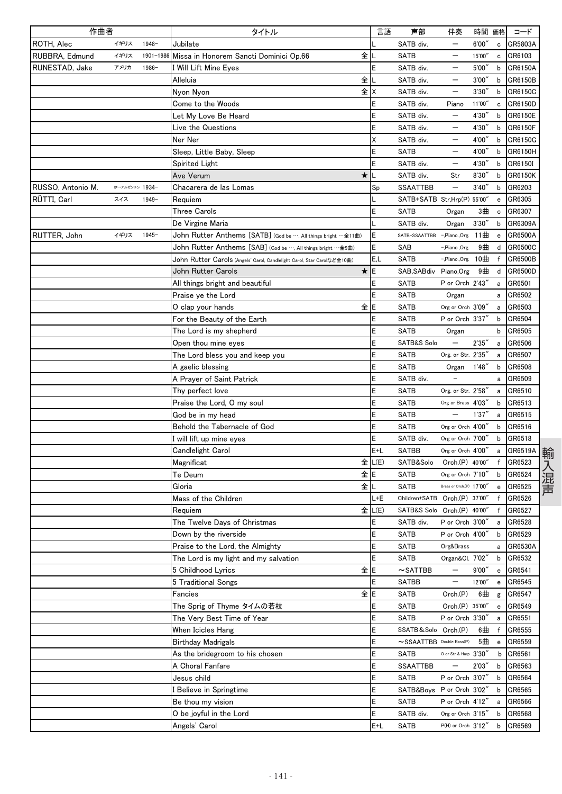| 作曲者               |                |           | タイトル                                                                    | 言語     | 声部                            | 伴奏                                   | 時間     | 価格                | コード     |
|-------------------|----------------|-----------|-------------------------------------------------------------------------|--------|-------------------------------|--------------------------------------|--------|-------------------|---------|
| ROTH, Alec        | イギリス           | 1948-     | Jubilate                                                                |        | SATB div.                     |                                      | 6'00'  | $\mathtt{c}$      | GR5803A |
| RUBBRA, Edmund    | イギリス           | 1901-1986 | 全<br>Missa in Honorem Sancti Dominici Op.66                             |        | <b>SATB</b>                   | —                                    | 15'00" | c                 | GR6103  |
| RUNESTAD, Jake    | アメリカ           | 1986-     | l Will Lift Mine Eyes                                                   | Ē      | SATB div.                     | —                                    | 5'00'' | b                 | GR6150A |
|                   |                |           | 全<br>Alleluia                                                           |        | SATB div.                     |                                      | 3'00'  | b                 | GR6150B |
|                   |                |           | 全<br>Nyon Nyon                                                          | Χ      | SATB div.                     |                                      | 3'30'  | b                 | GR6150C |
|                   |                |           | Come to the Woods                                                       | E      | SATB div.                     | Piano                                | 11'00" | $\mathbf c$       | GR6150D |
|                   |                |           | Let My Love Be Heard                                                    | E      | SATB div.                     |                                      | 4'30'' | b                 | GR6150E |
|                   |                |           | Live the Questions                                                      | E      | SATB div.                     | —                                    | 4'30'  | b                 | GR6150F |
|                   |                |           | Ner Ner                                                                 | Χ      | SATB div.                     |                                      | 4'00'' | b                 | GR6150G |
|                   |                |           | Sleep, Little Baby, Sleep                                               | E      | <b>SATB</b>                   |                                      | 4'00"  | b                 | GR6150H |
|                   |                |           | Spirited Light                                                          | E      | SATB div.                     |                                      | 4'30'  | b                 | GR6150I |
|                   |                |           | *<br>Ave Verum                                                          |        | SATB div.                     | Str                                  | 8'30'  | b                 | GR6150K |
| RUSSO, Antonio M. | 伊→アルゼンチン 1934- |           | Chacarera de las Lomas                                                  | Sp     | <b>SSAATTBB</b>               | $\overline{\phantom{0}}$             | 3'40'' | b                 | GR6203  |
| RÜTTI, Carl       | スイス            | $1949-$   | Requiem                                                                 |        | SATB+SATB Str,Hrp(P) 55'00'   |                                      |        | e                 | GR6305  |
|                   |                |           | Three Carols                                                            | E      | <b>SATB</b>                   | Organ                                | 3曲     | c                 | GR6307  |
|                   |                |           | De Virgine Maria                                                        |        | SATB div.                     | Organ                                | 3'30'' | b                 | GR6309A |
| RUTTER, John      | イギリス           | $1945 -$  | John Rutter Anthems [SATB] (God be …, All things bright …全11曲)          | E      | SATB-SSAATTBB                 | -,Piano.,Org.                        | 11曲    | e                 | GR6500A |
|                   |                |           | John Rutter Anthems [SAB] (God be …, All things bright …全9曲)            | E      | SAB                           | -,Piano.,Org.                        | 9曲     | d                 | GR6500C |
|                   |                |           | John Rutter Carols (Angels' Carol, Candlelight Carol, Star Carolなど全10曲) | E,L    | <b>SATB</b>                   | -,Piano.,Org.                        | 10曲    | $\mathsf{f}$      | GR6500B |
|                   |                |           | $\star$<br>John Rutter Carols                                           | E      | SAB, SABdiv Piano, Org        |                                      | 9曲     | d                 | GR6500D |
|                   |                |           | All things bright and beautiful                                         | E      | <b>SATB</b>                   | P or Orch 2'43"                      |        | a                 | GR6501  |
|                   |                |           | Praise ye the Lord                                                      | E      | <b>SATB</b>                   | Organ                                |        | a                 | GR6502  |
|                   |                |           | 全<br>O clap your hands                                                  | E      | <b>SATB</b>                   | Org or Orch 3'09"                    |        | a                 | GR6503  |
|                   |                |           | For the Beauty of the Earth                                             | E      | <b>SATB</b>                   | P or Orch 3'37"                      |        | b                 | GR6504  |
|                   |                |           | The Lord is my shepherd                                                 | E      | <b>SATB</b>                   | Organ                                |        | b                 | GR6505  |
|                   |                |           | Open thou mine eyes                                                     | E      | SATB&S Solo                   |                                      | 2'35'' | a                 | GR6506  |
|                   |                |           | The Lord bless you and keep you                                         | E      | SATB                          | Org. or Str. 2'35"                   |        | a                 | GR6507  |
|                   |                |           | A gaelic blessing                                                       | E      | <b>SATB</b>                   | Organ                                | 1'48'  | b                 | GR6508  |
|                   |                |           | A Prayer of Saint Patrick                                               | E      | SATB div.                     |                                      |        | а                 | GR6509  |
|                   |                |           | Thy perfect love                                                        | E      | <b>SATB</b>                   | Org. or Str. 2'58"                   |        | a                 | GR6510  |
|                   |                |           | Praise the Lord, O my soul                                              | E      | <b>SATB</b>                   | Org or Brass 4'03"                   |        | b                 | GR6513  |
|                   |                |           | God be in my head                                                       | E      | <b>SATB</b>                   |                                      | 1'37'' | a                 | GR6515  |
|                   |                |           | Behold the Tabernacle of God                                            | E      | <b>SATB</b>                   | Org or Orch 4'00"                    |        | b                 | GR6516  |
|                   |                |           |                                                                         | E      | SATB div.                     | Org or Orch 7'00"                    |        | b                 | GR6518  |
|                   |                |           | will lift up mine eyes                                                  | E+L    | <b>SATBB</b>                  | Org or Orch 4'00"                    |        |                   | GR6519A |
|                   |                |           | Candlelight Carol                                                       | 全 L(E) |                               |                                      |        | a<br>$\mathsf{f}$ |         |
|                   |                |           | Magnificat<br>Te Deum<br>全                                              | E      | SATB&Solo                     | Orch.(P) 40'00"<br>Org or Orch 7'10" |        |                   | GR6523  |
|                   |                |           | 全                                                                       |        | <b>SATB</b>                   | Brass or Orch.(P) 17'00"             |        | b                 | GR6524  |
|                   |                |           | Gloria                                                                  |        | <b>SATB</b>                   |                                      |        | e                 | GR6525  |
|                   |                |           | Mass of the Children                                                    | L+E    | Children+SATB Orch.(P) 37'00" |                                      |        | f                 | GR6526  |
|                   |                |           | 全<br>Requiem                                                            | L(E)   | SATB&S Solo Orch.(P) 40'00"   |                                      |        | $\mathsf{f}$      | GR6527  |
|                   |                |           | The Twelve Days of Christmas                                            | Ε      | SATB div.                     | P or Orch 3'00"                      |        | a                 | GR6528  |
|                   |                |           | Down by the riverside                                                   | E      | <b>SATB</b>                   | P or Orch 4'00"                      |        | b                 | GR6529  |
|                   |                |           | Praise to the Lord, the Almighty                                        | E      | <b>SATB</b>                   | Org&Brass                            |        | а                 | GR6530A |
|                   |                |           | The Lord is my light and my salvation                                   | E      | <b>SATB</b>                   | Organ&Cl. 7'02"                      |        | b                 | GR6532  |
|                   |                |           | 全IE<br>5 Childhood Lyrics                                               |        | $\sim$ SATTBB                 |                                      | 9'00'' | e                 | GR6541  |
|                   |                |           | 5 Traditional Songs                                                     | E      | SATBB                         | $\qquad \qquad -$                    | 12'00" | е                 | GR6545  |
|                   |                |           | 全 E<br>Fancies                                                          |        | <b>SATB</b>                   | Orch.(P)                             | 6曲     | g                 | GR6547  |
|                   |                |           | The Sprig of Thyme タイムの若枝                                               | E      | <b>SATB</b>                   | Orch.(P) 35'00"                      |        | e                 | GR6549  |
|                   |                |           | The Very Best Time of Year                                              | E      | <b>SATB</b>                   | P or Orch 3'30"                      |        | a                 | GR6551  |
|                   |                |           | When Icicles Hang                                                       | E      | SSATB&Solo Orch.(P)           |                                      | 6曲     | f                 | GR6555  |
|                   |                |           | Birthday Madrigals                                                      | E      | ~SSAATTBB Double Bass(P)      |                                      | 5曲     | e                 | GR6559  |
|                   |                |           | As the bridegroom to his chosen                                         | E      | SATB                          | 0 or Str & Harp 3'30"                |        | b                 | GR6561  |
|                   |                |           | A Choral Fanfare                                                        | E      | <b>SSAATTBB</b>               |                                      | 2'03'' | b                 | GR6563  |
|                   |                |           | Jesus child                                                             | E      | <b>SATB</b>                   | P or Orch 3'07"                      |        | b                 | GR6564  |
|                   |                |           | Believe in Springtime                                                   | E      | SATB&Boys P or Orch 3'02"     |                                      |        | b                 | GR6565  |
|                   |                |           | Be thou my vision                                                       | E      | <b>SATB</b>                   | P or Orch 4'12"                      |        | a                 | GR6566  |
|                   |                |           | O be joyful in the Lord                                                 | E      | SATB div.                     | Org or Orch 3'15"                    |        | b                 | GR6568  |
|                   |                |           | Angels' Carol                                                           | E+L    | <b>SATB</b>                   | P(H) or Orch 3'12"                   |        | b                 | GR6569  |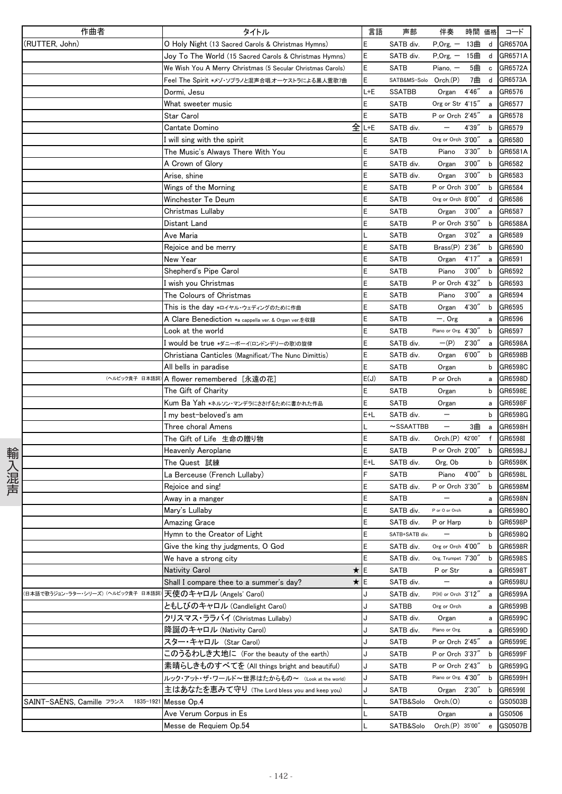|      | 作曲者                                    | タイトル                                                       | 言語   | 声部                    | 伴奏                       |        | 時間 価格        | コード                |
|------|----------------------------------------|------------------------------------------------------------|------|-----------------------|--------------------------|--------|--------------|--------------------|
|      | (RUTTER, John)                         | O Holy Night (13 Sacred Carols & Christmas Hymns)          | E    | SATB div.             | $P, Org, -$              | 13曲    | d            | GR6570A            |
|      |                                        | Joy To The World (15 Sacred Carols & Christmas Hymns)      | E    | SATB div.             | $P, Org, -15#$           |        |              | d GR6571A          |
|      |                                        | We Wish You A Merry Christmas (5 Secular Christmas Carols) | E    | <b>SATB</b>           | $Piano, -$               | 5曲     | $\mathtt{c}$ | GR6572A            |
|      |                                        | Feel The Spirit *メゾ・ソプラノと混声合唱、オーケストラによる黒人霊歌7曲              | E    | SATB&MS-Solo Orch.(P) |                          | 7曲     | d            | GR6573A            |
|      |                                        | Dormi, Jesu                                                | L+E  | SSATBB                | Organ                    | 4'46'' | $\mathsf{a}$ | GR6576             |
|      |                                        | What sweeter music                                         | E    | SATB                  | Org or Str 4'15"         |        | a            | GR6577             |
|      |                                        | Star Carol                                                 | E    | <b>SATB</b>           | P or Orch 2'45"          |        | a            | GR6578             |
|      |                                        | Cantate Domino                                             | 全Ŀѥ  | SATB div.             | $\qquad \qquad -$        | 4'39'' | b            | GR6579             |
|      |                                        | I will sing with the spirit                                | Ε    | <b>SATB</b>           | Org or Orch 3'00"        |        | a            | GR6580             |
|      |                                        | The Music's Always There With You                          | E    | <b>SATB</b>           | Piano                    | 3'30'' | b            | GR6581A            |
|      |                                        | A Crown of Glory                                           | E    | SATB div.             | Organ                    | 3'00'' | b            | GR6582             |
|      |                                        | Arise, shine                                               | E    | SATB div.             | Organ                    | 3'00'' | b            | GR6583             |
|      |                                        | Wings of the Morning                                       |      | <b>SATB</b>           | P or Orch 3'00"          |        | b            | GR6584             |
|      |                                        | Winchester Te Deum                                         | E    | SATB                  | Org or Orch 8'00"        |        | d            | GR6586             |
|      |                                        | Christmas Lullaby                                          | E    | SATB                  | Organ 3'00"              |        | a            | GR6587             |
|      |                                        | Distant Land                                               | Ē    | SATB                  | P or Orch 3'50"          |        | b            | GR6588A            |
|      |                                        | Ave Maria                                                  |      | SATB                  | Organ                    | 3'02'' | a            | GR6589             |
|      |                                        | Rejoice and be merry                                       | Ε    | <b>SATB</b>           | $Brass(P)$ 2'36"         |        | b            | GR6590             |
|      |                                        | New Year                                                   | E    | <b>SATB</b>           | Organ                    | 4'17'' | a            | GR6591             |
|      |                                        | Shepherd's Pipe Carol                                      | E    | SATB                  | Piano                    | 3'00'' | b            | GR6592             |
|      |                                        | l wish you Christmas                                       | E    | SATB                  | P or Orch 4'32"          |        | b            | GR6593             |
|      |                                        | The Colours of Christmas                                   | E    | <b>SATB</b>           | Piano                    | 3'00'' | a            | GR6594             |
|      |                                        | This is the day *ロイヤル・ウェディングのために作曲                         | E    | SATB                  | Organ                    | 4'30"  | b            | GR6595             |
|      |                                        | A Clare Benediction $\ast$ a cappella ver. & Organ ver.を収録 | Ε    | <b>SATB</b>           | $-$ , Org                |        | a            | GR6596             |
|      |                                        | Look at the world                                          | E    | SATB                  | Piano or Org. 4'30"      |        | b            | GR6597             |
|      |                                        | l would be true *ダニーボーイ(ロンドンデリーの歌)の旋律                      | E    | SATB div.             | $-(P)$                   | 2'30'' | a            | GR6598A            |
|      |                                        | Christiana Canticles (Magnificat/The Nunc Dimittis)        | E    | SATB div.             | Organ                    | 6'00'' | b            | GR6598B            |
|      |                                        | All bells in paradise                                      | E    | SATB                  | Organ                    |        | b            | GR6598C            |
|      | (ヘルビック貴子 日本語詞)                         | A flower remembered [永遠の花]                                 | E(J) | SATB                  | P or Orch                |        | a            | GR6598D            |
|      |                                        | The Gift of Charity                                        | E    | <b>SATB</b>           | Organ                    |        | b            | GR6598E            |
|      |                                        | Kum Ba Yah *ネルソン・マンデラにささげるために書かれた作品                        | E    | SATB                  | Organ                    |        | а            | GR6598F            |
|      |                                        | l my best-beloved's am                                     | E+L  | SATB div.             | $\qquad \qquad -$        |        | b            | GR6598G            |
|      |                                        | Three choral Amens                                         |      | $\sim$ SSAATTBB       | $\overline{\phantom{0}}$ | 3曲     | a            | GR6598H            |
|      |                                        | The Gift of Life 生命の贈り物                                    | E    | SATB div.             | Orch.(P) 42'00"          |        | f            | GR6598I            |
| 輸入混声 |                                        | Heavenly Aeroplane                                         | E    | <b>SATB</b>           | P or Orch 2'00"          |        | b            | GR6598J            |
|      |                                        | The Quest 試練                                               | E+L  | SATB div.             | Org, Ob                  |        | b            | GR6598K            |
|      |                                        | La Berceuse (French Lullaby)                               | E    | SATB<br>SATB div.     | Piano                    | 4'00"  | b            | GR6598L            |
|      |                                        | Rejoice and sing!                                          | E    | <b>SATB</b>           | P or Orch 3'30"          |        | b            | GR6598M<br>GR6598N |
|      |                                        | Away in a manger<br>Mary's Lullaby                         | E    | SATB div.             | P or O or Orch           |        | a            | a GR65980          |
|      |                                        | Amazing Grace                                              | E    | SATB div.             | P or Harp                |        | b            | GR6598P            |
|      |                                        | Hymn to the Creator of Light                               | E    | SATB+SATB div.        |                          |        |              | b GR6598Q          |
|      |                                        | Give the king thy judgments, O God                         | E    | SATB div.             | Org or Orch 4'00"        |        |              | b GR6598R          |
|      |                                        | We have a strong city                                      | E    | SATB div.             | Org, Trumpet 7'30"       |        |              | b GR6598S          |
|      |                                        | Nativity Carol<br>★                                        | E    | SATB                  | P or Str                 |        | a            | GR6598T            |
|      |                                        | ★IE<br>Shall I compare thee to a summer's day?             |      | SATB div.             | $\overline{\phantom{0}}$ |        |              | a GR6598U          |
|      | 日本語で歌うジョン・ラター・シリーズ)(ヘルピック貴子 日本語詞       | 天使のキャロル (Angels' Carol)                                    | J    | SATB div.             | P(H) or Orch 3'12"       |        | a            | GR6599A            |
|      |                                        | ともしびのキャロル (Candlelight Carol)                              | J    | SATBB                 | Org or Orch              |        |              | a GR6599B          |
|      |                                        | クリスマス・ララバイ (Christmas Lullaby)                             | J    | SATB div.             | Organ                    |        |              | a GR6599C          |
|      |                                        | 降誕のキャロル (Nativity Carol)                                   | J    | SATB div.             | Piano or Org.            |        |              | a GR6599D          |
|      |                                        | スター・キャロル (Star Carol)                                      | J    | SATB                  | P or Orch 2'45"          |        |              | a GR6599E          |
|      |                                        | このうるわしき大地に(For the beauty of the earth)                    | J    | SATB                  | P or Orch 3'37"          |        |              | b GR6599F          |
|      |                                        | 素晴らしきものすべてを (All things bright and beautiful)              | J    | SATB                  | P or Orch 2'43"          |        |              | b GR6599G          |
|      |                                        | ルック・アット・ザ・ワールド~世界はたからもの~ (Look at the world)               |      | SATB                  | Piano or Org. 4'30"      |        | b            | GR6599H            |
|      |                                        | 主はあなたを恵みて守り (The Lord bless you and keep you)              | J    | SATB                  | Organ 2'30"              |        |              | b GR6599I          |
|      | SAINT-SAËNS, Camille フランス<br>1835-1921 | Messe Op.4                                                 |      | SATB&Solo             | Orch. (O)                |        |              | c GS0503B          |
|      |                                        | Ave Verum Corpus in Es                                     |      | <b>SATB</b>           | Organ                    |        | a            | GS0506             |
|      |                                        | Messe de Requiem Op.54                                     |      | SATB&Solo             | Orch.(P) 35'00"          |        |              | e GS0507B          |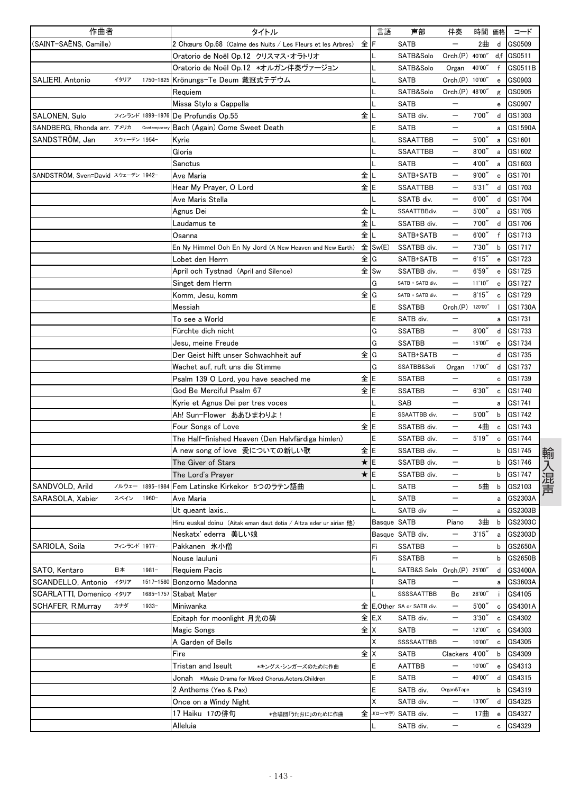| 作曲者                                |              |                 | タイトル                                                                     |              | 言語          | 声部                          | 伴奏                       | 時間 価格   |                                   | コード        |
|------------------------------------|--------------|-----------------|--------------------------------------------------------------------------|--------------|-------------|-----------------------------|--------------------------|---------|-----------------------------------|------------|
| (SAINT-SAËNS, Camille)             |              |                 | 2 Chœurs Op.68 (Calme des Nuits / Les Fleurs et les Arbres)              | 全            | F           | <b>SATB</b>                 |                          | 2曲      |                                   | d GS0509   |
|                                    |              |                 | Oratorio de Noël Op.12 クリスマス・オラトリオ                                       |              |             | SATB&Solo                   | $Orch.(P)$               | 40'00"  |                                   | d,f GS0511 |
|                                    |              |                 | Oratorio de Noël Op.12 *オルガン伴奏ヴァージョン                                     |              |             | SATB&Solo                   | Organ                    | 40'00"  | f                                 | GS0511B    |
| SALIERI, Antonio                   | イタリア         | 1750-1825       | Krönungs-Te Deum 戴冠式テデウム                                                 |              |             | SATB                        | Orch.(P) 10'00"          |         | e                                 | GS0903     |
|                                    |              |                 | Requiem                                                                  |              |             | SATB&Solo                   | Orch.(P) 48'00"          |         | g                                 | GS0905     |
|                                    |              |                 | Missa Stylo a Cappella                                                   |              |             | SATB                        |                          |         | е                                 | GS0907     |
| SALONEN, Sulo                      |              |                 | フィンランド 1899-1976 De Profundis Op.55                                      | 全            |             | SATB div.                   | $\qquad \qquad -$        | 7'00'   |                                   | d GS1303   |
| SANDBERG, Rhonda arr. アメリカ         |              | Contemporary    | Bach (Again) Come Sweet Death                                            |              | E           | <b>SATB</b>                 | —                        |         | а                                 | GS1590A    |
| SANDSTRÖM, Jan                     | スウェーデン 1954- |                 | Kyrie                                                                    |              |             | <b>SSAATTBB</b>             | $\qquad \qquad -$        | 5'00'   | a                                 | GS1601     |
|                                    |              |                 | Gloria                                                                   |              |             | SSAATTBB                    |                          | 8'00'   | a                                 | GS1602     |
|                                    |              |                 | Sanctus                                                                  |              |             | <b>SATB</b>                 |                          | 4'00''  | a                                 | GS1603     |
| SANDSTRÖM, Sven=David スウェーデン 1942- |              |                 | Ave Maria                                                                | 全            |             | SATB+SATB                   |                          | 9'00''  | e                                 | GS1701     |
|                                    |              |                 | Hear My Prayer, O Lord                                                   | 全<br>E       |             | <b>SSAATTBB</b>             | —                        | 5'31''  | d                                 | GS1703     |
|                                    |              |                 | Ave Maris Stella                                                         |              |             | SSATB div.                  | —                        | 6'00'   | d                                 | GS1704     |
|                                    |              |                 | Agnus Dei                                                                | 全            |             | SSAATTBBdiv.                | $\overline{\phantom{0}}$ | 5'00''  | a                                 | GS1705     |
|                                    |              |                 | Laudamus te                                                              | 全            |             | SSATBB div.                 | —                        | 7'00''  | d                                 | GS1706     |
|                                    |              |                 | Osanna                                                                   | 全            |             | SATB+SATB                   | $\overline{\phantom{0}}$ | 6'00''  | f                                 | GS1713     |
|                                    |              |                 | En Ny Himmel Och En Ny Jord (A New Heaven and New Earth)                 |              | 全 Sw(E)     | SSATBB div.                 |                          | 7'30'   | b                                 | GS1717     |
|                                    |              |                 | Lobet den Herrn                                                          | 全            | G           | SATB+SATB                   | —                        | 6'15''  | e                                 | GS1723     |
|                                    |              |                 | April och Tystnad (April and Silence)                                    | 全            | Sw          | SSATBB div.                 | $\overline{\phantom{0}}$ | 6'59'   | e                                 | GS1725     |
|                                    |              |                 | Singet dem Herrn                                                         |              | G           | SATB + SATB div.            | $\overline{\phantom{0}}$ | 11'10'' | e                                 | GS1727     |
|                                    |              |                 | Komm, Jesu, komm                                                         | 全            | G           | SATB + SATB div.            | $\overline{\phantom{0}}$ | 8'15''  | c                                 | GS1729     |
|                                    |              |                 | Messiah                                                                  |              | E           | <b>SSATBB</b>               | Orch.(P) 120'00"         |         |                                   | GS1730A    |
|                                    |              |                 | To see a World                                                           |              | E           | SATB div.                   |                          |         | a                                 | GS1731     |
|                                    |              |                 | Fürchte dich nicht                                                       |              | G           | <b>SSATBB</b>               | —                        | 8'00''  | d                                 | GS1733     |
|                                    |              |                 | Jesu, meine Freude                                                       |              | G           | <b>SSATBB</b>               | —                        | 15'00"  | e                                 | GS1734     |
|                                    |              |                 | Der Geist hilft unser Schwachheit auf                                    | 全            | G           | SATB+SATB                   |                          |         | d                                 | GS1735     |
|                                    |              |                 | Wachet auf, ruft uns die Stimme                                          |              | G           | SSATBB&Soli                 | Organ                    | 17'00"  | d                                 | GS1737     |
|                                    |              |                 | Psalm 139 O Lord, you have seached me                                    | 全<br>E       |             | <b>SSATBB</b>               |                          |         | c                                 | GS1739     |
|                                    |              |                 | God Be Merciful Psalm 67                                                 | 全IE          |             | <b>SSATBB</b>               | $\overline{\phantom{0}}$ | 6'30''  | c                                 | GS1740     |
|                                    |              |                 | Kyrie et Agnus Dei per tres voces                                        |              |             | SAB                         |                          |         | а                                 | GS1741     |
|                                    |              |                 | Ah!Sun-Flower ああひまわりよ!                                                   |              | E           | SSAATTBB div.               | —                        | 5'00''  | b                                 | GS1742     |
|                                    |              |                 | Four Songs of Love                                                       | 全            | E           | SSATBB div.                 | —                        | 4曲      | c                                 | GS1743     |
|                                    |              |                 | The Half-finished Heaven (Den Halvfärdiga himlen)                        |              | E           | SSATBB div.                 |                          | 5'19''  | c                                 | GS1744     |
|                                    |              |                 | A new song of love 愛についての新しい歌                                            | 全            | E           | SSATBB div.                 |                          |         | b                                 | GS1745     |
|                                    |              |                 | The Giver of Stars                                                       | $\star$<br>E |             | SSATBB div.                 | $\overline{\phantom{0}}$ |         | b                                 | GS1746     |
|                                    |              |                 | The Lord's Prayer                                                        | $\star$      | E           | SSATBB div.                 |                          |         | b                                 | GS1747     |
| SANDVOLD, Arild                    |              | ノルウェー 1895-1984 | Fem Latinske Kirkekor 5つのラテン語曲                                           |              |             | SATB                        |                          | 5曲      | b                                 | GS2103     |
| SARASOLA, Xabier                   | スペイン         | 1960-           | Ave Maria                                                                |              |             | SATB                        | —                        |         | a                                 | GS2303A    |
|                                    |              |                 | Ut queant laxis                                                          |              |             | SATB div                    |                          |         |                                   | GS2303B    |
|                                    |              |                 | Hiru euskal doinu (Aitak eman daut dotia / Altza eder ur airian 他)       |              | Basque SATB |                             | Piano                    | 3曲      | a<br>b                            | GS2303C    |
|                                    |              |                 | Neskatx' ederra 美しい娘                                                     |              |             | Basque SATB div.            | —                        | 3'15''  | a                                 | GS2303D    |
| SARIOLA, Soila                     | フィンランド 1977- |                 | Pakkanen 氷小僧                                                             |              | Fi          | <b>SSATBB</b>               | —                        |         |                                   | b GS2650A  |
|                                    |              |                 | Nouse lauluni                                                            |              | Fi          | <b>SSATBB</b>               | —                        |         | b                                 | GS2650B    |
| SATO, Kentaro                      | 日本           | $1981 -$        | Requiem Pacis                                                            |              | L           | SATB&S Solo Orch.(P) 25'00' |                          |         | d                                 | GS3400A    |
| SCANDELLO, Antonio                 | イタリア         | 1517-1580       | Bonzorno Madonna                                                         |              |             | SATB                        | —                        |         | а                                 | GS3603A    |
| SCARLATTI, Domenico イタリア           |              | 1685-1757       | <b>Stabat Mater</b>                                                      |              |             | SSSSAATTBB                  | Bc                       | 28'00"  | ÷.                                | GS4105     |
| SCHAFER, R.Murray                  | カナダ          | $1933 -$        | Miniwanka                                                                | 全            |             | E, Other SA or SATB div.    | $\qquad \qquad -$        | 5'00''  | $\mathtt{c}$                      | GS4301A    |
|                                    |              |                 | Epitaph for moonlight 月光の碑                                               | 全 E.X        |             | SATB div.                   | —                        | 3'30''  | с                                 | GS4302     |
|                                    |              |                 | Magic Songs                                                              | 全X           |             | <b>SATB</b>                 | $\qquad \qquad -$        | 12'00"  | c                                 | GS4303     |
|                                    |              |                 | A Garden of Bells                                                        |              | Χ           | SSSSAATTBB                  | —                        | 10'00"  | c                                 | GS4305     |
|                                    |              |                 | Fire                                                                     | 全            | Χ           | SATB                        | Clackers 4'00"           |         | b                                 | GS4309     |
|                                    |              |                 | Tristan and Iseult                                                       |              | E           | <b>AATTBB</b>               | $\overline{\phantom{0}}$ | 10'00"  | e                                 | GS4313     |
|                                    |              |                 | *キングス・シンガーズのために作曲<br>Jonah *Music Drama for Mixed Chorus,Actors,Children |              | E           | SATB                        | $\qquad \qquad -$        | 40'00"  | d                                 | GS4315     |
|                                    |              |                 | 2 Anthems (Yeo & Pax)                                                    |              | E           | SATB div.                   | Organ&Tape               |         |                                   | b GS4319   |
|                                    |              |                 | Once on a Windy Night                                                    |              | Χ           | SATB div.                   | —                        | 13'00"  | d                                 | GS4325     |
|                                    |              |                 | 17 Haiku 17の俳句<br>*合唱団「うたおに」のために作曲                                       | 全            |             | J(ローマ字) SATB div.           | —                        | 17曲     | $\mathbf{e}% _{t}\left( t\right)$ | GS4327     |
|                                    |              |                 | Alleluia                                                                 |              |             | SATB div.                   | —                        |         | c                                 | GS4329     |
|                                    |              |                 |                                                                          |              |             |                             |                          |         |                                   |            |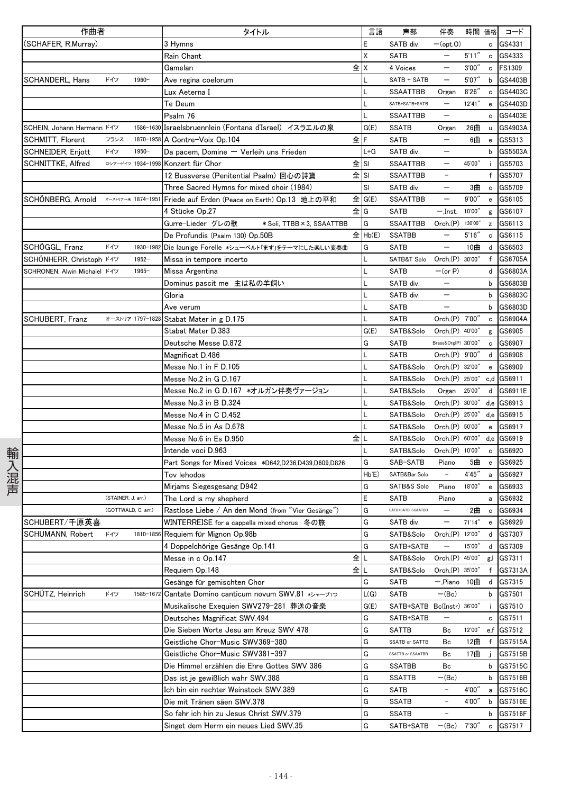|      | 作曲者                                  |                     |                   | タイトル                                                  | 言語        | 声部                         | 伴奏                         | 時間 価格   |                                                | コード        |
|------|--------------------------------------|---------------------|-------------------|-------------------------------------------------------|-----------|----------------------------|----------------------------|---------|------------------------------------------------|------------|
|      | (SCHAFER, R.Murray)                  |                     |                   | 3 Hymns                                               | E         | SATB div.                  | $-(opt.0)$                 |         | c                                              | GS4331     |
|      |                                      |                     |                   | Rain Chant                                            | Χ         | <b>SATB</b>                | $\overline{\phantom{m}}$   | 5'11''  |                                                | c GS4333   |
|      |                                      |                     |                   | Gamelan                                               | 全 X       | 4 Voices                   | $\overline{\phantom{m}}$   | 3'00''  |                                                | c FS1309   |
|      | SCHANDERL, Hans                      | ドイツ                 | $1960 -$          | Ave regina coelorum                                   |           | SATB + SATB                | $\qquad \qquad -$          | 5'07''  | b                                              | GS4403B    |
|      |                                      |                     |                   | Lux Aeterna I                                         |           | <b>SSAATTBB</b>            | Organ                      | 8'26''  | $\mathbf c$                                    | GS4403C    |
|      |                                      |                     |                   | Te Deum                                               |           | SATB+SATB+SATB             |                            | 12'41'' | e                                              | GS4403D    |
|      |                                      |                     |                   | Psalm 76                                              |           | SSAATTBB                   | $\qquad \qquad -$          |         | c                                              | GS4403E    |
|      | SCHEIN, Johann Hermann K1y           |                     | 1586-1630         | Israelsbruennlein (Fontana d'Israel) イスラエルの泉          | G(E)      | <b>SSATB</b>               | Organ                      | 26曲     | u                                              | GS4903A    |
|      | SCHMITT, Florent                     | フランス                | 1870-1958         | A Contre-Voix Op.104                                  | 全下        | <b>SATB</b>                | $\qquad \qquad -$          | 6曲      | $\mathbf{e}% _{t}\left  \mathbf{v}_{t}\right $ | GS5313     |
|      | SCHNEIDER, Enjott                    | ドイツ                 | 1950-             | Da pacem, Domine - Verleih uns Frieden                | $L + G$   | SATB div.                  |                            |         | b                                              | GS5503A    |
|      | SCHNITTKE, Alfred                    |                     | ロシア→ドイツ 1934-1998 | Konzert für Chor                                      | 全ISI      | <b>SSAATTBB</b>            |                            | 45'00"  |                                                | GS5703     |
|      |                                      |                     |                   | 12 Bussverse (Penitential Psalm) 回心の詩篇                | $\pm$ SI  | <b>SSAATTBB</b>            |                            |         | f                                              | GS5707     |
|      |                                      |                     |                   | Three Sacred Hymns for mixed choir (1984)             | <b>SI</b> | SATB div.                  | $\equiv$                   | 3曲      | $\mathbf{c}$                                   | GS5709     |
|      | SCHÖNBERG, Arnold *-****** 1874-1951 |                     |                   | Friede auf Erden (Peace on Earth) Op.13 地上の平和         | 全 $G(E)$  | <b>SSAATTBB</b>            | $\qquad \qquad -$          | 9'00''  |                                                | e GS6105   |
|      |                                      |                     |                   | 4 Stücke Op.27                                        | 全IG       | <b>SATB</b>                | $-$ ,Inst. $10'00''$       |         | g                                              | GS6107     |
|      |                                      |                     |                   | Gurre-Lieder グレの歌<br>* Soli, TTBB × 3, SSAATTBB       | G         | SSAATTBB                   | Orch.(P) 130'00"           |         | $\mathsf{z}$                                   | GS6113     |
|      |                                      |                     |                   | De Profundis (Psalm 130) Op.50B                       | 全 $Hb(E)$ | <b>SSATBB</b>              |                            | 5'16''  | c                                              | GS6115     |
|      | SCHÖGGL, Franz                       | ドイツ                 | 1930-1982         | Die launige Forelle *シューベルト「ます」をテーマにした楽しい変奏曲          | G         | <b>SATB</b>                | $\qquad \qquad -$          | 10曲     | d                                              | GS6503     |
|      | SCHÖNHERR, Christoph ドイツ             |                     | $1952 -$          | Missa in tempore incerto                              |           | SATB&T Solo                | Orch.(P) 30'00"            |         |                                                | f GS6705A  |
|      | SCHRONEN, Alwin Michalel ドイツ         |                     | $1965 -$          | Missa Argentina                                       |           | <b>SATB</b>                | $-(or P)$                  |         | d                                              | GS6803A    |
|      |                                      |                     |                   | Dominus pascit me 主は私の羊飼い                             |           | SATB div.                  |                            |         | $\mathsf{b}$                                   | GS6803B    |
|      |                                      |                     |                   | Gloria                                                |           | SATB div.                  |                            |         | b                                              | GS6803C    |
|      |                                      |                     |                   | Ave verum                                             |           | <b>SATB</b>                |                            |         | b                                              | GS6803D    |
|      | SCHUBERT, Franz                      |                     | オーストリア 1797-1828  | Stabat Mater in g D.175                               |           | <b>SATB</b>                | Orch.(P) 7'00"             |         | $\mathbf{c}$                                   | GS6904A    |
|      |                                      |                     |                   | Stabat Mater D.383                                    | G(E)      | SATB&Solo                  | Orch.(P) 40'00"            |         |                                                | g GS6905   |
|      |                                      |                     |                   | Deutsche Messe D.872                                  | G         | <b>SATB</b>                | Brass&Org(P) 30'00"        |         |                                                | c GS6907   |
|      |                                      |                     |                   | Magnificat D.486                                      |           | <b>SATB</b>                | Orch.(P) 9'00"             |         | d                                              | GS6908     |
|      |                                      |                     |                   | Messe No.1 in F D.105                                 |           | SATB&Solo                  | Orch.(P) 32'00"            |         | e                                              | GS6909     |
|      |                                      |                     |                   | Messe No.2 in G D.167                                 |           | SATB&Solo                  | Orch.(P) 25'00" c,d GS6911 |         |                                                |            |
|      |                                      |                     |                   | Messe No.2 in G D.167 *オルガン伴奏ヴァージョン                   |           | SATB&Solo                  | Organ                      | 25'00"  |                                                | d GS6911E  |
|      |                                      |                     |                   | Messe No.3 in B D.324                                 |           | SATB&Solo                  | Orch.(P) 30'00"            |         |                                                | d,e GS6913 |
|      |                                      |                     |                   | Messe No.4 in C D.452                                 |           | SATB&Solo                  | Orch.(P) 25'00"            |         |                                                | d,e GS6915 |
|      |                                      |                     |                   | Messe No.5 in As D.678                                |           | SATB&Solo                  | Orch.(P) 50'00"            |         | $\mathbf{e}$                                   | GS6917     |
|      |                                      |                     |                   | 全儿<br>Messe No.6 in Es D.950                          |           | SATB&Solo                  | Orch.(P) 60'00" d,e GS6919 |         |                                                |            |
|      |                                      |                     |                   | Intende voci D.963                                    |           | SATB&Solo                  | Orch.(P) 10'00"            |         |                                                | c GS6920   |
| 輸入混声 |                                      |                     |                   | Part Songs for Mixed Voices *D642,D236,D439,D609,D826 | G         | SAB-SATB                   | Piano                      | 5曲      | $\mathbf{e}% _{t}\left  \mathbf{v}_{t}\right $ | GS6925     |
|      |                                      |                     |                   | Tov lehodos                                           | Hb'E)     | SATB&Bar.Solo              | $\equiv$                   | 4'45"   | a                                              | GS6927     |
|      |                                      |                     |                   | Mirjams Siegesgesang D942                             | G         | SATB&S Solo                | Piano                      | 18'00"  | $\mathbf{e}$                                   | GS6933     |
|      |                                      | (STAINER, J. arr.)  |                   | The Lord is my shepherd                               | E         | SATB                       | Piano                      |         | a                                              | GS6932     |
|      |                                      | (GOTTWALD, C. arr.) |                   | Rastlose Liebe / An den Mond (from "Vier Gesänge")    | G         | SATB+SATB-SSAATBB          |                            | 2曲      |                                                | c GS6934   |
|      | SCHUBERT/千原英喜                        |                     |                   | WINTERREISE for a cappella mixed chorus 冬の旅           | G         | SATB div.                  | -                          | 71'14"  |                                                | e GS6929   |
|      | SCHUMANN, Robert                     | ドイツ                 | 1810-1856         | Requiem für Mignon Op.98b                             | G         | SATB&Solo                  | Orch.(P) 12'00"            |         |                                                | d GS7307   |
|      |                                      |                     |                   | 4 Doppelchörige Gesänge Op.141                        | G         | SATB+SATB                  |                            | 15'00"  |                                                | d GS7309   |
|      |                                      |                     |                   | Messe in c Op.147<br>全                                |           | SATB&Solo                  | Orch.(P) 45'00"            |         |                                                | g,l GS7311 |
|      |                                      |                     |                   | 全儿<br>Requiem Op.148                                  |           | SATB&Solo                  | Orch.(P) 35'00"            |         | f                                              | GS7313A    |
|      |                                      |                     |                   | Gesänge für gemischten Chor                           | G         | SATB                       | 一,Piano 10曲                |         | d                                              | GS7315     |
|      | SCHUTZ, Heinrich                     | ドイツ                 | 1585-1672         | Cantate Domino canticum novum SWV.81 *> +->10         | L(G)      | <b>SATB</b>                | $-(Bc)$                    |         | b                                              | GS7501     |
|      |                                      |                     |                   | Musikalische Exequien SWV279-281 葬送の音楽                | G(E)      | SATB+SATB Bc(Instr) 36'00" |                            |         | i.                                             | GS7510     |
|      |                                      |                     |                   | Deutsches Magnificat SWV.494                          | G         | SATB+SATB                  |                            |         | c                                              | GS7511     |
|      |                                      |                     |                   | Die Sieben Worte Jesu am Kreuz SWV 478                | G         | SATTB                      | Bc                         | 12'00"  |                                                | e,f GS7512 |
|      |                                      |                     |                   | Geistliche Chor-Music SWV369-380                      | G         | SSATB or SATTB             | Bc                         | 12曲 f   |                                                | GS7515A    |
|      |                                      |                     |                   | Geistliche Chor-Music SWV381-397                      | G         | SSATTB or SSAATBB          | Bc                         | 17曲     |                                                | GS7515B    |
|      |                                      |                     |                   | Die Himmel erzählen die Ehre Gottes SWV 386           | G         | <b>SSATBB</b>              | Bc                         |         |                                                | b GS7515C  |
|      |                                      |                     |                   | Das ist je gewißlich wahr SWV.388                     | G         | <b>SSATTB</b>              | $-(Bc)$                    |         |                                                | b GS7516B  |
|      |                                      |                     |                   | Ich bin ein rechter Weinstock SWV.389                 | G         | <b>SATB</b>                | $\bar{ }$                  | 4'00"   |                                                | a GS7516C  |
|      |                                      |                     |                   | Die mit Tränen säen SWV.378                           | G         | <b>SSATB</b>               | $\equiv$                   | 4'00″   |                                                | b GS7516E  |
|      |                                      |                     |                   | So fahr ich hin zu Jesus Christ SWV.379               | G         | <b>SSATB</b>               | $\overline{\phantom{a}}$   |         | b                                              | GS7516F    |
|      |                                      |                     |                   | Singet dem Herrn ein neues Lied SWV.35                | G         | SATB+SATB                  | $-(Bc)$ 7'30"              |         | $\mathtt{c}$                                   | GS7517     |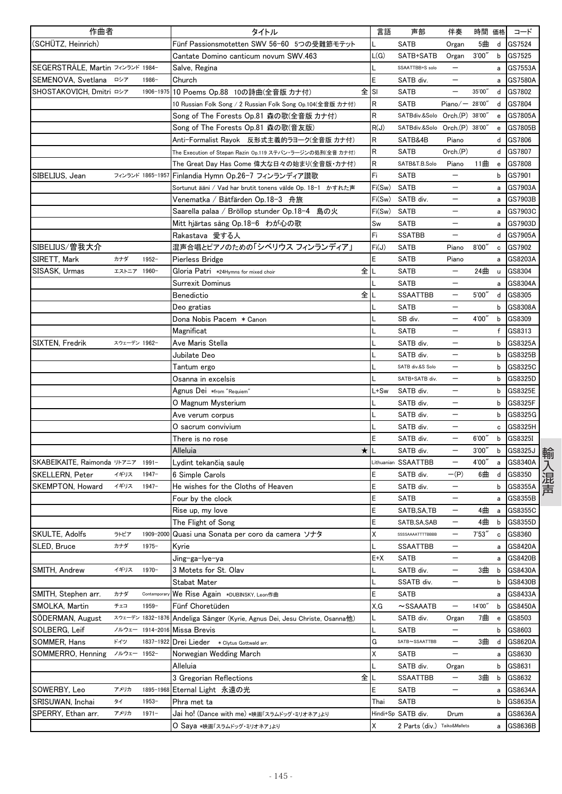| 作曲者                              |              |                  | タイトル                                                       | 言語          | 声部                            | 伴奏                       | 時間 価格  |                                                  | コード                |
|----------------------------------|--------------|------------------|------------------------------------------------------------|-------------|-------------------------------|--------------------------|--------|--------------------------------------------------|--------------------|
| (SCHÜTZ, Heinrich)               |              |                  | Fünf Passionsmotetten SWV 56-60 5つの受難節モテット                 |             | <b>SATB</b>                   | Organ                    | 5曲     | d                                                | GS7524             |
|                                  |              |                  | Cantate Domino canticum novum SWV.463                      | L(G)        | SATB+SATB                     | Organ                    | 3'00'' | b                                                | GS7525             |
| SEGERSTRÄLE, Martin フィンランド 1984- |              |                  | Salve, Regina                                              |             | SSAATTBB+S solo               | $\overline{\phantom{m}}$ |        | a                                                | GS7553A            |
| SEMENOVA, Svetlana               | ロシア          | 1986-            | Church                                                     | E           | SATB div.                     |                          |        | a                                                | GS7580A            |
| SHOSTAKOVICH, Dmitri ロシア         |              | 1906-1975        | 10 Poems Op.88 10の詩曲(全音版 カナ付)                              | 全ISI        | <b>SATB</b>                   |                          | 35'00" | d                                                | GS7802             |
|                                  |              |                  | 10 Russian Folk Song / 2 Russian Folk Song Op.104(全音版 カナ付) | R           | <b>SATB</b>                   | Piano $/$ – 28'00"       |        | d                                                | GS7804             |
|                                  |              |                  | Song of The Forests Op.81 森の歌(全音版 カナ付)                     | $\mathsf R$ | SATBdiv.&Solo Orch.(P) 38'00" |                          |        | $\mathbf{e}% _{t}\left  \mathbf{1}\right\rangle$ | GS7805A            |
|                                  |              |                  | Song of The Forests Op.81 森の歌(音友版)                         | R(J)        | SATBdiv.&Solo Orch.(P) 38'00" |                          |        | e                                                | GS7805B            |
|                                  |              |                  | Anti-Formalist Rayok 反形式主義的ラヨーク(全音版 カナ付)                   | $\mathsf R$ | SATB&4B                       | Piano                    |        | d                                                | GS7806             |
|                                  |              |                  | The Execution of Stepan Razin Op.119 ステパン・ラージンの処刑(全音 カナ付)  | $\mathsf R$ | SATB                          | Orch.(P)                 |        | d                                                | GS7807             |
|                                  |              |                  | The Great Day Has Come 偉大な日々の始まり(全音版・カナ付)                  | R           | SATB&T.B.Solo                 | Piano                    | 11曲    | $\mathbf{e}$                                     | GS7808             |
| SIBELIUS, Jean                   |              | フィンランド 1865-1957 | Finlandia Hymn Op.26-7 フィンランディア讃歌                          | Fi          | <b>SATB</b>                   | $\overline{\phantom{0}}$ |        | b                                                | GS7901             |
|                                  |              |                  | Sortunut ääni / Vad har brutit tonens välde Op. 18-1 かすれた声 | Fi(Sw)      | <b>SATB</b>                   | $\qquad \qquad -$        |        | a                                                | GS7903A            |
|                                  |              |                  | Venematka / Båtfärden Op.18-3 舟旅                           | Fi(Sw)      | SATB div.                     | $\qquad \qquad -$        |        | a                                                | GS7903B            |
|                                  |              |                  | Saarella palaa / Bröllop stunder Op.18-4 島の火               | Fi(Sw)      | <b>SATB</b>                   |                          |        | a                                                | GS7903C            |
|                                  |              |                  | Mitt hjärtas sång Op.18-6 わが心の歌                            | Sw          | <b>SATB</b>                   |                          |        | a                                                | GS7903D            |
|                                  |              |                  | Rakastava 愛する人                                             | Fi          | <b>SSATBB</b>                 |                          |        | d                                                | GS7905A            |
| SIBELIUS/曽我大介                    |              |                  | 混声合唱とピアノのための「シベリウス フィンランディア」                               | Fi(J)       | <b>SATB</b>                   | Piano                    | 8'00'' | c                                                | GS7902             |
| SIRETT, Mark                     | カナダ          | $1952 -$         | Pierless Bridge                                            | E           | <b>SATB</b>                   | Piano                    |        | a                                                | GS8203A            |
| SISASK, Urmas                    | エストニア 1960-  |                  | 全<br>Gloria Patri *24Hymns for mixed choir                 | L           | <b>SATB</b>                   | $\qquad \qquad -$        | 24曲    | u                                                | GS8304             |
|                                  |              |                  | Surrexit Dominus                                           |             | <b>SATB</b>                   |                          |        | a                                                | GS8304A            |
|                                  |              |                  | 全<br>Benedictio                                            |             | <b>SSAATTBB</b>               | $\overline{\phantom{0}}$ | 5'00'' | d                                                | GS8305             |
|                                  |              |                  | Deo gratias                                                |             | <b>SATB</b>                   |                          |        | b                                                | GS8308A            |
|                                  |              |                  | Dona Nobis Pacem *Canon                                    |             | SB div.                       | $\overline{\phantom{0}}$ | 4'00"  | b                                                | GS8309             |
|                                  |              |                  | Magnificat                                                 |             | <b>SATB</b>                   | —                        |        | $\mathsf{f}$                                     | GS8313             |
| SIXTEN, Fredrik                  | スウェーデン 1962- |                  | Ave Maris Stella                                           |             | SATB div.                     | —                        |        | b                                                | GS8325A            |
|                                  |              |                  | Jubilate Deo                                               |             | SATB div.                     |                          |        | b                                                | GS8325B            |
|                                  |              |                  |                                                            | L           | SATB div.&S Solo              |                          |        | b                                                | GS8325C            |
|                                  |              |                  | Tantum ergo<br>Osanna in excelsis                          |             | SATB+SATB div.                |                          |        | b                                                | GS8325D            |
|                                  |              |                  |                                                            | L+Sw        | SATB div.                     | —                        |        | b                                                | GS8325E            |
|                                  |              |                  | Agnus Dei *from "Requiem"                                  |             | SATB div.                     | —                        |        | b                                                | GS8325F            |
|                                  |              |                  | O Magnum Mysterium                                         |             | SATB div.                     |                          |        | b                                                | GS8325G            |
|                                  |              |                  | Ave verum corpus<br>O sacrum convivium                     |             |                               |                          |        |                                                  |                    |
|                                  |              |                  |                                                            | E           | SATB div.                     |                          | 6'00'' | c<br>b                                           | GS8325H            |
|                                  |              |                  | There is no rose<br>$\star$                                |             | SATB div.<br>SATB div.        |                          | 3'00'' |                                                  | GS8325I<br>GS8325J |
|                                  |              |                  | Alleluia                                                   |             |                               | $\qquad \qquad -$        |        | b                                                |                    |
| SKABEIKAITE, Raimonda リトアニア      |              | $1991 -$         | Lydint tekančią saulę                                      |             | Lithuanian SSAATTBB           |                          | 4'00'' | a                                                | GS8340A            |
| SKELLERN, Peter                  | イギリス         | $1947 -$         | 6 Simple Carols                                            | E           | SATB div.                     | $-(P)$                   | 6曲     | d                                                | GS8350             |
| SKEMPTON, Howard                 | イギリス         | $1947 -$         | He wishes for the Cloths of Heaven                         | E           | SATB div.                     | $\overline{\phantom{0}}$ |        | b                                                | GS8355A            |
|                                  |              |                  | Four by the clock                                          | E           | SATB                          |                          |        | a                                                | GS8355B            |
|                                  |              |                  | Rise up, my love                                           | E           | SATB, SA, TB                  |                          | 4曲     | a                                                | GS8355C            |
|                                  |              |                  | The Flight of Song                                         | E           | SATB, SA, SAB                 |                          | 4曲     | b                                                | GS8355D            |
| SKULTE, Adolfs                   | ラトビア         | 1909-2000        | Quasi una Sonata per coro da camera ソナタ                    | X           | SSSSAAAATTTTBBBB              | $\overline{\phantom{0}}$ | 7'53'' | $\mathbf c$                                      | GS8360             |
| SLED, Bruce                      | カナダ          | $1975 -$         | Kyrie                                                      | L           | <b>SSAATTBB</b>               | $\qquad \qquad -$        |        | a                                                | GS8420A            |
|                                  |              |                  | Jing-ga-Iye-ya                                             | $E+X$       | <b>SATB</b>                   | $\overline{\phantom{m}}$ |        | a                                                | GS8420B            |
| SMITH, Andrew                    | イギリス         | $1970 -$         | 3 Motets for St. Olav                                      | L           | SATB div.                     | —                        | 3曲     | b                                                | GS8430A            |
|                                  |              |                  | Stabat Mater                                               | L           | SSATB div.                    | $\qquad \qquad -$        |        | b                                                | GS8430B            |
| SMITH, Stephen arr.              | カナダ          | Contempora       | We Rise Again *DUBINSKY, Leon作曲                            | E           | SATB                          |                          |        | а                                                | GS8433A            |
| SMOLKA, Martin                   | チェコ          | $1959-$          | Fünf Choretüden                                            | X,G         | $\sim$ SSAAATB                | $\qquad \qquad -$        | 14'00" | b                                                | GS8450A            |
| SODERMAN, August                 |              | スウェーデン 1832-1876 | Andeliga Sånger (Kyrie, Agnus Dei, Jesu Christe, Osanna他)  | L           | SATB div.                     | Organ                    | 7曲     | e                                                | GS8503             |
| SOLBERG, Leif                    |              | ノルウェー 1914-2016  | Missa Brevis                                               |             | SATB                          | $\qquad \qquad -$        |        | b                                                | GS8603             |
| SOMMER, Hans                     | ドイツ          | 1837-1922        | Drei Lieder * Clytus Gottwald arr.                         | G           | SATB~SSAATTBB                 | —                        | 3曲     | d                                                | GS8620A            |
| SOMMERRO, Henning                | ノルウェー 1952-  |                  | Norwegian Wedding March                                    | Χ           | SATB                          |                          |        | а                                                | GS8630             |
|                                  |              |                  | Alleluia                                                   |             | SATB div.                     | Organ                    |        | b                                                | GS8631             |
|                                  |              |                  | 全<br>3 Gregorian Reflections                               |             | <b>SSAATTBB</b>               | $\overline{\phantom{m}}$ | 3曲     | b                                                | GS8632             |
| SOWERBY, Leo                     | アメリカ         | 1895-1968        | Eternal Light 永遠の光                                         | E           | SATB                          | $\qquad \qquad -$        |        | a                                                | GS8634A            |
| SRISUWAN, Inchai                 | タイ           | 1953-            | Phra met ta                                                | Thai        | <b>SATB</b>                   |                          |        | b                                                | GS8635A            |
| SPERRY, Ethan arr.               | アメリカ         | $1971 -$         | Jai ho! (Dance with me) *映画「スラムドッグ・ミリオネア」より                |             | Hindi+Sp SATB div.            | Drum                     |        | a                                                | GS8636A            |
|                                  |              |                  | O Saya *映画「スラムドッグ・ミリオネア」より                                 | Χ           | 2 Parts (div.) Taiko&Mallets  |                          |        | a                                                | GS8636B            |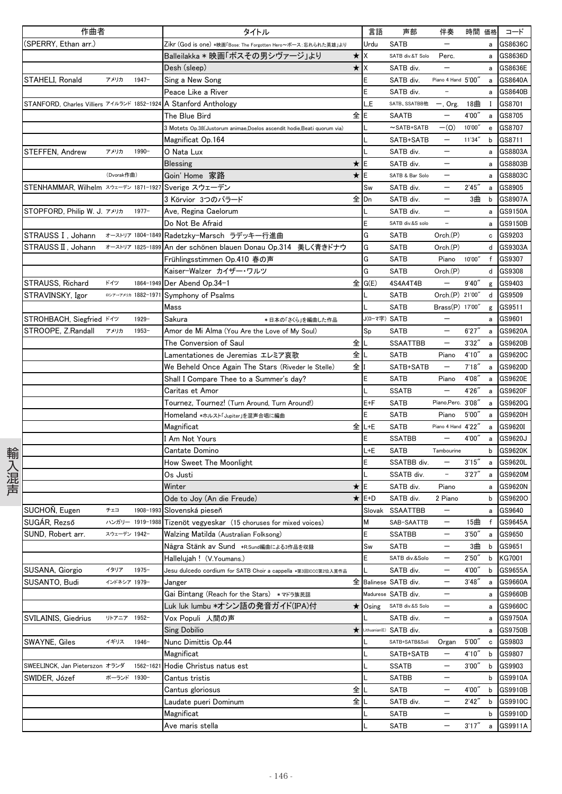|      | 作曲者                                         |              |                    | タイトル                                                                   |                  | 言語           | 声部                       | 伴奏                                     | 時間 価格           |              | コード                  |
|------|---------------------------------------------|--------------|--------------------|------------------------------------------------------------------------|------------------|--------------|--------------------------|----------------------------------------|-----------------|--------------|----------------------|
|      | (SPERRY, Ethan arr.)                        |              |                    | Zikr (God is one) *映画「Bose: The Forgotten Hero~ボース:忘れられた英雄」より          |                  | Urdu         | <b>SATB</b>              |                                        |                 | a            | GS8636C              |
|      |                                             |              |                    | Balleilakka * 映画「ボスその男シヴァージ」より                                         | $\star$          | ΙX           | SATB div.&T Solo         | Perc.                                  |                 |              | a GS8636D            |
|      |                                             |              |                    | Desh (sleep)                                                           | $\star$ $\times$ |              | SATB div.                |                                        |                 |              | a GS8636E            |
|      | STAHELI, Ronald                             | アメリカ         | $1947-$            | Sing a New Song                                                        |                  | Ε            | SATB div.                | Piano 4 Hand 5'00"                     |                 | a            | GS8640A              |
|      |                                             |              |                    | Peace Like a River                                                     |                  |              | SATB div.                |                                        |                 | a            | GS8640B              |
|      | STANFORD, Charles Villiers アイルランド 1852-1924 |              |                    | A Stanford Anthology                                                   |                  | L,E          | SATB、SSATBB他             | $-$ , Org.                             | 18曲             | $\mathbf{I}$ | GS8701               |
|      |                                             |              |                    | The Blue Bird                                                          | 全lE              |              | SAATB                    | $\qquad \qquad -$                      | 4'00''          | a            | GS8705               |
|      |                                             |              |                    | 3 Motets Op.38(Justorum animae,Doelos ascendit hodie,Beati quorum via) |                  |              | $\sim$ SATB+SATB         | $-(0)$                                 | 10'00"          | e            | GS8707               |
|      |                                             |              |                    | Magnificat Op.164                                                      |                  |              | SATB+SATB                | $\qquad \qquad -$                      | 11'34"          | b            | GS8711               |
|      | STEFFEN, Andrew                             | アメリカ         | 1990-              | O Nata Lux                                                             |                  |              | SATB div.                |                                        |                 | a            | GS8803A              |
|      |                                             |              |                    | <b>Blessing</b>                                                        | ★                |              | SATB div.                |                                        |                 | a            | GS8803B              |
|      |                                             | (Dvorak作曲)   |                    | Goin' Home 家路                                                          | ★                | ΙE           | SATB & Bar Solo          |                                        |                 | а            | GS8803C              |
|      | STENHAMMAR, Wilhelm スウェーデン 1871-1927        |              |                    | Sverige スウェーデン                                                         |                  | Sw           | SATB div.                |                                        | 2'45''          | a            | GS8905               |
|      |                                             |              |                    | 3 Körvior 3つのバラード                                                      | 全IDn             |              | SATB div.                | $\qquad \qquad -$                      | 3曲              | b            | GS8907A              |
|      | STOPFORD, Philip W. J. アメリカ                 |              | $1977 -$           | Ave, Regina Caelorum                                                   |                  |              | SATB div.                | $\qquad \qquad -$                      |                 |              | a GS9150A            |
|      |                                             |              |                    | Do Not Be Afraid                                                       |                  |              | SATB div.&S solo         | $\overline{\phantom{a}}$               |                 | a            | GS9150B              |
|      | STRAUSS I, Johann                           |              |                    | ォーストリア 1804-1849 Radetzky-Marsch ラデッキー行進曲                              |                  | G            | SATB                     | Orch.(P)                               |                 | c            | GS9203               |
|      | STRAUSS II, Johann オーストリア 1825-1899         |              |                    | An der schönen blauen Donau Op.314 美しく青きドナウ                            |                  | G            | <b>SATB</b>              | Orch.(P)                               |                 | d            | GS9303A              |
|      |                                             |              |                    | Frühlingsstimmen Op.410 春の声                                            |                  | G            | SATB                     | Piano                                  | 10'00"          |              | f GS9307             |
|      |                                             |              |                    | Kaiser-Walzer カイザー・ワルツ                                                 |                  | G            | <b>SATB</b>              | Orch(P)                                |                 |              | d GS9308             |
|      | STRAUSS, Richard                            | ドイツ          | 1864-1949          | Der Abend Op.34-1                                                      | 全                | G(E)         | 4S4A4T4B                 | $\qquad \qquad -$                      | 9'40''          |              | g GS9403             |
|      | STRAVINSKY, Igor                            |              | ロシアーアメリカ 1882-1971 | Symphony of Psalms                                                     |                  |              | SATB                     | Orch.(P) 21'00"                        |                 | d            | GS9509               |
|      |                                             |              |                    | Mass                                                                   |                  |              | <b>SATB</b>              | Brass(P) 17'00"                        |                 | g            | GS9511               |
|      | STROHBACH, Siegfried ドイツ                    |              | $1929 -$           | Sakura<br>*日本の「さくら」を編曲した作品                                             |                  | J(ローマ字) SATB |                          |                                        |                 | а            | GS9601               |
|      | STROOPE, Z.Randall                          | アメリカ         | 1953-              | Amor de Mi Alma (You Are the Love of My Soul)                          |                  | Sp           | <b>SATB</b>              | $\overline{\phantom{0}}$               | 6'27'           | a            | GS9620A              |
|      |                                             |              |                    | The Conversion of Saul                                                 | 全                |              | <b>SSAATTBB</b>          | $\qquad \qquad -$                      | 3'32''          | a            | GS9620B              |
|      |                                             |              |                    | Lamentationes de Jeremias エレミア哀歌                                       | 全丨               |              | <b>SATB</b>              | Piano                                  | 4'10''          | a            | GS9620C              |
|      |                                             |              |                    | We Beheld Once Again The Stars (Riveder le Stelle)                     | 全                |              | SATB+SATB                | $\qquad \qquad -$                      | 7'18''          | $\mathsf{a}$ | GS9620D              |
|      |                                             |              |                    | Shall I Compare Thee to a Summer's day?                                |                  | E            | <b>SATB</b>              | Piano                                  | 4'08''          | a            | GS9620E              |
|      |                                             |              |                    | Caritas et Amor                                                        |                  |              | <b>SSATB</b>             |                                        | 4'26''          | a            | GS9620F              |
|      |                                             |              |                    | Tournez, Tournez! (Turn Around, Turn Around!)                          |                  | $E + F$      | SATB                     | Piano, Perc. 3'08"                     |                 | a            | GS9620G              |
|      |                                             |              |                    | Homeland *ホルスト「Jupiter」を混声合唱に編曲                                        |                  | E.           | <b>SATB</b>              | Piano                                  | 5'00''          | a            | GS9620H              |
|      |                                             |              |                    | Magnificat                                                             |                  | 全 L+E        | <b>SATB</b>              | Piano 4 Hand 4'22"                     |                 | a            | GS9620I              |
|      |                                             |              |                    | I Am Not Yours                                                         |                  | E            | <b>SSATBB</b>            |                                        | 4'00"           | a            | GS9620J              |
|      |                                             |              |                    | Cantate Domino                                                         |                  | L+E          | SATB                     | Tambourine                             |                 | b            | GS9620K              |
| 輸入混声 |                                             |              |                    | How Sweet The Moonlight                                                |                  |              | SSATBB div.              |                                        | 3'15''          | a            | GS9620L              |
|      |                                             |              |                    | Os Justi                                                               |                  |              | SSATB div.               | $\equiv$                               | 3'27''          |              | a GS9620M            |
|      |                                             |              |                    | Winter                                                                 | ★                | E            | SATB div.                | Piano                                  |                 |              | a GS9620N            |
|      |                                             |              |                    | Ode to Joy (An die Freude)                                             |                  | $\star$ E+D  | SATB div.                | 2 Piano                                |                 | b            | GS9620O              |
|      | SUCHOŇ, Eugen                               | チェコ          |                    | 1908-1993 Slovenská pieseň                                             |                  |              | Slovak SSAATTBB          | $\overline{\phantom{m}}$               |                 | a            | GS9640               |
|      | SUGÁR, Rezső                                |              |                    | ハンガリー 1919-1988 Tizenöt vegyeskar (15 choruses for mixed voices)       |                  | M            | SAB-SAATTB               | $\overline{\phantom{m}}$               | 15曲             | $\mathsf{f}$ | GS9645A              |
|      | SUND, Robert arr.                           | スウェーデン 1942- |                    | Walzing Matilda (Australian Folksong)                                  |                  |              | <b>SSATBB</b>            |                                        | 3'50''          | a            | GS9650               |
|      |                                             |              |                    | Några Stänk av Sund ∗R.sund編曲による3作品を収録                                 |                  | Sw           | <b>SATB</b>              | -                                      | 3曲              | b            | GS9651               |
|      |                                             |              |                    | Hallelujah ! (V.Youmans.)                                              |                  | E            | SATB div.&Solo           | $\qquad \qquad -$                      | 2'50''          | b            | KG7001               |
|      | SUSANA, Giorgio                             | イタリア         | $1975 -$           | Jesu dulcedo cordium for SATB Choir a cappella *第3回ICCC第2位入賞作品         |                  |              | SATB div.                | $\qquad \qquad -$                      | 4'00"           | b            | GS9655A              |
|      | SUSANTO, Budi                               | インドネシア 1979- |                    | Janger                                                                 | 全                |              | Balinese SATB div.       | $\qquad \qquad -$                      | 3'48''          | a            | GS9660A              |
|      |                                             |              |                    | Gai Bintang (Reach for the Stars) *マドラ族民謡                              |                  |              | Madurese SATB div.       |                                        |                 | а            | GS9660B              |
|      |                                             |              |                    | Luk luk lumbu *オシン語の発音ガイド(IPA)付                                        | *                |              | Osing SATB div.&S Solo   | $\qquad \qquad -$                      |                 | a            | GS9660C              |
|      | SVILAINIS, Giedrius                         | リトアニア 1952-  |                    | Vox Populi 人間の声                                                        |                  |              | SATB div.                | $\qquad \qquad -$                      |                 |              | a GS9750A            |
|      |                                             |              |                    | Sing Dobilio                                                           | ★                |              | Lithuanian(E) SATB div.  |                                        |                 | а            | GS9750B              |
|      | SWAYNE, Giles                               | イギリス         | $1946 -$           | Nunc Dimittis Op.44                                                    |                  |              | SATB+SATB&Soli           | Organ                                  | 5'00''          | c            | GS9803               |
|      |                                             |              |                    | Magnificat                                                             |                  |              | SATB+SATB                |                                        | 4'10''          | b            | GS9807               |
|      | SWEELINCK, Jan Pieterszon オランダ              |              | 1562-162           | Hodie Christus natus est                                               |                  |              | <b>SSATB</b>             | $\qquad \qquad -$<br>$\qquad \qquad -$ | 3'00''          | b            | GS9903               |
|      | SWIDER, Józef                               | ポーランド 1930-  |                    | Cantus tristis                                                         | 全                |              | <b>SATBB</b>             | $\overline{\phantom{m}}$               |                 |              | b GS9910A<br>GS9910B |
|      |                                             |              |                    | Cantus gloriosus<br>Laudate pueri Dominum                              | 全                |              | <b>SATB</b><br>SATB div. | $\qquad \qquad -$                      | 4'00"<br>2'42'' | b<br>b       | GS9910C              |
|      |                                             |              |                    | Magnificat                                                             |                  |              | SATB                     | $\qquad \qquad -$                      |                 | b            | GS9910D              |
|      |                                             |              |                    | Ave maris stella                                                       |                  |              | SATB                     |                                        | 3'17''          | a            | GS9911A              |
|      |                                             |              |                    |                                                                        |                  |              |                          |                                        |                 |              |                      |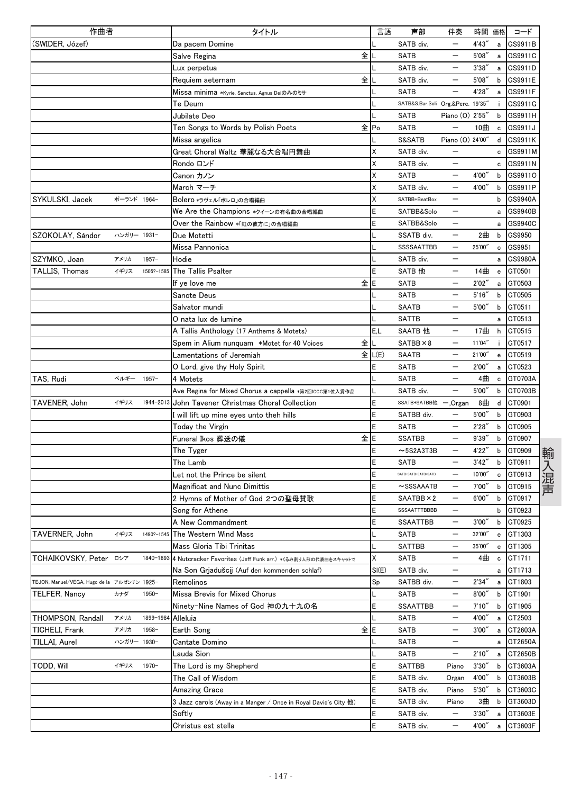| 作曲者                                         |             |            | タイトル                                                              | 言語     | 声部                                | 伴奏                       | 時間     | 価格                                             | コード     |
|---------------------------------------------|-------------|------------|-------------------------------------------------------------------|--------|-----------------------------------|--------------------------|--------|------------------------------------------------|---------|
| (SWIDER, Józef)                             |             |            | Da pacem Domine                                                   |        | SATB div.                         |                          | 4'43"  | a                                              | GS9911B |
|                                             |             |            | 全<br>Salve Regina                                                 |        | <b>SATB</b>                       |                          | 5'08'  | a                                              | GS9911C |
|                                             |             |            | Lux perpetua                                                      |        | SATB div.                         | —                        | 3'38'' | a                                              | GS9911D |
|                                             |             |            | 全<br>Requiem aeternam                                             |        | SATB div.                         |                          | 5'08'  | b                                              | GS9911E |
|                                             |             |            | Missa minima ∗Kvrie. Sanctus. Agnus Deiのみのミサ                      |        | <b>SATB</b>                       |                          | 4'28'' | a                                              | GS9911F |
|                                             |             |            | Te Deum                                                           |        | SATB&S.Bar.Soli Org.&Perc. 19'35" |                          |        | j.                                             | GS9911G |
|                                             |             |            | Jubilate Deo                                                      |        | SATB                              | Piano (0) 2'55"          |        | b                                              | GS9911H |
|                                             |             |            | Ten Songs to Words by Polish Poets                                | 全Po    | <b>SATB</b>                       |                          | 10曲    | c                                              | GS9911J |
|                                             |             |            | Missa angelica                                                    |        | S&SATB                            | Piano (O) 24'00"         |        | d                                              | GS9911K |
|                                             |             |            | Great Choral Waltz 華麗なる大合唱円舞曲                                     | Χ      | SATB div.                         |                          |        | c                                              | GS9911M |
|                                             |             |            | Rondo ロンド                                                         | Χ      | SATB div.                         |                          |        | с                                              | GS9911N |
|                                             |             |            | Canon カノン                                                         | Χ      | <b>SATB</b>                       |                          | 4'00"  | b                                              | GS9911O |
|                                             |             |            | March マーチ                                                         | X      | SATB div.                         |                          | 4'00"  | b                                              | GS9911P |
| SYKULSKI, Jacek                             | ポーランド 1964- |            | Bolero *ラヴェル「ボレロ」の合唱編曲                                            | Χ      | SATBB+BeatBox                     | —                        |        | b                                              | GS9940A |
|                                             |             |            | We Are the Champions *クイーンの有名曲の合唱編曲                               | E      | SATBB&Solo                        | $\qquad \qquad -$        |        | a                                              | GS9940B |
|                                             |             |            | Over the Rainbow *『虹の彼方に」の合唱編曲                                    | E      | SATBB&Solo                        | —                        |        | a                                              | GS9940C |
| SZOKOLAY, Sándor                            | ハンガリー 1931- |            | Due Motetti                                                       |        | SSATB div.                        |                          | 2曲     | b                                              | GS9950  |
|                                             |             |            | Missa Pannonica                                                   |        | <b>SSSSAATTBB</b>                 | $\overline{\phantom{0}}$ | 25'00" | c                                              | GS9951  |
| SZYMKO, Joan                                | アメリカ        | $1957 -$   | Hodie                                                             |        | SATB div.                         |                          |        | a                                              | GS9980A |
| TALLIS, Thomas                              | イギリス        | 1505?-1585 | The Tallis Psalter                                                | E      | SATB 他                            |                          | 14曲    | $\mathbf{e}$                                   | GT0501  |
|                                             |             |            | 全E<br>If ye love me                                               |        | <b>SATB</b>                       |                          | 2'02'' | a                                              | GT0503  |
|                                             |             |            | Sancte Deus                                                       |        | <b>SATB</b>                       |                          | 5'16'' | b                                              | GT0505  |
|                                             |             |            | Salvator mundi                                                    |        | <b>SAATB</b>                      |                          | 5'00'' | b                                              | GT0511  |
|                                             |             |            | O nata lux de lumine                                              |        | <b>SATTB</b>                      |                          |        | а                                              | GT0513  |
|                                             |             |            | A Tallis Anthology (17 Anthems & Motets)                          | E.L    | SAATB 他                           | —                        | 17曲    | h                                              | GT0515  |
|                                             |             |            | 全<br>Spem in Alium nunquam *Motet for 40 Voices                   |        | $SATBB \times 8$                  |                          | 11'04" | j.                                             | GT0517  |
|                                             |             |            | Lamentations of Jeremiah                                          | 全 L(E) | SAATB                             |                          | 21'00" | $\mathbf{e}% _{t}\left( \mathbf{1}_{t}\right)$ | GT0519  |
|                                             |             |            | O Lord, give thy Holy Spirit                                      | E      | <b>SATB</b>                       |                          | 2'00'' | a                                              | GT0523  |
| TAS, Rudi                                   | ベルギー        | $1957 -$   | 4 Motets                                                          |        | <b>SATB</b>                       |                          | 4曲     | $\mathbf c$                                    | GT0703A |
|                                             |             |            | Ave Regina for Mixed Chorus a cappella *第2回ICCC第1位入賞作品            |        | SATB div.                         | $\overline{\phantom{0}}$ | 5'00'' | b                                              | GT0703B |
| TAVENER, John                               | イギリス        | 1944-2013  | John Tavener Christmas Choral Collection                          | E      | SSATB+SATBB他 -, Organ             |                          | 8曲     | d                                              | GT0901  |
|                                             |             |            | I will lift up mine eyes unto theh hills                          | E      | SATBB div.                        |                          | 5'00'' | b                                              | GT0903  |
|                                             |             |            | Today the Virgin                                                  | E      | SATB                              |                          | 2'28'' | b                                              | GT0905  |
|                                             |             |            | 全lE<br>Funeral Ikos 葬送の儀                                          |        | <b>SSATBB</b>                     |                          | 9'39'' | b                                              | GT0907  |
|                                             |             |            | The Tyger                                                         | Ε      | $~5$ S2A3T3B                      |                          | 4'22"  | b                                              | GT0909  |
|                                             |             |            | The Lamb                                                          | E      | <b>SATB</b>                       | $\overline{\phantom{0}}$ | 3'42'' | b                                              | GT0911  |
|                                             |             |            | Let not the Prince be silent                                      | E      | SATB+SATB+SATB+SATB               |                          | 10'00" | c                                              | GT0913  |
|                                             |             |            | <b>Magnificat and Nunc Dimittis</b>                               | E      | $\sim$ SSSAAATB                   | $\overline{\phantom{m}}$ | 7'00'' | b                                              | GT0915  |
|                                             |             |            | 2 Hymns of Mother of God 2つの聖母賛歌                                  | E      | SAATBB × 2                        | —                        | 6'00'' | b                                              | GT0917  |
|                                             |             |            | Song for Athene                                                   | Ε      | SSSAATTTBBBB                      |                          |        | b                                              | GT0923  |
|                                             |             |            | A New Commandment                                                 | E      | SSAATTBB                          | $\overline{\phantom{m}}$ | 3'00'' | b                                              | GT0925  |
| TAVERNER, John                              | イギリス        | 1490?-1545 | The Western Wind Mass                                             | L      | <b>SATB</b>                       | $\overline{\phantom{0}}$ | 32'00" | ${\bf e}$                                      | GT1303  |
|                                             |             |            | Mass Gloria Tibi Trinitas                                         |        | <b>SATTBB</b>                     | —                        | 35'00" | e                                              | GT1305  |
| TCHAIKOVSKY, Peter □シア                      |             | 1840-1893  | 4 Nutcracker Favorites (Jeff Funk arr.) *くるみ割り人形の代表曲をスキャットで       | Χ      | <b>SATB</b>                       | $\qquad \qquad -$        | 4曲     | c                                              | GT1711  |
|                                             |             |            | Na Son Grjadušcij (Auf den kommenden schlaf)                      | SI(E)  | SATB div.                         | —                        |        | a                                              | GT1713  |
| TEJON, Manuel/VEGA, Hugo de la アルゼンチン 1925- |             |            | Remolinos                                                         | Sp     | SATBB div.                        | $\qquad \qquad -$        | 2'34'' | a                                              | GT1803  |
| TELFER, Nancy                               | カナダ         | $1950 -$   | Missa Brevis for Mixed Chorus                                     |        | <b>SATB</b>                       | $\qquad \qquad -$        | 8'00'' | b                                              | GT1901  |
|                                             |             |            | Ninety-Nine Names of God 神の九十九の名                                  | E      | SSAATTBB                          | —                        | 7'10'' | b                                              | GT1905  |
| THOMPSON, Randall                           | アメリカ        | 1899-198   | Alleluia                                                          |        | SATB                              | $\qquad \qquad -$        | 4'00"  | а                                              | GT2503  |
| TICHELI, Frank                              | アメリカ        | 1958-      | 全E<br>Earth Song                                                  |        | <b>SATB</b>                       | $\qquad \qquad -$        | 3'00'' | a                                              | GT2603A |
| TILLAI, Aurel                               | ハンガリー 1930- |            | Cantate Domino                                                    |        | SATB                              |                          |        | а                                              | GT2650A |
|                                             |             |            | Lauda Sion                                                        |        | <b>SATB</b>                       | —                        | 2'10'' | a                                              | GT2650B |
| todd, Will                                  | イギリス        | $1970 -$   | The Lord is my Shepherd                                           | E      | <b>SATTBB</b>                     | Piano                    | 3'30'' | b                                              | GT3603A |
|                                             |             |            | The Call of Wisdom                                                | E      | SATB div.                         | Organ                    | 4'00"  | b                                              | GT3603B |
|                                             |             |            | <b>Amazing Grace</b>                                              | E      | SATB div.                         | Piano                    | 5'30'' | b                                              | GT3603C |
|                                             |             |            | $3$ Jazz carols (Away in a Manger / Once in Royal David's City 他) | Е      | SATB div.                         | Piano                    | 3曲     | b                                              | GT3603D |
|                                             |             |            | Softly                                                            | E      | SATB div.                         | $\qquad \qquad -$        | 3'30'' | a                                              | GT3603E |
|                                             |             |            | Christus est stella                                               | E      | SATB div.                         | $\qquad \qquad -$        | 4'00"  | a                                              | GT3603F |
|                                             |             |            |                                                                   |        |                                   |                          |        |                                                |         |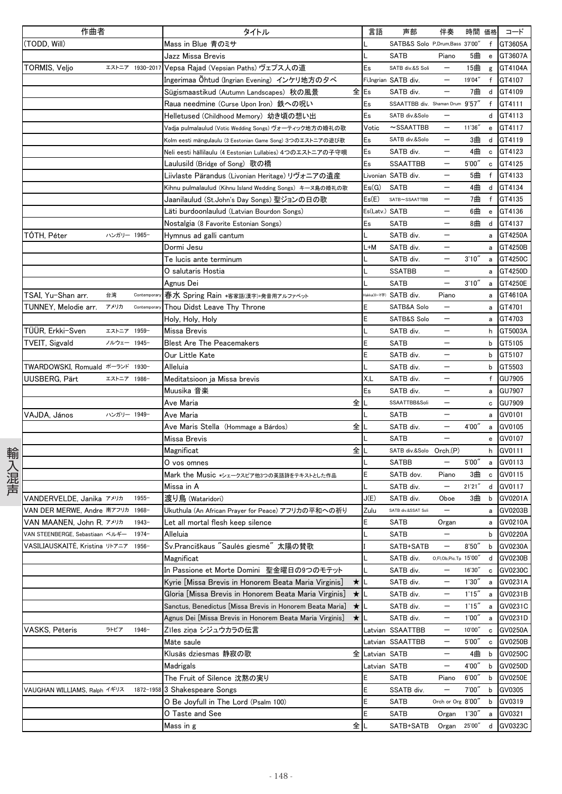|      | 作曲者                              |             |                 | タイトル                                                                                                                  | 言語    | 声部                              | 伴奏                       | 時間               | 価格          | コード                            |
|------|----------------------------------|-------------|-----------------|-----------------------------------------------------------------------------------------------------------------------|-------|---------------------------------|--------------------------|------------------|-------------|--------------------------------|
|      | (Todd, Will)                     |             |                 | Mass in Blue 青のミサ                                                                                                     |       | SATB&S Solo P,Drum,Bass 37'00"  |                          |                  |             | f GT3605A                      |
|      |                                  |             |                 | Jazz Missa Brevis                                                                                                     |       | <b>SATB</b>                     | Piano                    | 5曲               |             | e GT3607A                      |
|      | TORMIS, Veljo                    |             | エストニア 1930-2017 | Vepsa Rajad (Vepsian Paths) ヴェプス人の道                                                                                   | Es    | SATB div.&S Soli                | $\qquad \qquad -$        | 15曲              |             | g GT4104A                      |
|      |                                  |             |                 | Ingerimaa Öhtud (Ingrian Evening) インケリ地方のタベ                                                                           |       | Fi,Ingrian SATB div.            |                          | 19'04"           | f           | GT4107                         |
|      |                                  |             |                 | 全<br>Sügismaastikud (Autumn Landscapes) 秋の風景                                                                          | Es    | SATB div.                       |                          | 7曲               | d           | GT4109                         |
|      |                                  |             |                 | Raua needmine (Curse Upon Iron) 鉄への呪い                                                                                 | Es    | SSAATTBB div. Shaman Drum 9'57" |                          |                  | f           | GT4111                         |
|      |                                  |             |                 | Helletused (Childhood Memory) 幼き頃の想い出                                                                                 | Es    | SATB div.&Solo                  |                          |                  |             | d GT4113                       |
|      |                                  |             |                 | Vadja pulmalaulud (Votic Wedding Songs) ヴォーティック地方の婚礼の歌                                                                | Votic | $\sim$ SSAATTBB                 | $\qquad \qquad -$        | 11'36"           | e           | GT4117                         |
|      |                                  |             |                 | Kolm eesti mängulaulu (3 Eestonian Game Song) 3つのエストニアの遊び歌                                                            | Es    | SATB div.&Solo                  | $\qquad \qquad -$        | 3曲               | d           | GT4119                         |
|      |                                  |             |                 | Neli eesti hällilaulu (4 Eestonian Lullabies) 4つのエストニアの子守唄                                                            | Es    | SATB div.                       |                          | 4曲               | c           | GT4123                         |
|      |                                  |             |                 | Laulusild (Bridge of Song) 歌の橋                                                                                        | Es    | <b>SSAATTBB</b>                 |                          | 5'00''           | c           | GT4125                         |
|      |                                  |             |                 | Liivlaste Pärandus (Livonian Heritage) リヴォニアの遺産                                                                       |       | Livonian SATB div.              |                          | 5曲               | f           | GT4133                         |
|      |                                  |             |                 | Kihnu pulmalaulud (Kihnu Island Wedding Songs) キーヌ島の婚礼の歌                                                              | Es(G) | <b>SATB</b>                     | $\overline{\phantom{0}}$ | 4曲               | d           | GT4134                         |
|      |                                  |             |                 | Jaanilaulud (St.John's Day Songs) 聖ジョンの日の歌                                                                            | Es(E) | SATB~SSAATTBB                   | $\overline{\phantom{m}}$ | 7曲               | f           | GT4135                         |
|      |                                  |             |                 | Läti burdoonlaulud (Latvian Bourdon Songs)                                                                            |       | Es(Latv.) <b>SATB</b>           | $\overline{\phantom{m}}$ | 6曲               | $\mathbf e$ | GT4136                         |
|      |                                  |             |                 | Nostalgia (8 Favorite Estonian Songs)                                                                                 | Es    | <b>SATB</b>                     |                          | 8曲               | d           | GT4137                         |
|      | TÓTH, Péter                      | ハンガリー 1965- |                 | Hymnus ad galli cantum                                                                                                |       | SATB div.                       |                          |                  | a           | GT4250A                        |
|      |                                  |             |                 | Dormi Jesu                                                                                                            | $-M$  | SATB div.                       |                          |                  | a           | GT4250B                        |
|      |                                  |             |                 | Te lucis ante terminum                                                                                                |       | SATB div.                       | $\overline{\phantom{0}}$ | 3'10''           |             | a GT4250C                      |
|      |                                  |             |                 | O salutaris Hostia                                                                                                    |       | <b>SSATBB</b>                   | $\overline{\phantom{m}}$ |                  | a           | GT4250D                        |
|      |                                  |             |                 | Agnus Dei                                                                                                             |       | <b>SATB</b>                     | $\overline{\phantom{m}}$ | 3'10''           | a           | GT4250E                        |
|      | TSAI, Yu-Shan arr.               | 台湾          | Contemporar     | 春水 Spring Rain *客家語(漢字)+発音用アルファベット                                                                                    |       | takka(ローマ字) SATB div.           | Piano                    |                  | a           | GT4610A                        |
|      | TUNNEY, Melodie arr.             | アメリカ        | Contemporary    | Thou Didst Leave Thy Throne                                                                                           |       | SATB&A Solo                     | $\overline{\phantom{m}}$ |                  | а           | GT4701                         |
|      |                                  |             |                 | Holy, Holy, Holy                                                                                                      |       | SATB&S Solo                     | $\overline{\phantom{m}}$ |                  | а           | GT4703                         |
|      | TÜÜR, Erkki-Sven                 | エストニア 1959- |                 | Missa Brevis                                                                                                          |       | SATB div.                       | $\qquad \qquad -$        |                  |             | h GT5003A                      |
|      | TVEIT, Sigvald                   | ノルウェー 1945- |                 | <b>Blest Are The Peacemakers</b>                                                                                      |       | <b>SATB</b>                     | $\overline{\phantom{m}}$ |                  | b           | GT5105                         |
|      |                                  |             |                 | Our Little Kate                                                                                                       |       | SATB div.                       |                          |                  | b           | GT5107                         |
|      | TWARDOWSKI, Romuald ポーランド 1930-  |             |                 |                                                                                                                       |       | SATB div.                       |                          |                  | b           | GT5503                         |
|      |                                  | エストニア 1986- |                 | Alleluia<br>Meditatsioon ja Missa brevis                                                                              | X,L   | SATB div.                       | $\overline{\phantom{m}}$ |                  | f           |                                |
|      | UUSBERG, Pärt                    |             |                 |                                                                                                                       | Es    | SATB div.                       |                          |                  |             | <b>GU7905</b><br><b>GU7907</b> |
|      |                                  |             |                 | Muusika 音楽<br>全<br>Ave Maria                                                                                          |       | SSAATTBB&Soli                   | $\overline{\phantom{m}}$ |                  | a           | c GU7909                       |
|      | VAJDA, János                     | ハンガリー 1949- |                 | Ave Maria                                                                                                             |       | <b>SATB</b>                     | $\overline{\phantom{m}}$ |                  |             | GV0101                         |
|      |                                  |             |                 | 全<br>Ave Maris Stella (Hommage a Bárdos)                                                                              |       | SATB div.                       |                          | 4'00''           | a<br>a      | GV0105                         |
|      |                                  |             |                 | Missa Brevis                                                                                                          |       | <b>SATB</b>                     |                          |                  | e           | GV0107                         |
|      |                                  |             |                 | 全<br>Magnificat                                                                                                       |       | SATB div.&Solo Orch.(P)         |                          |                  | h           | GV0111                         |
| 輸入混声 |                                  |             |                 | O vos omnes                                                                                                           |       | <b>SATBB</b>                    | $\qquad \qquad -$        | 5'00''           | a           | GV0113                         |
|      |                                  |             |                 | Mark the Music *シェークスピア他3つの英語詩をテキストとした作品                                                                              |       | SATB dov.                       | Piano                    | 3曲               | $\mathbf c$ | GV0115                         |
|      |                                  |             |                 | Missa in A                                                                                                            |       | SATB div.                       | $\qquad \qquad -$        | 21'21''          | d           | GV0117                         |
|      | VANDERVELDE, Janika アメリカ         |             | $1955 -$        | 渡り鳥 (Wataridori)                                                                                                      | J(E)  | SATB div.                       | Oboe                     | 3曲               | b           | GV0201A                        |
|      | VAN DER MERWE. Andre 南アフリカ 1968- |             |                 | Ukuthula (An African Prayer for Peace) アフリカの平和への祈り                                                                    | Zulu  | SATB div.&SSAT Soli             |                          |                  | a           | GV0203B                        |
|      | VAN MAANEN, John R. アメリカ         |             | $1943 -$        | Let all mortal flesh keep silence                                                                                     | E     | <b>SATB</b>                     |                          |                  |             | GV0210A                        |
|      | VAN STEENBERGE, Sebastiaan ベルギー  |             | $1974-$         | Alleluia                                                                                                              |       | <b>SATB</b>                     | Organ                    |                  | a<br>b      | GV0220A                        |
|      | VASILIAUSKAITĖ, Kristina リトアニア   |             | 1956-           | Šv.Pranciškaus "Saulės giesmė" 太陽の賛歌                                                                                  |       | SATB+SATB                       |                          | 8'50''           |             | b GV0230A                      |
|      |                                  |             |                 | Magnificat                                                                                                            |       | SATB div.                       | O,FI,Ob,Pic.Tp 15'00"    |                  | d           | GV0230B                        |
|      |                                  |             |                 | In Passione et Morte Domini 聖金曜日の9つのモテット                                                                              |       | SATB div.                       | $\qquad \qquad -$        | 16'30"           | с           | GV0230C                        |
|      |                                  |             |                 | Kyrie [Missa Brevis in Honorem Beata Maria Virginis]<br>$\star$                                                       |       | SATB div.                       |                          | 1'30''           | a           | GV0231A                        |
|      |                                  |             |                 | Gloria [Missa Brevis in Honorem Beata Maria Virginis]                                                                 | ★∥∟   | SATB div.                       |                          | 1'15''           |             | GV0231B                        |
|      |                                  |             |                 |                                                                                                                       |       |                                 | $\qquad \qquad -$        |                  | a           |                                |
|      |                                  |             |                 | Sanctus, Benedictus [Missa Brevis in Honorem Beata Maria]<br>Agnus Dei [Missa Brevis in Honorem Beata Maria Virginis] | ★∐    | SATB div.<br>SATB div.          |                          | 1'15''<br>1'00'' | a           | GV0231C<br>GV0231D             |
|      |                                  | ラトビア        | $1946 -$        | $\star$                                                                                                               |       |                                 | $\qquad \qquad -$        | 10'00"           | a           | GV0250A                        |
|      | VASKS, Pēteris                   |             |                 | Zīles ziņa シジュウカラの伝言<br>Māte saule                                                                                    |       | _atvian SSAATTBB                | $\qquad \qquad -$        |                  | c           |                                |
|      |                                  |             |                 | Klusās dziesmas 静寂の歌<br>全                                                                                             |       | Latvian SSAATTBB                |                          | 5'00''           | $\mathbf c$ | GV0250B                        |
|      |                                  |             |                 |                                                                                                                       |       | _atvian SATB                    |                          | 4曲<br>4'00"      | b           | GV0250C<br>GV0250D             |
|      |                                  |             |                 | Madrigals                                                                                                             | E     | _atvian SATB                    |                          | 6'00''           | b           | GV0250E                        |
|      |                                  |             |                 | The Fruit of Silence 沈黙の実り                                                                                            | Ë     | <b>SATB</b>                     | Piano                    | 7'00''           | b           | GV0305                         |
|      | VAUGHAN WILLIAMS, Ralph イギリス     |             |                 | 1872-1958 3 Shakespeare Songs<br>O Be Joyfull in The Lord (Psalm 100)                                                 |       | SSATB div.<br>SATB              | Orch or Org 8'00"        |                  | b           | GV0319                         |
|      |                                  |             |                 |                                                                                                                       | E     |                                 |                          |                  | b           |                                |
|      |                                  |             |                 | O Taste and See                                                                                                       |       | <b>SATB</b>                     | Organ                    | 1'30''           | a           | GV0321                         |
|      |                                  |             |                 | 全<br>Mass in g                                                                                                        |       | SATB+SATB                       | Organ                    | 25'00"           | d           | GV0323C                        |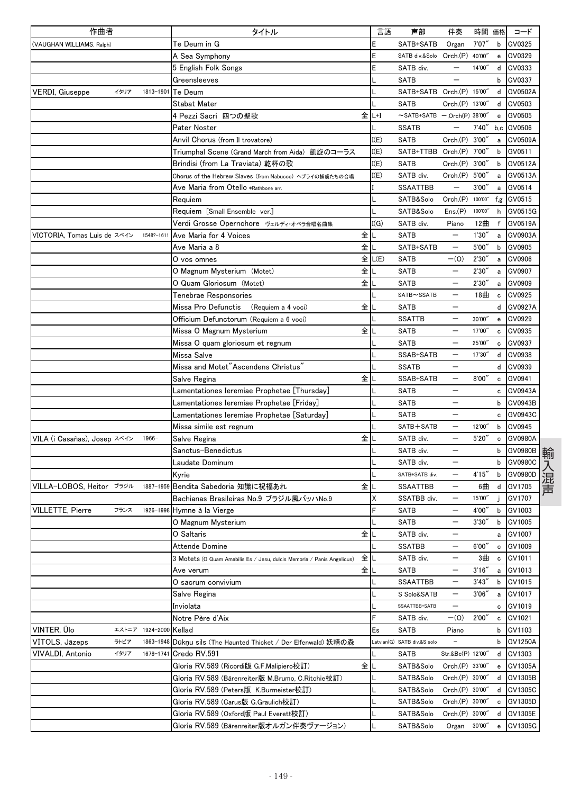| 作曲者                          |       |           | タイトル                                                                        | 言語    | 声部                                 | 伴奏                       | 時間 価格   |                                                | コード        |
|------------------------------|-------|-----------|-----------------------------------------------------------------------------|-------|------------------------------------|--------------------------|---------|------------------------------------------------|------------|
| (VAUGHAN WILLIAMS, Ralph)    |       |           | Te Deum in G                                                                | E     | SATB+SATB                          | Organ                    | 7'07'   | b                                              | GV0325     |
|                              |       |           | A Sea Symphony                                                              | E     | SATB div.&Solo Orch.(P)            |                          | 40'00"  | e                                              | GV0329     |
|                              |       |           | 5 English Folk Songs                                                        | Ε     | SATB div.                          |                          | 14'00"  | d                                              | GV0333     |
|                              |       |           | Greensleeves                                                                | L     | <b>SATB</b>                        |                          |         | b                                              | GV0337     |
| <b>VERDI, Giuseppe</b>       | イタリア  | 1813-1901 | Te Deum                                                                     |       | SATB+SATB Orch.(P) 15'00"          |                          |         | d                                              | GV0502A    |
|                              |       |           | Stabat Mater                                                                |       | <b>SATB</b>                        | Orch.(P) 13'00'          |         | d                                              | GV0503     |
|                              |       |           | 4 Pezzi Sacri 四つの聖歌                                                         | 全 L+I | $\sim$ SATB+SATB -, Orch(P) 38'00" |                          |         | e                                              | GV0505     |
|                              |       |           | Pater Noster                                                                |       | <b>SSATB</b>                       |                          | 7'40''  |                                                | b,c GV0506 |
|                              |       |           | Anvil Chorus (from Il trovatore)                                            | I(E)  | SATB                               | Orch.(P) 3'00'           |         | a                                              | GV0509A    |
|                              |       |           | Triumphal Scene (Grand March from Aida) 凱旋のコーラス                             | I(E)  | SATB+TTBB Orch.(P)                 |                          | 7'00"   | b                                              | GV0511     |
|                              |       |           | Brindisi (from La Traviata) 乾杯の歌                                            | I(E)  | <b>SATB</b>                        | Orch(P)                  | 3'00''  | b                                              | GV0512A    |
|                              |       |           | Chorus of the Hebrew Slaves (from Nabucco) ヘブライの捕虜たちの合唱                     | I(E)  | SATB div.                          | Orch.(P) 5'00"           |         | a                                              | GV0513A    |
|                              |       |           | Ave Maria from Otello *Rathbone arr.                                        |       | <b>SSAATTBB</b>                    | $\overline{\phantom{0}}$ | 3'00'   | a                                              | GV0514     |
|                              |       |           | Requiem                                                                     |       | SATB&Solo                          | Orch(P)                  | 100'00" |                                                | f,g GV0515 |
|                              |       |           | Requiem [Small Ensemble ver.]                                               | L     | SATB&Solo                          | Ens(P)                   | 100'00" | h                                              | GV0515G    |
|                              |       |           | Verdi Grosse Opernchore ヴェルディ・オペラ合唱名曲集                                      | I(G)  | SATB div.                          | Piano                    | 12曲     | $\mathsf{f}$                                   | GV0519A    |
| VICTORIA, Tomas Luis de スペイン |       | 1548?-161 | 全<br>Ave Maria for 4 Voices                                                 |       | <b>SATB</b>                        |                          | 1'30''  | a                                              | GV0903A    |
|                              |       |           | 全<br>Ave Maria a 8                                                          |       | SATB+SATB                          | $\qquad \qquad -$        | 5'00''  | b                                              | GV0905     |
|                              |       |           | 全<br>O vos omnes                                                            | L(E)  | <b>SATB</b>                        | $-(0)$                   | 2'30'   | a                                              | GV0906     |
|                              |       |           | 全<br>O Magnum Mysterium (Motet)                                             |       | <b>SATB</b>                        |                          | 2'30''  | a                                              | GV0907     |
|                              |       |           | 全<br>O Quam Gloriosum (Motet)                                               |       | <b>SATB</b>                        |                          | 2'30'   | a                                              | GV0909     |
|                              |       |           | Tenebrae Responsories                                                       |       | SATB~SSATB                         |                          | 18曲     | $\mathbf c$                                    | GV0925     |
|                              |       |           | 全<br>Missa Pro Defunctis<br>(Requiem a 4 voci)                              |       | <b>SATB</b>                        |                          |         | d                                              | GV0927A    |
|                              |       |           | Officium Defunctorum (Requiem a 6 voci)                                     |       | <b>SSATTB</b>                      | $\qquad \qquad -$        | 30'00"  | e                                              | GV0929     |
|                              |       |           | 全<br>Missa O Magnum Mysterium                                               |       | <b>SATB</b>                        | —                        | 17'00"  | c                                              | GV0935     |
|                              |       |           | Missa O quam gloriosum et regnum                                            |       | <b>SATB</b>                        |                          | 25'00"  | c                                              | GV0937     |
|                              |       |           | Missa Salve                                                                 |       | SSAB+SATB                          |                          | 17'30"  | d                                              | GV0938     |
|                              |       |           | Missa and Motet"Ascendens Christus"                                         | L     | <b>SSATB</b>                       |                          |         | d                                              | GV0939     |
|                              |       |           | 全<br>Salve Regina                                                           |       | SSAB+SATB                          | $\overline{\phantom{0}}$ | 8'00'   | c                                              | GV0941     |
|                              |       |           | Lamentationes Ieremiae Prophetae [Thursday]                                 |       | <b>SATB</b>                        | —                        |         | c                                              | GV0943A    |
|                              |       |           | Lamentationes Ieremiae Prophetae [Friday]                                   |       | <b>SATB</b>                        |                          |         | b                                              | GV0943B    |
|                              |       |           | Lamentationes Ieremiae Prophetae [Saturday]                                 |       | <b>SATB</b>                        |                          |         | c                                              | GV0943C    |
|                              |       |           | Missa simile est regnum                                                     |       | SATB+SATB                          |                          | 12'00"  | b                                              | GV0945     |
| VILA (i Casañas), Josep スペイン |       | $1966-$   | 全<br>Salve Regina                                                           |       | SATB div.                          |                          | 5'20''  | $\mathbf c$                                    | GV0980A    |
|                              |       |           | Sanctus–Benedictus                                                          |       | SATB div.                          |                          |         | b                                              | GV0980B    |
|                              |       |           | Laudate Dominum                                                             |       | SATB div.                          | —                        |         | b                                              | GV0980C    |
|                              |       |           | Kyrie                                                                       |       | SATB+SATB div.                     | $\qquad \qquad -$        | 4'15''  | b                                              | GV0980D    |
| VILLA-LOBOS. Heitor ブラジル     |       | 1887-1959 | 全<br>Bendita Sabedoria 知識に祝福あれ                                              |       | <b>SSAATTBB</b>                    |                          | 6曲      | d                                              | GV1705     |
|                              |       |           | Bachianas Brasileiras No.9 ブラジル風バッハNo.9                                     | X     | SSATBB div.                        |                          | 15'00"  |                                                | GV1707     |
|                              |       |           |                                                                             | F     |                                    |                          | 4'00"   |                                                |            |
| <b>VILLETTE, Pierre</b>      | フランス  |           | 1926-1998 Hymne à la Vierge                                                 |       | <b>SATB</b>                        | —                        |         | b                                              | GV1003     |
|                              |       |           | O Magnum Mysterium                                                          |       | <b>SATB</b>                        |                          | 3'30''  |                                                | b GV1005   |
|                              |       |           | 全<br>O Saltaris                                                             |       | SATB div.                          |                          |         | а                                              | GV1007     |
|                              |       |           | Attende Domine                                                              |       | <b>SSATBB</b>                      | —                        | 6'00''  | c                                              | GV1009     |
|                              |       |           | 全<br>3 Motets (O Quam Amabilis Es / Jesu, dulcis Memoria / Panis Angelicus) |       | SATB div.                          | —                        | 3曲      | c                                              | GV1011     |
|                              |       |           | 全<br>Ave verum                                                              | L     | SATB                               |                          | 3'16''  | a                                              | GV1013     |
|                              |       |           | O sacrum convivium                                                          |       | SSAATTBB                           |                          | 3'43''  | b                                              | GV1015     |
|                              |       |           | Salve Regina                                                                |       | S Solo&SATB                        | $\qquad \qquad -$        | 3'06''  | a                                              | GV1017     |
|                              |       |           | Inviolata                                                                   | L     | SSAATTBB+SATB                      | $\overline{\phantom{0}}$ |         | с                                              | GV1019     |
|                              |       |           | Notre Père d'Aix                                                            | F     | SATB div.                          | $-(0)$                   | 2'00''  | c                                              | GV1021     |
| VINTER, Ülo                  | エストニア | 1924-2000 | Kellad                                                                      | Es    | SATB                               | Piano                    |         | b                                              | GV1103     |
| VITOLS, Jāzeps               | ラトビア  | 1863-1948 | Dūkņu sils (The Haunted Thicket / Der Elfenwald) 妖精の森                       |       | Latvian(G) SATB div.&S solo        |                          |         | b                                              | GV1250A    |
| VIVALDI, Antonio             | イタリア  | 1678-174  | Credo RV.591                                                                |       | SATB                               | Str.&Bc(P) 12'00"        |         | d                                              | GV1303     |
|                              |       |           | 全<br>Gloria RV.589 (Ricordi版 G.F.Malipiero校訂)                               |       | SATB&Solo                          | Orch.(P) 33'00'          |         |                                                | e GV1305A  |
|                              |       |           | Gloria RV.589 (Bärenreiter版 M.Brumo, C.Ritchie校訂)                           |       | SATB&Solo                          | Orch.(P) 30'00"          |         |                                                | d GV1305B  |
|                              |       |           | Gloria RV.589 (Peters版 K.Burmeister校訂)                                      |       | SATB&Solo                          | Orch.(P) 30'00"          |         | d                                              | GV1305C    |
|                              |       |           | Gloria RV.589 (Carus版 G.Graulich校訂)                                         | ι     | SATB&Solo                          | Orch.(P) 30'00'          |         | c                                              | GV1305D    |
|                              |       |           | Gloria RV.589 (Oxford版 Paul Everett校訂)                                      |       | SATB&Solo                          | Orch.(P) 30'00'          |         | d                                              | GV1305E    |
|                              |       |           | Gloria RV.589 (Bärenreiter版オルガン伴奏ヴァージョン)                                    |       | SATB&Solo                          | Organ                    | 30'00"  | $\mathbf{e}% _{t}\left( \mathbf{1}_{t}\right)$ | GV1305G    |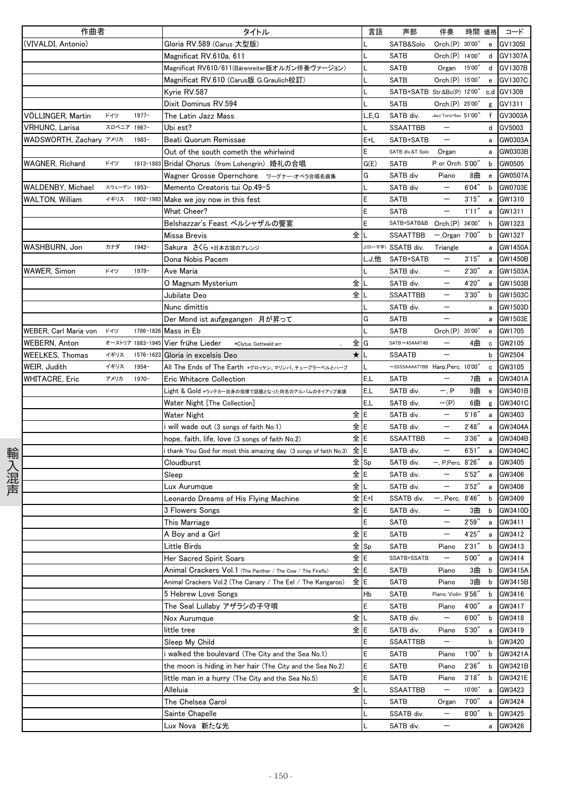|      | 作曲者                     |              |                  | タイトル                                                            |         | 言語    | 声部                                     | 伴奏                       | 時間 価格  |                                   | コード            |
|------|-------------------------|--------------|------------------|-----------------------------------------------------------------|---------|-------|----------------------------------------|--------------------------|--------|-----------------------------------|----------------|
|      | (VIVALDI, Antonio)      |              |                  | Gloria RV.589 (Carus 大型版)                                       |         |       | SATB&Solo                              | Orch.(P) 30'00"          |        |                                   | e GV1305I      |
|      |                         |              |                  | Magnificat RV 610a, 611                                         |         |       | <b>SATB</b>                            | Orch.(P) 14'00"          |        |                                   | d GV1307A      |
|      |                         |              |                  | Magnificat RV610/611(Bärenreiter版オルガン伴奏ヴァージョン)                  |         |       | <b>SATB</b>                            | Organ                    | 15'00" |                                   | d GV1307B      |
|      |                         |              |                  | Magnificat RV.610 (Carus版 G.Graulich校訂)                         |         |       | SATB                                   | Orch.(P) 15'00"          |        | e                                 | GV1307C        |
|      |                         |              |                  | Kyrie RV.587                                                    |         |       | SATB+SATB Str.&Bc(P) 12'00" c,d GV1309 |                          |        |                                   |                |
|      |                         |              |                  | Dixit Dominus RV.594                                            |         |       | <b>SATB</b>                            | Orch.(P) 25'00"          |        | g                                 | GV1311         |
|      | VÖLLINGER, Martin       | ドイツ          | $1977 -$         | The Latin Jazz Mass                                             |         | L,E,G | SATB div.                              | Jazz Torio+Sax 51'00"    |        |                                   | f GV3003A      |
|      | <b>VRHUNC, Larisa</b>   | スロベニア 1967-  |                  | Ubi est?                                                        |         |       | <b>SSAATTBB</b>                        |                          |        | d                                 | GV5003         |
|      | WADSWORTH, Zachary アメリカ |              | $1983 -$         | Beati Quorum Remissae                                           |         | E+L   | SATB+SATB                              | $\overline{\phantom{m}}$ |        | a                                 | GW0303A        |
|      |                         |              |                  | Out of the south cometh the whirlwind                           |         | E     | SATB div.&T Solo                       | Organ                    |        | a                                 | GW0303B        |
|      | <b>WAGNER, Richard</b>  | ドイツ          | 1813-1883        | Bridal Chorus (from Lohengrin) 婚礼の合唱                            |         | G(E)  | <b>SATB</b>                            | P or Orch 5'00"          |        | b                                 | GW0505         |
|      |                         |              |                  | Wagner Grosse Opernchore ワーグナー・オペラ合唱名曲集                         |         | G     | SATB div                               | Piano                    | 8曲     | $\mathbf{e}$                      | GW0507A        |
|      | WALDENBY, Michael       | スウェーデン 1953- |                  | Memento Creatoris tui Op.49-5                                   |         |       | SATB div                               | $\overline{\phantom{0}}$ | 6'04'' | b                                 | GW0703E        |
|      | <b>WALTON, William</b>  | イギリス         | 1902-1983        | Make we joy now in this fest                                    |         | E     | <b>SATB</b>                            | $\qquad \qquad -$        | 3'15'' |                                   | a GW1310       |
|      |                         |              |                  | What Cheer?                                                     |         | E     | <b>SATB</b>                            | $\overline{\phantom{m}}$ | 1'11'' | a                                 | GW1311         |
|      |                         |              |                  | Belshazzar's Feast ベルシャザルの饗宴                                    |         | E     | SATB+SATB&B Orch.(P) 34'00"            |                          |        | h                                 | GW1323         |
|      |                         |              |                  | Missa Brevis                                                    | 全       |       | SSAATTBB                               | $-.$ Organ $7'00''$      |        | b                                 | GW1327         |
|      | WASHBURN, Jon           | カナダ          | $1942 -$         | Sakura さくら *日本古謡のアレンジ                                           |         |       | J(ローマ字) SSATB div.                     | Triangle                 |        | a                                 | <b>GW1450A</b> |
|      |                         |              |                  | Dona Nobis Pacem                                                |         |       | L.J.他 SATB+SATB                        | $\qquad \qquad -$        | 3'15'' |                                   | a GW1450B      |
|      | WAWER, Simon            | ドイツ          | $1979-$          | Ave Maria                                                       |         |       | SATB div.                              | $\qquad \qquad -$        | 2'30'' |                                   | a GW1503A      |
|      |                         |              |                  | O Magnum Mysterium                                              | 全       |       | SATB div.                              | $\qquad \qquad -$        | 4'20″  | a                                 | GW1503B        |
|      |                         |              |                  | Jubilate Deo                                                    | 全       |       | <b>SSAATTBB</b>                        | $\qquad \qquad -$        | 3'30'' | b                                 | GW1503C        |
|      |                         |              |                  | Nunc dimittis                                                   |         |       | SATB div.                              |                          |        | a                                 | GW1503D        |
|      |                         |              |                  | Der Mond ist aufgegangen 月が昇って                                  |         | G     | <b>SATB</b>                            |                          |        |                                   | GW1503E        |
|      | WEBER, Carl Maria von   | ドイツ          |                  | 1786-1826 Mass in Eb                                            |         |       | <b>SATB</b>                            | Orch.(P) 35'00"          |        | $\mathsf{e}% _{t}\left( t\right)$ | GW1705         |
|      | <b>WEBERN, Anton</b>    |              | オーストリア 1883-1945 | Vier frühe Lieder<br>*Clytus Gottwald arr.                      | 全       | G     | $SATB \sim 4S4A4T4B$                   | $\qquad \qquad -$        | 4曲     | $\mathtt{c}$                      | GW2105         |
|      | WEELKES, Thomas         | イギリス         | 1576-1623        | Gloria in excelsis Deo                                          | $\star$ |       | <b>SSAATB</b>                          |                          |        | b                                 | GW2504         |
|      | WEIR, Judith            | イギリス         | 1954-            | All The Ends of The Earth *グロッケン、マリンバ、チューブラーベルとハープ              |         |       | ~SSSSAAAATTBB Harp, Perc. 10'00"       |                          |        | $\mathbf c$                       | GW3105         |
|      | WHITACRE, Eric          | アメリカ         | $1970 -$         | Eric Whitacre Collection                                        |         | E.L   | <b>SATB</b>                            |                          | 7曲     | $\mathbf{e}$                      | GW3401A        |
|      |                         |              |                  | Light & Gold ∗ウィテカー自身の指揮で話題となった同名のアルバムのタイアップ楽譜                  |         | E.L   | SATB div.                              | $-$ , $P$                | 9曲     | $\mathbf{e}$                      | GW3401B        |
|      |                         |              |                  | Water Night [The Collection]                                    |         | E,L   | SATB div.                              | $-(P)$                   | 6曲     |                                   | g GW3401C      |
|      |                         |              |                  | Water Night                                                     | 全E      |       | SATB div.                              | $\overline{\phantom{0}}$ | 5'16'' |                                   | a GW3403       |
|      |                         |              |                  | will wade out (3 songs of faith No.1)                           | 全 E     |       | SATB div.                              | $\qquad \qquad -$        | 2'48'' | a                                 | GW3404A        |
|      |                         |              |                  | hope, faith, life, love (3 songs of faith No.2)                 | 全E      |       | <b>SSAATTBB</b>                        |                          | 3'36'' | $\mathsf{a}$                      | GW3404B        |
|      |                         |              |                  | thank You God for most this amazing day (3 songs of faith No.3) | 全E      |       | SATB div.                              | $\qquad \qquad -$        | 6'51'' | $\mathsf{a}$                      | GW3404C        |
| 輸入混声 |                         |              |                  | Cloudburst                                                      |         | 全Sp   | SATB div.                              | -, P,Perc. 8'26"         |        | a                                 | GW3405         |
|      |                         |              |                  | Sleep                                                           | 全E      |       | SATB div.                              | $\overline{\phantom{m}}$ | 5'52'' |                                   | a GW3406       |
|      |                         |              |                  | Lux Aurumque                                                    | 全       | L     | SATB div.                              | $\qquad \qquad -$        | 3'52'' |                                   | a GW3408       |
|      |                         |              |                  | Leonardo Dreams of His Flying Machine                           |         | 全 E+I | SSATB div.                             | —, Perc.  8'46‴          |        | b                                 | GW3409         |
|      |                         |              |                  | 3 Flowers Songs                                                 | 全IE     |       | SATB div.                              | $\overline{\phantom{0}}$ | 3曲     | b                                 | GW3410D        |
|      |                         |              |                  | This Marriage                                                   |         | E     | <b>SATB</b>                            |                          | 2'59'' | a                                 | GW3411         |
|      |                         |              |                  | A Boy and a Girl                                                | 全 E     |       | <b>SATB</b>                            |                          | 4'25'' | а                                 | GW3412         |
|      |                         |              |                  | Little Birds                                                    |         | 全Sp   | <b>SATB</b>                            | Piano                    | 2'31'' | b                                 | GW3413         |
|      |                         |              |                  | Her Sacred Spirit Soars                                         | 全E      |       | SSATB+SSATB                            | $\qquad \qquad -$        | 5'00"  | $\mathsf{a}$                      | GW3414         |
|      |                         |              |                  | Animal Crackers Vol.1 (The Panther / The Cow / The Firefly)     | 全 E     |       | SATB                                   | Piano                    | 3曲     | b                                 | GW3415A        |
|      |                         |              |                  | Animal Crackers Vol.2 (The Canary / The Eel / The Kangaroo)     | 全E      |       | SATB                                   | Piano                    | 3曲     | b                                 | GW3415B        |
|      |                         |              |                  | 5 Hebrew Love Songs                                             |         | Hb    | SATB                                   | Piano, Violin 9'56"      |        | b                                 | GW3416         |
|      |                         |              |                  | The Seal Lullaby アザラシの子守唄                                       |         | E     | SATB                                   | Piano                    | 4'00'' | а                                 | GW3417         |
|      |                         |              |                  | Nox Aurumque                                                    | 全       |       | SATB div.                              |                          | 6'00'' | b                                 | GW3418         |
|      |                         |              |                  | little tree                                                     | 全 E     |       | SATB div.                              | Piano                    | 5'30'' | a                                 | GW3419         |
|      |                         |              |                  | Sleep My Child                                                  |         | E     | <b>SSAATTBB</b>                        |                          |        | b                                 | GW3420         |
|      |                         |              |                  | i walked the boulevard (The City and the Sea No.1)              |         | Ε     | SATB                                   | Piano                    | 1'00'' | b                                 | GW3421A        |
|      |                         |              |                  | the moon is hiding in her hair (The City and the Sea No.2)      |         | E     | <b>SATB</b>                            | Piano                    | 2'36'' | b                                 | GW3421B        |
|      |                         |              |                  | little man in a hurry (The City and the Sea No.5)               |         | E     | SATB                                   | Piano                    | 3'18'' | b                                 | GW3421E        |
|      |                         |              |                  | Alleluia                                                        | 全       |       |                                        |                          | 10'00" |                                   | GW3423         |
|      |                         |              |                  |                                                                 |         |       | <b>SSAATTBB</b>                        |                          |        | a                                 |                |
|      |                         |              |                  | The Chelsea Carol                                               |         |       | SATB                                   | Organ                    | 7'00'' | a                                 | GW3424         |
|      |                         |              |                  | Sainte Chapelle                                                 |         |       | SSATB div.                             | $\qquad \qquad -$        | 8'00'' | b                                 | GW3425         |
|      |                         |              |                  | Lux Nova 新たな光                                                   |         |       | SATB div.                              | —                        |        | а                                 | GW3426         |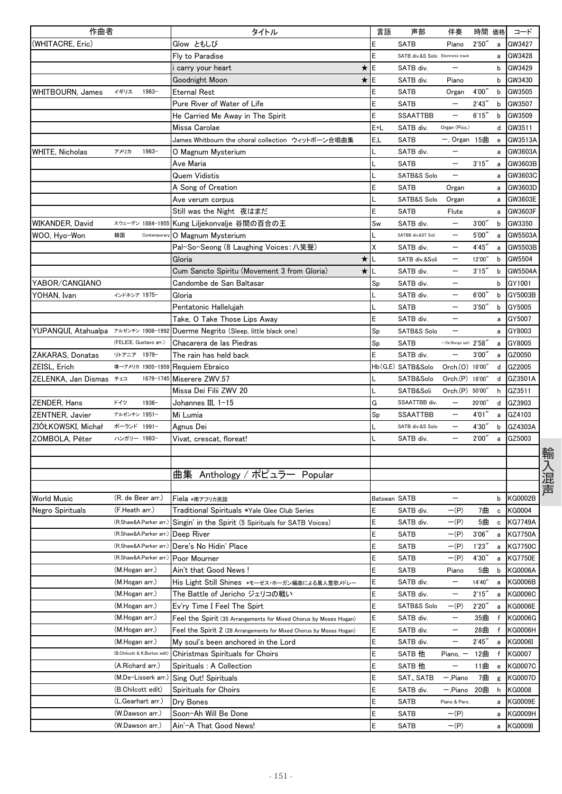| 作曲者                                  |                             | タイトル                                                                | 言語           | 声部                                | 伴奏                        | 時間 価格  |             | コード            |
|--------------------------------------|-----------------------------|---------------------------------------------------------------------|--------------|-----------------------------------|---------------------------|--------|-------------|----------------|
| (WHITACRE, Eric)                     |                             | Glow ともしび                                                           | E            | <b>SATB</b>                       | Piano                     | 2'50'  | a           | GW3427         |
|                                      |                             | Fly to Paradise                                                     | E            | SATB div.&S Solo Electronic track |                           |        | a           | GW3428         |
|                                      |                             | carry your heart<br>$\star$                                         | E            | SATB div.                         |                           |        | b           | GW3429         |
|                                      |                             | $\star$<br>Goodnight Moon                                           | E            | SATB div.                         | Piano                     |        | b           | GW3430         |
| <b>WHITBOURN, James</b>              | イギリス<br>1963-               | <b>Eternal Rest</b>                                                 | E            | <b>SATB</b>                       | Organ                     | 4'00"  | b           | GW3505         |
|                                      |                             | Pure River of Water of Life                                         | E            | <b>SATB</b>                       |                           | 2'43'' | b           | GW3507         |
|                                      |                             | He Carried Me Away in The Spirit                                    | E            | <b>SSAATTBB</b>                   | $\qquad \qquad -$         | 6'15'' | b           | GW3509         |
|                                      |                             | Missa Carolae                                                       | E+L          | SATB div.                         | Organ (Picc.)             |        | d           | GW3511         |
|                                      |                             | James Whitbourn the choral collection ウィットボーン合唱曲集                   | E,L          | <b>SATB</b>                       | $-$ , Organ 15曲           |        | e           | GW3513A        |
| <b>WHITE, Nicholas</b>               | アメリカ<br>$1963-$             | O Magnum Mysterium                                                  | L            | SATB div.                         |                           |        | a           | GW3603A        |
|                                      |                             | Ave Maria                                                           |              | <b>SATB</b>                       | $\overline{\phantom{0}}$  | 3'15'' | a           | GW3603B        |
|                                      |                             | Quem Vidistis                                                       |              | SATB&S Solo                       | $\overline{\phantom{0}}$  |        | a           | GW3603C        |
|                                      |                             | A Song of Creation                                                  | E            | <b>SATB</b>                       | Organ                     |        | a           | GW3603D        |
|                                      |                             | Ave verum corpus                                                    |              | SATB&S Solo                       | Organ                     |        | a           | GW3603E        |
|                                      |                             | Still was the Night 夜はまだ                                            | E            | <b>SATB</b>                       | Flute                     |        | a           | GW3603F        |
| WIKANDER, David                      |                             | スウェーデン 1884-1955 Kung Liljekonvalje 谷間の百合の王                         | Sw           | SATB div.                         | $\qquad \qquad -$         | 3'00'' | b           | GW3350         |
| WOO, Hyo-Won                         | 韓国<br>Contemporar           | O Magnum Mysterium                                                  |              | SATBB div.&ST Soli                | $\overline{\phantom{0}}$  | 5'00"  | a           | GW5503A        |
|                                      |                             | Pal-So-Seong (8 Laughing Voices: 八笑聲)                               | X            | SATB div.                         |                           | 4'45'  | a           | GW5503B        |
|                                      |                             | $\star$<br>Gloria                                                   |              | SATB div.&Soli                    | —                         | 12'00" | b           | GW5504         |
|                                      |                             | $\star$<br>Cum Sancto Spiritu (Movement 3 from Gloria)              | L            | SATB div.                         | —                         | 3'15'' | b           | GW5504A        |
| YABOR/CANGIANO                       |                             | Candombe de San Baltasar                                            | Sp           | SATB div.                         |                           |        | b           | GY1001         |
| YOHAN, Ivan                          | インドネシア 1975-                | Gloria                                                              |              | SATB div.                         | —                         | 6'00'' | b           | GY5003B        |
|                                      |                             | Pentatonic Hallelujah                                               |              | <b>SATB</b>                       |                           | 3'50'' | b           | GY5005         |
|                                      |                             | Take, O Take Those Lips Away                                        | E            | SATB div.                         | $\overline{\phantom{0}}$  |        |             | GY5007         |
| YUPANQUI, Atahualpa アルゼンチン 1908-1992 |                             |                                                                     |              | SATB&S Solo                       | $\overline{\phantom{0}}$  |        | a           | GY8003         |
|                                      | (FELICE, Gustavo arr.)      | Duerme Negrito (Sleep, little black one)                            | Sp           |                                   |                           |        | a           |                |
|                                      |                             | Chacarera de las Piedras                                            | Sp           | <b>SATB</b>                       | $-(Gr.Bongo opt)$ $2'58'$ |        | a           | GY8005         |
| ZAKARAS, Donatas                     | リトアニア 1979-                 | The rain has held back                                              | E            | SATB div.                         |                           | 3'00'  | a           | GZ0050         |
| ZEISL, Erich                         | 墺→アメリカ 1905-1959            | Requiem Ebraico                                                     |              | Hb (G,E) SATB&Solo                | Orch.(0) 18'00"           |        | d           | GZ2005         |
| ZELENKA, Jan Dismas チェコ              | 1679-1745                   | Miserere ZWV.57                                                     |              | SATB&Solo                         | Orch.(P) 18'00"           |        | d           | GZ3501A        |
|                                      |                             | Missa Dei Filii ZWV 20                                              |              | SATB&Soli                         | Orch.(P) 50'00"           |        | h           | GZ3511         |
| ZENDER, Hans                         | ドイツ<br>$1936 -$             | Johannes III, 1-15                                                  | G            | SSAATTBB div.                     | $\overline{\phantom{0}}$  | 20'00" | d           | GZ3903         |
| ZENTNER, Javier                      | アルゼンチン 1951-                | Mi Lumia                                                            | Sp           | <b>SSAATTBB</b>                   | $\qquad \qquad -$         | 4'01"  | a           | GZ4103         |
| ZIOŁKOWSKI, Michał                   | ポーランド 1991-                 | Agnus Dei                                                           |              | SATB div.&S Solo                  |                           | 4'30'' | b           | GZ4303A        |
| ZOMBOLA, Péter                       | ハンガリー 1983-                 | Vivat, crescat, floreat!                                            |              | SATB div.                         |                           | 2'00'' | a           | GZ5003         |
|                                      |                             |                                                                     |              |                                   |                           |        |             |                |
|                                      |                             |                                                                     |              |                                   |                           |        |             |                |
|                                      |                             | 曲集<br>Anthology / ポピュラー Popular                                     |              |                                   |                           |        |             |                |
|                                      |                             |                                                                     |              |                                   |                           |        |             |                |
| <b>World Music</b>                   | (R. de Beer arr.)           | Fiela *南アフリカ民謡                                                      | Batswan SATB |                                   |                           |        | b           | <b>KG0002B</b> |
| Negro Spirituals                     | (F.Heath arr.)              | Traditional Spirituals *Yale Glee Club Series                       | E            | SATB div.                         | $-(P)$                    | 7曲     | $\mathbf c$ | <b>KG0004</b>  |
|                                      | (R.Shaw&A.Parker arr.)      | Singin' in the Spirit (5 Spirituals for SATB Voices)                | E            | SATB div.                         | $-(P)$                    | 5曲     | c           | <b>KG7749A</b> |
|                                      | (R.Shaw&A.Parker arr.)      | Deep River                                                          | Ε            | SATB                              | $-(P)$                    | 3'06'' | a           | <b>KG7750A</b> |
|                                      | (R.Shaw&A.Parker arr.)      | Dere's No Hidin' Place                                              | E            | <b>SATB</b>                       | $-(P)$                    | 1'23'  | а           | <b>KG7750C</b> |
|                                      | (R.Shaw&A.Parker arr.)      | Poor Mourner                                                        | Ε            | SATB                              | $-(P)$                    | 4'30'' | a           | <b>KG7750E</b> |
|                                      | (M.Hogan arr.)              | Ain't that Good News!                                               | Ε            | SATB                              | Piano                     | 5曲     | b           | KG0006A        |
|                                      | (M.Hogan arr.)              | His Light Still Shines *モーゼス・ホーガン編曲による黒人霊歌メドレー                      | Ε            | SATB div.                         |                           | 14'40" | а           | KG0006B        |
|                                      | (M.Hogan arr.)              | The Battle of Jericho ジェリコの戦い                                       | Ε            | SATB div.                         |                           | 2'15'' | а           | KG0006C        |
|                                      | (M.Hogan arr.)              | Ev'ry Time I Feel The Spirt                                         | E            | SATB&S Solo                       | $-$ (P)                   | 2'20'' | a           | <b>KG0006E</b> |
|                                      | (M.Hogan arr.)              | Feel the Spirit (35 Arrangements for Mixed Chorus by Moses Hogan)   | E            | SATB div.                         | $\qquad \qquad -$         | 35曲    | f           | KG0006G        |
|                                      | (M.Hogan arr.)              | Feel the Spirit 2 (28 Arrangements for Mixed Chorus by Moses Hogan) | Ε            | SATB div.                         | $\qquad \qquad -$         | 28曲    | f           | KG0006H        |
|                                      | (M.Hogan arr.)              | My soul's been anchored in the Lord                                 | Ε            | SATB div.                         |                           | 2'45'' | a           | KG0006I        |
|                                      | (B.Chilcott & K.Burton edit | Chiristmas Spirituals for Choirs                                    | Ε            | SATB 他                            | Piano,                    | 12曲    | f           | KG0007         |
|                                      | (A.Richard arr.)            | Spirituals : A Collection                                           | E            | SATB 他                            |                           | 11曲    | e           | <b>KG0007C</b> |
|                                      | (M.De-Lisserk arr.)         | Sing Out! Spirituals                                                | E            | SAT, SATB                         | — 'Piano                  | 7曲     | g           | <b>KG0007D</b> |
|                                      | (B.Chilcott edit)           | Spirituals for Choirs                                               | Ε            | SATB div.                         | — 'Piano                  | 20曲    | h           | <b>KG0008</b>  |
|                                      | (L.Gearhart arr.)           | Dry Bones                                                           | Ε            | SATB                              | Piano & Perc.             |        | a           | KG0009E        |
|                                      | (W.Dawson arr.)             | Soon-Ah Will Be Done                                                | Ε            | SATB                              | $-(P)$                    |        | a           | KG0009H        |
|                                      | (W.Dawson arr.)             | Ain'-A That Good News!                                              | E            | SATB                              | $-(P)$                    |        | а           | KG0009I        |
|                                      |                             |                                                                     |              |                                   |                           |        |             |                |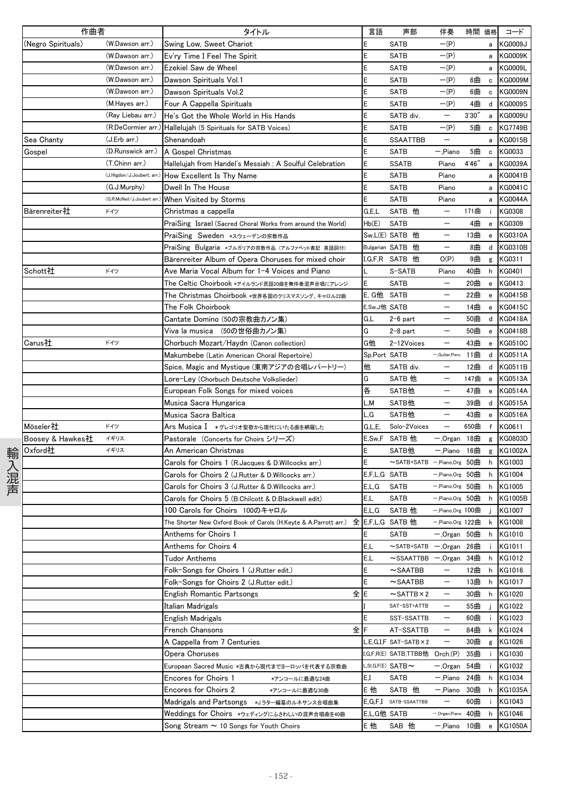| 作曲者                |                            | タイトル                                                                              | 言語           | 声部                              | 伴奏                       | 時間 価格  |                                                  | コード            |
|--------------------|----------------------------|-----------------------------------------------------------------------------------|--------------|---------------------------------|--------------------------|--------|--------------------------------------------------|----------------|
| (Negro Spirituals) | (W.Dawson arr.)            | Swing Low, Sweet Chariot                                                          |              | <b>SATB</b>                     | $-(P)$                   |        | a                                                | <b>KG0009J</b> |
|                    | (W.Dawson arr.)            | Ev'ry Time I Feel The Spirit                                                      |              | <b>SATB</b>                     | $-(P)$                   |        | a                                                | <b>KG0009K</b> |
|                    | (W.Dawson arr.)            | Ezekiel Saw de Wheel                                                              |              | SATB                            | $-(P)$                   |        | a                                                | KG0009L        |
|                    | (W.Dawson arr.)            | Dawson Spirituals Vol.1                                                           |              | <b>SATB</b>                     | $-(P)$                   | 6曲     | $\mathbf c$                                      | KG0009M        |
|                    | (W.Dawson arr.)            | Dawson Spirituals Vol.2                                                           | F            | <b>SATB</b>                     | $-(P)$                   | 6曲     | $\mathbf c$                                      | <b>KG0009N</b> |
|                    | (M.Hayes arr.)             | Four A Cappella Spirituals                                                        |              | <b>SATB</b>                     | $-(P)$                   | 4曲     | d                                                | KG0009S        |
|                    | (Ray Liebau arr.)          | He's Got the Whole World in His Hands                                             |              | SATB div.                       | $\qquad \qquad -$        | 3'30'' | a                                                | KG0009U        |
|                    | (R.DeCormier arr.          | Hallelujah (5 Spirituals for SATB Voices)                                         | F            | <b>SATB</b>                     | $-(P)$                   | 5曲     | $\mathbf c$                                      | KG7749B        |
| Sea Chanty         | (J.Erb arr.)               | Shenandoah                                                                        |              | <b>SSAATTBB</b>                 |                          |        | а                                                | KG0015B        |
| Gospel             | (D.Runswick arr.)          | A Gospel Christmas                                                                |              | <b>SATB</b>                     | -,Piano                  | 5曲     | $\,$ C                                           | KG0033         |
|                    | (T.Chinn arr.)             | Hallelujah from Handel's Messiah : A Soulful Celebration                          |              | <b>SSATB</b>                    | Piano                    | 4'46'' | a                                                | KG0039A        |
|                    | (J.Higdon/J.Joubert. arr.  | How Excellent Is Thy Name                                                         |              | <b>SATB</b>                     | Piano                    |        | а                                                | KG0041B        |
|                    | (G.J.Murphy)               | Dwell In The House                                                                |              | <b>SATB</b>                     | Piano                    |        | a                                                | <b>KG0041C</b> |
|                    | (G.R.McNeil/J.Joubert arr. | When Visited by Storms                                                            | F            | <b>SATB</b>                     | Piano                    |        | а                                                | KG0044A        |
| Bärenreiter社       | ドイツ                        | Christmas a cappella                                                              | G.E.L        | SATB 他                          |                          | 171曲   | ÷                                                | KG0308         |
|                    |                            | PraiSing Israel (Sacred Choral Works from around the World)                       | Hb(E)        | <b>SATB</b>                     |                          | 4曲     | $\mathbf{e}$                                     | KG0309         |
|                    |                            | PraiSing Sweden *スウェーデンの宗教作品                                                      |              | Sw,L(E) SATB 他                  |                          | 13曲    | $\mathbf{e}$                                     | KG0310A        |
|                    |                            | PraiSing Bulgaria *ブルガリアの宗教作品 (アルファベット表記 英語詞付)                                    |              | Bulgarian SATB 他                | $\qquad \qquad -$        | 8曲     | d                                                | KG0310B        |
|                    |                            | Bärenreiter Album of Opera Choruses for mixed choir                               |              | ,G,F,R SATB 他                   | O(P)                     | 9曲     | g                                                | KG0311         |
| Schott社            | ドイツ                        | Ave Maria Vocal Album for 1−4 Voices and Piano                                    |              | S-SATB                          | Piano                    | 40曲    | h                                                | KG0401         |
|                    |                            | The Celtic Choirbook *アイルランド民謡20曲を無伴奏混声合唱にアレンジ                                    | E            | <b>SATB</b>                     |                          | 20曲    | e                                                | KG0413         |
|                    |                            | The Christmas Choirbook *世界各国のクリスマスソング、キャロル22曲                                    | E. G他 SATB   |                                 |                          | 22曲    | $\mathbf{e}% _{t}\left  \mathbf{1}\right\rangle$ | KG0415B        |
|                    |                            | The Folk Choirbook                                                                | E,Sw,J他 SATB |                                 |                          | 14曲    | ${\bf e}$                                        | <b>KG0415C</b> |
|                    |                            | Cantate Domino (50の宗教曲カノン集)                                                       | G,L          | $2-6$ part                      | $\qquad \qquad -$        | 50曲    | d                                                | <b>KG0418A</b> |
|                    |                            | Viva la musica (50の世俗曲カノン集)                                                       | G            | $2-8$ part                      |                          | 50曲    | e                                                | <b>KG0418B</b> |
| Carus社             | ドイツ                        | Chorbuch Mozart/Haydn (Canon collection)                                          | G他           | 2-12Voices                      |                          | 43曲    | e                                                | KG0510C        |
|                    |                            | Makumbebe (Latin American Choral Repertoire)                                      | Sp,Port SATB |                                 | -,Guitar,Perc.           | 11曲    | d                                                | KG0511A        |
|                    |                            | Spice, Magic and Mystique (東南アジアの合唱レパートリー)                                        | 他            | SATB div.                       |                          | 12曲    | d                                                | KG0511B        |
|                    |                            | Lore-Ley (Chorbuch Deutsche Volkslieder)                                          | G            | SATB 他                          |                          | 147曲   | ${\bf e}$                                        | <b>KG0513A</b> |
|                    |                            | European Folk Songs for mixed voices                                              | 各            | SATB他                           | $\qquad \qquad -$        | 47曲    | $\mathbf{e}% _{t}\left( t\right)$                | <b>KG0514A</b> |
|                    |                            | Musica Sacra Hungarica                                                            | L,M          | SATB他                           | $\overline{\phantom{m}}$ | 39曲    | d                                                | <b>KG0515A</b> |
|                    |                            | Musica Sacra Baltica                                                              | L.G          | SATB他                           | $\qquad \qquad -$        | 43曲    | e                                                | KG0516A        |
| Möseler社           | ドイツ                        | Ars Musica Ⅰ *グレゴリオ聖歌から現代にいたる曲を網羅した                                               | G.L.E.       | Solo-2Voices                    | —                        | 650曲   | $\mathsf{f}$                                     | KG0611         |
| Boosey & Hawkes社   | イギリス                       | Pastorale (Concerts for Choirs シリーズ)                                              |              | E,Sw,F SATB 他                   | — 'Organ                 | 18曲    | g                                                | KG0803D        |
| Oxford社            | イギリス                       | An American Christmas                                                             |              | SATB他                           | — Piano                  | 16曲    | g                                                | KG1002A        |
|                    |                            | Carols for Choirs 1 (R. Jacques & D. Willcocks arr.)                              |              | $\sim$ SATB+SATB $-$ ,Piano,Org |                          | 50曲    | h                                                | KG1003         |
|                    |                            | Carols for Choirs 2 (J.Rutter & D.Willcocks arr.)                                 | E,F,L,G SATB |                                 | $-$ ,Piano,Org 50        |        | h                                                | KG1004         |
|                    |                            | Carols for Choirs 3 (J.Rutter & D.Willcocks arr.)                                 | E,L,G        | <b>SATB</b>                     | $-$ ,Piano,Org 50        |        | h                                                | KG1005         |
|                    |                            | Carols for Choirs 5 (B.Chilcott & D.Blackwell edit)                               | E,L          | SATB                            | $-$ ,Piano,Org 50        |        | h                                                | KG1005B        |
|                    |                            | 100 Carols for Choirs 100のキャロル                                                    | E.L.G        | SATB 他                          | $-$ ,Piano,Org 100       |        | j.                                               | KG1007         |
|                    |                            | The Shorter New Oxford Book of Carols (H.Keyte & A.Parrott arr.) 全 E,F,L,G SATB 他 |              |                                 | $-$ Piano, Org 122       |        |                                                  | k KG1008       |
|                    |                            | Anthems for Choirs 1                                                              | E            | <b>SATB</b>                     | $-$ , Organ 50曲          |        | h                                                | KG1010         |
|                    |                            | Anthems for Choirs 4                                                              | E,L          | $\sim$ SATB+SATB                | $-.$ Organ 26曲           |        | ÷.                                               | KG1011         |
|                    |                            | <b>Tudor Anthems</b>                                                              | E,L          | $\sim$ SSAATTBB                 | — ,Organ                 | 34曲    | h                                                | KG1012         |
|                    |                            | Folk-Songs for Choirs 1 (J.Rutter edit.)                                          | E            | $\sim$ SAATBB                   | $\overline{\phantom{m}}$ | 12曲    | h                                                | KG1016         |
|                    |                            | Folk-Songs for Choirs 2 (J.Rutter edit.)                                          | E            | $\sim$ SAATBB                   | $\overline{\phantom{m}}$ | 13曲    | h                                                | KG1017         |
|                    |                            | 全<br><b>English Romantic Partsongs</b>                                            | E            | $\sim$ SATTB $\times$ 2         | $\qquad \qquad -$        | 30曲    | h                                                | KG1020         |
|                    |                            | Italian Madrigals                                                                 |              | SAT-SST+ATTB                    | $\qquad \qquad -$        | 55曲    | j.                                               | KG1022         |
|                    |                            | English Madrigals                                                                 | E            | SST-SSATTB                      | $\qquad \qquad -$        | 60曲    | ÷                                                | KG1023         |
|                    |                            | 全<br>French Chansons                                                              |              | AT-SSATTB                       | -                        | 84曲    | k                                                | KG1024         |
|                    |                            | A Cappella from 7 Centuries                                                       |              | $.E.G.I.F$ SAT-SATB $\times 2$  | $\overline{\phantom{m}}$ | 30曲    | g                                                | KG1026         |
|                    |                            | Opera Choruses                                                                    |              | I,G,F,R(E) SATB,TTBB他 Orch.(P)  |                          | 35曲    | ÷                                                | KG1030         |
|                    |                            | European Sacred Music *古典から現代までヨーロッパを代表する宗教曲                                      |              | L, SI, G, F(E) $SATB \sim$      | — 'Organ                 | 54曲    | j.                                               | KG1032         |
|                    |                            | <b>Encores for Choirs 1</b><br>*アンコールに最適な24曲                                      | E.I          | <b>SATB</b>                     | — 'Piano                 | 24曲    | h                                                | KG1034         |
|                    |                            | <b>Encores for Choirs 2</b><br>*アンコールに最適な30曲                                      | E他           | SATB 他                          | — 'Piano                 | 30曲    | h                                                | KG1035A        |
|                    |                            | Madrigals and Partsongs *J.ラター編纂のルネサンス合唱曲集                                        |              | E,G,F,I SATB-SSAATTBB           |                          | 60曲    | ÷                                                | KG1043         |
|                    |                            | Weddings for Choirs *ウェディングにふさわしいの混声合唱曲を40曲                                       | E,L,G他 SATB  |                                 | - Organ, Piano           | 40曲    | h                                                | KG1046         |
|                    |                            | Song Stream $\sim$ 10 Songs for Youth Choirs                                      | E他           | SAB 他                           | 一,Piano 10曲              |        | $\mathbf{e}% _{t}\left( t\right)$                | KG1050A        |
|                    |                            |                                                                                   |              |                                 |                          |        |                                                  |                |

- 152 -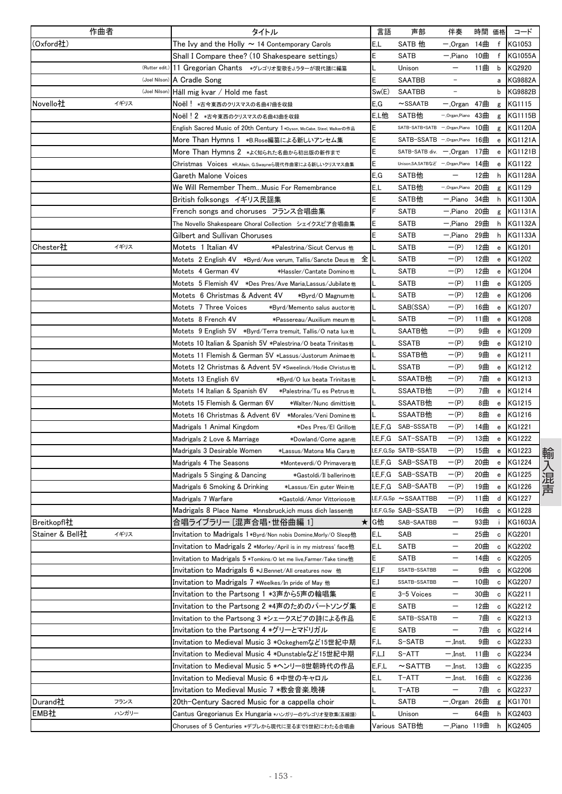| 作曲者                     |               | タイトル                                                                    | 言語      | 声部                                 | 伴奏                | 時間 価格 |                                                  | コード            |
|-------------------------|---------------|-------------------------------------------------------------------------|---------|------------------------------------|-------------------|-------|--------------------------------------------------|----------------|
| (Oxford社)               |               | The Ivy and the Holly $\sim$ 14 Contemporary Carols                     | E,L     | SATB 他                             | — ,Organ          | 14曲   | f                                                | KG1053         |
|                         |               | Shall I Compare thee? (10 Shakespeare settings)                         | Ε       | SATB                               | — "Piano          | 10曲   | f                                                | <b>KG1055A</b> |
|                         | (Rutter edit. | 11 Gregorian Chants *グレゴリオ聖歌をJ.ラターが現代譜に編纂                               |         | Unison                             | —                 | 11曲   | b                                                | KG2920         |
|                         | (Joel Nilson) | A Cradle Song                                                           | E       | <b>SAATBB</b>                      |                   |       | а                                                | <b>KG9882A</b> |
|                         | (Joel Nilson) | Håll mig kvar / Hold me fast                                            | Sw(E)   | <b>SAATBB</b>                      |                   |       | b                                                | <b>KG9882B</b> |
| イギリス<br>Novello社        |               | Noël! ∗古今東西のクリスマスの名曲47曲を収録                                              | E,G     | $\sim$ SSAATB                      | — 'Organ          | 47曲   | g                                                | KG1115         |
|                         |               | Noël!2 *古今東西のクリスマスの名曲43曲を収録                                             | E,L他    | SATB他                              | - Organ, Piano    | 43曲   | g                                                | KG1115B        |
|                         |               | English Sacred Music of 20th Century 1 *Dyson, McCabe, Steel, Walkerの作品 | Е       | SATB-SATB+SATB -, Organ, Piano     |                   | 10曲   | g                                                | <b>KG1120A</b> |
|                         |               | More Than Hymns 1 *B.Rose編纂による新しいアンセム集                                  | Ε       | SATB-SSATB -.Organ,Piano           |                   | 16曲   | e                                                | <b>KG1121A</b> |
|                         |               | More Than Hymns 2 *よく知られた名曲から初出版の新作まで                                   | E       | SATB-SATB div. - Organ             |                   | 17曲   | e                                                | <b>KG1121B</b> |
|                         |               | <b>Christmas Voices ∗R.Allain, G.Swayneら現代作曲家による新しいクリスマス曲集</b>          | E       | Unison, SA, SATBなど ー, Organ, Piano |                   | 14曲   | e                                                | KG1122         |
|                         |               | Gareth Malone Voices                                                    | E, G    | SATB他                              |                   | 12曲   | h                                                | <b>KG1128A</b> |
|                         |               | We Will Remember ThemMusic For Remembrance                              | E,L     | SATB他                              | - Organ, Piano    | 20曲   | g                                                | KG1129         |
|                         |               | British folksongs イギリス民謡集                                               | Ε       | SATB他                              | — Piano           | 34曲   | h                                                | <b>KG1130A</b> |
|                         |               | French songs and choruses フランス合唱曲集                                      | F       | SATB                               | - Piano           | 20曲   | g                                                | <b>KG1131A</b> |
|                         |               | The Novello Shakespeare Choral Collection シェイクスピア合唱曲集                   | E       | SATB                               | — "Piano          | 29曲   | h                                                | KG1132A        |
|                         |               | Gilbert and Sullivan Choruses                                           | Ε       | SATB                               | — "Piano          | 29曲   | h                                                | <b>KG1133A</b> |
| Chester社<br>イギリス        |               | Motets 1 Italian 4V<br>*Palestrina/Sicut Cervus 他                       |         | <b>SATB</b>                        | $-(P)$            | 12曲   | e                                                | KG1201         |
|                         |               | 全に                                                                      |         | <b>SATB</b>                        | $-(P)$            | 12曲   | ${\bf e}$                                        | KG1202         |
|                         |               | Motets 4 German 4V<br>*Hassler/Cantate Domino他                          |         | SATB                               | $-(P)$            | 12曲   | e                                                | <b>KG1204</b>  |
|                         |               |                                                                         |         | SATB                               | $-(P)$            | 11曲   | $\mathbf{e}% _{t}\left( \mathbf{1}_{t}\right)$   | KG1205         |
|                         |               | Motets 6 Christmas & Advent 4V<br>*Byrd/0 Magnum他                       |         | SATB                               | $-(P)$            | 12曲   | e                                                | KG1206         |
|                         |               | Motets 7 Three Voices<br>*Byrd/Memento salus auctor他                    |         | SAB(SSA)                           | $-(P)$            | 16曲   | e                                                | KG1207         |
|                         |               | Motets 8 French 4V<br>∗Passereau/Auxilium meum他                         |         | <b>SATB</b>                        | $-(P)$            | 11曲   | e                                                | KG1208         |
|                         |               | Motets 9 English 5V *Byrd/Terra tremuit, Tallis/O nata lux他             |         | SAATB他                             | $-(P)$            | 9曲    | ${\bf e}$                                        | KG1209         |
|                         |               | Motets 10 Italian & Spanish 5V *Palestrina/O beata Trinitas他            |         | <b>SSATB</b>                       | $-(P)$            | 9曲    | e                                                | KG1210         |
|                         |               | Motets 11 Flemish & German 5V *Lassus/Justorum Animae他                  |         | SSATB他                             | $-(P)$            | 9曲    | e                                                | KG1211         |
|                         |               | Motets 12 Christmas & Advent 5V *Sweelinck/Hodie Christus他              | L       | <b>SSATB</b>                       | $-(P)$            | 9曲    | e                                                | KG1212         |
|                         |               | Motets 13 English 6V<br>*Byrd/O lux beata Trinitas他                     |         | SSAATB他                            | $-(P)$            | 7曲    | e                                                | KG1213         |
|                         |               | Motets 14 Italian & Spanish 6V<br>*Palestrina/Tu es Petrus他             |         | SSAATB他                            | $-(P)$            | 7曲    | $\mathbf{e}% _{t}\left( \mathbf{1}_{t}\right)$   | KG1214         |
|                         |               | Motets 15 Flemish & German 6V<br>*Walter/Nunc dimittis他                 |         | SSAATB他                            | $-(P)$            | 8曲    | e                                                | KG1215         |
|                         |               | Motets 16 Christmas & Advent 6V<br>*Morales/Veni Domine他                |         | SSAATB他                            | $-(P)$            | 8曲    | е                                                | KG1216         |
|                         |               | Madrigals 1 Animal Kingdom<br>*Des Pres/El Grillo他                      | I,E,F,G | SAB-SSSATB                         | $-(P)$            | 14曲   | e                                                | KG1221         |
|                         |               | Madrigals 2 Love & Marriage<br>*Dowland/Come agan他                      | I,E,F,G | SAT-SSATB                          | $-(P)$            | 13曲   | e                                                | KG1222         |
|                         |               | Madrigals 3 Desirable Women<br>*Lassus/Matona Mia Cara他                 |         | I,E,F,G,Sp SATB-SSATB              | $-(P)$            | 15曲   | $\mathbf{e}% _{t}\left  \mathbf{1}\right\rangle$ | KG1223         |
|                         |               | Madrigals 4 The Seasons<br>*Monteverdi/O Primavera他                     |         | I,E,F,G SAB-SSATB                  | $-(P)$            | 20曲   | e                                                | <b>KG1224</b>  |
|                         |               | Madrigals 5 Singing & Dancing<br>*Gastoldi/Il ballerino他                | I,E,F,G | SAB-SSATB                          | $-(P)$            | 20曲   | е                                                | <b>KG1225</b>  |
|                         |               | Madrigals 6 Smoking & Drinking<br>*Lassus/Ein guter Wein他               |         | I,E,F,G SAB-SAATB                  | $-(P)$            | 19曲   | e                                                | KG1226         |
|                         |               | Madrigals 7 Warfare<br>*Gastoldi/Amor Vittorioso他                       |         | I,E,F,G,Sp ∼SSAATTBB               | $-(P)$            | 11曲   | d                                                | <b>KG1227</b>  |
|                         |               | Madrigals 8 Place Name *Innsbruck,ich muss dich lassen他                 |         | I.E.F.G.Sp SAB-SSATB               | $-(P)$            | 16曲   | c                                                | <b>KG1228</b>  |
| Breitkopfl社             |               | 合唱ライブラリー [混声合唱・世俗曲編 1]                                                  | ★ G他    | SAB-SAATBB                         |                   | 93曲   | ÷.                                               | KG1603A        |
| イギリス<br>Stainer & Bell社 |               | Invitation to Madrigals 1*Byrd/Non nobis Domine,Morly/O Sleep他          | E,L     | SAB                                | —                 | 25曲   | $\mathbf c$                                      | KG2201         |
|                         |               | Invitation to Madrigals 2 *Morley/April is in my mistress' face他        | E,L     | SATB                               | —                 | 20曲   | c                                                | <b>KG2202</b>  |
|                         |               | Invitation to Madrigals 5 *Tomkins/0 let me live,Farmer/Take time他      | E       | SATB                               | —                 | 14曲   | c                                                | KG2205         |
|                         |               | Invitation to Madrigals 6 *J.Bennet/All creatures now 他                 | E,I,F   | SSATB-SSATBB                       | —                 | 9曲    | $\mathbf c$                                      | KG2206         |
|                         |               | Invitation to Madrigals 7 *Weelkes/In pride of May 他                    | E,I     | SSATB-SSATBB                       | $\qquad \qquad -$ | 10曲   | c                                                | KG2207         |
|                         |               | Invitation to the Partsong 1 *3声から5声の輪唱集                                | Ε       | 3-5 Voices                         | —                 | 30曲   | $\mathbf c$                                      | KG2211         |
|                         |               | Invitation to the Partsong 2 *4声のためのパートソング集                             | E       | SATB                               | —                 | 12曲   | $\mathbf c$                                      | KG2212         |
|                         |               | Invitation to the Partsong 3 *シェークスピアの詩による作品                            | E       | SATB-SSATB                         | —                 | 7曲    | c                                                | KG2213         |
|                         |               | Invitation to the Partsong 4 *グリーとマドリガル                                 | E       | SATB                               | —                 | 7曲    | c                                                | KG2214         |
|                         |               | Invitation to Medieval Music 3 *Ockeghemなど15世紀中期                        | F,L     | S-SATB                             | $-$ ,Inst.        | 9曲    | $\mathtt{c}$                                     | KG2233         |
|                         |               | Invitation to Medieval Music 4 *Dunstableなど15世紀中期                       | F,L,I   | S-ATT                              | — 'Inst.          | 11曲   | c                                                | KG2234         |
|                         |               | Invitation to Medieval Music 5 *ヘンリー8世朝時代の作品                            | E,F,L   | $\sim$ SATTB                       | — 'Inst.          | 13曲   | c                                                | KG2235         |
|                         |               | Invitation to Medieval Music 6 *中世のキャロル                                 | E,L     | T-ATT                              | $-$ ,Inst.        | 16曲   | c                                                | KG2236         |
|                         |               | Invitation to Medieval Music 7 *教会音楽,晩祷                                 |         | T-ATB                              | —                 | 7曲    | c                                                | <b>KG2237</b>  |
| Durand社<br>フランス         |               | 20th-Century Sacred Music for a cappella choir                          |         | SATB                               | — 'Organ          | 26曲   | g                                                | KG1701         |
| ハンガリー<br>EMB社           |               | Cantus Gregorianus Ex Hungaria *ハンガリーのグレゴリオ聖歌集(五線譜)                     |         | Unison                             | —                 | 64曲   | h                                                | KG2403         |
|                         |               | Choruses of 5 Centuries *デプレから現代に至るまで5世紀にわたる合唱曲                         |         | Various SATB他                      | 一,Piano 119曲      |       | h                                                | KG2405         |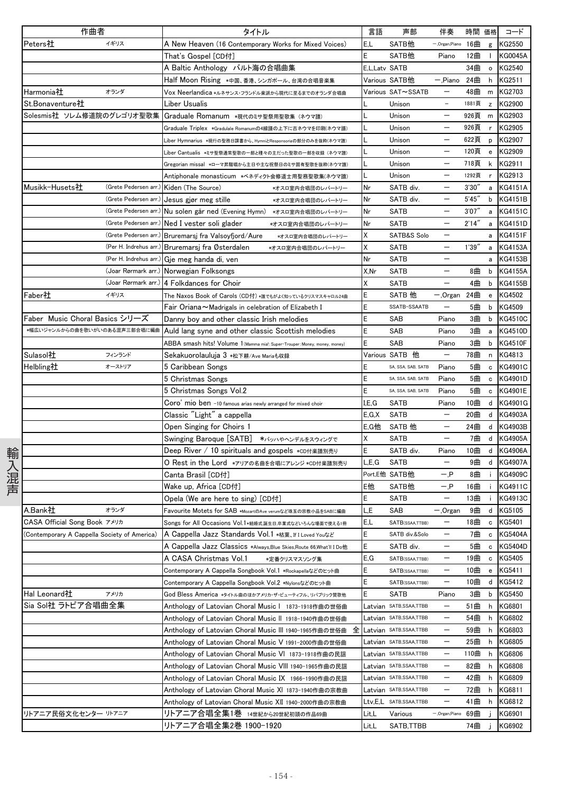|      | 作曲者                                         |                        | タイトル                                                                       | 言語            | 声部                     | 伴奏                       |        | 時間 価格                                            | コード            |
|------|---------------------------------------------|------------------------|----------------------------------------------------------------------------|---------------|------------------------|--------------------------|--------|--------------------------------------------------|----------------|
|      | Peters社                                     | イギリス                   | A New Heaven (16 Contemporary Works for Mixed Voices)                      | E.L           | SATB他                  | -,Organ,Piano            | 16曲    | g                                                | KG2550         |
|      |                                             |                        | That's Gospel [CD付]                                                        | E             | SATB他                  | Piano                    | 12曲    | Τ.                                               | <b>KG0045A</b> |
|      |                                             |                        | A Baltic Anthology バルト海の合唱曲集                                               | E,L,Latv SATB |                        |                          | 34曲    | $\mathsf{o}\,$                                   | KG2540         |
|      |                                             |                        | Half Moon Rising ∗中国、香港、シンガポール、台湾の合唱音楽集                                    |               | Various SATB他          | $-$ ,Piano               | 24曲    | h                                                | KG2511         |
|      | Harmonia社                                   | オランダ                   | Vox Neerlandica *ルネサンス・フランドル楽派から現代に至るまでのオランダ合唱曲                            |               | Various SAT∼SSATB      |                          | 48曲    | m                                                | KG2703         |
|      | St.Bonaventure社                             |                        | Liber Usualis                                                              |               | Unison                 | $\qquad \qquad -$        | 1881頁  | $\mathsf{Z}% _{0}$                               | KG2900         |
|      | Solesmis社 ソレム修道院のグレゴリオ聖歌集                   |                        | Graduale Romanum *現代のミサ聖祭用聖歌集 (ネウマ譜)                                       |               | Unison                 |                          | 926頁   | m                                                | KG2903         |
|      |                                             |                        | Graduale Triplex *Gradulale Romanumの4線譜の上下に古ネウマを印刷(ネウマ譜)                   |               | Unison                 | $\overline{\phantom{m}}$ | 926頁   | r                                                | KG2905         |
|      |                                             |                        | _iber Hymnarius *現行の聖務日課書から、HymniとResponsoriaの部分のみを抜粋(ネウマ譜)                |               | Unison                 | $\qquad \qquad -$        | 622頁   | p                                                | KG2907         |
|      |                                             |                        | .iber Cantualis *ミサ聖祭通常聖歌の一部と種々の主だった聖歌の一部を収録(ネウマ譜)                         |               | Unison                 |                          | 120頁   | $\mathbf{e}% _{t}\left  \mathbf{1}\right\rangle$ | KG2909         |
|      |                                             |                        | Gregorian missal *ローマ昇階唱から主日や主な祝祭日のミサ固有聖歌を抜粋(ネウマ譜)                         |               | Unison                 |                          | 718頁   | k                                                | KG2911         |
|      |                                             |                        | Antiphonale monasticum *ベネディクト会修道士用聖務聖歌集(ネウマ譜)                             |               | Unison                 |                          | 1292頁  | $\mathbf{r}$                                     | KG2913         |
|      | Musikk-Husets社                              | (Grete Pedersen arr.)  | Kiden (The Source)<br>*オスロ室内合唱団のレパートリー                                     | Nr            | SATB div.              |                          | 3'30'' | a                                                | <b>KG4151A</b> |
|      |                                             | (Grete Pedersen arr.)  | Jesus gjør meg stille<br>*オスロ室内合唱団のレパートリー                                  | Nr            | SATB div.              | $\qquad \qquad -$        | 5'45'' | b                                                | <b>KG4151B</b> |
|      |                                             | (Grete Pedersen arr.)  | Nu solen går ned (Evening Hymn) *オスロ室内合唱団のレパートリー                           | Nr            | <b>SATB</b>            | $\qquad \qquad -$        | 3'07'' |                                                  | a KG4151C      |
|      |                                             | (Grete Pedersen arr.)  | Ned I vester soli glader<br>*オスロ室内合唱団のレパートリー                               | Nr            | SATB                   |                          | 2'14'' | $\mathsf a$                                      | <b>KG4151D</b> |
|      |                                             | (Grete Pedersen arr.)  | Bruremarsj fra Valsoyfjord/Aure<br>*オスロ室内合唱団のレパートリー                        | Χ             | SATB&S Solo            |                          |        | a                                                | <b>KG4151F</b> |
|      |                                             | (Per H. Indrehus arr.) | Bruremarsj fra Østerdalen<br>*オスロ室内合唱団のレパートリー                              | Χ             | <b>SATB</b>            |                          | 1'39'' | a                                                | <b>KG4153A</b> |
|      |                                             | (Per H. Indrehus arr.) | Gje meg handa di, ven                                                      | Nr            | <b>SATB</b>            |                          |        | a                                                | <b>KG4153B</b> |
|      |                                             | (Joar Rørmark arr.)    | Norwegian Folksongs                                                        | X,Nr          | <b>SATB</b>            | —                        | 8曲     | b                                                | <b>KG4155A</b> |
|      |                                             | (Joar Rørmark arr.)    | 4 Folkdances for Choir                                                     | X             | <b>SATB</b>            |                          | 4曲     | b                                                | <b>KG4155B</b> |
|      | Faber社                                      | イギリス                   |                                                                            | E             | SATB 他                 |                          | 24曲    |                                                  | KG4502         |
|      |                                             |                        | The Naxos Book of Carols (CD付) *誰でもがよく知っているクリスマスキャロル24曲                    | E             | SSATB-SSAATB           | — ,Organ                 | 5曲     | e                                                | KG4509         |
|      | Faber Music Choral Basics シリーズ              |                        | ${\sf Fair}$ Oriana $\thicksim$ Madrigals in celebration of Elizabeth I    | E             |                        |                          | 3曲     | b                                                | <b>KG4510C</b> |
|      | *幅広いジャンルからの曲を歌いがいのある混声三部合唱に編曲               |                        | Danny boy and other classic Irish melodies                                 |               | SAB                    | Piano                    |        | b                                                |                |
|      |                                             |                        | Auld lang syne and other classic Scottish melodies                         | E             | SAB                    | Piano                    | 3曲     | $\mathsf{a}$                                     | <b>KG4510D</b> |
|      |                                             |                        | ABBA smash hits! Volume 1 (Mamma mia!: Super-Trouper: Money, money, money) | E             | SAB                    | Piano                    | 3曲     | b                                                | <b>KG4510F</b> |
|      | Sulasol社                                    | フィンランド                 | Sekakuorolauluja 3 *松下耕/Ave Mariaも収録                                       |               | Various SATB 他         | $\qquad \qquad -$        | 78曲    | n                                                | KG4813         |
|      | Helbling社                                   | オーストリア                 | 5 Caribbean Songs                                                          | E             | SA, SSA, SAB, SATB     | Piano                    | 5曲     | $\mathbf c$                                      | KG4901C        |
|      |                                             |                        | 5 Christmas Songs                                                          | E             | SA, SSA, SAB, SATB     | Piano                    | 5曲     | c                                                | KG4901D        |
|      |                                             |                        | 5 Christmas Songs Vol.2                                                    | E             | SA, SSA, SAB, SATB     | Piano                    | 5曲     | $\mathbf c$                                      | KG4901E        |
|      |                                             |                        | Coro' mio ben -10 famous arias newly arranged for mixed choir              | I,E,G         | SATB                   | Piano                    | 10曲    | d                                                | KG4901G        |
|      |                                             |                        | Classic "Light" a cappella                                                 | E.G.X         | <b>SATB</b>            |                          | 20曲    | d                                                | <b>KG4903A</b> |
|      |                                             |                        | Open Singing for Choirs 1                                                  | E,G他          | SATB 他                 | $\qquad \qquad -$        | 24曲    | d                                                | KG4903B        |
|      |                                             |                        | Swinging Baroque [SATB] *バッハやヘンデルをスウィングで                                   | X             | SATB                   | —                        | 7曲     | d                                                | <b>KG4905A</b> |
|      |                                             |                        | Deep River / 10 spirituals and gospels *cɒ付楽譜別売り                           | E             | SATB div.              | Piano                    | 10曲    | d                                                | <b>KG4906A</b> |
|      |                                             |                        | O Rest in the Lord *アリアの名曲を合唱にアレンジ *CD付楽譜別売り                               | L.E.G         | <b>SATB</b>            |                          | 9曲     | d                                                | <b>KG4907A</b> |
| 輸入混声 |                                             |                        | Canta Brasil [CD付]                                                         |               | Port,E他 SATB他          | — P                      | 8曲     | j.                                               | <b>KG4909C</b> |
|      |                                             |                        | Wake up, Africa [CD付]                                                      | E他            | SATB他                  | — P                      | 16曲    | j.                                               | KG4911C        |
|      |                                             |                        | Opela (We are here to sing) [CD付]                                          | E             | <b>SATB</b>            | $\qquad \qquad -$        | 13曲    |                                                  | KG4913C        |
|      | A.Bank社                                     | オランダ                   | Favourite Motets for SAB *MozartのAve verumなど珠玉の宗教小品をSABに編曲                 | L.E           | SAB                    | -,Organ                  | 9曲     | d                                                | KG5105         |
|      | CASA Official Song Book アメリカ                |                        | Songs for All Occasions Vol.1*結婚式誕生日.卒業式などいろんな場面で使える1冊                     | E,L           | SATB(SSAA,TTBB)        | $\qquad \qquad$          | 18曲    | c                                                | KG5401         |
|      | Contemporary A Cappella Society of America) |                        | A Cappella Jazz Standards Vol.1 *枯葉、If I Loved Youなど                       | E             | SATB div.&Solo         |                          | 7曲     | $\mathbf c$                                      | <b>KG5404A</b> |
|      |                                             |                        | A Cappella Jazz Classics *Always,Blue Skies,Route 66,What'll I Do他         | E             | SATB div.              | —                        | 5曲     | $\mathbf{c}$                                     | <b>KG5404D</b> |
|      |                                             |                        | A CASA Christmas Vol.1<br>*定番クリスマスソング集                                     | E,G           | SATB(SSAA,TTBB)        | $\qquad \qquad -$        | 19曲    | c                                                | KG5405         |
|      |                                             |                        | Contemporary A Cappella Songbook Vol.1 *Rockapellaなどのヒット曲                  | E             | SATB(SSAA,TTBB)        | $\qquad \qquad -$        | 10曲    | e                                                | KG5411         |
|      |                                             |                        | Contemporary A Cappella Songbook Vol.2 *Nylonsなどのヒット曲                      | E             | SATB(SSAA,TTBB)        | $\qquad \qquad -$        | 10曲    | d                                                | KG5412         |
|      | Hal Leonard社                                | アメリカ                   | God Bless America *タイトル曲のほかアメリカ・ザ・ビューティフル、リバブリック賛歌他                        | Ε             | SATB                   | Piano                    | 3曲     | b                                                | KG5450         |
|      | Sia Sol社 ラトビア合唱曲全集                          |                        | Anthology of Latovian Choral Music   1873-1918作曲の世俗曲                       |               | Latvian SATB,SSAA,TTBB |                          | 51曲    | h                                                | KG6801         |
|      |                                             |                        | Anthology of Latovian Choral Music II 1918-1940作曲の世俗曲                      |               | Latvian SATB,SSAA,TTBB | —                        | 54曲    | h                                                | KG6802         |
|      |                                             |                        | 全<br>Anthology of Latovian Choral Music III 1940-1965作曲の世俗曲                |               | Latvian SATB,SSAA,TTBB | $\qquad \qquad -$        | 59曲    | h                                                | KG6803         |
|      |                                             |                        | Anthology of Latovian Choral Music V 1991-2000作曲の世俗曲                       |               | Latvian SATB,SSAA,TTBB | $\overline{\phantom{m}}$ | 25曲    | h                                                | KG6805         |
|      |                                             |                        | Anthology of Latovian Choral Music VI_1873-1918作曲の民謡                       |               | Latvian SATB,SSAA,TTBB | $\qquad \qquad -$        | 110曲   | h                                                | KG6806         |
|      |                                             |                        | Anthology of Latovian Choral Music VIII 1940-1965作曲の民謡                     |               | Latvian SATB,SSAA,TTBB | $\qquad \qquad -$        | 82曲    | h                                                | KG6808         |
|      |                                             |                        | Anthology of Latovian Choral Music IX 1966-1990作曲の民謡                       |               | Latvian satb,ssaa,ttbb | $\qquad \qquad -$        | 42曲    | h                                                | KG6809         |
|      |                                             |                        | Anthology of Latovian Choral Music XI 1873-1940作曲の宗教曲                      |               | Latvian SATB,SSAA,TTBB | $\qquad \qquad -$        | 72曲    | h                                                | KG6811         |
|      |                                             |                        | Anthology of Latovian Choral Music XII 1940-2000作曲の宗教曲                     |               | Ltv,E,L SATB,SSAA,TTBB | —                        | 41曲    | h                                                | KG6812         |
|      | リトアニア民俗文化センター リトアニア                         |                        | リトアニア合唱全集1巻 14世紀から20世紀初頭の作品69曲                                             | Lit,L         | Various                | - Organ, Piano           | 69曲    |                                                  | KG6901         |
|      |                                             |                        | リトアニア合唱全集2巻 1900-1920                                                      | Lit,L         | SATB, TTBB             |                          | 74曲    |                                                  | KG6902         |
|      |                                             |                        |                                                                            |               |                        |                          |        |                                                  |                |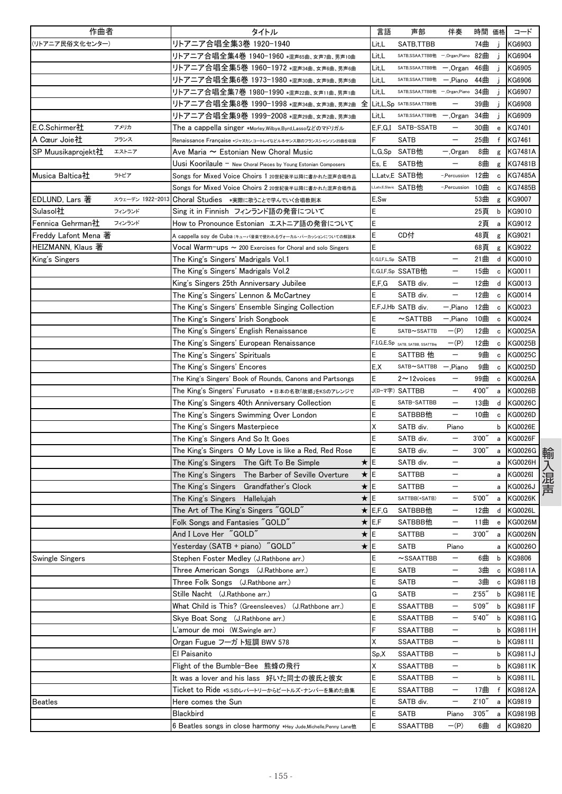| 作曲者                  |                  |                                         | タイトル                                                                       |             | 言語                | 声部                                          | 伴奏                       | 時間 価格  |              | コード            |
|----------------------|------------------|-----------------------------------------|----------------------------------------------------------------------------|-------------|-------------------|---------------------------------------------|--------------------------|--------|--------------|----------------|
| (リトアニア民俗文化センター)      |                  | リトアニア合唱全集3巻 1920-1940                   |                                                                            |             | Lit,L             | SATB,TTBB                                   |                          | 74曲    | Ĵ            | KG6903         |
|                      |                  |                                         | リトアニア合唱全集4巻 1940-1960 *混声65曲、女声7曲、男声10曲                                    |             | Lit,L             | SATB, SSAA, TTBB他                           | -,Organ,Piano            | 82曲    | Ĵ            | KG6904         |
|                      |                  |                                         | リトアニア合唱全集5巻 1960-1972 *混声34曲、女声6曲、男声6曲                                     |             | Lit,L             | SATB, SSAA, TTBB他                           | -,Organ                  | 46曲    |              | KG6905         |
|                      |                  |                                         | リトアニア合唱全集6巻 1973-1980 *混声30曲、女声9曲、男声5曲                                     |             | Lit,L             | SATB, SSAA, TTBB他                           | $-$ ,Piano               | 44曲    |              | KG6906         |
|                      |                  |                                         | リトアニア合唱全集7巻 1980-1990 *混声22曲、女声11曲、男声1曲                                    |             | Lit,L             | SATB, SSAA, TTBB他                           | -,Organ,Piano            | 34曲    | -i           | KG6907         |
|                      |                  |                                         | リトアニア合唱全集8巻 1990-1998 *混声34曲、女声3曲、男声2曲                                     | 全           |                   | Lit, L, Sp SATB, SSAA, TTBB他                |                          | 39曲    |              | KG6908         |
|                      |                  |                                         | リトアニア合唱全集9巻 1999-2008 *混声29曲、女声2曲、男声3曲                                     |             | Lit,L             | SATB, SSAA, TTBB他                           | — ,Organ                 | 34曲    |              | KG6909         |
| E.C.Schirmer社        | アメリカ             |                                         | The a cappella singer *Morley,Wilbye,Byrd,Lassoなどのマドリガル                    |             | E, F, G, I        | SATB-SSATB                                  | $\qquad \qquad -$        | 30曲    | e            | KG7401         |
| A Cœur Joie社         | フランス             |                                         | Renaissance Française *ジャヌカン.コートレイなどルネサンス期のフランスシャンソン25曲を収録                 |             | F                 | <b>SATB</b>                                 | —                        | 25曲    | f            | KG7461         |
| SP Muusikaprojekt社   | エストニア            |                                         | Ave Maria $\thicksim$ Estonian New Choral Music                            |             | L,G,Sp            | SATB他                                       | $-.$ Organ               | 8曲     | g            | <b>KG7481A</b> |
|                      |                  |                                         | Uusi Koorilaule - New Choral Pieces by Young Estonian Composers            |             | Es, E             | SATB他                                       |                          | 8曲     | g            | <b>KG7481B</b> |
| Musica Baltica社      | ラトビア             |                                         | Songs for Mixed Voice Choirs 1 20世紀後半以降に書かれた混声合唱作品                         |             |                   | L,Latv,E SATB他                              | -,Percussion             | 12曲    | $\mathtt{c}$ | <b>KG7485A</b> |
|                      |                  |                                         | Songs for Mixed Voice Choirs 2 20世紀後半以降に書かれた混声合唱作品                         |             |                   | Latv.E.Slavic SATB他                         | -,Percussion             | 10曲    | $\mathbf c$  | <b>KG7485B</b> |
| EDLUND, Lars 著       | スウェーデン 1922-2013 |                                         | Choral Studies *実際に歌うことで学んでいく合唱教則本                                         |             | E,Sw              |                                             |                          | 53曲    | g            | KG9007         |
| Sulasol社             | フィンランド           |                                         | Sing it in Finnish フィンランド語の発音について                                          |             | E                 |                                             |                          | 25頁    | b            | KG9010         |
| Fennica Gehrman社     | フィンランド           |                                         | How to Pronounce Estonian エストニア語の発音について                                    |             | E                 |                                             |                          | 2頁     | a            | KG9012         |
| Freddy Lafont Mena 著 |                  |                                         | A cappella soy de Cuba (キューバ音楽で使われるヴォーカル・パーカッションについての解説本                   |             | E                 | CD付                                         |                          | 48頁    | g            | KG9021         |
| HEIZMANN, Klaus 著    |                  |                                         | $\sf Vocal~Warm\text{-}ups \sim$ 200 Exercises for Choral and solo Singers |             | Ē                 |                                             |                          | 68頁    | g            | KG9022         |
| King's Singers       |                  | The King's Singers' Madrigals Vol.1     |                                                                            |             | E.G.I.F.L.Sp SATB |                                             |                          | 21曲    | d            | KG0010         |
|                      |                  | The King's Singers' Madrigals Vol.2     |                                                                            |             |                   | E,G,I,F,Sp SSATB他                           |                          | 15曲    | c            | KG0011         |
|                      |                  | King's Singers 25th Anniversary Jubilee |                                                                            |             | E, F, G           | SATB div.                                   | —                        | 12曲    | d            | KG0013         |
|                      |                  |                                         | The King's Singers' Lennon & McCartney                                     |             | E                 | SATB div.                                   |                          | 12曲    | c            | KG0014         |
|                      |                  |                                         | The King's Singers' Ensemble Singing Collection                            |             |                   | E,F,J,Hb SATB div.                          | -,Piano                  | 12曲    | $\mathbf c$  | KG0023         |
|                      |                  | The King's Singers' Irish Songbook      |                                                                            |             | E                 | $\sim$ SATTBB                               | — 'Piano                 | 10曲    | $\mathtt{c}$ | <b>KG0024</b>  |
|                      |                  |                                         | The King's Singers' English Renaissance                                    |             | E                 | SATB~SSATTB                                 | $-(P)$                   | 12曲    | c            | <b>KG0025A</b> |
|                      |                  |                                         | The King's Singers' European Renaissance                                   |             |                   | F,I,G,E,Sp SATB, SATBB, SSATTB <sup>®</sup> | $-(P)$                   | 12曲    | c            | <b>KG0025B</b> |
|                      |                  | The King's Singers' Spirituals          |                                                                            |             | Ε                 | SATTBB 他                                    | —                        | 9曲     | $\mathbf c$  | <b>KG0025C</b> |
|                      |                  | The King's Singers' Encores             |                                                                            |             | E,X               | SATB~SATTBB                                 | - Piano                  | 9曲     | $\mathbf c$  | KG0025D        |
|                      |                  |                                         | The King's Singers' Book of Rounds, Canons and Partsongs                   |             | E                 | $2 \sim 12$ voices                          |                          | 99曲    | $\mathbf c$  | <b>KG0026A</b> |
|                      |                  |                                         | The King's Singers' Furusato *日本の名歌「故郷」をKSのアレンジで                           |             |                   | J(ローマ字) SATTBB                              | $\overline{\phantom{0}}$ | 4'00'' | a            | <b>KG0026B</b> |
|                      |                  |                                         | The King's Singers 40th Anniversary Collection                             |             | Ε                 | SATB-SATTBB                                 | —                        | 13曲    | d            | KG0026C        |
|                      |                  |                                         | The King's Singers Swimming Over London                                    |             | E                 | SATBBB他                                     | —                        | 10曲    | c            | KG0026D        |
|                      |                  | The King's Singers Masterpiece          |                                                                            |             | Χ                 | SATB div.                                   | Piano                    |        | b            | <b>KG0026E</b> |
|                      |                  | The King's Singers And So It Goes       |                                                                            |             | E                 | SATB div.                                   | —                        | 3'00'' | a            | <b>KG0026F</b> |
|                      |                  |                                         | The King's Singers O My Love is like a Red, Red Rose                       |             | E                 | SATB div.                                   |                          | 3'00'  | a            | KG0026G        |
|                      |                  |                                         | The King's Singers The Gift To Be Simple                                   | $\star$     | E                 | SATB div.                                   | —                        |        | a            | <b>KG0026H</b> |
|                      |                  |                                         | The King's Singers The Barber of Seville Overture                          | ★ E         |                   | <b>SATTBB</b>                               | —                        |        | a            | KG0026I        |
|                      |                  | The King's Singers                      | Grandfather's Clock                                                        | ★lE         |                   | <b>SATTBB</b>                               |                          |        | a            | KG0026J        |
|                      |                  | The King's Singers Hallelujah           |                                                                            | ★IE         |                   | SATTBB(+SATB)                               | —                        | 5'00'' | a            | <b>KG0026K</b> |
|                      |                  | The Art of The King's Singers "GOLD"    |                                                                            |             | $\star$ E,F,G     | SATBBB他                                     | —                        | 12曲    | d            | <b>KG0026L</b> |
|                      |                  | Folk Songs and Fantasies "GOLD"         |                                                                            | $\star$ E.F |                   | SATBBB他                                     |                          | 11曲    | e            | <b>KG0026M</b> |
|                      |                  | And I Love Her "GOLD"                   |                                                                            | ★∥E         |                   | <b>SATTBB</b>                               | —                        | 3'00'' |              | a KG0026N      |
|                      |                  | Yesterday (SATB + piano) "GOLD"         |                                                                            | ★∥E         |                   | <b>SATB</b>                                 | Piano                    |        |              | a KG0026O      |
| Swingle Singers      |                  | Stephen Foster Medley (J.Rathbone arr.) |                                                                            |             | E                 | $\sim$ SSAATTBB                             | $\qquad \qquad -$        | 6曲     |              | b KG9806       |
|                      |                  |                                         | Three American Songs (J.Rathbone arr.)                                     |             | E                 | <b>SATB</b>                                 | —                        | 3曲     | $\mathbf c$  | <b>KG9811A</b> |
|                      |                  | Three Folk Songs (J.Rathbone arr.)      |                                                                            |             | E                 | <b>SATB</b>                                 |                          | 3曲     | $\mathtt{c}$ | <b>KG9811B</b> |
|                      |                  | Stille Nacht (J.Rathbone arr.)          |                                                                            |             | G                 | <b>SATB</b>                                 |                          | 2'55'' |              | b KG9811E      |
|                      |                  | What Child is This? (Greensleeves)      | (J.Rathbone arr.)                                                          |             | E                 | <b>SSAATTBB</b>                             | —                        | 5'09'' | b            | <b>KG9811F</b> |
|                      |                  | Skye Boat Song (J.Rathbone arr.)        |                                                                            |             | E                 | <b>SSAATTBB</b>                             | $\overline{\phantom{0}}$ | 5'40'' | b            | KG9811G        |
|                      |                  | L'amour de moi (W.Swingle arr.)         |                                                                            |             | F                 | <b>SSAATTBB</b>                             | —                        |        | b            | KG9811H        |
|                      |                  | Organ Fugue フーガト短調 BWV 578              |                                                                            |             | X                 | SSAATTBB                                    | —                        |        | b            | KG9811I        |
|                      |                  | El Paisanito                            |                                                                            |             | Sp, X             | <b>SSAATTBB</b>                             |                          |        | b            | <b>KG9811J</b> |
|                      |                  | Flight of the Bumble-Bee 熊蜂の飛行          |                                                                            |             | Χ                 | <b>SSAATTBB</b>                             | $\overline{\phantom{0}}$ |        |              | b KG9811K      |
|                      |                  |                                         | It was a lover and his lass 好いた同士の彼氏と彼女                                    |             | E                 | <b>SSAATTBB</b>                             | $\overline{\phantom{0}}$ |        |              | b KG9811L      |
|                      |                  |                                         | Ticket to Ride *s.sのレパートリーからビートルズ・ナンバーを集めた曲集                               |             | E                 | SSAATTBB                                    | -                        | 17曲    |              | f KG9812A      |
| <b>Beatles</b>       |                  | Here comes the Sun                      |                                                                            |             | E                 | SATB div.                                   | $\overline{\phantom{0}}$ | 2'10'' | a            | KG9819         |
|                      |                  | Blackbird                               |                                                                            |             | E                 | SATB                                        | Piano                    | 3'05'' | a            | KG9819B        |
|                      |                  |                                         | 6 Beatles songs in close harmony *Hey Jude,Michelle,Penny Lane他            |             | E                 | SSAATTBB                                    | $-(P)$                   | 6曲     | d            | KG9820         |
|                      |                  |                                         |                                                                            |             |                   |                                             |                          |        |              |                |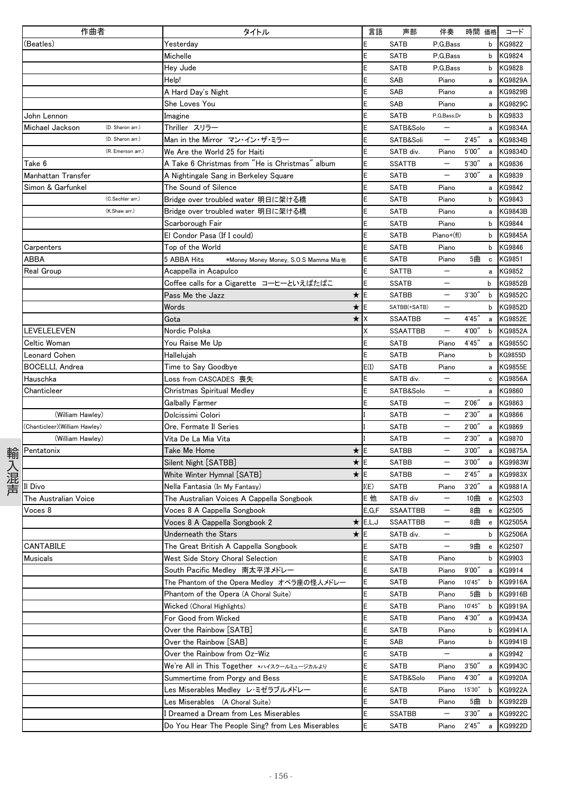| 作曲者                                 | タイトル                                                | 言語               | 声部              | 伴奏                       | 時間 価格   |                                                  | コード            |
|-------------------------------------|-----------------------------------------------------|------------------|-----------------|--------------------------|---------|--------------------------------------------------|----------------|
| (Beatles)                           | Yesterday                                           | E                | <b>SATB</b>     | P.G.Bass                 |         | b                                                | <b>KG9822</b>  |
|                                     | Michelle                                            | E                | <b>SATB</b>     | P.G.Bass                 |         | b                                                | KG9824         |
|                                     | Hey Jude                                            |                  | SATB            | P.G.Bass                 |         | b                                                | KG9828         |
|                                     | Help!                                               | E                | SAB             | Piano                    |         | a                                                | KG9829A        |
|                                     | A Hard Day's Night                                  |                  | SAB             | Piano                    |         | a                                                | <b>KG9829B</b> |
|                                     | She Loves You                                       |                  | SAB             | Piano                    |         | a                                                | <b>KG9829C</b> |
| John Lennon                         | Imagine                                             |                  | <b>SATB</b>     | P,G,Bass,Dr              |         | b                                                | KG9833         |
| Michael Jackson<br>(D. Sharon arr.) | Thriller スリラー                                       |                  | SATB&Solo       |                          |         | a                                                | <b>KG9834A</b> |
| (D. Sharon arr.)                    | Man in the Mirror マン・イン・ザ・ミラー                       |                  | SATB&Soli       | $\qquad \qquad -$        | 2'45''  | a                                                | <b>KG9834B</b> |
| (R. Emerson arr.)                   | We Are the World 25 for Haiti                       | E                | SATB div.       | Piano                    | 5'00''  | a                                                | <b>KG9834D</b> |
| Take 6                              | A Take 6 Christmas from "He is Christmas" album     | E                | <b>SSATTB</b>   |                          | 5'30"   | a                                                | KG9836         |
| Manhattan Transfer                  | A Nightingale Sang in Berkeley Square               |                  | <b>SATB</b>     | $\overline{\phantom{0}}$ | 3'00''  | a                                                | KG9839         |
| Simon & Garfunkel                   | The Sound of Silence                                |                  | SATB            | Piano                    |         | a                                                | KG9842         |
| (C.Sechler arr.)                    | Bridge over troubled water 明日に架ける橋                  |                  | <b>SATB</b>     | Piano                    |         | b                                                | KG9843         |
| (K.Shaw arr.)                       | Bridge over troubled water 明日に架ける橋                  |                  | <b>SATB</b>     | Piano                    |         | a                                                | KG9843B        |
|                                     |                                                     | E                | <b>SATB</b>     | Piano                    |         | b                                                | KG9844         |
|                                     | Scarborough Fair                                    |                  |                 |                          |         |                                                  |                |
|                                     | El Condor Pasa (If I could)                         |                  | <b>SATB</b>     | Piano+(fl)               |         | b                                                | <b>KG9845A</b> |
| Carpenters                          | Top of the World                                    |                  | <b>SATB</b>     | Piano                    |         | b                                                | KG9846         |
| ABBA                                | 5 ABBA Hits<br>*Money Money Money, S.O.S Mamma Mia他 |                  | <b>SATB</b>     | Piano                    | 5曲      | $\mathbf c$                                      | KG9851         |
| Real Group                          | Acappella in Acapulco                               | E                | <b>SATTB</b>    | $\overline{\phantom{m}}$ |         | a                                                | KG9852         |
|                                     | Coffee calls for a Cigarette コーヒーといえばたばこ            | E                | <b>SSATB</b>    |                          |         | b                                                | KG9852B        |
|                                     | Pass Me the Jazz                                    | ★∥E              | <b>SATBB</b>    |                          | 3'30''  | b                                                | KG9852C        |
|                                     | Words                                               | ★lE              | SATBB(+SATB)    |                          |         | b                                                | <b>KG9852D</b> |
|                                     | Gota                                                | $\star$ $\times$ | <b>SSAATBB</b>  | $\qquad \qquad -$        | 4'45''  | a                                                | <b>KG9852E</b> |
| <b>LEVELELEVEN</b>                  | Nordic Polska                                       | X                | <b>SSAATTBB</b> | $\overline{\phantom{0}}$ | 4'00"   | b                                                | <b>KG9852A</b> |
| Celtic Woman                        | You Raise Me Up                                     | E                | <b>SATB</b>     | Piano                    | 4'45"   | $\mathsf{a}$                                     | <b>KG9855C</b> |
| Leonard Cohen                       | Hallelujah                                          |                  | SATB            | Piano                    |         | b                                                | KG9855D        |
| <b>BOCELLI, Andrea</b>              | Time to Say Goodbye                                 | E(I)             | <b>SATB</b>     | Piano                    |         | a                                                | <b>KG9855E</b> |
| Hauschka                            | Loss from CASCADES 喪失                               | E                | SATB div.       | $\overline{\phantom{m}}$ |         | $\mathbf c$                                      | <b>KG9856A</b> |
| Chanticleer                         | Christmas Spiritual Medley                          |                  | SATB&Solo       | $\qquad \qquad -$        |         | a                                                | KG9860         |
|                                     | <b>Galbally Farmer</b>                              |                  | <b>SATB</b>     |                          | 2'06''  | a                                                | KG9863         |
| (William Hawley)                    | Dolcissimi Colori                                   |                  | <b>SATB</b>     |                          | 2'30''  | a                                                | KG9866         |
| (Chanticleer)(William Hawley)       | Ore, Fermate Il Series                              |                  | <b>SATB</b>     |                          | 2'00''  | a                                                | KG9869         |
| (William Hawley)                    | Vita De La Mia Vita                                 |                  | <b>SATB</b>     |                          | 2'30''  | a                                                | KG9870         |
| Pentatonix                          | Take Me Home                                        | ★∥E              | <b>SATBB</b>    |                          | 3'00''  | a                                                | <b>KG9875A</b> |
|                                     | Silent Night [SATBB]                                | ★∥E              | <b>SATBB</b>    | $\overline{\phantom{0}}$ | 3'00''  | a                                                | KG9983W        |
|                                     | White Winter Hymnal [SATB]                          | ★lE              | <b>SATBB</b>    | $\qquad \qquad -$        | 2'45''  | a                                                | <b>KG9983X</b> |
| l Divo                              | Nella Fantasia (In My Fantasy)                      | I(E)             | <b>SATB</b>     | Piano                    | 3'20''  | a                                                | <b>KG9881A</b> |
| The Australian Voice                | The Australian Voices A Cappella Songbook           | E他               | SATB div        | $\overline{\phantom{m}}$ | 10曲     | $\mathbf{e}% _{t}\left( t\right)$                | KG2503         |
| Voces 8                             | Voces 8 A Cappella Songbook                         | E.G.F            | <b>SSAATTBB</b> |                          | 8曲      | $\mathbf{e}% _{t}\left  \mathbf{1}\right\rangle$ | KG2505         |
|                                     | Voces 8 A Cappella Songbook 2                       | $\star$ E,L,J    | SSAATTBB        |                          | 8曲      |                                                  | e KG2505A      |
|                                     | Underneath the Stars                                | ★∥E              | SATB div.       | $\qquad \qquad -$        |         |                                                  | b KG2506A      |
| CANTABILE                           | The Great British A Cappella Songbook               | E                | <b>SATB</b>     | $\qquad \qquad -$        | 9曲      |                                                  | e KG2507       |
| Musicals                            | West Side Story Choral Selection                    |                  | <b>SATB</b>     | Piano                    |         |                                                  | b KG9903       |
|                                     |                                                     |                  |                 |                          |         |                                                  |                |
|                                     | South Pacific Medley 南太平洋メドレー                       | E                | SATB            | Piano                    | 9'00''  | $\mathsf{a}$                                     | KG9914         |
|                                     | The Phantom of the Opera Medley オペラ座の怪人メドレー         | E                | SATB            | Piano                    | 10'45'' | b                                                | KG9916A        |
|                                     | Phantom of the Opera (A Choral Suite)               | E                | SATB            | Piano                    | 5曲      | b                                                | KG9916B        |
|                                     | Wicked (Choral Highlights)                          | E                | SATB            | Piano                    | 10'45"  |                                                  | b KG9919A      |
|                                     | For Good from Wicked                                | E                | SATB            | Piano                    | 4'30"   | a                                                | KG9943A        |
|                                     | Over the Rainbow [SATB]                             | E                | <b>SATB</b>     | Piano                    |         | b                                                | KG9941A        |
|                                     | Over the Rainbow [SAB]                              | E                | SAB             | Piano                    |         | b                                                | KG9941B        |
|                                     | Over the Rainbow from Oz-Wiz                        | E                | <b>SATB</b>     |                          |         | а                                                | KG9942         |
|                                     | We're All in This Together *ハイスクールミュージカルより          |                  | <b>SATB</b>     | Piano                    | 3'50''  | a                                                | KG9943C        |
|                                     | Summertime from Porgy and Bess                      |                  | SATB&Solo       | Piano                    | 4'30"   |                                                  | a KG9920A      |
|                                     | Les Miserables Medley レ・ミゼラブルメドレー                   | E                | <b>SATB</b>     | Piano                    | 15'30"  |                                                  | b KG9922A      |
|                                     | Les Miserables (A Choral Suite)                     | E                | <b>SATB</b>     | Piano                    | 5曲      | b                                                | KG9922B        |
|                                     | I Dreamed a Dream from Les Miserables               | E                | <b>SSATBB</b>   | $\qquad \qquad -$        | 3'30''  | a                                                | KG9922C        |
|                                     | Do You Hear The People Sing? from Les Miserables    | E                | SATB            | Piano                    | 2'45''  | $\mathsf a$                                      | KG9922D        |
|                                     |                                                     |                  |                 |                          |         |                                                  |                |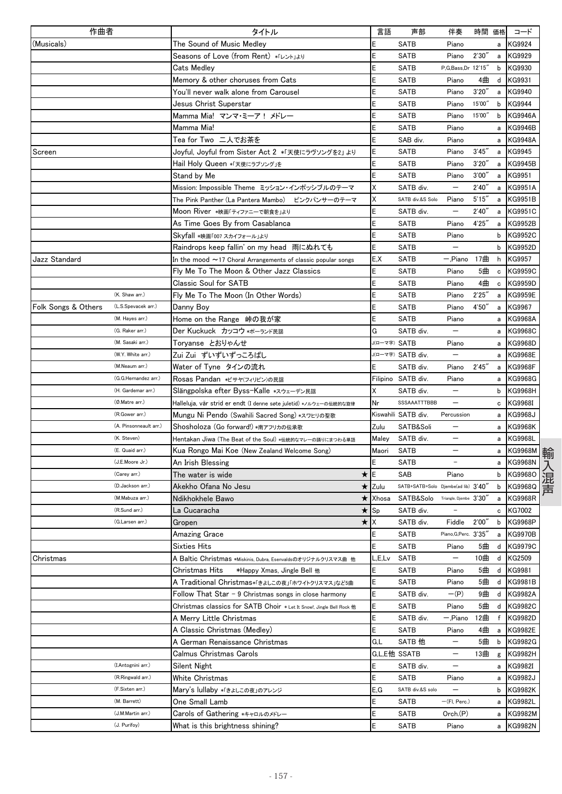| 作曲者                                        |  | タイトル                                                                |                            |                  | 言語           | 声部                                  | 伴奏                       | 時間 価格  |        | コード            |
|--------------------------------------------|--|---------------------------------------------------------------------|----------------------------|------------------|--------------|-------------------------------------|--------------------------|--------|--------|----------------|
| (Musicals)                                 |  | The Sound of Music Medlev                                           |                            |                  | E            | <b>SATB</b>                         | Piano                    |        | a      | KG9924         |
|                                            |  | Seasons of Love (from Rent) *「レント」ょり                                |                            |                  | Ε            | <b>SATB</b>                         | Piano                    | 2'30'  | a      | KG9929         |
|                                            |  | Cats Medley                                                         |                            |                  |              | SATB                                | P,G,Bass,Dr 12'15"       |        | b      | KG9930         |
|                                            |  | Memory & other choruses from Cats                                   |                            |                  | E            | SATB                                | Piano                    | 4曲     | d      | KG9931         |
|                                            |  | You'll never walk alone from Carousel                               |                            |                  | Ε            | SATB                                | Piano                    | 3'20'' | а      | KG9940         |
|                                            |  | Jesus Christ Superstar                                              |                            |                  |              | SATB                                | Piano                    | 15'00" | b      | KG9944         |
|                                            |  | Mamma Mia! マンマ・ミーア! メドレー                                            |                            |                  | E            | <b>SATB</b>                         | Piano                    | 15'00' | b      | <b>KG9946A</b> |
|                                            |  | Mamma Mia!                                                          |                            |                  | E            | <b>SATB</b>                         | Piano                    |        | a      | KG9946B        |
|                                            |  | Tea for Two 二人でお茶を                                                  |                            |                  | E            | SAB div.                            | Piano                    |        | а      | KG9948A        |
| Screen                                     |  | Joyful, Joyful from Sister Act 2 *「天使にラヴソングを2」 より                   |                            |                  | Ε            | SATB                                | Piano                    | 3'45'  | а      | KG9945         |
|                                            |  | Hail Holy Queen *「天使にラブソング」を                                        |                            |                  | E            | <b>SATB</b>                         | Piano                    | 3'20'  | а      | <b>KG9945B</b> |
|                                            |  | Stand by Me                                                         |                            |                  | E            | <b>SATB</b>                         | Piano                    | 3'00'  | а      | KG9951         |
|                                            |  | Mission: Impossible Theme ミッション・インポッシブルのテーマ                         |                            |                  | Χ            | SATB div.                           | —                        | 2'40'' | а      | <b>KG9951A</b> |
|                                            |  | The Pink Panther (La Pantera Mambo) ピンクパンサーのテーマ                     |                            |                  | Χ            | SATB div.&S Solo                    | Piano                    | 5'15'  | a      | <b>KG9951B</b> |
|                                            |  | Moon River *映画「ティファニーで朝食を」より                                        |                            |                  | E            | SATB div.                           |                          | 2'40'  | a      | KG9951C        |
|                                            |  | As Time Goes By from Casablanca                                     |                            |                  | E            | SATB                                | Piano                    | 4'25'  | a      | KG9952B        |
|                                            |  | Skyfall *映画「007 スカイフォール」より                                          |                            |                  | E            | SATB                                | Piano                    |        | b      | KG9952C        |
|                                            |  | Raindrops keep fallin' on my head 雨にぬれても                            |                            |                  | E            | <b>SATB</b>                         | $\overline{\phantom{0}}$ |        | b      | <b>KG9952D</b> |
| Jazz Standard                              |  | In the mood $\sim$ 17 Choral Arrangements of classic popular songs  |                            |                  | E,X          | <b>SATB</b>                         | - Piano                  | 17曲    | h      | KG9957         |
|                                            |  | Fly Me To The Moon & Other Jazz Classics                            |                            |                  | E            | <b>SATB</b>                         | Piano                    | 5曲     | c      | <b>KG9959C</b> |
|                                            |  | Classic Soul for SATB                                               |                            |                  | E            | <b>SATB</b>                         | Piano                    | 4曲     | c      | KG9959D        |
| (K. Shaw arr.)                             |  | Fly Me To The Moon (In Other Words)                                 |                            |                  | Ε            | SATB                                | Piano                    | 2'25'  | a      | KG9959E        |
| Folk Songs & Others<br>(L.S.Spevacek arr.) |  | Danny Boy                                                           |                            |                  | E            | <b>SATB</b>                         | Piano                    | 4'50'' | a      | KG9967         |
| (M. Hayes arr.)                            |  | Home on the Range –峠の我が家                                            |                            |                  |              | <b>SATB</b>                         | Piano                    |        | а      | <b>KG9968A</b> |
| (G. Raker arr.)                            |  | Der Kuckuck カッコウ *ポーランド民謡                                           |                            |                  | G            | SATB div.                           | —                        |        | а      | KG9968C        |
| (M. Sasaki arr.)                           |  | Toryanse とおりゃんせ                                                     |                            |                  | J(ローマ字) SATB |                                     | Piano                    |        | а      | <b>KG9968D</b> |
| (W.Y. White arr.)                          |  | Zui Zui ずいずいずっころばし                                                  |                            |                  |              | J(ローマ字) SATB div.                   |                          |        | а      | KG9968E        |
| (M.Neaum arr.)                             |  | Water of Tyne タインの流れ                                                |                            |                  | Ε            | SATB div.                           | Piano                    | 2'45'  | а      | KG9968F        |
| (G.G.Hernandez arr.)                       |  | Rosas Pandan *ビサヤ(フィリピン)の民謡                                         |                            |                  |              | Filipino SATB div.                  | Piano                    |        |        | KG9968G        |
| (H. Gardemar arr.)                         |  |                                                                     |                            |                  | Χ            | SATB div.                           | $\overline{\phantom{0}}$ |        | a<br>b | <b>KG9968H</b> |
| (Ø.Matre arr.)                             |  | Slängpolska efter Byss-Kalle *スウェーデン民謡                              |                            |                  | Nr           | SSSAAATTTBBB                        |                          |        |        | KG9968I        |
| (R.Gower arr.)                             |  | Halleluja, vår strid er endt (I denne søte juletid) *ノルウェーの伝統的な旋律   |                            |                  |              |                                     | Percussion               |        | с      |                |
| (A. Pinsonneault arr.)                     |  | Mungu Ni Pendo (Swahili Sacred Song) *スワヒリの聖歌                       |                            |                  |              | Kiswahili SATB div.                 |                          |        | a      | KG9968J        |
| (K. Steven)                                |  | Shosholoza (Go forward!) *南アフリカの伝承歌                                 |                            |                  | Zulu         | SATB&Soli                           |                          |        | а      | KG9968K        |
| (E. Quaid arr.)                            |  | Hentakan Jiwa (The Beat of the Soul) *伝統的なマレーの踊りにまつわる単語             |                            |                  | Maley        | SATB div.                           |                          |        | а      | KG9968L        |
|                                            |  | Kua Rongo Mai Koe (New Zealand Welcome Song)                        |                            |                  | Maori        | <b>SATB</b>                         |                          |        | а      | KG9968M        |
| (J.E.Moore Jr.)                            |  | An Irish Blessing                                                   |                            |                  |              | <b>SATB</b>                         | $\overline{\phantom{a}}$ |        | a      | <b>KG9968N</b> |
| (Carey arr.)                               |  | The water is wide                                                   |                            | ★                | Ε            | SAB                                 | Piano                    |        | b      | KG9968O        |
| (D.Jackson arr.)                           |  | Akekho Ofana No Jesu                                                |                            | $\star$          | Zulu         | SATB+SATB+Solo Djembe(ad lib) 3'40' |                          |        | b      | KG9968Q        |
| (M.Mabuza arr.)                            |  | Ndikhokhele Bawo                                                    |                            | ★                | Xhosa        | SATB&Solo Triangle. Djembe 3'30'    |                          |        | а      | KG9968R        |
| (R.Sund arr.)                              |  | La Cucaracha                                                        |                            | $\star$          | Sp           | SATB div.                           | $\qquad \qquad -$        |        | с      | <b>KG7002</b>  |
| (G.Larsen arr.)                            |  | Gropen                                                              |                            | $\star$ $\times$ |              | SATB div.                           | Fiddle                   | 2'00'' | b      | KG9968P        |
|                                            |  | Amazing Grace                                                       |                            |                  | E            | <b>SATB</b>                         | Piano, G, Perc. 3'35"    |        | a      | <b>KG9970B</b> |
|                                            |  | Sixties Hits                                                        |                            |                  | E            | <b>SATB</b>                         | Piano                    | 5曲     |        | d KG9979C      |
| Christmas                                  |  | A Baltic Christmas *Miskinis, Dubra, Esenvaldsのオリジナルクリスマス曲 他        |                            |                  | _,E,Lv       | <b>SATB</b>                         | —                        | 10曲    | d      | KG2509         |
|                                            |  | Christmas Hits                                                      | *Happy Xmas, Jingle Bell 他 |                  | E            | SATB                                | Piano                    | 5曲     | d      | KG9981         |
|                                            |  | A Traditional Christmas*「きょしこの夜」「ホワイトクリスマス」など5曲                     |                            |                  | Ε            | <b>SATB</b>                         | Piano                    | 5曲     | d      | KG9981B        |
|                                            |  | Follow That Star - 9 Christmas songs in close harmony               |                            |                  | E            | SATB div.                           | $-(P)$                   | 9曲     | d      | <b>KG9982A</b> |
|                                            |  | Christmas classics for SATB Choir *Let It Snow!, Jingle Bell Rock 他 |                            |                  | E            | <b>SATB</b>                         | Piano                    | 5曲     | d      | KG9982C        |
|                                            |  | A Merry Little Christmas                                            |                            |                  | E            | SATB div.                           | — Piano                  | 12曲    | f      | KG9982D        |
|                                            |  | A Classic Christmas (Medley)                                        |                            |                  | E            | <b>SATB</b>                         | Piano                    | 4曲     | a      | KG9982E        |
|                                            |  | A German Renaissance Christmas                                      |                            |                  | G,L          | SATB 他                              | —                        | 5曲     | b      | KG9982G        |
|                                            |  | Calmus Christmas Carols                                             |                            |                  |              | G,L,E他 SSATB                        | —                        | 13曲    | g      | KG9982H        |
| (I.Antognini arr.)                         |  | Silent Night                                                        |                            |                  | E            | SATB div.                           |                          |        | a      | KG9982I        |
| (R.Ringwald arr.)                          |  | White Christmas                                                     |                            |                  | E            | <b>SATB</b>                         | Piano                    |        |        | a KG9982J      |
| (F.Sixten arr.)                            |  | Mary's lullaby *「きょしこの夜」のアレンジ                                       |                            |                  | E,G          | SATB div.&S solo                    | —                        |        |        | b KG9982K      |
| (M. Barrett)                               |  | One Small Lamb                                                      |                            |                  | E            | <b>SATB</b>                         | $-(FI, Perc.)$           |        | a      | KG9982L        |
| (J.M.Martin arr.)                          |  | Carols of Gathering *キャロルのメドレー                                      |                            |                  | E            | SATB                                | Orch.(P)                 |        | a      | KG9982M        |
| (J. Purifoy)                               |  | What is this brightness shining?                                    |                            |                  | Ė            | SATB                                | Piano                    |        | а      | KG9982N        |